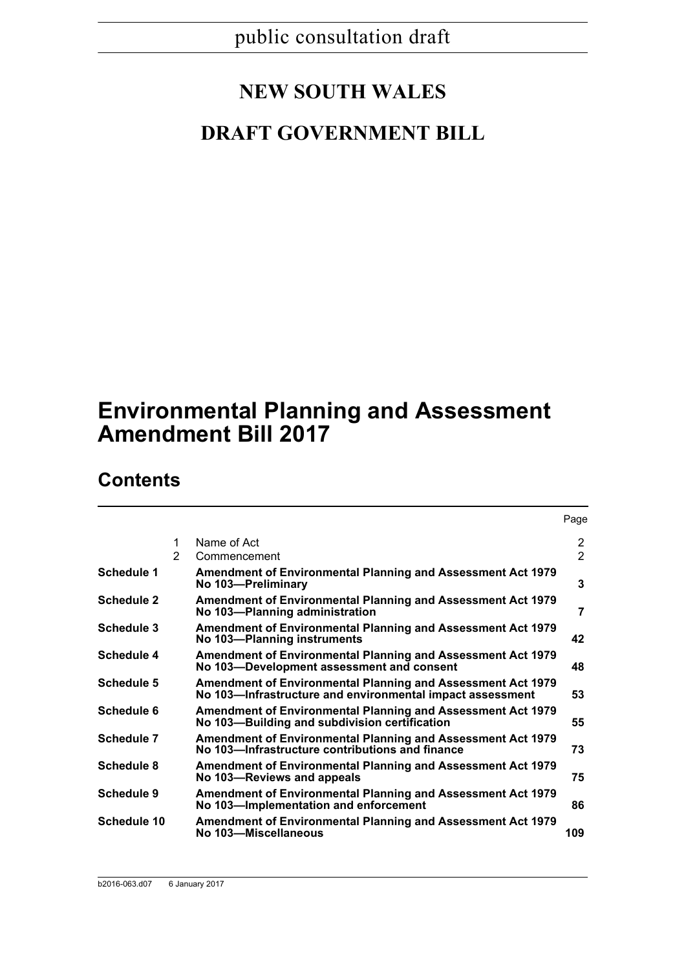# **NEW SOUTH WALES**

# **DRAFT GOVERNMENT BILL**

# **Environmental Planning and Assessment Amendment Bill 2017**

# **Contents**

|                    |   |                                                                                                                          | Page                  |
|--------------------|---|--------------------------------------------------------------------------------------------------------------------------|-----------------------|
|                    | 1 | Name of Act                                                                                                              | $\mathbf{2}^{\prime}$ |
|                    | 2 | Commencement                                                                                                             | $\mathcal{P}$         |
| Schedule 1         |   | <b>Amendment of Environmental Planning and Assessment Act 1979</b><br>No 103-Preliminary                                 | 3                     |
| Schedule 2         |   | <b>Amendment of Environmental Planning and Assessment Act 1979</b><br>No 103-Planning administration                     | 7                     |
| Schedule 3         |   | <b>Amendment of Environmental Planning and Assessment Act 1979</b><br>No 103-Planning instruments                        | 42                    |
| <b>Schedule 4</b>  |   | Amendment of Environmental Planning and Assessment Act 1979<br>No 103-Development assessment and consent                 | 48                    |
| <b>Schedule 5</b>  |   | Amendment of Environmental Planning and Assessment Act 1979<br>No 103—Infrastructure and environmental impact assessment | 53                    |
| Schedule 6         |   | <b>Amendment of Environmental Planning and Assessment Act 1979</b><br>No 103-Building and subdivision certification      | 55                    |
| Schedule 7         |   | <b>Amendment of Environmental Planning and Assessment Act 1979</b><br>No 103-Infrastructure contributions and finance    | 73                    |
| <b>Schedule 8</b>  |   | Amendment of Environmental Planning and Assessment Act 1979<br>No 103-Reviews and appeals                                | 75                    |
| <b>Schedule 9</b>  |   | Amendment of Environmental Planning and Assessment Act 1979<br>No 103-Implementation and enforcement                     | 86                    |
| <b>Schedule 10</b> |   | <b>Amendment of Environmental Planning and Assessment Act 1979</b><br>No 103-Miscellaneous                               | 109                   |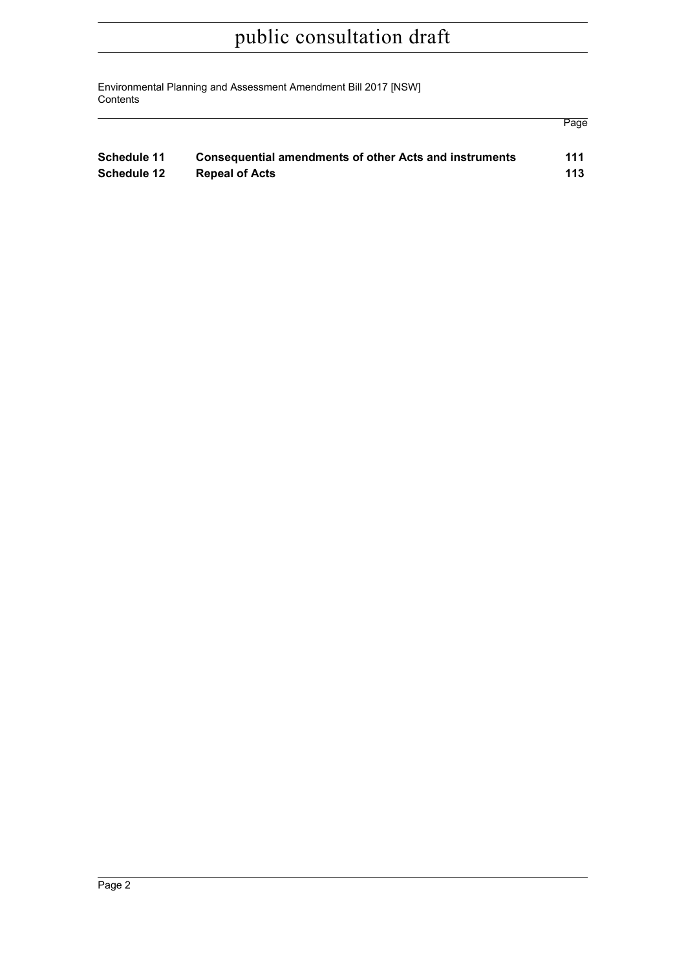Environmental Planning and Assessment Amendment Bill 2017 [NSW] **Contents** 

| Schedule 11 | <b>Consequential amendments of other Acts and instruments</b> | 111 |
|-------------|---------------------------------------------------------------|-----|
| Schedule 12 | <b>Repeal of Acts</b>                                         | 113 |

Page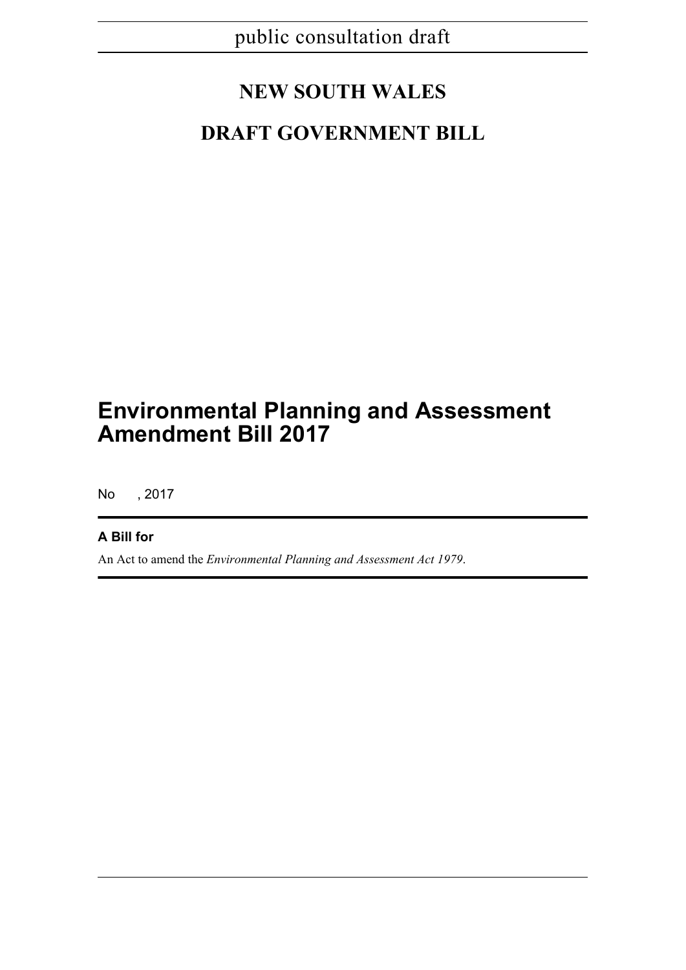# **NEW SOUTH WALES**

# **DRAFT GOVERNMENT BILL**

# **Environmental Planning and Assessment Amendment Bill 2017**

No , 2017

# **A Bill for**

An Act to amend the *Environmental Planning and Assessment Act 1979*.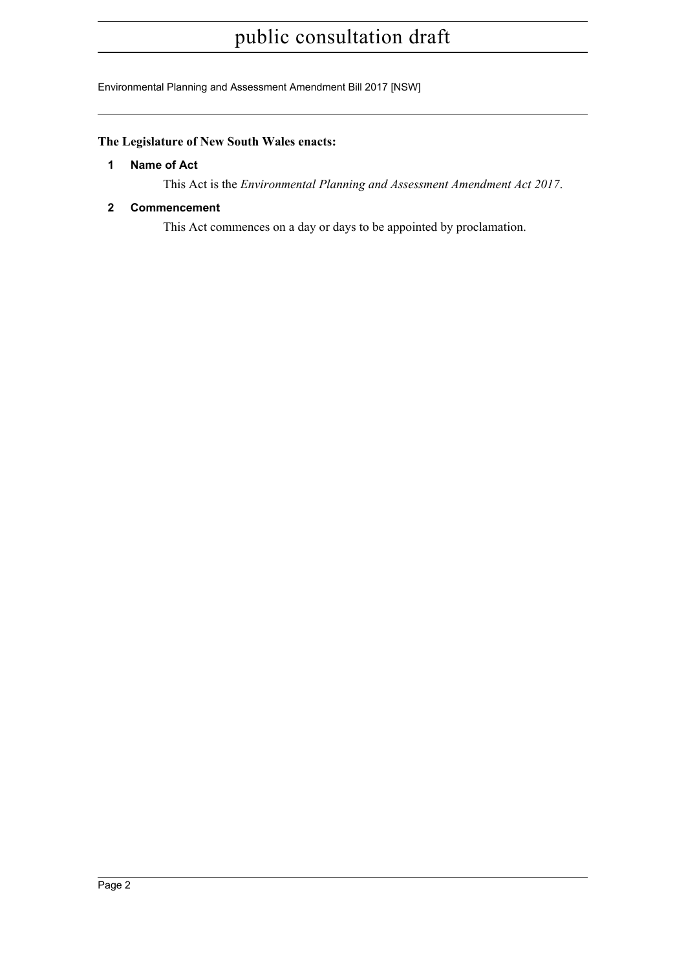Environmental Planning and Assessment Amendment Bill 2017 [NSW]

# <span id="page-3-0"></span>**The Legislature of New South Wales enacts:**

### **1 Name of Act**

This Act is the *Environmental Planning and Assessment Amendment Act 2017*.

# <span id="page-3-1"></span>**2 Commencement**

This Act commences on a day or days to be appointed by proclamation.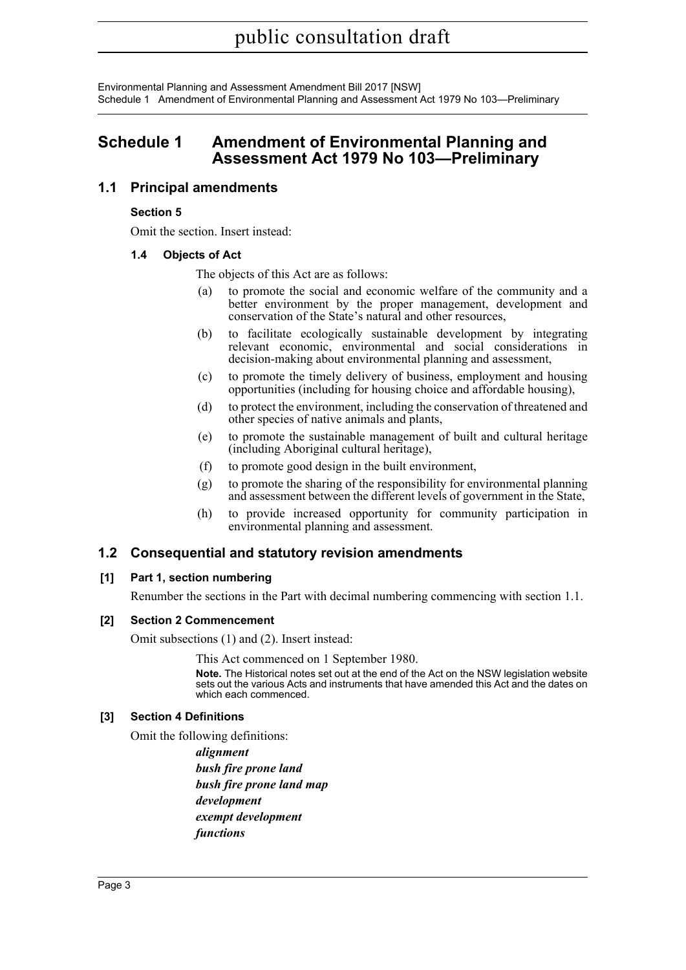Environmental Planning and Assessment Amendment Bill 2017 [NSW] Schedule 1 Amendment of Environmental Planning and Assessment Act 1979 No 103—Preliminary

# <span id="page-4-0"></span>**Schedule 1 Amendment of Environmental Planning and Assessment Act 1979 No 103—Preliminary**

# **1.1 Principal amendments**

### **Section 5**

Omit the section. Insert instead:

# **1.4 Objects of Act**

The objects of this Act are as follows:

- (a) to promote the social and economic welfare of the community and a better environment by the proper management, development and conservation of the State's natural and other resources,
- (b) to facilitate ecologically sustainable development by integrating relevant economic, environmental and social considerations in decision-making about environmental planning and assessment,
- (c) to promote the timely delivery of business, employment and housing opportunities (including for housing choice and affordable housing),
- (d) to protect the environment, including the conservation of threatened and other species of native animals and plants,
- (e) to promote the sustainable management of built and cultural heritage (including Aboriginal cultural heritage),
- (f) to promote good design in the built environment,
- (g) to promote the sharing of the responsibility for environmental planning and assessment between the different levels of government in the State,
- (h) to provide increased opportunity for community participation in environmental planning and assessment.

# **1.2 Consequential and statutory revision amendments**

### **[1] Part 1, section numbering**

Renumber the sections in the Part with decimal numbering commencing with section 1.1.

### **[2] Section 2 Commencement**

Omit subsections (1) and (2). Insert instead:

This Act commenced on 1 September 1980.

**Note.** The Historical notes set out at the end of the Act on the NSW legislation website sets out the various Acts and instruments that have amended this Act and the dates on which each commenced.

### **[3] Section 4 Definitions**

Omit the following definitions:

*alignment bush fire prone land bush fire prone land map development exempt development functions*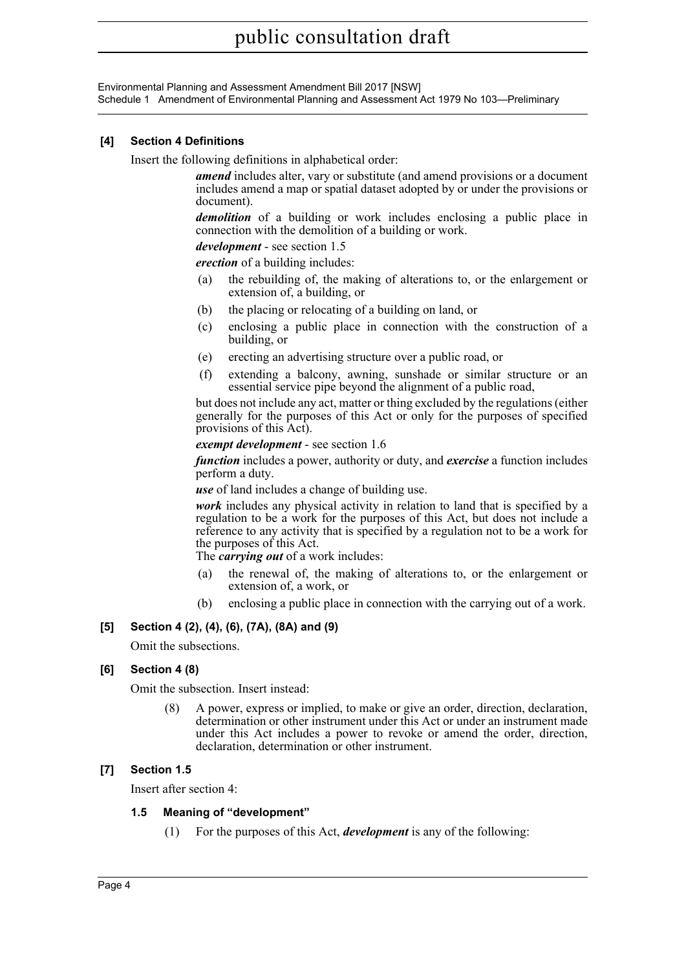Environmental Planning and Assessment Amendment Bill 2017 [NSW] Schedule 1 Amendment of Environmental Planning and Assessment Act 1979 No 103—Preliminary

#### **[4] Section 4 Definitions**

Insert the following definitions in alphabetical order:

*amend* includes alter, vary or substitute (and amend provisions or a document includes amend a map or spatial dataset adopted by or under the provisions or document).

*demolition* of a building or work includes enclosing a public place in connection with the demolition of a building or work.

*development* - see section 1.5

*erection* of a building includes:

- (a) the rebuilding of, the making of alterations to, or the enlargement or extension of, a building, or
- (b) the placing or relocating of a building on land, or
- (c) enclosing a public place in connection with the construction of a building, or
- (e) erecting an advertising structure over a public road, or
- (f) extending a balcony, awning, sunshade or similar structure or an essential service pipe beyond the alignment of a public road,

but does not include any act, matter or thing excluded by the regulations (either generally for the purposes of this Act or only for the purposes of specified provisions of this Act).

#### *exempt development* - see section 1.6

*function* includes a power, authority or duty, and *exercise* a function includes perform a duty.

*use* of land includes a change of building use.

*work* includes any physical activity in relation to land that is specified by a regulation to be a work for the purposes of this Act, but does not include a reference to any activity that is specified by a regulation not to be a work for the purposes of this Act.

The *carrying out* of a work includes:

- (a) the renewal of, the making of alterations to, or the enlargement or extension of, a work, or
- (b) enclosing a public place in connection with the carrying out of a work.

### **[5] Section 4 (2), (4), (6), (7A), (8A) and (9)**

Omit the subsections.

### **[6] Section 4 (8)**

Omit the subsection. Insert instead:

(8) A power, express or implied, to make or give an order, direction, declaration, determination or other instrument under this Act or under an instrument made under this Act includes a power to revoke or amend the order, direction, declaration, determination or other instrument.

### **[7] Section 1.5**

Insert after section 4:

#### **1.5 Meaning of "development"**

(1) For the purposes of this Act, *development* is any of the following: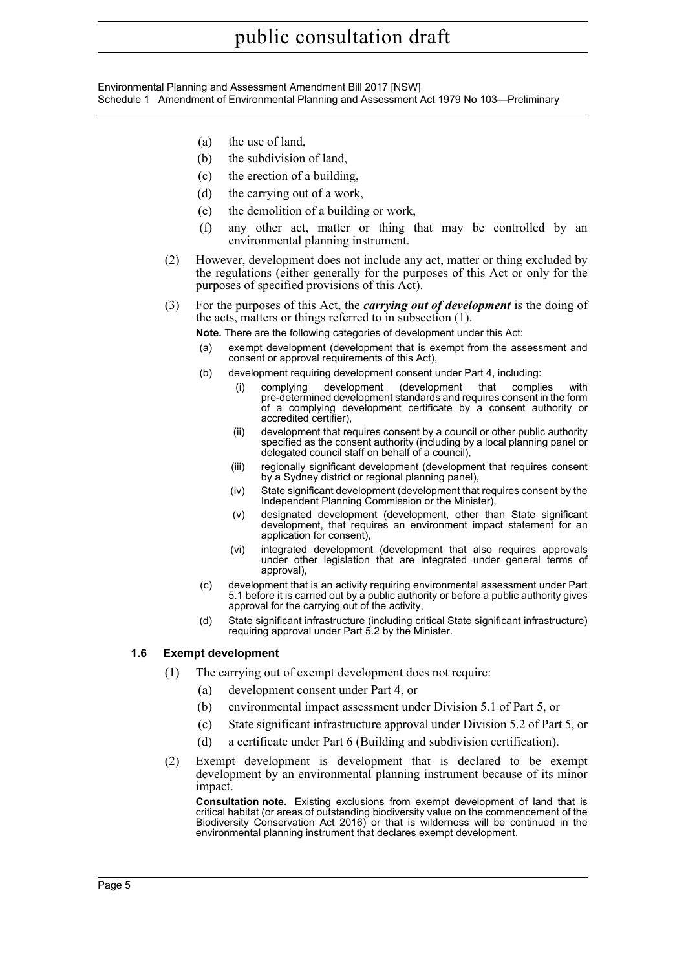#### Environmental Planning and Assessment Amendment Bill 2017 [NSW] Schedule 1 Amendment of Environmental Planning and Assessment Act 1979 No 103—Preliminary

- (a) the use of land,
- (b) the subdivision of land,
- (c) the erection of a building,
- (d) the carrying out of a work,
- (e) the demolition of a building or work,
- (f) any other act, matter or thing that may be controlled by an environmental planning instrument.
- (2) However, development does not include any act, matter or thing excluded by the regulations (either generally for the purposes of this Act or only for the purposes of specified provisions of this Act).
- (3) For the purposes of this Act, the *carrying out of development* is the doing of the acts, matters or things referred to in subsection (1).

**Note.** There are the following categories of development under this Act:

- (a) exempt development (development that is exempt from the assessment and consent or approval requirements of this Act),
- (b) development requiring development consent under Part 4, including:
	- (i) complying development (development that complies with pre-determined development standards and requires consent in the form of a complying development certificate by a consent authority or accredited certifier),
	- (ii) development that requires consent by a council or other public authority specified as the consent authority (including by a local planning panel or delegated council staff on behalf of a council),
	- (iii) regionally significant development (development that requires consent by a Sydney district or regional planning panel),
	- (iv) State significant development (development that requires consent by the Independent Planning Commission or the Minister),
	- (v) designated development (development, other than State significant development, that requires an environment impact statement for an application for consent),
	- (vi) integrated development (development that also requires approvals under other legislation that are integrated under general terms of approval),
- (c) development that is an activity requiring environmental assessment under Part 5.1 before it is carried out by a public authority or before a public authority gives approval for the carrying out of the activity,
- (d) State significant infrastructure (including critical State significant infrastructure) requiring approval under Part 5.2 by the Minister.

### **1.6 Exempt development**

- (1) The carrying out of exempt development does not require:
	- (a) development consent under Part 4, or
	- (b) environmental impact assessment under Division 5.1 of Part 5, or
	- (c) State significant infrastructure approval under Division 5.2 of Part 5, or
	- (d) a certificate under Part 6 (Building and subdivision certification).
- (2) Exempt development is development that is declared to be exempt development by an environmental planning instrument because of its minor impact.

**Consultation note.** Existing exclusions from exempt development of land that is critical habitat (or areas of outstanding biodiversity value on the commencement of the Biodiversity Conservation Act 2016) or that is wilderness will be continued in the environmental planning instrument that declares exempt development.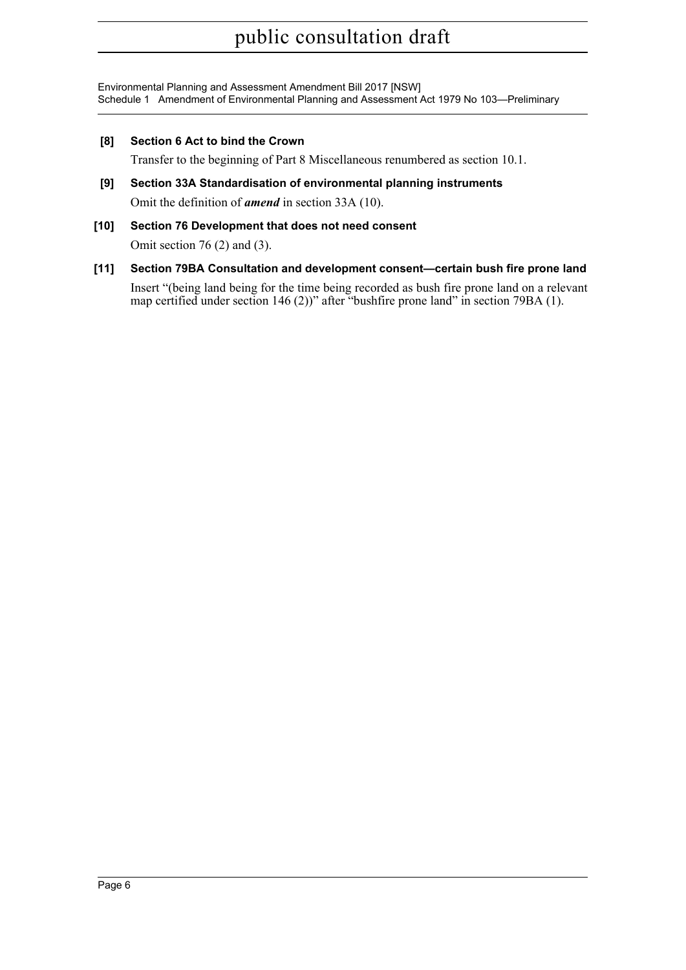Environmental Planning and Assessment Amendment Bill 2017 [NSW] Schedule 1 Amendment of Environmental Planning and Assessment Act 1979 No 103—Preliminary

**[8] Section 6 Act to bind the Crown**

Transfer to the beginning of Part 8 Miscellaneous renumbered as section 10.1.

- **[9] Section 33A Standardisation of environmental planning instruments** Omit the definition of *amend* in section 33A (10).
- **[10] Section 76 Development that does not need consent** Omit section 76 (2) and (3).
- **[11] Section 79BA Consultation and development consent—certain bush fire prone land** Insert "(being land being for the time being recorded as bush fire prone land on a relevant map certified under section 146 (2))" after "bushfire prone land" in section 79BA (1).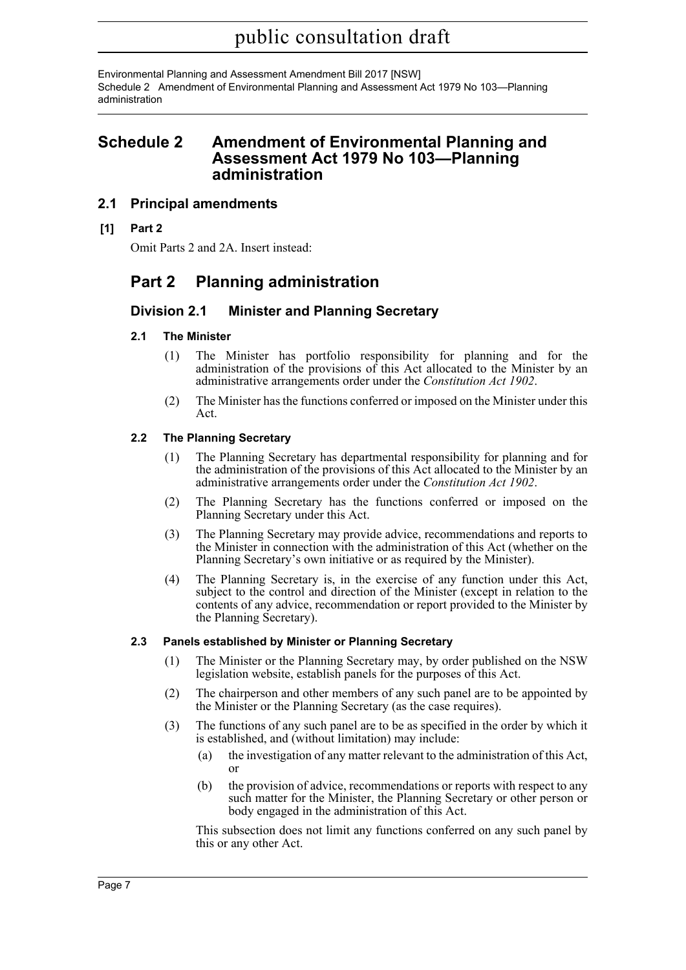Environmental Planning and Assessment Amendment Bill 2017 [NSW] Schedule 2 Amendment of Environmental Planning and Assessment Act 1979 No 103—Planning administration

# <span id="page-8-0"></span>**Schedule 2 Amendment of Environmental Planning and Assessment Act 1979 No 103—Planning administration**

# **2.1 Principal amendments**

**[1] Part 2**

Omit Parts 2 and 2A. Insert instead:

# **Part 2 Planning administration**

# **Division 2.1 Minister and Planning Secretary**

### **2.1 The Minister**

- (1) The Minister has portfolio responsibility for planning and for the administration of the provisions of this Act allocated to the Minister by an administrative arrangements order under the *Constitution Act 1902*.
- (2) The Minister has the functions conferred or imposed on the Minister under this Act.

# **2.2 The Planning Secretary**

- (1) The Planning Secretary has departmental responsibility for planning and for the administration of the provisions of this Act allocated to the Minister by an administrative arrangements order under the *Constitution Act 1902*.
- (2) The Planning Secretary has the functions conferred or imposed on the Planning Secretary under this Act.
- (3) The Planning Secretary may provide advice, recommendations and reports to the Minister in connection with the administration of this Act (whether on the Planning Secretary's own initiative or as required by the Minister).
- (4) The Planning Secretary is, in the exercise of any function under this Act, subject to the control and direction of the Minister (except in relation to the contents of any advice, recommendation or report provided to the Minister by the Planning Secretary).

### **2.3 Panels established by Minister or Planning Secretary**

- (1) The Minister or the Planning Secretary may, by order published on the NSW legislation website, establish panels for the purposes of this Act.
- (2) The chairperson and other members of any such panel are to be appointed by the Minister or the Planning Secretary (as the case requires).
- (3) The functions of any such panel are to be as specified in the order by which it is established, and (without limitation) may include:
	- (a) the investigation of any matter relevant to the administration of this Act, or
	- (b) the provision of advice, recommendations or reports with respect to any such matter for the Minister, the Planning Secretary or other person or body engaged in the administration of this Act.

This subsection does not limit any functions conferred on any such panel by this or any other Act.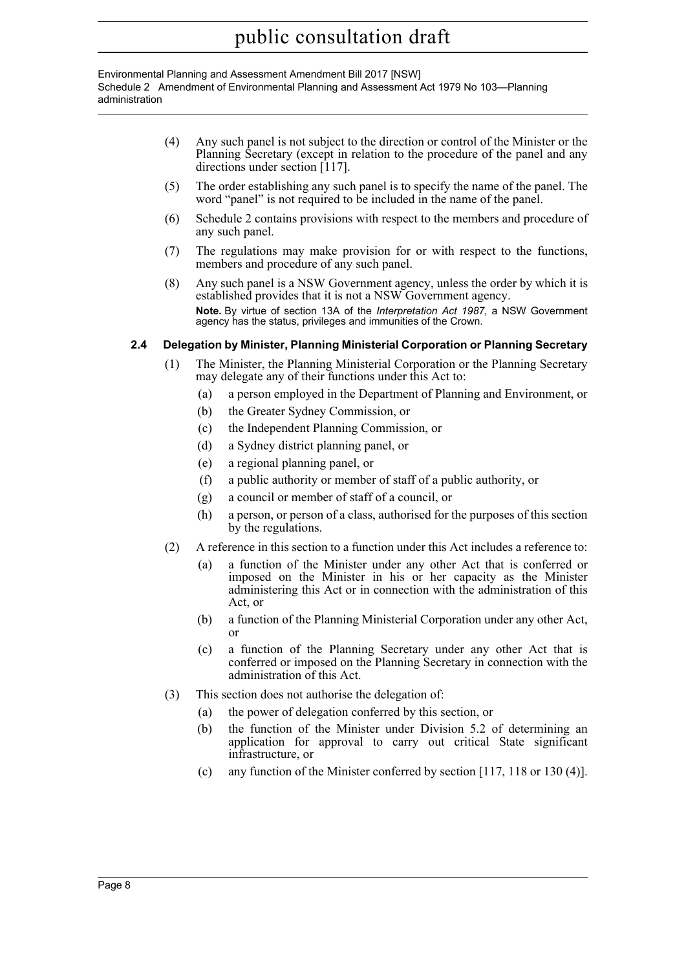Environmental Planning and Assessment Amendment Bill 2017 [NSW] Schedule 2 Amendment of Environmental Planning and Assessment Act 1979 No 103—Planning administration

- (4) Any such panel is not subject to the direction or control of the Minister or the Planning Secretary (except in relation to the procedure of the panel and any directions under section [117].
- (5) The order establishing any such panel is to specify the name of the panel. The word "panel" is not required to be included in the name of the panel.
- (6) Schedule 2 contains provisions with respect to the members and procedure of any such panel.
- (7) The regulations may make provision for or with respect to the functions, members and procedure of any such panel.
- (8) Any such panel is a NSW Government agency, unless the order by which it is established provides that it is not a NSW Government agency. **Note.** By virtue of section 13A of the *Interpretation Act 1987*, a NSW Government agency has the status, privileges and immunities of the Crown.

# **2.4 Delegation by Minister, Planning Ministerial Corporation or Planning Secretary**

- (1) The Minister, the Planning Ministerial Corporation or the Planning Secretary may delegate any of their functions under this Act to:
	- (a) a person employed in the Department of Planning and Environment, or
	- (b) the Greater Sydney Commission, or
	- (c) the Independent Planning Commission, or
	- (d) a Sydney district planning panel, or
	- (e) a regional planning panel, or
	- (f) a public authority or member of staff of a public authority, or
	- (g) a council or member of staff of a council, or
	- (h) a person, or person of a class, authorised for the purposes of this section by the regulations.
- (2) A reference in this section to a function under this Act includes a reference to:
	- (a) a function of the Minister under any other Act that is conferred or imposed on the Minister in his or her capacity as the Minister administering this Act or in connection with the administration of this Act, or
	- (b) a function of the Planning Ministerial Corporation under any other Act, or
	- (c) a function of the Planning Secretary under any other Act that is conferred or imposed on the Planning Secretary in connection with the administration of this Act.
- (3) This section does not authorise the delegation of:
	- (a) the power of delegation conferred by this section, or
	- (b) the function of the Minister under Division 5.2 of determining an application for approval to carry out critical State significant infrastructure, or
	- (c) any function of the Minister conferred by section [117, 118 or 130 (4)].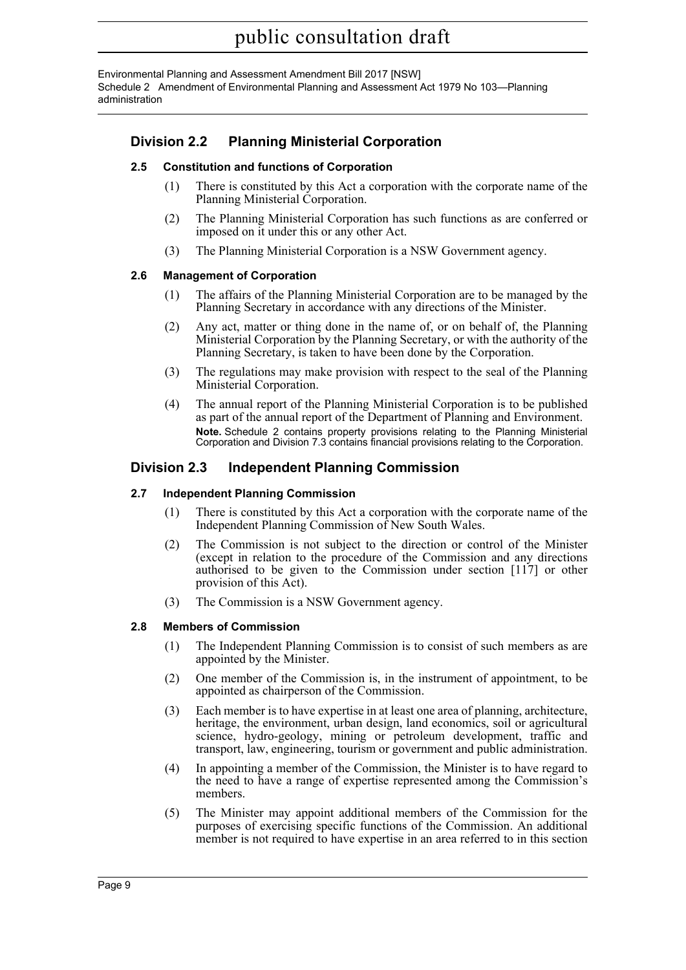Environmental Planning and Assessment Amendment Bill 2017 [NSW] Schedule 2 Amendment of Environmental Planning and Assessment Act 1979 No 103—Planning administration

# **Division 2.2 Planning Ministerial Corporation**

### **2.5 Constitution and functions of Corporation**

- (1) There is constituted by this Act a corporation with the corporate name of the Planning Ministerial Corporation.
- (2) The Planning Ministerial Corporation has such functions as are conferred or imposed on it under this or any other Act.
- (3) The Planning Ministerial Corporation is a NSW Government agency.

### **2.6 Management of Corporation**

- (1) The affairs of the Planning Ministerial Corporation are to be managed by the Planning Secretary in accordance with any directions of the Minister.
- (2) Any act, matter or thing done in the name of, or on behalf of, the Planning Ministerial Corporation by the Planning Secretary, or with the authority of the Planning Secretary, is taken to have been done by the Corporation.
- (3) The regulations may make provision with respect to the seal of the Planning Ministerial Corporation.
- (4) The annual report of the Planning Ministerial Corporation is to be published as part of the annual report of the Department of Planning and Environment. **Note.** Schedule 2 contains property provisions relating to the Planning Ministerial Corporation and Division 7.3 contains financial provisions relating to the Corporation.

# **Division 2.3 Independent Planning Commission**

### **2.7 Independent Planning Commission**

- (1) There is constituted by this Act a corporation with the corporate name of the Independent Planning Commission of New South Wales.
- (2) The Commission is not subject to the direction or control of the Minister (except in relation to the procedure of the Commission and any directions authorised to be given to the Commission under section [117] or other provision of this Act).
- (3) The Commission is a NSW Government agency.

### **2.8 Members of Commission**

- (1) The Independent Planning Commission is to consist of such members as are appointed by the Minister.
- (2) One member of the Commission is, in the instrument of appointment, to be appointed as chairperson of the Commission.
- (3) Each member is to have expertise in at least one area of planning, architecture, heritage, the environment, urban design, land economics, soil or agricultural science, hydro-geology, mining or petroleum development, traffic and transport, law, engineering, tourism or government and public administration.
- (4) In appointing a member of the Commission, the Minister is to have regard to the need to have a range of expertise represented among the Commission's members.
- (5) The Minister may appoint additional members of the Commission for the purposes of exercising specific functions of the Commission. An additional member is not required to have expertise in an area referred to in this section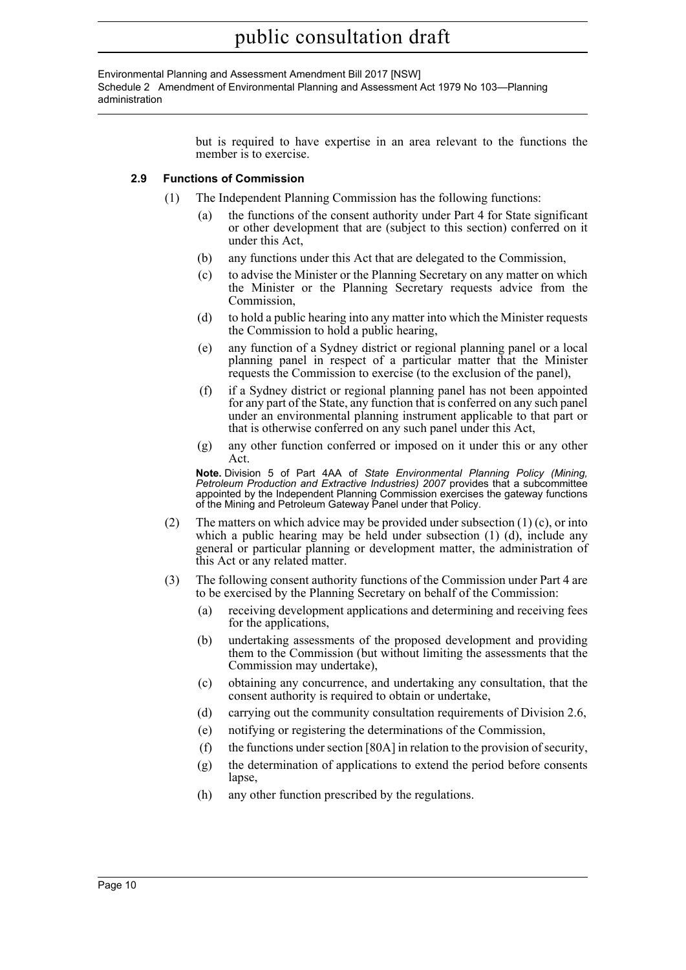Environmental Planning and Assessment Amendment Bill 2017 [NSW] Schedule 2 Amendment of Environmental Planning and Assessment Act 1979 No 103—Planning administration

> but is required to have expertise in an area relevant to the functions the member is to exercise.

# **2.9 Functions of Commission**

- (1) The Independent Planning Commission has the following functions:
	- the functions of the consent authority under Part 4 for State significant or other development that are (subject to this section) conferred on it under this Act,
	- (b) any functions under this Act that are delegated to the Commission,
	- (c) to advise the Minister or the Planning Secretary on any matter on which the Minister or the Planning Secretary requests advice from the Commission,
	- (d) to hold a public hearing into any matter into which the Minister requests the Commission to hold a public hearing,
	- (e) any function of a Sydney district or regional planning panel or a local planning panel in respect of a particular matter that the Minister requests the Commission to exercise (to the exclusion of the panel),
	- (f) if a Sydney district or regional planning panel has not been appointed for any part of the State, any function that is conferred on any such panel under an environmental planning instrument applicable to that part or that is otherwise conferred on any such panel under this Act,
	- (g) any other function conferred or imposed on it under this or any other Act.

**Note.** Division 5 of Part 4AA of *State Environmental Planning Policy (Mining, Petroleum Production and Extractive Industries) 2007* provides that a subcommittee appointed by the Independent Planning Commission exercises the gateway functions of the Mining and Petroleum Gateway Panel under that Policy.

- (2) The matters on which advice may be provided under subsection  $(1)$  (c), or into which a public hearing may be held under subsection (1) (d), include any general or particular planning or development matter, the administration of this Act or any related matter.
- (3) The following consent authority functions of the Commission under Part 4 are to be exercised by the Planning Secretary on behalf of the Commission:
	- (a) receiving development applications and determining and receiving fees for the applications,
	- (b) undertaking assessments of the proposed development and providing them to the Commission (but without limiting the assessments that the Commission may undertake),
	- (c) obtaining any concurrence, and undertaking any consultation, that the consent authority is required to obtain or undertake,
	- (d) carrying out the community consultation requirements of Division 2.6,
	- (e) notifying or registering the determinations of the Commission,
	- (f) the functions under section [80A] in relation to the provision of security,
	- (g) the determination of applications to extend the period before consents lapse,
	- (h) any other function prescribed by the regulations.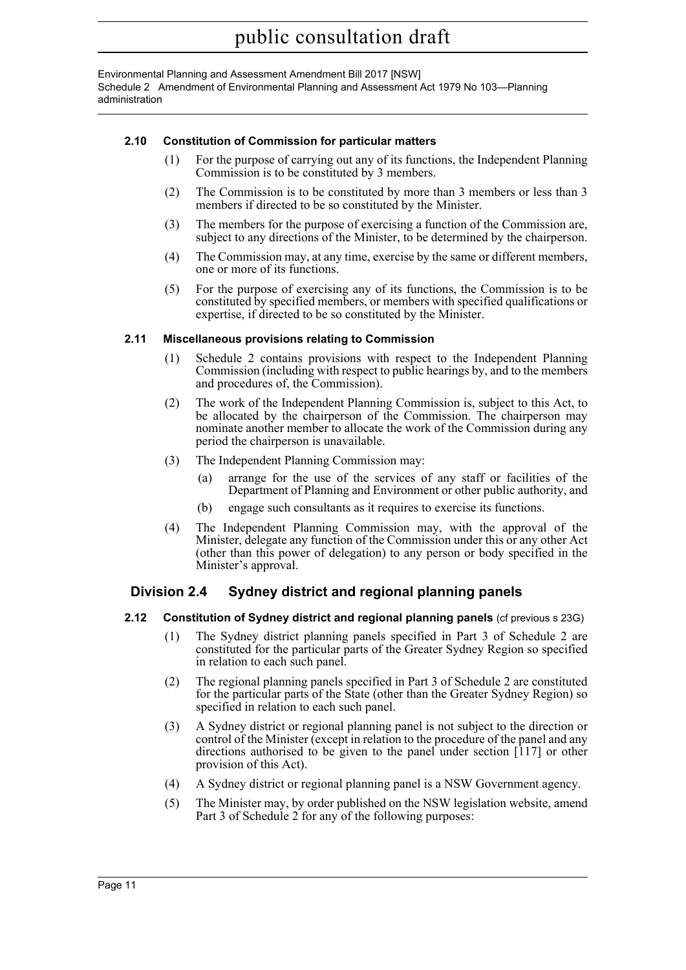Environmental Planning and Assessment Amendment Bill 2017 [NSW] Schedule 2 Amendment of Environmental Planning and Assessment Act 1979 No 103—Planning administration

# **2.10 Constitution of Commission for particular matters**

- (1) For the purpose of carrying out any of its functions, the Independent Planning Commission is to be constituted by 3 members.
- (2) The Commission is to be constituted by more than 3 members or less than 3 members if directed to be so constituted by the Minister.
- (3) The members for the purpose of exercising a function of the Commission are, subject to any directions of the Minister, to be determined by the chairperson.
- (4) The Commission may, at any time, exercise by the same or different members, one or more of its functions.
- (5) For the purpose of exercising any of its functions, the Commission is to be constituted by specified members, or members with specified qualifications or expertise, if directed to be so constituted by the Minister.

### **2.11 Miscellaneous provisions relating to Commission**

- (1) Schedule 2 contains provisions with respect to the Independent Planning Commission (including with respect to public hearings by, and to the members and procedures of, the Commission).
- (2) The work of the Independent Planning Commission is, subject to this Act, to be allocated by the chairperson of the Commission. The chairperson may nominate another member to allocate the work of the Commission during any period the chairperson is unavailable.
- (3) The Independent Planning Commission may:
	- (a) arrange for the use of the services of any staff or facilities of the Department of Planning and Environment or other public authority, and
	- (b) engage such consultants as it requires to exercise its functions.
- (4) The Independent Planning Commission may, with the approval of the Minister, delegate any function of the Commission under this or any other Act (other than this power of delegation) to any person or body specified in the Minister's approval.

# **Division 2.4 Sydney district and regional planning panels**

### **2.12 Constitution of Sydney district and regional planning panels** (cf previous s 23G)

- (1) The Sydney district planning panels specified in Part 3 of Schedule 2 are constituted for the particular parts of the Greater Sydney Region so specified in relation to each such panel.
- (2) The regional planning panels specified in Part 3 of Schedule 2 are constituted for the particular parts of the State (other than the Greater Sydney Region) so specified in relation to each such panel.
- (3) A Sydney district or regional planning panel is not subject to the direction or control of the Minister (except in relation to the procedure of the panel and any directions authorised to be given to the panel under section [117] or other provision of this Act).
- (4) A Sydney district or regional planning panel is a NSW Government agency.
- (5) The Minister may, by order published on the NSW legislation website, amend Part 3 of Schedule 2 for any of the following purposes: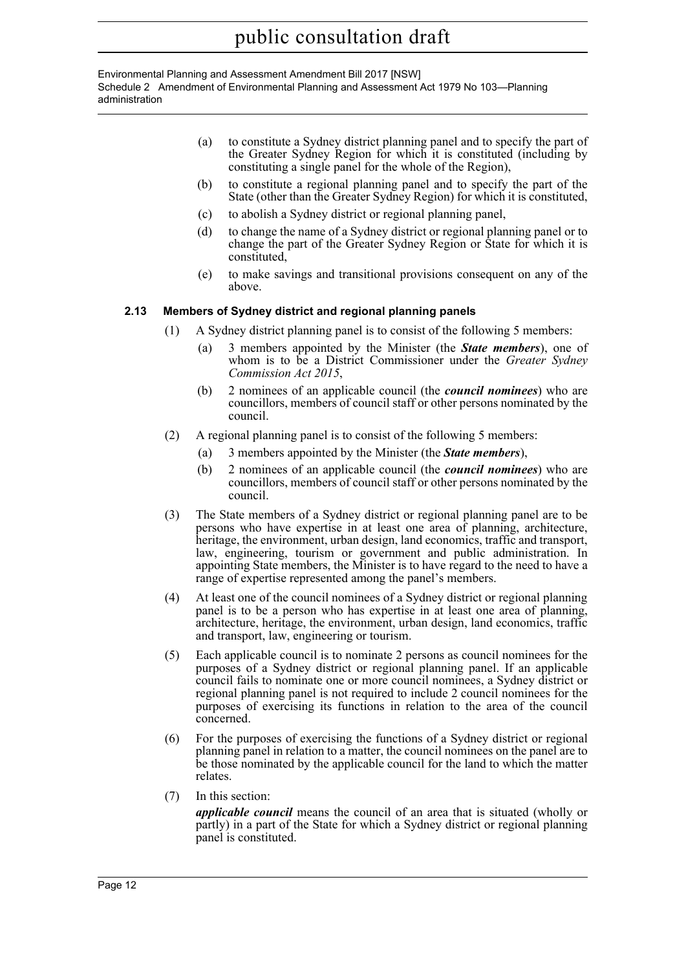Environmental Planning and Assessment Amendment Bill 2017 [NSW] Schedule 2 Amendment of Environmental Planning and Assessment Act 1979 No 103—Planning administration

- (a) to constitute a Sydney district planning panel and to specify the part of the Greater Sydney Region for which it is constituted (including by constituting a single panel for the whole of the Region),
- (b) to constitute a regional planning panel and to specify the part of the State (other than the Greater Sydney Region) for which it is constituted,
- (c) to abolish a Sydney district or regional planning panel,
- (d) to change the name of a Sydney district or regional planning panel or to change the part of the Greater Sydney Region or State for which it is constituted,
- (e) to make savings and transitional provisions consequent on any of the above.

# **2.13 Members of Sydney district and regional planning panels**

- (1) A Sydney district planning panel is to consist of the following 5 members:
	- (a) 3 members appointed by the Minister (the *State members*), one of whom is to be a District Commissioner under the *Greater Sydney Commission Act 2015*,
	- (b) 2 nominees of an applicable council (the *council nominees*) who are councillors, members of council staff or other persons nominated by the council.
- (2) A regional planning panel is to consist of the following 5 members:
	- (a) 3 members appointed by the Minister (the *State members*),
	- (b) 2 nominees of an applicable council (the *council nominees*) who are councillors, members of council staff or other persons nominated by the council.
- (3) The State members of a Sydney district or regional planning panel are to be persons who have expertise in at least one area of planning, architecture, heritage, the environment, urban design, land economics, traffic and transport, law, engineering, tourism or government and public administration. In appointing State members, the Minister is to have regard to the need to have a range of expertise represented among the panel's members.
- (4) At least one of the council nominees of a Sydney district or regional planning panel is to be a person who has expertise in at least one area of planning, architecture, heritage, the environment, urban design, land economics, traffic and transport, law, engineering or tourism.
- (5) Each applicable council is to nominate 2 persons as council nominees for the purposes of a Sydney district or regional planning panel. If an applicable council fails to nominate one or more council nominees, a Sydney district or regional planning panel is not required to include 2 council nominees for the purposes of exercising its functions in relation to the area of the council concerned.
- (6) For the purposes of exercising the functions of a Sydney district or regional planning panel in relation to a matter, the council nominees on the panel are to be those nominated by the applicable council for the land to which the matter relates.
- (7) In this section:

*applicable council* means the council of an area that is situated (wholly or partly) in a part of the State for which a Sydney district or regional planning panel is constituted.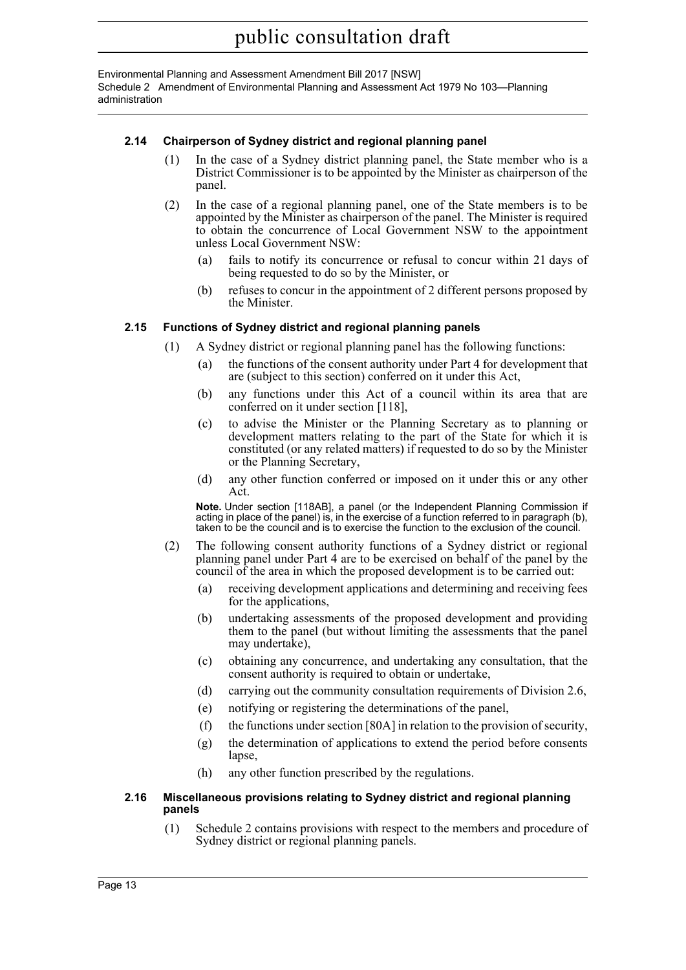Environmental Planning and Assessment Amendment Bill 2017 [NSW] Schedule 2 Amendment of Environmental Planning and Assessment Act 1979 No 103—Planning administration

# **2.14 Chairperson of Sydney district and regional planning panel**

- (1) In the case of a Sydney district planning panel, the State member who is a District Commissioner is to be appointed by the Minister as chairperson of the panel.
- (2) In the case of a regional planning panel, one of the State members is to be appointed by the Minister as chairperson of the panel. The Minister is required to obtain the concurrence of Local Government NSW to the appointment unless Local Government NSW:
	- (a) fails to notify its concurrence or refusal to concur within 21 days of being requested to do so by the Minister, or
	- (b) refuses to concur in the appointment of 2 different persons proposed by the Minister.

# **2.15 Functions of Sydney district and regional planning panels**

- (1) A Sydney district or regional planning panel has the following functions:
	- (a) the functions of the consent authority under Part 4 for development that are (subject to this section) conferred on it under this Act,
	- (b) any functions under this Act of a council within its area that are conferred on it under section [118],
	- (c) to advise the Minister or the Planning Secretary as to planning or development matters relating to the part of the State for which it is constituted (or any related matters) if requested to do so by the Minister or the Planning Secretary,
	- (d) any other function conferred or imposed on it under this or any other Act.

**Note.** Under section [118AB], a panel (or the Independent Planning Commission if acting in place of the panel) is, in the exercise of a function referred to in paragraph (b), taken to be the council and is to exercise the function to the exclusion of the council.

- (2) The following consent authority functions of a Sydney district or regional planning panel under Part 4 are to be exercised on behalf of the panel by the council of the area in which the proposed development is to be carried out:
	- (a) receiving development applications and determining and receiving fees for the applications,
	- (b) undertaking assessments of the proposed development and providing them to the panel (but without limiting the assessments that the panel may undertake),
	- (c) obtaining any concurrence, and undertaking any consultation, that the consent authority is required to obtain or undertake,
	- (d) carrying out the community consultation requirements of Division 2.6,
	- (e) notifying or registering the determinations of the panel,
	- (f) the functions under section [80A] in relation to the provision of security,
	- (g) the determination of applications to extend the period before consents lapse,
	- (h) any other function prescribed by the regulations.

#### **2.16 Miscellaneous provisions relating to Sydney district and regional planning panels**

(1) Schedule 2 contains provisions with respect to the members and procedure of Sydney district or regional planning panels.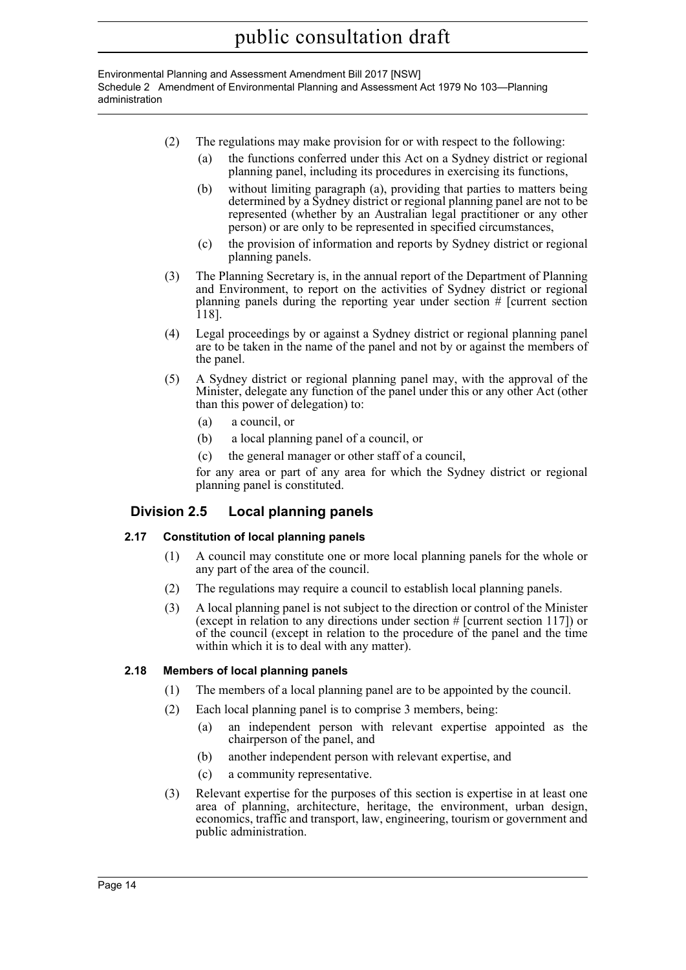Environmental Planning and Assessment Amendment Bill 2017 [NSW] Schedule 2 Amendment of Environmental Planning and Assessment Act 1979 No 103—Planning administration

- (2) The regulations may make provision for or with respect to the following:
	- (a) the functions conferred under this Act on a Sydney district or regional planning panel, including its procedures in exercising its functions,
	- (b) without limiting paragraph (a), providing that parties to matters being determined by a Sydney district or regional planning panel are not to be represented (whether by an Australian legal practitioner or any other person) or are only to be represented in specified circumstances,
	- (c) the provision of information and reports by Sydney district or regional planning panels.
- (3) The Planning Secretary is, in the annual report of the Department of Planning and Environment, to report on the activities of Sydney district or regional planning panels during the reporting year under section # [current section 118].
- (4) Legal proceedings by or against a Sydney district or regional planning panel are to be taken in the name of the panel and not by or against the members of the panel.
- (5) A Sydney district or regional planning panel may, with the approval of the Minister, delegate any function of the panel under this or any other Act (other than this power of delegation) to:
	- (a) a council, or
	- (b) a local planning panel of a council, or
	- (c) the general manager or other staff of a council,

for any area or part of any area for which the Sydney district or regional planning panel is constituted.

# **Division 2.5 Local planning panels**

# **2.17 Constitution of local planning panels**

- (1) A council may constitute one or more local planning panels for the whole or any part of the area of the council.
- (2) The regulations may require a council to establish local planning panels.
- (3) A local planning panel is not subject to the direction or control of the Minister (except in relation to any directions under section  $#$  [current section 117]) or of the council (except in relation to the procedure of the panel and the time within which it is to deal with any matter).

# **2.18 Members of local planning panels**

- (1) The members of a local planning panel are to be appointed by the council.
- (2) Each local planning panel is to comprise 3 members, being:
	- (a) an independent person with relevant expertise appointed as the chairperson of the panel, and
	- (b) another independent person with relevant expertise, and
	- (c) a community representative.
- (3) Relevant expertise for the purposes of this section is expertise in at least one area of planning, architecture, heritage, the environment, urban design, economics, traffic and transport, law, engineering, tourism or government and public administration.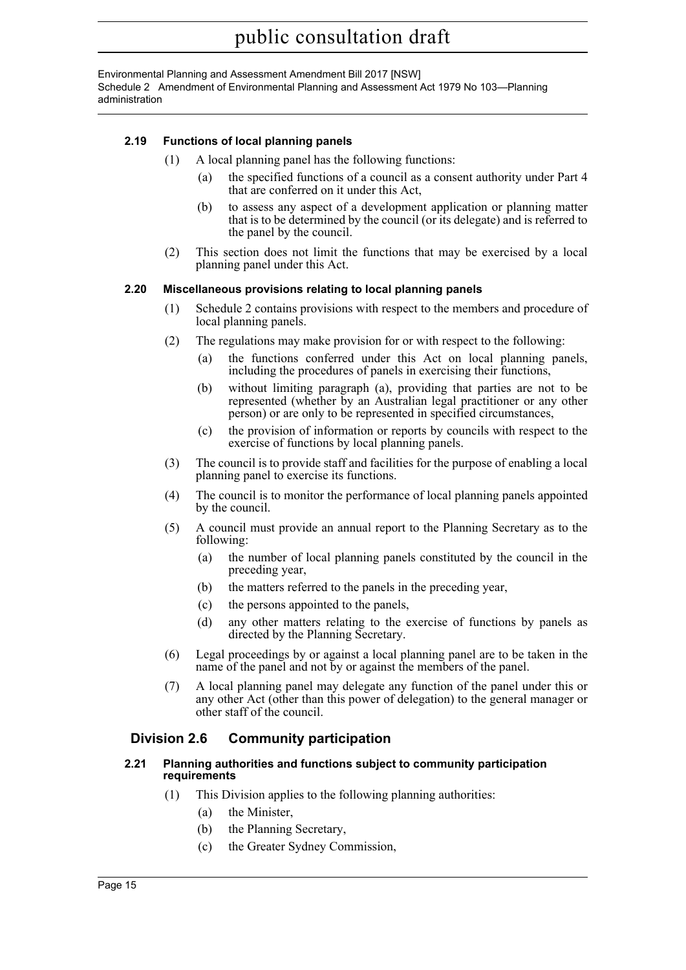Environmental Planning and Assessment Amendment Bill 2017 [NSW] Schedule 2 Amendment of Environmental Planning and Assessment Act 1979 No 103—Planning administration

# **2.19 Functions of local planning panels**

- (1) A local planning panel has the following functions:
	- (a) the specified functions of a council as a consent authority under Part 4 that are conferred on it under this Act,
	- (b) to assess any aspect of a development application or planning matter that is to be determined by the council (or its delegate) and is referred to the panel by the council.
- (2) This section does not limit the functions that may be exercised by a local planning panel under this Act.

### **2.20 Miscellaneous provisions relating to local planning panels**

- (1) Schedule 2 contains provisions with respect to the members and procedure of local planning panels.
- (2) The regulations may make provision for or with respect to the following:
	- (a) the functions conferred under this Act on local planning panels, including the procedures of panels in exercising their functions,
	- (b) without limiting paragraph (a), providing that parties are not to be represented (whether by an Australian legal practitioner or any other person) or are only to be represented in specified circumstances,
	- (c) the provision of information or reports by councils with respect to the exercise of functions by local planning panels.
- (3) The council is to provide staff and facilities for the purpose of enabling a local planning panel to exercise its functions.
- (4) The council is to monitor the performance of local planning panels appointed by the council.
- (5) A council must provide an annual report to the Planning Secretary as to the following:
	- (a) the number of local planning panels constituted by the council in the preceding year,
	- (b) the matters referred to the panels in the preceding year,
	- (c) the persons appointed to the panels,
	- (d) any other matters relating to the exercise of functions by panels as directed by the Planning Secretary.
- (6) Legal proceedings by or against a local planning panel are to be taken in the name of the panel and not by or against the members of the panel.
- (7) A local planning panel may delegate any function of the panel under this or any other Act (other than this power of delegation) to the general manager or other staff of the council.

# **Division 2.6 Community participation**

#### **2.21 Planning authorities and functions subject to community participation requirements**

- (1) This Division applies to the following planning authorities:
	- (a) the Minister,
	- (b) the Planning Secretary,
	- (c) the Greater Sydney Commission,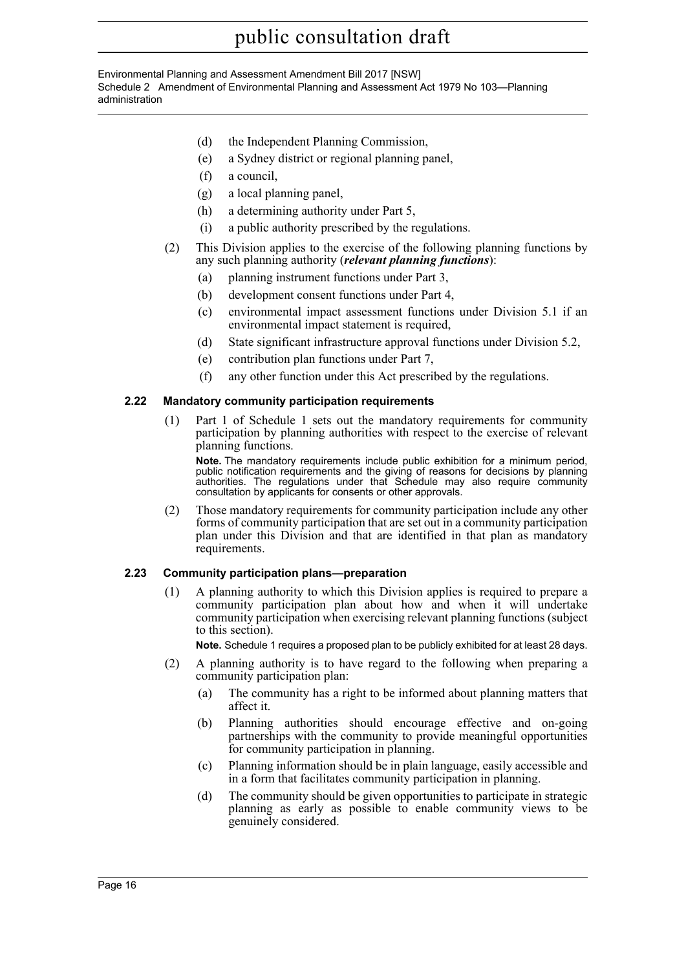Environmental Planning and Assessment Amendment Bill 2017 [NSW] Schedule 2 Amendment of Environmental Planning and Assessment Act 1979 No 103—Planning administration

- (d) the Independent Planning Commission,
- (e) a Sydney district or regional planning panel,
- (f) a council,
- (g) a local planning panel,
- (h) a determining authority under Part 5,
- (i) a public authority prescribed by the regulations.
- (2) This Division applies to the exercise of the following planning functions by any such planning authority (*relevant planning functions*):
	- (a) planning instrument functions under Part 3,
	- (b) development consent functions under Part 4,
	- (c) environmental impact assessment functions under Division 5.1 if an environmental impact statement is required,
	- (d) State significant infrastructure approval functions under Division 5.2,
	- (e) contribution plan functions under Part 7,
	- (f) any other function under this Act prescribed by the regulations.

### **2.22 Mandatory community participation requirements**

(1) Part 1 of Schedule 1 sets out the mandatory requirements for community participation by planning authorities with respect to the exercise of relevant planning functions.

**Note.** The mandatory requirements include public exhibition for a minimum period, public notification requirements and the giving of reasons for decisions by planning authorities. The regulations under that Schedule may also require community consultation by applicants for consents or other approvals.

(2) Those mandatory requirements for community participation include any other forms of community participation that are set out in a community participation plan under this Division and that are identified in that plan as mandatory requirements.

### **2.23 Community participation plans—preparation**

(1) A planning authority to which this Division applies is required to prepare a community participation plan about how and when it will undertake community participation when exercising relevant planning functions (subject to this section).

**Note.** Schedule 1 requires a proposed plan to be publicly exhibited for at least 28 days.

- (2) A planning authority is to have regard to the following when preparing a community participation plan:
	- (a) The community has a right to be informed about planning matters that affect it.
	- (b) Planning authorities should encourage effective and on-going partnerships with the community to provide meaningful opportunities for community participation in planning.
	- (c) Planning information should be in plain language, easily accessible and in a form that facilitates community participation in planning.
	- (d) The community should be given opportunities to participate in strategic planning as early as possible to enable community views to be genuinely considered.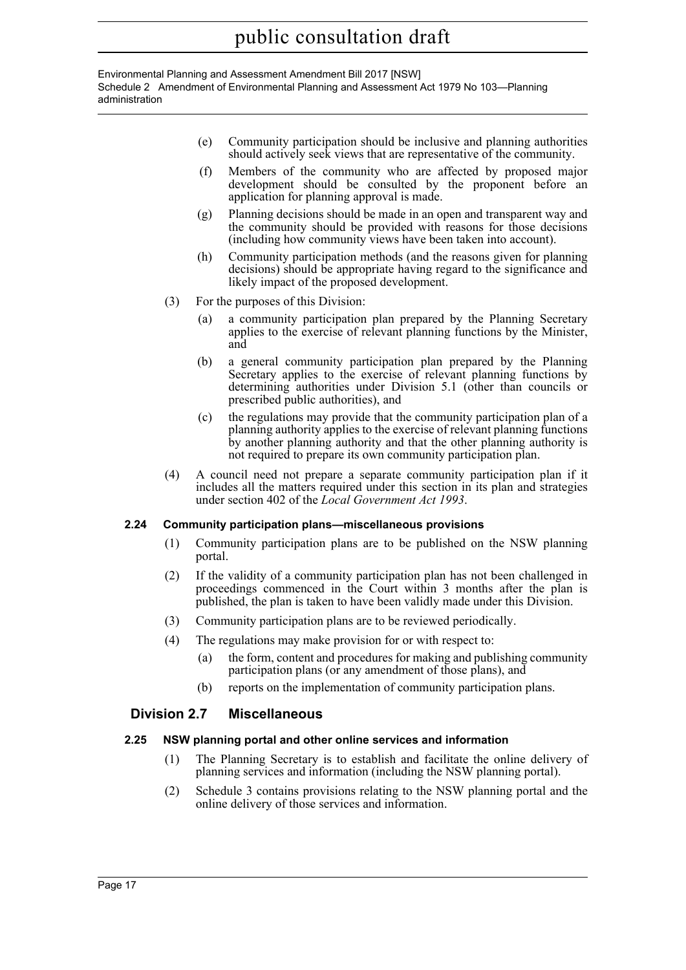Environmental Planning and Assessment Amendment Bill 2017 [NSW] Schedule 2 Amendment of Environmental Planning and Assessment Act 1979 No 103—Planning administration

- (e) Community participation should be inclusive and planning authorities should actively seek views that are representative of the community.
- (f) Members of the community who are affected by proposed major development should be consulted by the proponent before an application for planning approval is made.
- (g) Planning decisions should be made in an open and transparent way and the community should be provided with reasons for those decisions (including how community views have been taken into account).
- (h) Community participation methods (and the reasons given for planning decisions) should be appropriate having regard to the significance and likely impact of the proposed development.
- (3) For the purposes of this Division:
	- (a) a community participation plan prepared by the Planning Secretary applies to the exercise of relevant planning functions by the Minister, and
	- (b) a general community participation plan prepared by the Planning Secretary applies to the exercise of relevant planning functions by determining authorities under Division 5.1 (other than councils or prescribed public authorities), and
	- (c) the regulations may provide that the community participation plan of a planning authority applies to the exercise of relevant planning functions by another planning authority and that the other planning authority is not required to prepare its own community participation plan.
- (4) A council need not prepare a separate community participation plan if it includes all the matters required under this section in its plan and strategies under section 402 of the *Local Government Act 1993*.

# **2.24 Community participation plans—miscellaneous provisions**

- (1) Community participation plans are to be published on the NSW planning portal.
- (2) If the validity of a community participation plan has not been challenged in proceedings commenced in the Court within 3 months after the plan is published, the plan is taken to have been validly made under this Division.
- (3) Community participation plans are to be reviewed periodically.
- (4) The regulations may make provision for or with respect to:
	- (a) the form, content and procedures for making and publishing community participation plans (or any amendment of those plans), and
	- (b) reports on the implementation of community participation plans.

# **Division 2.7 Miscellaneous**

### **2.25 NSW planning portal and other online services and information**

- (1) The Planning Secretary is to establish and facilitate the online delivery of planning services and information (including the NSW planning portal).
- (2) Schedule 3 contains provisions relating to the NSW planning portal and the online delivery of those services and information.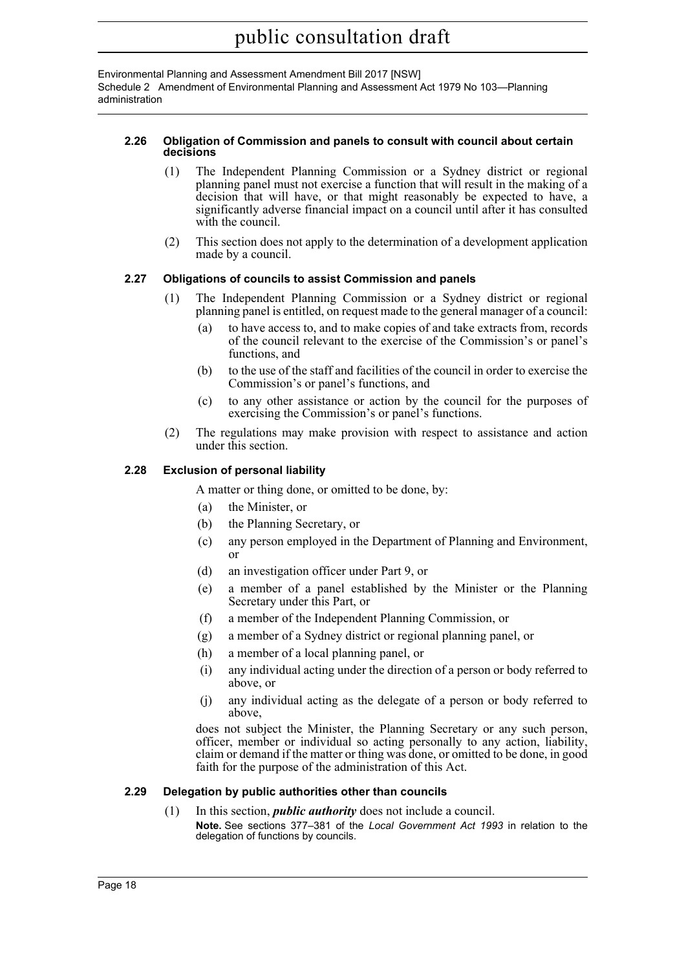Environmental Planning and Assessment Amendment Bill 2017 [NSW] Schedule 2 Amendment of Environmental Planning and Assessment Act 1979 No 103—Planning administration

#### **2.26 Obligation of Commission and panels to consult with council about certain decisions**

- (1) The Independent Planning Commission or a Sydney district or regional planning panel must not exercise a function that will result in the making of a decision that will have, or that might reasonably be expected to have, a significantly adverse financial impact on a council until after it has consulted with the council.
- (2) This section does not apply to the determination of a development application made by a council.

# **2.27 Obligations of councils to assist Commission and panels**

- (1) The Independent Planning Commission or a Sydney district or regional planning panel is entitled, on request made to the general manager of a council:
	- (a) to have access to, and to make copies of and take extracts from, records of the council relevant to the exercise of the Commission's or panel's functions, and
	- (b) to the use of the staff and facilities of the council in order to exercise the Commission's or panel's functions, and
	- (c) to any other assistance or action by the council for the purposes of exercising the Commission's or panel's functions.
- (2) The regulations may make provision with respect to assistance and action under this section.

# **2.28 Exclusion of personal liability**

A matter or thing done, or omitted to be done, by:

- (a) the Minister, or
- (b) the Planning Secretary, or
- (c) any person employed in the Department of Planning and Environment, or
- (d) an investigation officer under Part 9, or
- (e) a member of a panel established by the Minister or the Planning Secretary under this Part, or
- (f) a member of the Independent Planning Commission, or
- (g) a member of a Sydney district or regional planning panel, or
- (h) a member of a local planning panel, or
- (i) any individual acting under the direction of a person or body referred to above, or
- (j) any individual acting as the delegate of a person or body referred to above,

does not subject the Minister, the Planning Secretary or any such person, officer, member or individual so acting personally to any action, liability, claim or demand if the matter or thing was done, or omitted to be done, in good faith for the purpose of the administration of this Act.

### **2.29 Delegation by public authorities other than councils**

(1) In this section, *public authority* does not include a council. **Note.** See sections 377–381 of the *Local Government Act 1993* in relation to the delegation of functions by councils.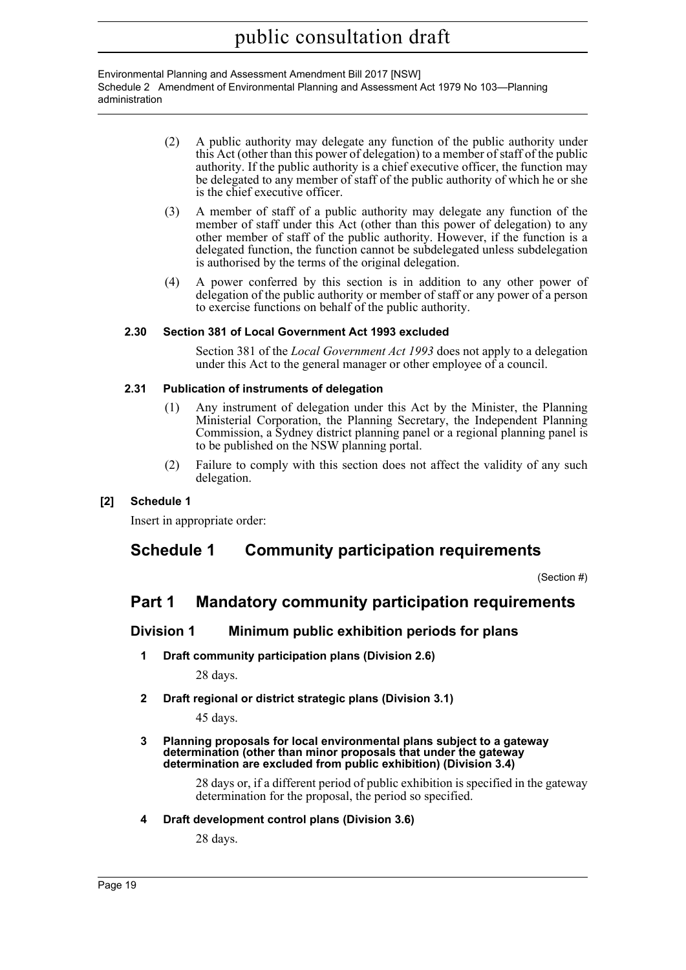Environmental Planning and Assessment Amendment Bill 2017 [NSW] Schedule 2 Amendment of Environmental Planning and Assessment Act 1979 No 103—Planning administration

- (2) A public authority may delegate any function of the public authority under this Act (other than this power of delegation) to a member of staff of the public authority. If the public authority is a chief executive officer, the function may be delegated to any member of staff of the public authority of which he or she is the chief executive officer.
- (3) A member of staff of a public authority may delegate any function of the member of staff under this Act (other than this power of delegation) to any other member of staff of the public authority. However, if the function is a delegated function, the function cannot be subdelegated unless subdelegation is authorised by the terms of the original delegation.
- (4) A power conferred by this section is in addition to any other power of delegation of the public authority or member of staff or any power of a person to exercise functions on behalf of the public authority.

# **2.30 Section 381 of Local Government Act 1993 excluded**

Section 381 of the *Local Government Act 1993* does not apply to a delegation under this Act to the general manager or other employee of a council.

# **2.31 Publication of instruments of delegation**

- (1) Any instrument of delegation under this Act by the Minister, the Planning Ministerial Corporation, the Planning Secretary, the Independent Planning Commission, a Sydney district planning panel or a regional planning panel is to be published on the NSW planning portal.
- (2) Failure to comply with this section does not affect the validity of any such delegation.

# **[2] Schedule 1**

Insert in appropriate order:

# **Schedule 1 Community participation requirements**

(Section #)

# **Part 1 Mandatory community participation requirements**

# **Division 1 Minimum public exhibition periods for plans**

**1 Draft community participation plans (Division 2.6)**

28 days.

**2 Draft regional or district strategic plans (Division 3.1)**

45 days.

#### **3 Planning proposals for local environmental plans subject to a gateway determination (other than minor proposals that under the gateway determination are excluded from public exhibition) (Division 3.4)**

28 days or, if a different period of public exhibition is specified in the gateway determination for the proposal, the period so specified.

### **4 Draft development control plans (Division 3.6)**

28 days.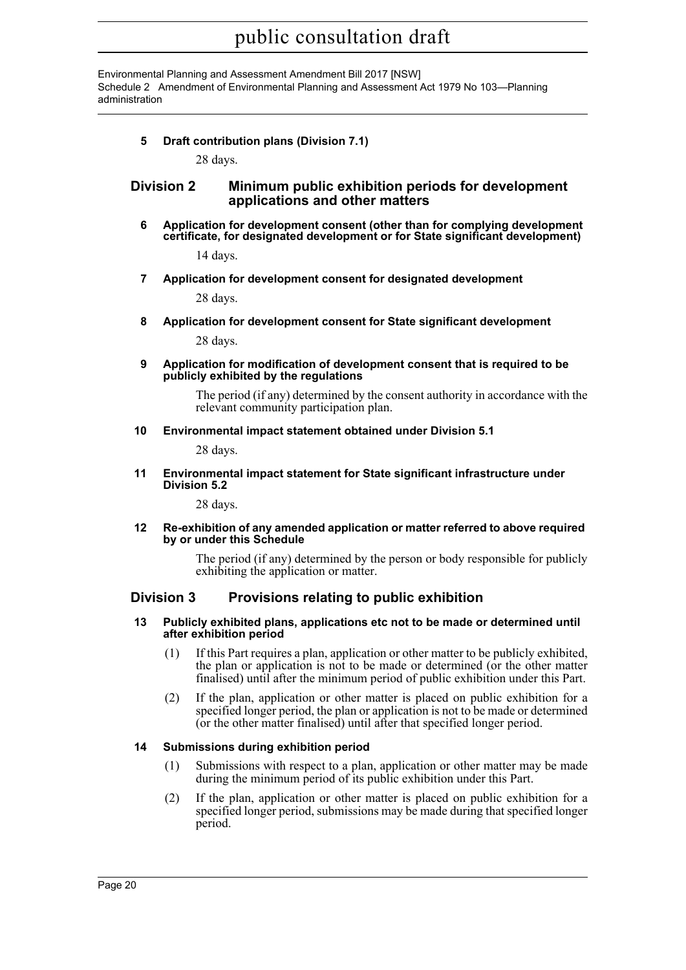Environmental Planning and Assessment Amendment Bill 2017 [NSW] Schedule 2 Amendment of Environmental Planning and Assessment Act 1979 No 103—Planning administration

# **5 Draft contribution plans (Division 7.1)**

28 days.

# **Division 2 Minimum public exhibition periods for development applications and other matters**

**6 Application for development consent (other than for complying development certificate, for designated development or for State significant development)**

14 days.

**7 Application for development consent for designated development**

28 days.

**8 Application for development consent for State significant development**

28 days.

**9 Application for modification of development consent that is required to be publicly exhibited by the regulations**

> The period (if any) determined by the consent authority in accordance with the relevant community participation plan.

**10 Environmental impact statement obtained under Division 5.1**

28 days.

**11 Environmental impact statement for State significant infrastructure under Division 5.2**

28 days.

**12 Re-exhibition of any amended application or matter referred to above required by or under this Schedule**

> The period (if any) determined by the person or body responsible for publicly exhibiting the application or matter.

# **Division 3 Provisions relating to public exhibition**

#### **13 Publicly exhibited plans, applications etc not to be made or determined until after exhibition period**

- (1) If this Part requires a plan, application or other matter to be publicly exhibited, the plan or application is not to be made or determined (or the other matter finalised) until after the minimum period of public exhibition under this Part.
- (2) If the plan, application or other matter is placed on public exhibition for a specified longer period, the plan or application is not to be made or determined (or the other matter finalised) until after that specified longer period.

### **14 Submissions during exhibition period**

- (1) Submissions with respect to a plan, application or other matter may be made during the minimum period of its public exhibition under this Part.
- (2) If the plan, application or other matter is placed on public exhibition for a specified longer period, submissions may be made during that specified longer period.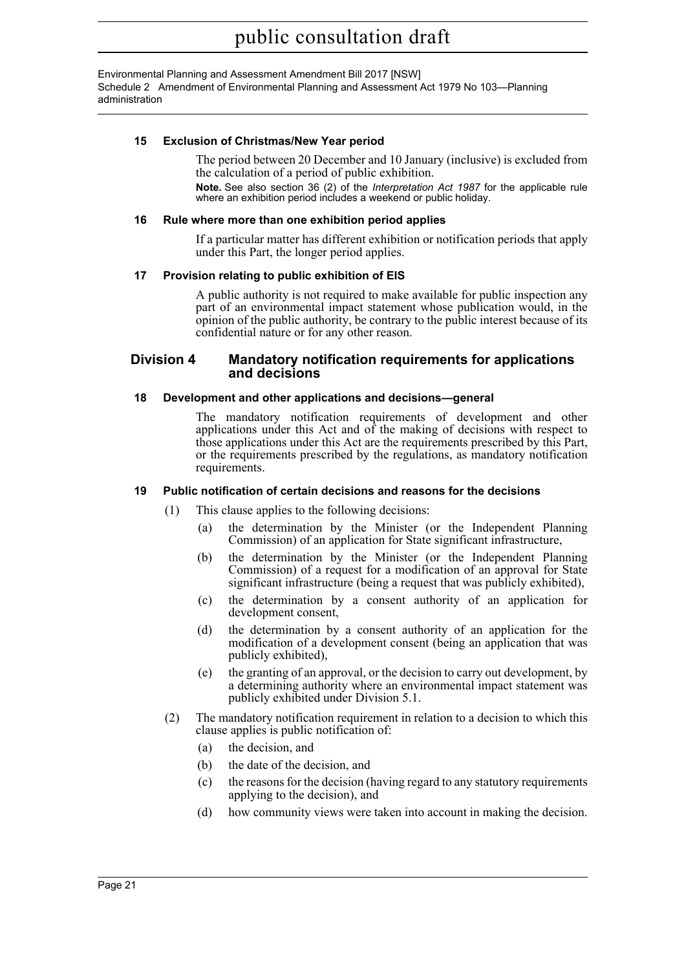Environmental Planning and Assessment Amendment Bill 2017 [NSW] Schedule 2 Amendment of Environmental Planning and Assessment Act 1979 No 103—Planning administration

### **15 Exclusion of Christmas/New Year period**

The period between 20 December and 10 January (inclusive) is excluded from the calculation of a period of public exhibition.

**Note.** See also section 36 (2) of the *Interpretation Act 1987* for the applicable rule where an exhibition period includes a weekend or public holiday.

#### **16 Rule where more than one exhibition period applies**

If a particular matter has different exhibition or notification periods that apply under this Part, the longer period applies.

#### **17 Provision relating to public exhibition of EIS**

A public authority is not required to make available for public inspection any part of an environmental impact statement whose publication would, in the opinion of the public authority, be contrary to the public interest because of its confidential nature or for any other reason.

### **Division 4 Mandatory notification requirements for applications and decisions**

#### **18 Development and other applications and decisions—general**

The mandatory notification requirements of development and other applications under this Act and of the making of decisions with respect to those applications under this Act are the requirements prescribed by this Part, or the requirements prescribed by the regulations, as mandatory notification requirements.

#### **19 Public notification of certain decisions and reasons for the decisions**

- (1) This clause applies to the following decisions:
	- (a) the determination by the Minister (or the Independent Planning Commission) of an application for State significant infrastructure,
	- (b) the determination by the Minister (or the Independent Planning Commission) of a request for a modification of an approval for State significant infrastructure (being a request that was publicly exhibited),
	- (c) the determination by a consent authority of an application for development consent,
	- (d) the determination by a consent authority of an application for the modification of a development consent (being an application that was publicly exhibited),
	- (e) the granting of an approval, or the decision to carry out development, by a determining authority where an environmental impact statement was publicly exhibited under Division 5.1.
- (2) The mandatory notification requirement in relation to a decision to which this clause applies is public notification of:
	- (a) the decision, and
	- (b) the date of the decision, and
	- (c) the reasons for the decision (having regard to any statutory requirements applying to the decision), and
	- (d) how community views were taken into account in making the decision.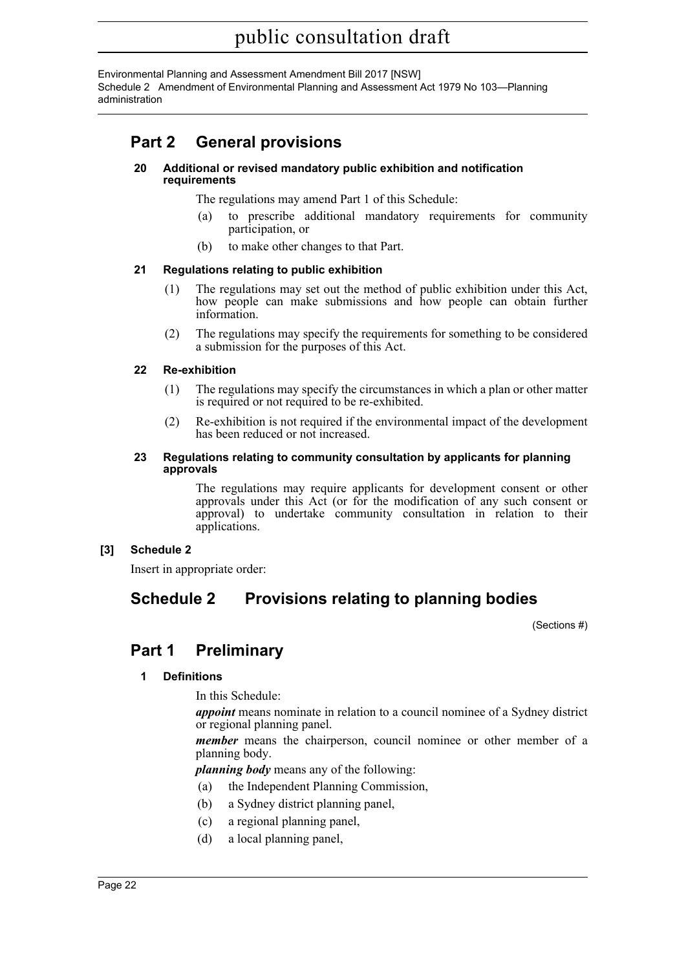Environmental Planning and Assessment Amendment Bill 2017 [NSW] Schedule 2 Amendment of Environmental Planning and Assessment Act 1979 No 103—Planning administration

# **Part 2 General provisions**

#### **20 Additional or revised mandatory public exhibition and notification requirements**

The regulations may amend Part 1 of this Schedule:

- (a) to prescribe additional mandatory requirements for community participation, or
- (b) to make other changes to that Part.

# **21 Regulations relating to public exhibition**

- (1) The regulations may set out the method of public exhibition under this Act, how people can make submissions and how people can obtain further information.
- (2) The regulations may specify the requirements for something to be considered a submission for the purposes of this Act.

# **22 Re-exhibition**

- (1) The regulations may specify the circumstances in which a plan or other matter is required or not required to be re-exhibited.
- (2) Re-exhibition is not required if the environmental impact of the development has been reduced or not increased.

#### **23 Regulations relating to community consultation by applicants for planning approvals**

The regulations may require applicants for development consent or other approvals under this Act (or for the modification of any such consent or approval) to undertake community consultation in relation to their applications.

# **[3] Schedule 2**

Insert in appropriate order:

# **Schedule 2 Provisions relating to planning bodies**

(Sections #)

# **Part 1 Preliminary**

# **1 Definitions**

In this Schedule:

*appoint* means nominate in relation to a council nominee of a Sydney district or regional planning panel.

*member* means the chairperson, council nominee or other member of a planning body.

*planning body* means any of the following:

- (a) the Independent Planning Commission,
- (b) a Sydney district planning panel,
- (c) a regional planning panel,
- (d) a local planning panel,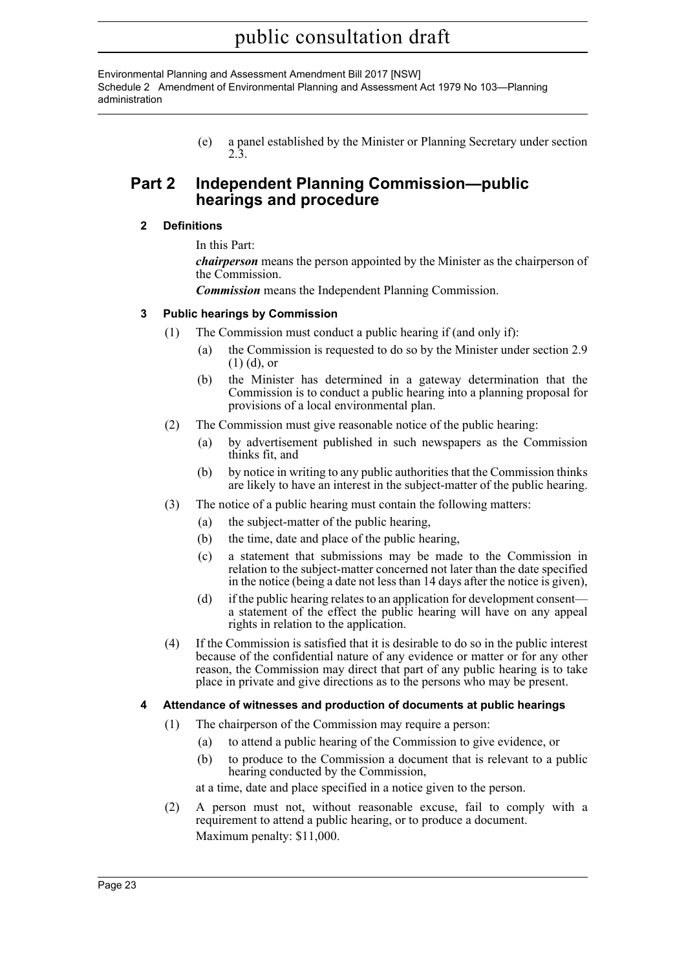Environmental Planning and Assessment Amendment Bill 2017 [NSW] Schedule 2 Amendment of Environmental Planning and Assessment Act 1979 No 103—Planning administration

> (e) a panel established by the Minister or Planning Secretary under section 2.3.

# **Part 2 Independent Planning Commission—public hearings and procedure**

# **2 Definitions**

In this Part:

*chairperson* means the person appointed by the Minister as the chairperson of the Commission.

*Commission* means the Independent Planning Commission.

# **3 Public hearings by Commission**

- (1) The Commission must conduct a public hearing if (and only if):
	- (a) the Commission is requested to do so by the Minister under section 2.9 (1) (d), or
	- (b) the Minister has determined in a gateway determination that the Commission is to conduct a public hearing into a planning proposal for provisions of a local environmental plan.
- (2) The Commission must give reasonable notice of the public hearing:
	- (a) by advertisement published in such newspapers as the Commission thinks fit, and
	- (b) by notice in writing to any public authorities that the Commission thinks are likely to have an interest in the subject-matter of the public hearing.
- (3) The notice of a public hearing must contain the following matters:
	- (a) the subject-matter of the public hearing,
	- (b) the time, date and place of the public hearing,
	- (c) a statement that submissions may be made to the Commission in relation to the subject-matter concerned not later than the date specified in the notice (being a date not less than 14 days after the notice is given),
	- (d) if the public hearing relates to an application for development consent a statement of the effect the public hearing will have on any appeal rights in relation to the application.
- (4) If the Commission is satisfied that it is desirable to do so in the public interest because of the confidential nature of any evidence or matter or for any other reason, the Commission may direct that part of any public hearing is to take place in private and give directions as to the persons who may be present.

### **4 Attendance of witnesses and production of documents at public hearings**

- (1) The chairperson of the Commission may require a person:
	- (a) to attend a public hearing of the Commission to give evidence, or
	- (b) to produce to the Commission a document that is relevant to a public hearing conducted by the Commission,

at a time, date and place specified in a notice given to the person.

(2) A person must not, without reasonable excuse, fail to comply with a requirement to attend a public hearing, or to produce a document. Maximum penalty: \$11,000.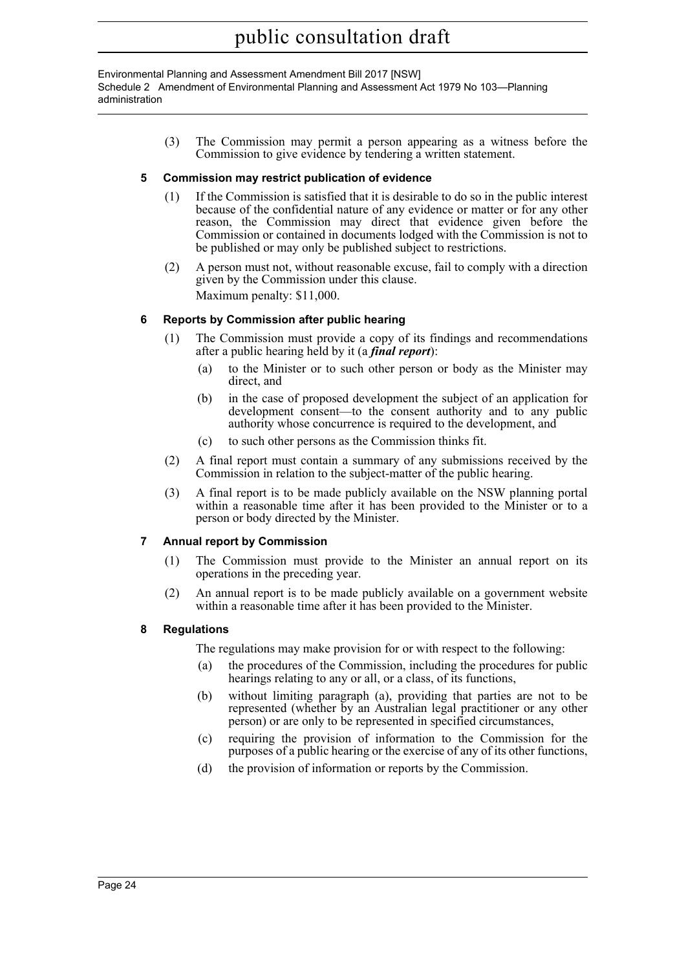Environmental Planning and Assessment Amendment Bill 2017 [NSW] Schedule 2 Amendment of Environmental Planning and Assessment Act 1979 No 103—Planning administration

> (3) The Commission may permit a person appearing as a witness before the Commission to give evidence by tendering a written statement.

# **5 Commission may restrict publication of evidence**

- (1) If the Commission is satisfied that it is desirable to do so in the public interest because of the confidential nature of any evidence or matter or for any other reason, the Commission may direct that evidence given before the Commission or contained in documents lodged with the Commission is not to be published or may only be published subject to restrictions.
- (2) A person must not, without reasonable excuse, fail to comply with a direction given by the Commission under this clause. Maximum penalty: \$11,000.

# **6 Reports by Commission after public hearing**

- (1) The Commission must provide a copy of its findings and recommendations after a public hearing held by it (a *final report*):
	- (a) to the Minister or to such other person or body as the Minister may direct, and
	- (b) in the case of proposed development the subject of an application for development consent—to the consent authority and to any public authority whose concurrence is required to the development, and
	- (c) to such other persons as the Commission thinks fit.
- (2) A final report must contain a summary of any submissions received by the Commission in relation to the subject-matter of the public hearing.
- (3) A final report is to be made publicly available on the NSW planning portal within a reasonable time after it has been provided to the Minister or to a person or body directed by the Minister.

### **7 Annual report by Commission**

- (1) The Commission must provide to the Minister an annual report on its operations in the preceding year.
- (2) An annual report is to be made publicly available on a government website within a reasonable time after it has been provided to the Minister.

### **8 Regulations**

The regulations may make provision for or with respect to the following:

- (a) the procedures of the Commission, including the procedures for public hearings relating to any or all, or a class, of its functions,
- (b) without limiting paragraph (a), providing that parties are not to be represented (whether by an Australian legal practitioner or any other person) or are only to be represented in specified circumstances,
- (c) requiring the provision of information to the Commission for the purposes of a public hearing or the exercise of any of its other functions,
- (d) the provision of information or reports by the Commission.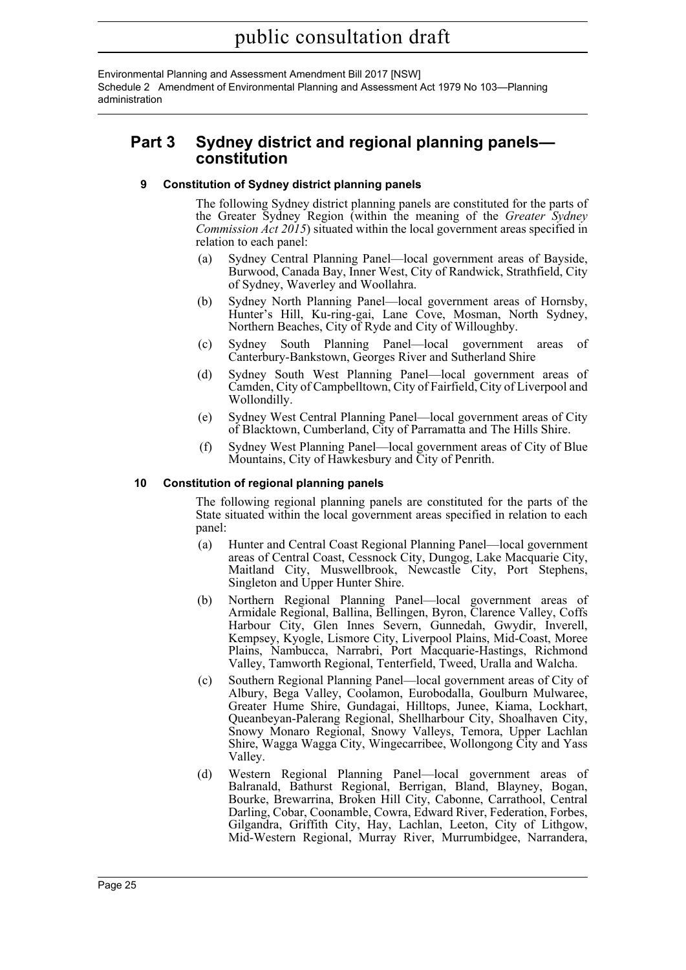Environmental Planning and Assessment Amendment Bill 2017 [NSW] Schedule 2 Amendment of Environmental Planning and Assessment Act 1979 No 103—Planning administration

# **Part 3 Sydney district and regional planning panels constitution**

### **9 Constitution of Sydney district planning panels**

The following Sydney district planning panels are constituted for the parts of the Greater Sydney Region (within the meaning of the *Greater Sydney Commission Act 2015*) situated within the local government areas specified in relation to each panel:

- (a) Sydney Central Planning Panel—local government areas of Bayside, Burwood, Canada Bay, Inner West, City of Randwick, Strathfield, City of Sydney, Waverley and Woollahra.
- (b) Sydney North Planning Panel—local government areas of Hornsby, Hunter's Hill, Ku-ring-gai, Lane Cove, Mosman, North Sydney, Northern Beaches, City of Ryde and City of Willoughby.
- (c) Sydney South Planning Panel—local government areas of Canterbury-Bankstown, Georges River and Sutherland Shire
- (d) Sydney South West Planning Panel—local government areas of Camden, City of Campbelltown, City of Fairfield, City of Liverpool and Wollondilly.
- (e) Sydney West Central Planning Panel—local government areas of City of Blacktown, Cumberland, City of Parramatta and The Hills Shire.
- (f) Sydney West Planning Panel—local government areas of City of Blue Mountains, City of Hawkesbury and City of Penrith.

# **10 Constitution of regional planning panels**

The following regional planning panels are constituted for the parts of the State situated within the local government areas specified in relation to each panel:

- (a) Hunter and Central Coast Regional Planning Panel—local government areas of Central Coast, Cessnock City, Dungog, Lake Macquarie City, Maitland City, Muswellbrook, Newcastle City, Port Stephens, Singleton and Upper Hunter Shire.
- (b) Northern Regional Planning Panel—local government areas of Armidale Regional, Ballina, Bellingen, Byron, Clarence Valley, Coffs Harbour City, Glen Innes Severn, Gunnedah, Gwydir, Inverell, Kempsey, Kyogle, Lismore City, Liverpool Plains, Mid-Coast, Moree Plains, Nambucca, Narrabri, Port Macquarie-Hastings, Richmond Valley, Tamworth Regional, Tenterfield, Tweed, Uralla and Walcha.
- (c) Southern Regional Planning Panel—local government areas of City of Albury, Bega Valley, Coolamon, Eurobodalla, Goulburn Mulwaree, Greater Hume Shire, Gundagai, Hilltops, Junee, Kiama, Lockhart, Queanbeyan-Palerang Regional, Shellharbour City, Shoalhaven City, Snowy Monaro Regional, Snowy Valleys, Temora, Upper Lachlan Shire, Wagga Wagga City, Wingecarribee, Wollongong City and Yass Valley.
- (d) Western Regional Planning Panel—local government areas of Balranald, Bathurst Regional, Berrigan, Bland, Blayney, Bogan, Bourke, Brewarrina, Broken Hill City, Cabonne, Carrathool, Central Darling, Cobar, Coonamble, Cowra, Edward River, Federation, Forbes, Gilgandra, Griffith City, Hay, Lachlan, Leeton, City of Lithgow, Mid-Western Regional, Murray River, Murrumbidgee, Narrandera,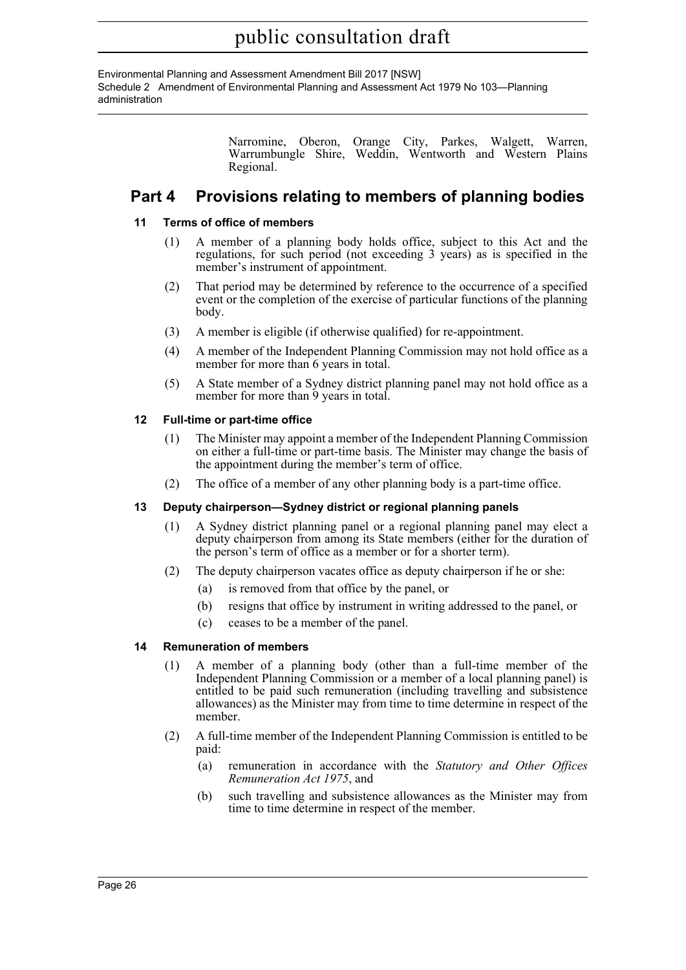Environmental Planning and Assessment Amendment Bill 2017 [NSW] Schedule 2 Amendment of Environmental Planning and Assessment Act 1979 No 103—Planning administration

> Narromine, Oberon, Orange City, Parkes, Walgett, Warren, Warrumbungle Shire, Weddin, Wentworth and Western Plains Regional.

# **Part 4 Provisions relating to members of planning bodies**

# **11 Terms of office of members**

- (1) A member of a planning body holds office, subject to this Act and the regulations, for such period (not exceeding 3 years) as is specified in the member's instrument of appointment.
- (2) That period may be determined by reference to the occurrence of a specified event or the completion of the exercise of particular functions of the planning body.
- (3) A member is eligible (if otherwise qualified) for re-appointment.
- (4) A member of the Independent Planning Commission may not hold office as a member for more than 6 years in total.
- (5) A State member of a Sydney district planning panel may not hold office as a member for more than 9 years in total.

# **12 Full-time or part-time office**

- (1) The Minister may appoint a member of the Independent Planning Commission on either a full-time or part-time basis. The Minister may change the basis of the appointment during the member's term of office.
- (2) The office of a member of any other planning body is a part-time office.

### **13 Deputy chairperson—Sydney district or regional planning panels**

- (1) A Sydney district planning panel or a regional planning panel may elect a deputy chairperson from among its State members (either for the duration of the person's term of office as a member or for a shorter term).
- (2) The deputy chairperson vacates office as deputy chairperson if he or she:
	- (a) is removed from that office by the panel, or
	- (b) resigns that office by instrument in writing addressed to the panel, or
	- (c) ceases to be a member of the panel.

### **14 Remuneration of members**

- (1) A member of a planning body (other than a full-time member of the Independent Planning Commission or a member of a local planning panel) is entitled to be paid such remuneration (including travelling and subsistence allowances) as the Minister may from time to time determine in respect of the member.
- (2) A full-time member of the Independent Planning Commission is entitled to be paid:
	- (a) remuneration in accordance with the *Statutory and Other Offices Remuneration Act 1975*, and
	- (b) such travelling and subsistence allowances as the Minister may from time to time determine in respect of the member.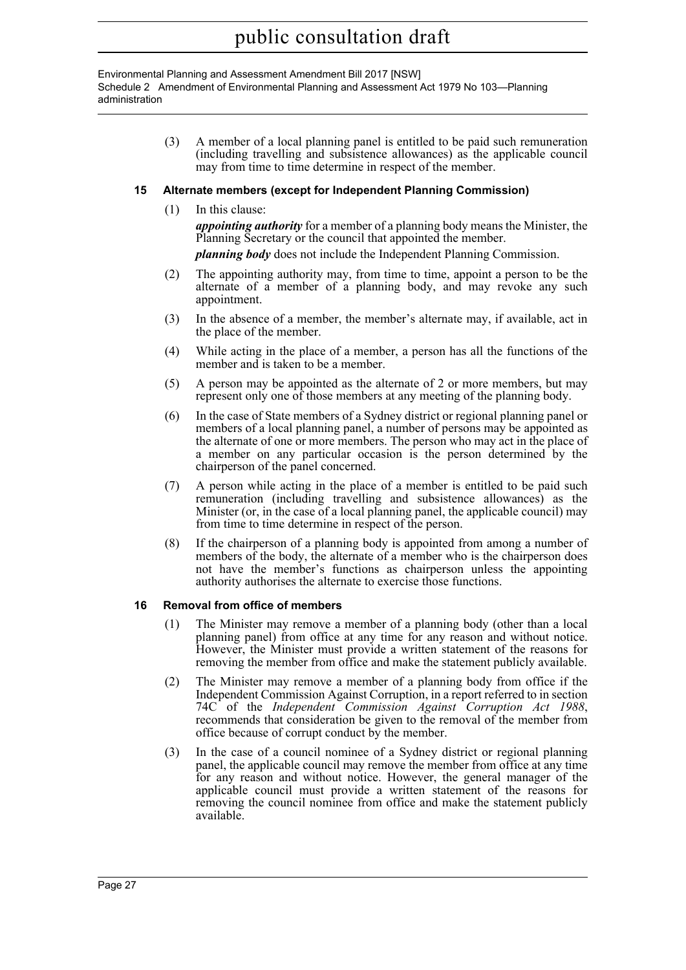Environmental Planning and Assessment Amendment Bill 2017 [NSW] Schedule 2 Amendment of Environmental Planning and Assessment Act 1979 No 103—Planning administration

> (3) A member of a local planning panel is entitled to be paid such remuneration (including travelling and subsistence allowances) as the applicable council may from time to time determine in respect of the member.

# **15 Alternate members (except for Independent Planning Commission)**

(1) In this clause:

*appointing authority* for a member of a planning body means the Minister, the Planning Secretary or the council that appointed the member.

*planning body* does not include the Independent Planning Commission.

- (2) The appointing authority may, from time to time, appoint a person to be the alternate of a member of a planning body, and may revoke any such appointment.
- (3) In the absence of a member, the member's alternate may, if available, act in the place of the member.
- (4) While acting in the place of a member, a person has all the functions of the member and is taken to be a member.
- (5) A person may be appointed as the alternate of 2 or more members, but may represent only one of those members at any meeting of the planning body.
- (6) In the case of State members of a Sydney district or regional planning panel or members of a local planning panel, a number of persons may be appointed as the alternate of one or more members. The person who may act in the place of a member on any particular occasion is the person determined by the chairperson of the panel concerned.
- (7) A person while acting in the place of a member is entitled to be paid such remuneration (including travelling and subsistence allowances) as the Minister (or, in the case of a local planning panel, the applicable council) may from time to time determine in respect of the person.
- (8) If the chairperson of a planning body is appointed from among a number of members of the body, the alternate of a member who is the chairperson does not have the member's functions as chairperson unless the appointing authority authorises the alternate to exercise those functions.

### **16 Removal from office of members**

- (1) The Minister may remove a member of a planning body (other than a local planning panel) from office at any time for any reason and without notice. However, the Minister must provide a written statement of the reasons for removing the member from office and make the statement publicly available.
- (2) The Minister may remove a member of a planning body from office if the Independent Commission Against Corruption, in a report referred to in section 74C of the *Independent Commission Against Corruption Act 1988*, recommends that consideration be given to the removal of the member from office because of corrupt conduct by the member.
- (3) In the case of a council nominee of a Sydney district or regional planning panel, the applicable council may remove the member from office at any time for any reason and without notice. However, the general manager of the applicable council must provide a written statement of the reasons for removing the council nominee from office and make the statement publicly available.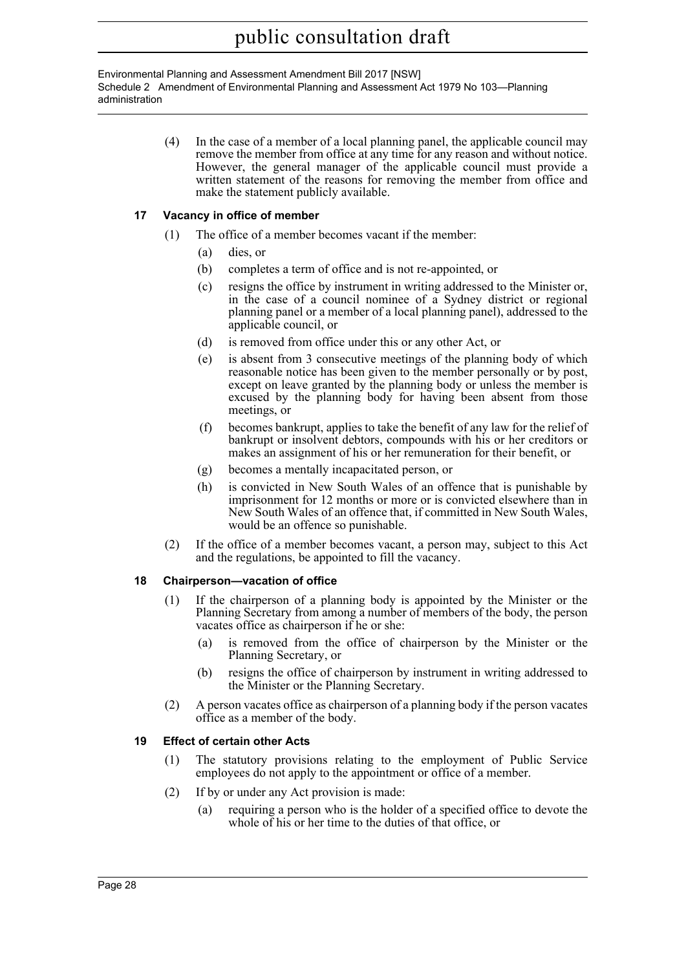Environmental Planning and Assessment Amendment Bill 2017 [NSW] Schedule 2 Amendment of Environmental Planning and Assessment Act 1979 No 103—Planning administration

> (4) In the case of a member of a local planning panel, the applicable council may remove the member from office at any time for any reason and without notice. However, the general manager of the applicable council must provide a written statement of the reasons for removing the member from office and make the statement publicly available.

# **17 Vacancy in office of member**

- (1) The office of a member becomes vacant if the member:
	- (a) dies, or
	- (b) completes a term of office and is not re-appointed, or
	- (c) resigns the office by instrument in writing addressed to the Minister or, in the case of a council nominee of a Sydney district or regional planning panel or a member of a local planning panel), addressed to the applicable council, or
	- (d) is removed from office under this or any other Act, or
	- (e) is absent from 3 consecutive meetings of the planning body of which reasonable notice has been given to the member personally or by post, except on leave granted by the planning body or unless the member is excused by the planning body for having been absent from those meetings, or
	- (f) becomes bankrupt, applies to take the benefit of any law for the relief of bankrupt or insolvent debtors, compounds with his or her creditors or makes an assignment of his or her remuneration for their benefit, or
	- (g) becomes a mentally incapacitated person, or
	- (h) is convicted in New South Wales of an offence that is punishable by imprisonment for 12 months or more or is convicted elsewhere than in New South Wales of an offence that, if committed in New South Wales, would be an offence so punishable.
- (2) If the office of a member becomes vacant, a person may, subject to this Act and the regulations, be appointed to fill the vacancy.

### **18 Chairperson—vacation of office**

- (1) If the chairperson of a planning body is appointed by the Minister or the Planning Secretary from among a number of members of the body, the person vacates office as chairperson if he or she:
	- (a) is removed from the office of chairperson by the Minister or the Planning Secretary, or
	- (b) resigns the office of chairperson by instrument in writing addressed to the Minister or the Planning Secretary.
- (2) A person vacates office as chairperson of a planning body if the person vacates office as a member of the body.

### **19 Effect of certain other Acts**

- (1) The statutory provisions relating to the employment of Public Service employees do not apply to the appointment or office of a member.
- (2) If by or under any Act provision is made:
	- (a) requiring a person who is the holder of a specified office to devote the whole of his or her time to the duties of that office, or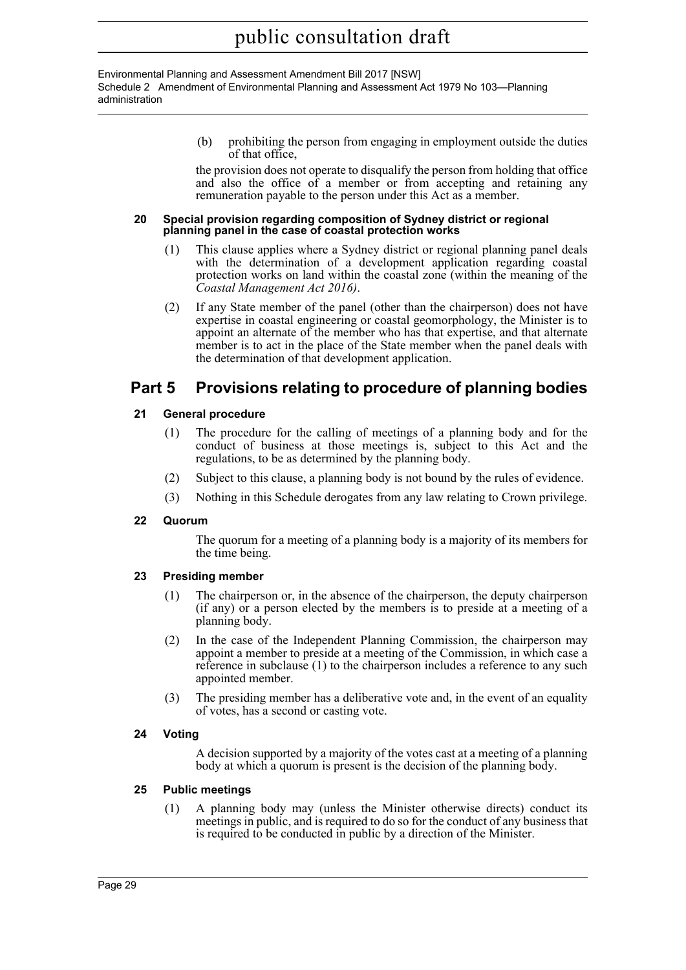Environmental Planning and Assessment Amendment Bill 2017 [NSW] Schedule 2 Amendment of Environmental Planning and Assessment Act 1979 No 103—Planning administration

> (b) prohibiting the person from engaging in employment outside the duties of that office,

> the provision does not operate to disqualify the person from holding that office and also the office of a member or from accepting and retaining any remuneration payable to the person under this Act as a member.

#### **20 Special provision regarding composition of Sydney district or regional planning panel in the case of coastal protection works**

- (1) This clause applies where a Sydney district or regional planning panel deals with the determination of a development application regarding coastal protection works on land within the coastal zone (within the meaning of the *Coastal Management Act 2016)*.
- (2) If any State member of the panel (other than the chairperson) does not have expertise in coastal engineering or coastal geomorphology, the Minister is to appoint an alternate of the member who has that expertise, and that alternate member is to act in the place of the State member when the panel deals with the determination of that development application.

# **Part 5 Provisions relating to procedure of planning bodies**

# **21 General procedure**

- (1) The procedure for the calling of meetings of a planning body and for the conduct of business at those meetings is, subject to this Act and the regulations, to be as determined by the planning body.
- (2) Subject to this clause, a planning body is not bound by the rules of evidence.
- (3) Nothing in this Schedule derogates from any law relating to Crown privilege.

# **22 Quorum**

The quorum for a meeting of a planning body is a majority of its members for the time being.

# **23 Presiding member**

- (1) The chairperson or, in the absence of the chairperson, the deputy chairperson (if any) or a person elected by the members is to preside at a meeting of a planning body.
- (2) In the case of the Independent Planning Commission, the chairperson may appoint a member to preside at a meeting of the Commission, in which case a reference in subclause (1) to the chairperson includes a reference to any such appointed member.
- (3) The presiding member has a deliberative vote and, in the event of an equality of votes, has a second or casting vote.

# **24 Voting**

A decision supported by a majority of the votes cast at a meeting of a planning body at which a quorum is present is the decision of the planning body.

# **25 Public meetings**

(1) A planning body may (unless the Minister otherwise directs) conduct its meetings in public, and is required to do so for the conduct of any business that is required to be conducted in public by a direction of the Minister.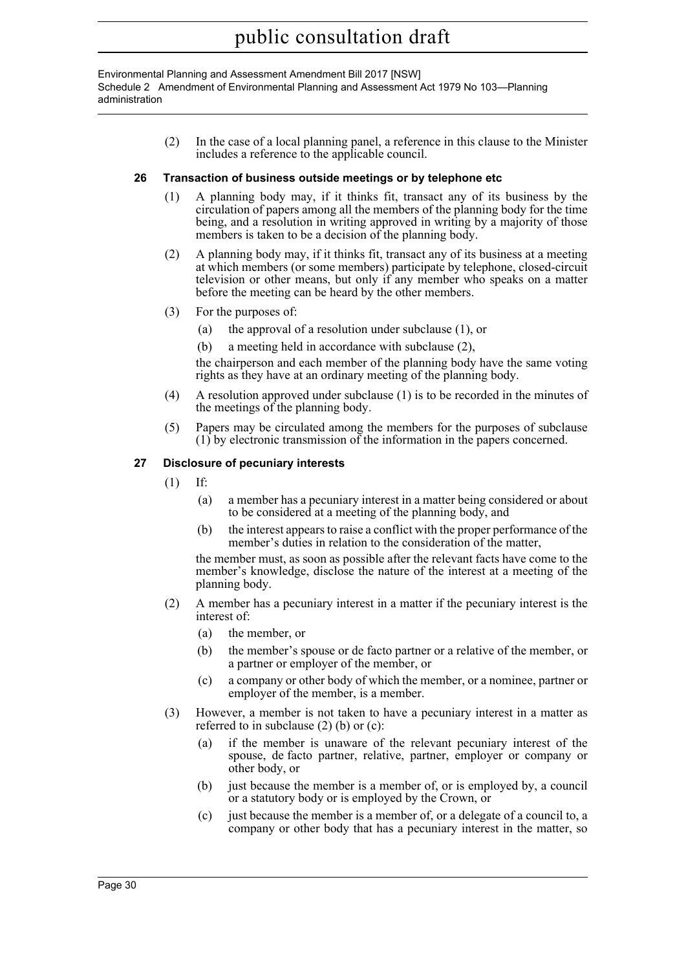Environmental Planning and Assessment Amendment Bill 2017 [NSW] Schedule 2 Amendment of Environmental Planning and Assessment Act 1979 No 103—Planning administration

> (2) In the case of a local planning panel, a reference in this clause to the Minister includes a reference to the applicable council.

### **26 Transaction of business outside meetings or by telephone etc**

- (1) A planning body may, if it thinks fit, transact any of its business by the circulation of papers among all the members of the planning body for the time being, and a resolution in writing approved in writing by a majority of those members is taken to be a decision of the planning body.
- (2) A planning body may, if it thinks fit, transact any of its business at a meeting at which members (or some members) participate by telephone, closed-circuit television or other means, but only if any member who speaks on a matter before the meeting can be heard by the other members.
- (3) For the purposes of:
	- (a) the approval of a resolution under subclause (1), or
	- (b) a meeting held in accordance with subclause (2),

the chairperson and each member of the planning body have the same voting rights as they have at an ordinary meeting of the planning body.

- (4) A resolution approved under subclause (1) is to be recorded in the minutes of the meetings of the planning body.
- (5) Papers may be circulated among the members for the purposes of subclause (1) by electronic transmission of the information in the papers concerned.

### **27 Disclosure of pecuniary interests**

- (1) If:
	- (a) a member has a pecuniary interest in a matter being considered or about to be considered at a meeting of the planning body, and
	- (b) the interest appears to raise a conflict with the proper performance of the member's duties in relation to the consideration of the matter,

the member must, as soon as possible after the relevant facts have come to the member's knowledge, disclose the nature of the interest at a meeting of the planning body.

- (2) A member has a pecuniary interest in a matter if the pecuniary interest is the interest of:
	- (a) the member, or
	- (b) the member's spouse or de facto partner or a relative of the member, or a partner or employer of the member, or
	- (c) a company or other body of which the member, or a nominee, partner or employer of the member, is a member.
- (3) However, a member is not taken to have a pecuniary interest in a matter as referred to in subclause (2) (b) or (c):
	- (a) if the member is unaware of the relevant pecuniary interest of the spouse, de facto partner, relative, partner, employer or company or other body, or
	- (b) just because the member is a member of, or is employed by, a council or a statutory body or is employed by the Crown, or
	- (c) just because the member is a member of, or a delegate of a council to, a company or other body that has a pecuniary interest in the matter, so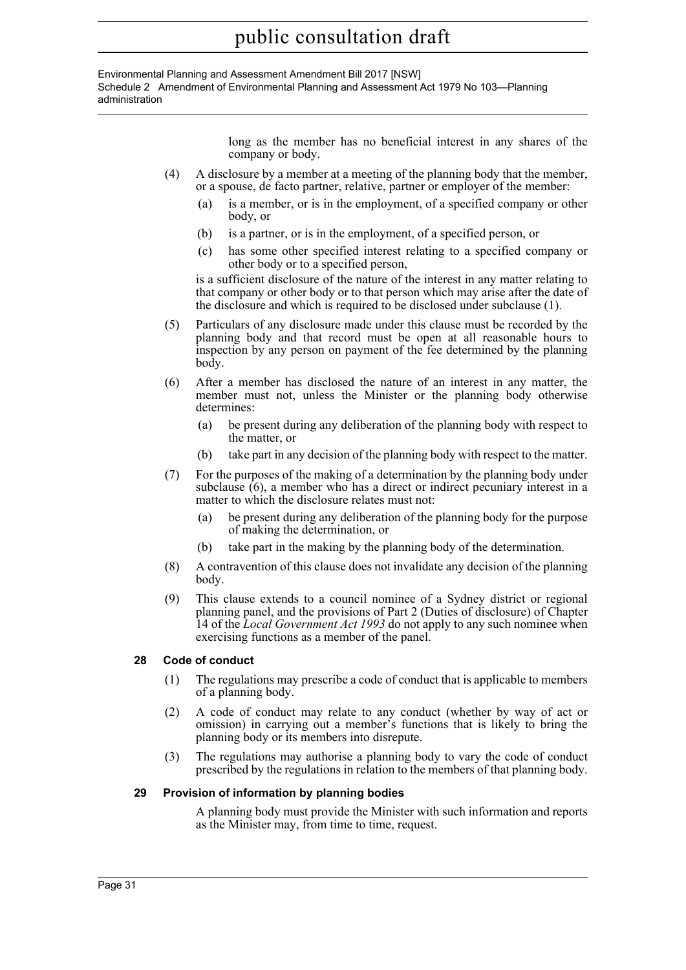Environmental Planning and Assessment Amendment Bill 2017 [NSW] Schedule 2 Amendment of Environmental Planning and Assessment Act 1979 No 103—Planning administration

> long as the member has no beneficial interest in any shares of the company or body.

- (4) A disclosure by a member at a meeting of the planning body that the member, or a spouse, de facto partner, relative, partner or employer of the member:
	- (a) is a member, or is in the employment, of a specified company or other body, or
	- (b) is a partner, or is in the employment, of a specified person, or
	- (c) has some other specified interest relating to a specified company or other body or to a specified person,

is a sufficient disclosure of the nature of the interest in any matter relating to that company or other body or to that person which may arise after the date of the disclosure and which is required to be disclosed under subclause (1).

- (5) Particulars of any disclosure made under this clause must be recorded by the planning body and that record must be open at all reasonable hours to inspection by any person on payment of the fee determined by the planning body.
- (6) After a member has disclosed the nature of an interest in any matter, the member must not, unless the Minister or the planning body otherwise determines:
	- (a) be present during any deliberation of the planning body with respect to the matter, or
	- (b) take part in any decision of the planning body with respect to the matter.
- (7) For the purposes of the making of a determination by the planning body under subclause (6), a member who has a direct or indirect pecuniary interest in a matter to which the disclosure relates must not:
	- (a) be present during any deliberation of the planning body for the purpose of making the determination, or
	- (b) take part in the making by the planning body of the determination.
- (8) A contravention of this clause does not invalidate any decision of the planning body.
- (9) This clause extends to a council nominee of a Sydney district or regional planning panel, and the provisions of Part 2 (Duties of disclosure) of Chapter 14 of the *Local Government Act 1993* do not apply to any such nominee when exercising functions as a member of the panel.

# **28 Code of conduct**

- (1) The regulations may prescribe a code of conduct that is applicable to members of a planning body.
- (2) A code of conduct may relate to any conduct (whether by way of act or omission) in carrying out a member's functions that is likely to bring the planning body or its members into disrepute.
- (3) The regulations may authorise a planning body to vary the code of conduct prescribed by the regulations in relation to the members of that planning body.

### **29 Provision of information by planning bodies**

A planning body must provide the Minister with such information and reports as the Minister may, from time to time, request.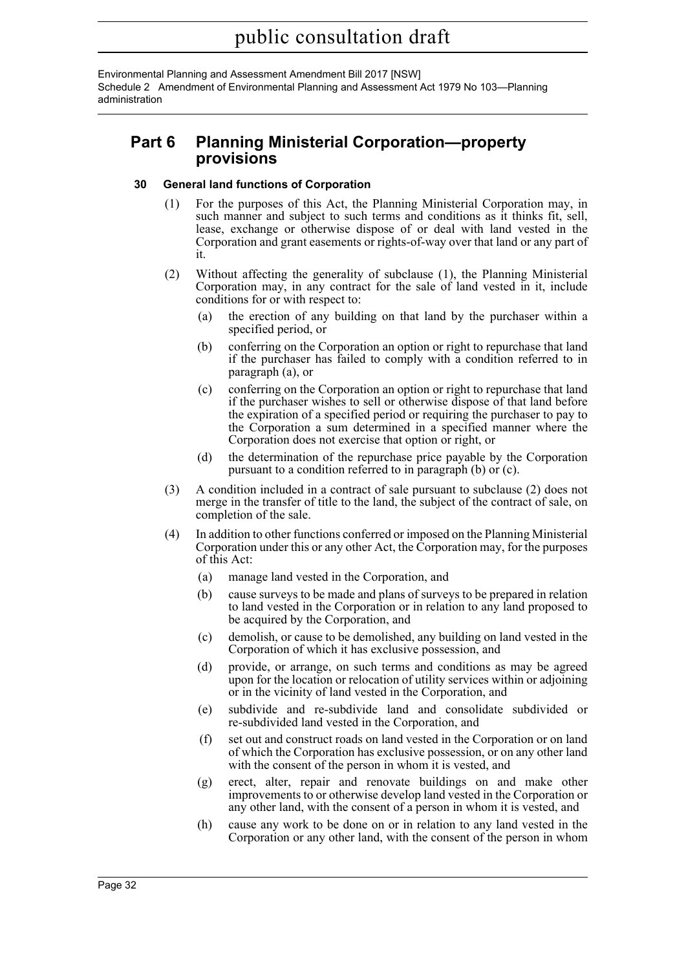Environmental Planning and Assessment Amendment Bill 2017 [NSW] Schedule 2 Amendment of Environmental Planning and Assessment Act 1979 No 103—Planning administration

# **Part 6 Planning Ministerial Corporation—property provisions**

### **30 General land functions of Corporation**

- (1) For the purposes of this Act, the Planning Ministerial Corporation may, in such manner and subject to such terms and conditions as it thinks fit, sell, lease, exchange or otherwise dispose of or deal with land vested in the Corporation and grant easements or rights-of-way over that land or any part of it.
- (2) Without affecting the generality of subclause (1), the Planning Ministerial Corporation may, in any contract for the sale of land vested in it, include conditions for or with respect to:
	- (a) the erection of any building on that land by the purchaser within a specified period, or
	- (b) conferring on the Corporation an option or right to repurchase that land if the purchaser has failed to comply with a condition referred to in paragraph (a), or
	- (c) conferring on the Corporation an option or right to repurchase that land if the purchaser wishes to sell or otherwise dispose of that land before the expiration of a specified period or requiring the purchaser to pay to the Corporation a sum determined in a specified manner where the Corporation does not exercise that option or right, or
	- (d) the determination of the repurchase price payable by the Corporation pursuant to a condition referred to in paragraph (b) or (c).
- (3) A condition included in a contract of sale pursuant to subclause (2) does not merge in the transfer of title to the land, the subject of the contract of sale, on completion of the sale.
- (4) In addition to other functions conferred or imposed on the Planning Ministerial Corporation under this or any other Act, the Corporation may, for the purposes of this Act:
	- (a) manage land vested in the Corporation, and
	- (b) cause surveys to be made and plans of surveys to be prepared in relation to land vested in the Corporation or in relation to any land proposed to be acquired by the Corporation, and
	- (c) demolish, or cause to be demolished, any building on land vested in the Corporation of which it has exclusive possession, and
	- (d) provide, or arrange, on such terms and conditions as may be agreed upon for the location or relocation of utility services within or adjoining or in the vicinity of land vested in the Corporation, and
	- (e) subdivide and re-subdivide land and consolidate subdivided or re-subdivided land vested in the Corporation, and
	- (f) set out and construct roads on land vested in the Corporation or on land of which the Corporation has exclusive possession, or on any other land with the consent of the person in whom it is vested, and
	- (g) erect, alter, repair and renovate buildings on and make other improvements to or otherwise develop land vested in the Corporation or any other land, with the consent of a person in whom it is vested, and
	- (h) cause any work to be done on or in relation to any land vested in the Corporation or any other land, with the consent of the person in whom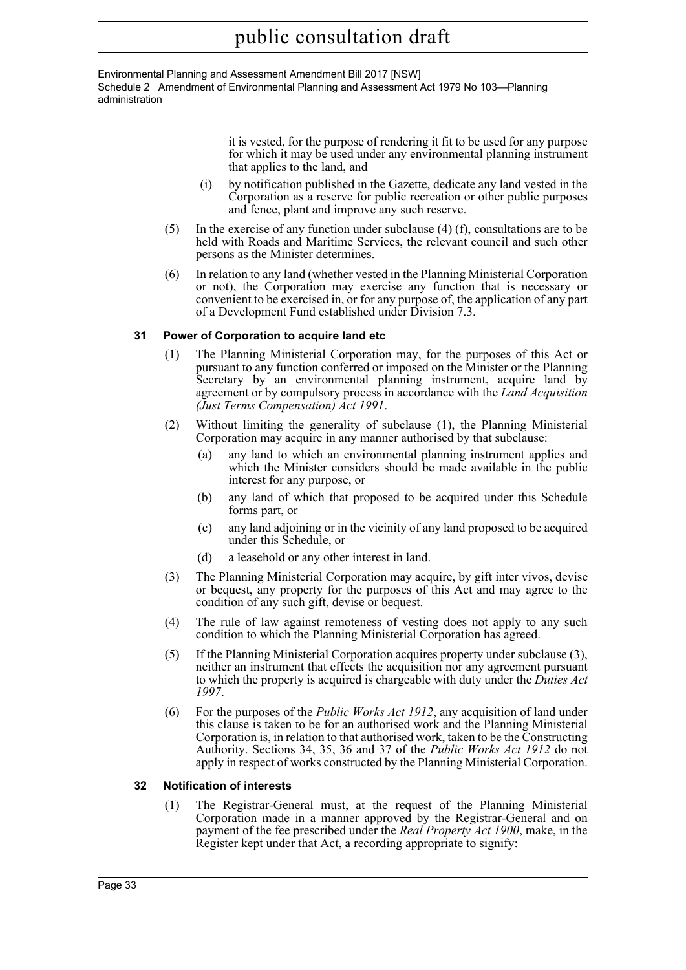Environmental Planning and Assessment Amendment Bill 2017 [NSW] Schedule 2 Amendment of Environmental Planning and Assessment Act 1979 No 103—Planning administration

> it is vested, for the purpose of rendering it fit to be used for any purpose for which it may be used under any environmental planning instrument that applies to the land, and

- (i) by notification published in the Gazette, dedicate any land vested in the Corporation as a reserve for public recreation or other public purposes and fence, plant and improve any such reserve.
- (5) In the exercise of any function under subclause (4) (f), consultations are to be held with Roads and Maritime Services, the relevant council and such other persons as the Minister determines.
- (6) In relation to any land (whether vested in the Planning Ministerial Corporation or not), the Corporation may exercise any function that is necessary or convenient to be exercised in, or for any purpose of, the application of any part of a Development Fund established under Division 7.3.

# **31 Power of Corporation to acquire land etc**

- (1) The Planning Ministerial Corporation may, for the purposes of this Act or pursuant to any function conferred or imposed on the Minister or the Planning Secretary by an environmental planning instrument, acquire land by agreement or by compulsory process in accordance with the *Land Acquisition (Just Terms Compensation) Act 1991*.
- (2) Without limiting the generality of subclause (1), the Planning Ministerial Corporation may acquire in any manner authorised by that subclause:
	- (a) any land to which an environmental planning instrument applies and which the Minister considers should be made available in the public interest for any purpose, or
	- (b) any land of which that proposed to be acquired under this Schedule forms part, or
	- (c) any land adjoining or in the vicinity of any land proposed to be acquired under this Schedule, or
	- (d) a leasehold or any other interest in land.
- (3) The Planning Ministerial Corporation may acquire, by gift inter vivos, devise or bequest, any property for the purposes of this Act and may agree to the condition of any such gift, devise or bequest.
- (4) The rule of law against remoteness of vesting does not apply to any such condition to which the Planning Ministerial Corporation has agreed.
- (5) If the Planning Ministerial Corporation acquires property under subclause (3), neither an instrument that effects the acquisition nor any agreement pursuant to which the property is acquired is chargeable with duty under the *Duties Act 1997*.
- (6) For the purposes of the *Public Works Act 1912*, any acquisition of land under this clause is taken to be for an authorised work and the Planning Ministerial Corporation is, in relation to that authorised work, taken to be the Constructing Authority. Sections 34, 35, 36 and 37 of the *Public Works Act 1912* do not apply in respect of works constructed by the Planning Ministerial Corporation.

### **32 Notification of interests**

(1) The Registrar-General must, at the request of the Planning Ministerial Corporation made in a manner approved by the Registrar-General and on payment of the fee prescribed under the *Real Property Act 1900*, make, in the Register kept under that Act, a recording appropriate to signify: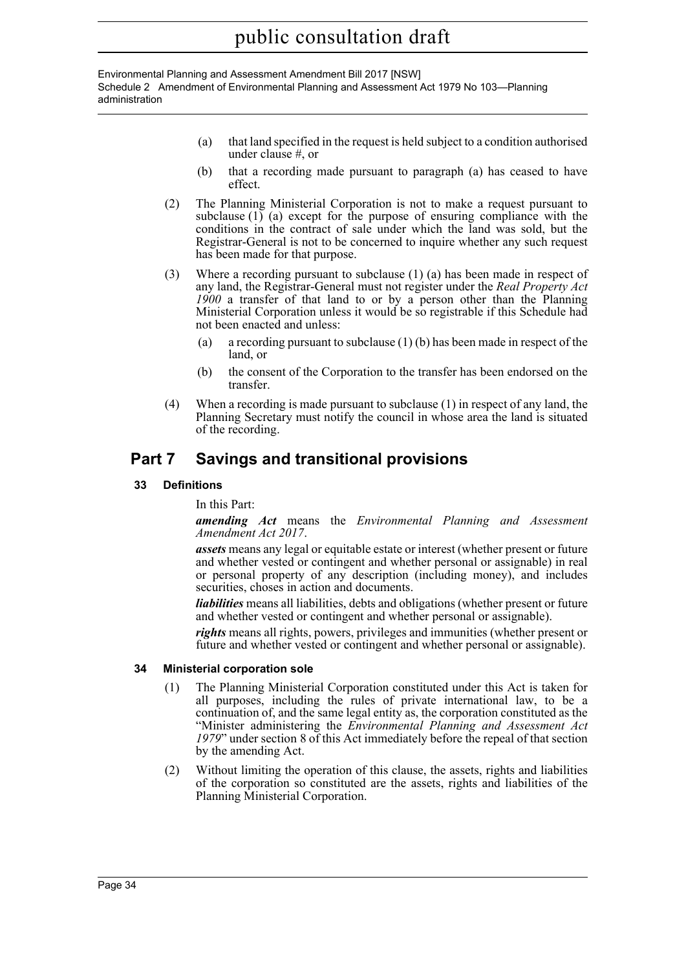Environmental Planning and Assessment Amendment Bill 2017 [NSW] Schedule 2 Amendment of Environmental Planning and Assessment Act 1979 No 103—Planning administration

- (a) that land specified in the request is held subject to a condition authorised under clause #, or
- (b) that a recording made pursuant to paragraph (a) has ceased to have effect.
- (2) The Planning Ministerial Corporation is not to make a request pursuant to subclause (1) (a) except for the purpose of ensuring compliance with the conditions in the contract of sale under which the land was sold, but the Registrar-General is not to be concerned to inquire whether any such request has been made for that purpose.
- (3) Where a recording pursuant to subclause (1) (a) has been made in respect of any land, the Registrar-General must not register under the *Real Property Act 1900* a transfer of that land to or by a person other than the Planning Ministerial Corporation unless it would be so registrable if this Schedule had not been enacted and unless:
	- (a) a recording pursuant to subclause (1) (b) has been made in respect of the land, or
	- (b) the consent of the Corporation to the transfer has been endorsed on the transfer.
- (4) When a recording is made pursuant to subclause (1) in respect of any land, the Planning Secretary must notify the council in whose area the land is situated of the recording.

# **Part 7 Savings and transitional provisions**

**33 Definitions**

In this Part:

*amending Act* means the *Environmental Planning and Assessment Amendment Act 2017*.

*assets* means any legal or equitable estate or interest (whether present or future and whether vested or contingent and whether personal or assignable) in real or personal property of any description (including money), and includes securities, choses in action and documents.

*liabilities* means all liabilities, debts and obligations (whether present or future and whether vested or contingent and whether personal or assignable).

*rights* means all rights, powers, privileges and immunities (whether present or future and whether vested or contingent and whether personal or assignable).

### **34 Ministerial corporation sole**

- (1) The Planning Ministerial Corporation constituted under this Act is taken for all purposes, including the rules of private international law, to be a continuation of, and the same legal entity as, the corporation constituted as the "Minister administering the *Environmental Planning and Assessment Act 1979*" under section 8 of this Act immediately before the repeal of that section by the amending Act.
- (2) Without limiting the operation of this clause, the assets, rights and liabilities of the corporation so constituted are the assets, rights and liabilities of the Planning Ministerial Corporation.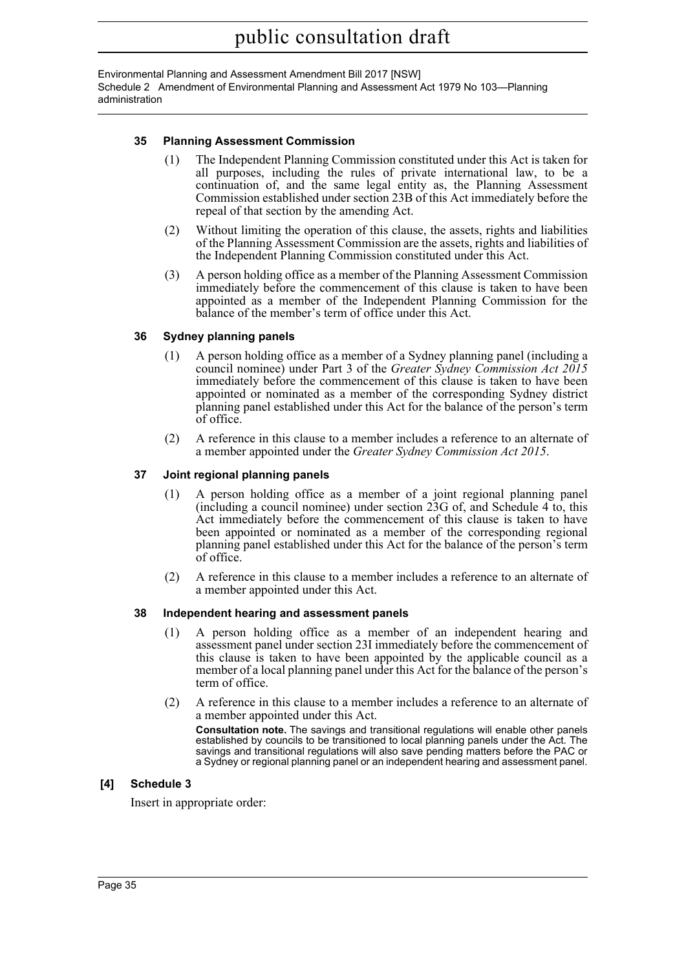Environmental Planning and Assessment Amendment Bill 2017 [NSW] Schedule 2 Amendment of Environmental Planning and Assessment Act 1979 No 103—Planning administration

#### **35 Planning Assessment Commission**

- (1) The Independent Planning Commission constituted under this Act is taken for all purposes, including the rules of private international law, to be a continuation of, and the same legal entity as, the Planning Assessment Commission established under section 23B of this Act immediately before the repeal of that section by the amending Act.
- (2) Without limiting the operation of this clause, the assets, rights and liabilities of the Planning Assessment Commission are the assets, rights and liabilities of the Independent Planning Commission constituted under this Act.
- (3) A person holding office as a member of the Planning Assessment Commission immediately before the commencement of this clause is taken to have been appointed as a member of the Independent Planning Commission for the balance of the member's term of office under this Act.

#### **36 Sydney planning panels**

- (1) A person holding office as a member of a Sydney planning panel (including a council nominee) under Part 3 of the *Greater Sydney Commission Act 2015* immediately before the commencement of this clause is taken to have been appointed or nominated as a member of the corresponding Sydney district planning panel established under this Act for the balance of the person's term of office.
- (2) A reference in this clause to a member includes a reference to an alternate of a member appointed under the *Greater Sydney Commission Act 2015*.

#### **37 Joint regional planning panels**

- (1) A person holding office as a member of a joint regional planning panel (including a council nominee) under section 23G of, and Schedule 4 to, this Act immediately before the commencement of this clause is taken to have been appointed or nominated as a member of the corresponding regional planning panel established under this Act for the balance of the person's term of office.
- (2) A reference in this clause to a member includes a reference to an alternate of a member appointed under this Act.

#### **38 Independent hearing and assessment panels**

- (1) A person holding office as a member of an independent hearing and assessment panel under section 23I immediately before the commencement of this clause is taken to have been appointed by the applicable council as a member of a local planning panel under this Act for the balance of the person's term of office.
- (2) A reference in this clause to a member includes a reference to an alternate of a member appointed under this Act.

**Consultation note.** The savings and transitional regulations will enable other panels established by councils to be transitioned to local planning panels under the Act. The savings and transitional regulations will also save pending matters before the PAC or a Sydney or regional planning panel or an independent hearing and assessment panel.

#### **[4] Schedule 3**

Insert in appropriate order: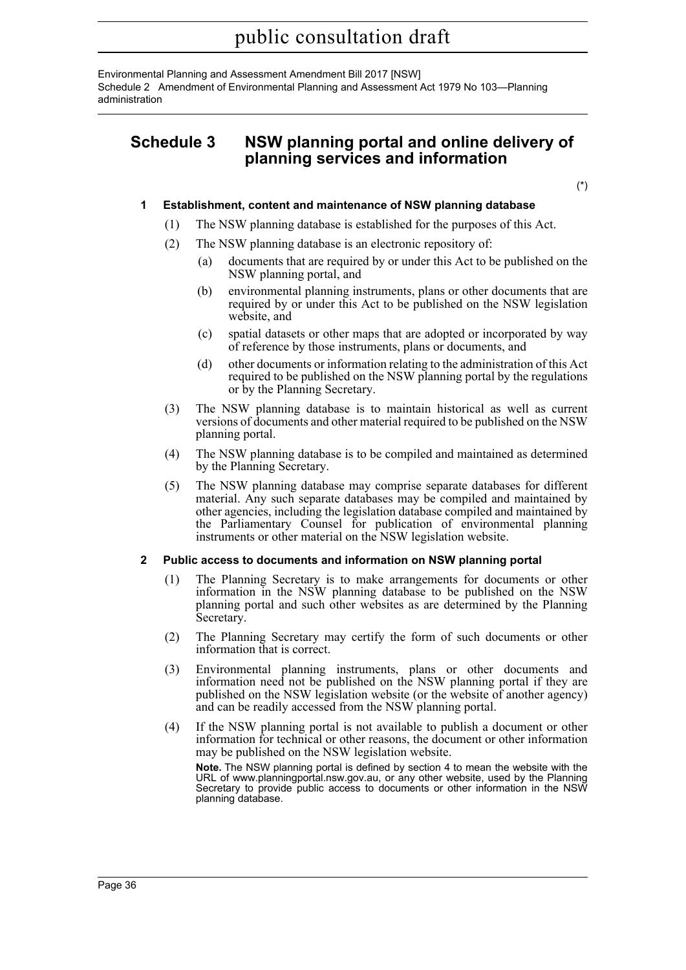Environmental Planning and Assessment Amendment Bill 2017 [NSW] Schedule 2 Amendment of Environmental Planning and Assessment Act 1979 No 103—Planning administration

## **Schedule 3 NSW planning portal and online delivery of planning services and information**

(\*)

#### **1 Establishment, content and maintenance of NSW planning database**

- (1) The NSW planning database is established for the purposes of this Act.
- (2) The NSW planning database is an electronic repository of:
	- (a) documents that are required by or under this Act to be published on the NSW planning portal, and
	- (b) environmental planning instruments, plans or other documents that are required by or under this Act to be published on the NSW legislation website, and
	- (c) spatial datasets or other maps that are adopted or incorporated by way of reference by those instruments, plans or documents, and
	- (d) other documents or information relating to the administration of this Act required to be published on the NSW planning portal by the regulations or by the Planning Secretary.
- (3) The NSW planning database is to maintain historical as well as current versions of documents and other material required to be published on the NSW planning portal.
- (4) The NSW planning database is to be compiled and maintained as determined by the Planning Secretary.
- (5) The NSW planning database may comprise separate databases for different material. Any such separate databases may be compiled and maintained by other agencies, including the legislation database compiled and maintained by the Parliamentary Counsel for publication of environmental planning instruments or other material on the NSW legislation website.

#### **2 Public access to documents and information on NSW planning portal**

- (1) The Planning Secretary is to make arrangements for documents or other information in the NSW planning database to be published on the NSW planning portal and such other websites as are determined by the Planning Secretary.
- (2) The Planning Secretary may certify the form of such documents or other information that is correct.
- (3) Environmental planning instruments, plans or other documents and information need not be published on the NSW planning portal if they are published on the NSW legislation website (or the website of another agency) and can be readily accessed from the NSW planning portal.
- (4) If the NSW planning portal is not available to publish a document or other information for technical or other reasons, the document or other information may be published on the NSW legislation website.

**Note.** The NSW planning portal is defined by section 4 to mean the website with the URL of www.planningportal.nsw.gov.au, or any other website, used by the Planning Secretary to provide public access to documents or other information in the NSW planning database.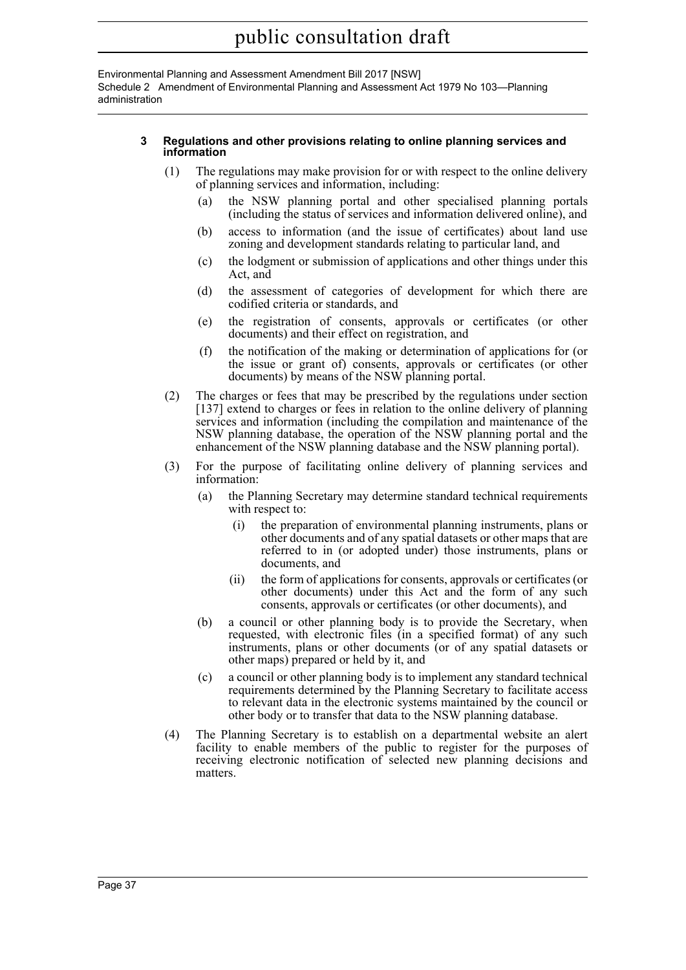Environmental Planning and Assessment Amendment Bill 2017 [NSW] Schedule 2 Amendment of Environmental Planning and Assessment Act 1979 No 103—Planning administration

#### **3 Regulations and other provisions relating to online planning services and information**

- (1) The regulations may make provision for or with respect to the online delivery of planning services and information, including:
	- (a) the NSW planning portal and other specialised planning portals (including the status of services and information delivered online), and
	- (b) access to information (and the issue of certificates) about land use zoning and development standards relating to particular land, and
	- (c) the lodgment or submission of applications and other things under this Act, and
	- (d) the assessment of categories of development for which there are codified criteria or standards, and
	- (e) the registration of consents, approvals or certificates (or other documents) and their effect on registration, and
	- (f) the notification of the making or determination of applications for (or the issue or grant of) consents, approvals or certificates (or other documents) by means of the NSW planning portal.
- (2) The charges or fees that may be prescribed by the regulations under section [137] extend to charges or fees in relation to the online delivery of planning services and information (including the compilation and maintenance of the NSW planning database, the operation of the NSW planning portal and the enhancement of the NSW planning database and the NSW planning portal).
- (3) For the purpose of facilitating online delivery of planning services and information:
	- (a) the Planning Secretary may determine standard technical requirements with respect to:
		- (i) the preparation of environmental planning instruments, plans or other documents and of any spatial datasets or other maps that are referred to in (or adopted under) those instruments, plans or documents, and
		- (ii) the form of applications for consents, approvals or certificates (or other documents) under this Act and the form of any such consents, approvals or certificates (or other documents), and
	- (b) a council or other planning body is to provide the Secretary, when requested, with electronic files (in a specified format) of any such instruments, plans or other documents (or of any spatial datasets or other maps) prepared or held by it, and
	- (c) a council or other planning body is to implement any standard technical requirements determined by the Planning Secretary to facilitate access to relevant data in the electronic systems maintained by the council or other body or to transfer that data to the NSW planning database.
- (4) The Planning Secretary is to establish on a departmental website an alert facility to enable members of the public to register for the purposes of receiving electronic notification of selected new planning decisions and matters.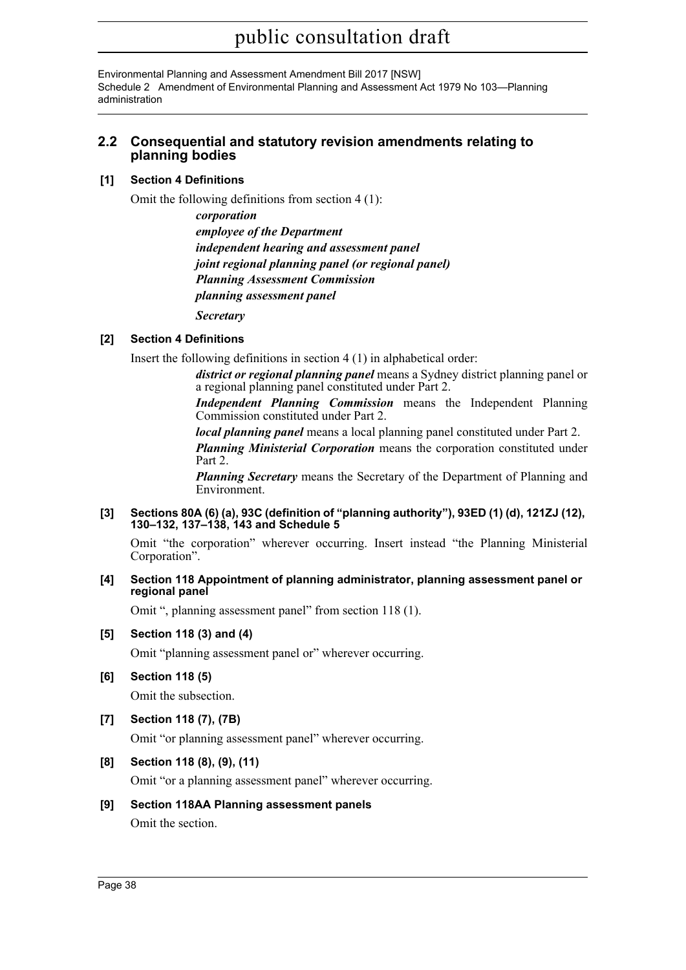Environmental Planning and Assessment Amendment Bill 2017 [NSW] Schedule 2 Amendment of Environmental Planning and Assessment Act 1979 No 103—Planning administration

### **2.2 Consequential and statutory revision amendments relating to planning bodies**

### **[1] Section 4 Definitions**

Omit the following definitions from section 4 (1):

*corporation employee of the Department independent hearing and assessment panel joint regional planning panel (or regional panel) Planning Assessment Commission planning assessment panel*

*Secretary*

#### **[2] Section 4 Definitions**

Insert the following definitions in section 4 (1) in alphabetical order:

*district or regional planning panel* means a Sydney district planning panel or a regional planning panel constituted under Part 2.

*Independent Planning Commission* means the Independent Planning Commission constituted under Part 2.

*local planning panel* means a local planning panel constituted under Part 2.

*Planning Ministerial Corporation* means the corporation constituted under Part 2.

*Planning Secretary* means the Secretary of the Department of Planning and Environment.

#### **[3] Sections 80A (6) (a), 93C (definition of "planning authority"), 93ED (1) (d), 121ZJ (12), 130–132, 137–138, 143 and Schedule 5**

Omit "the corporation" wherever occurring. Insert instead "the Planning Ministerial Corporation".

#### **[4] Section 118 Appointment of planning administrator, planning assessment panel or regional panel**

Omit ", planning assessment panel" from section 118 (1).

#### **[5] Section 118 (3) and (4)**

Omit "planning assessment panel or" wherever occurring.

**[6] Section 118 (5)**

Omit the subsection.

### **[7] Section 118 (7), (7B)**

Omit "or planning assessment panel" wherever occurring.

**[8] Section 118 (8), (9), (11)**

Omit "or a planning assessment panel" wherever occurring.

#### **[9] Section 118AA Planning assessment panels**

Omit the section.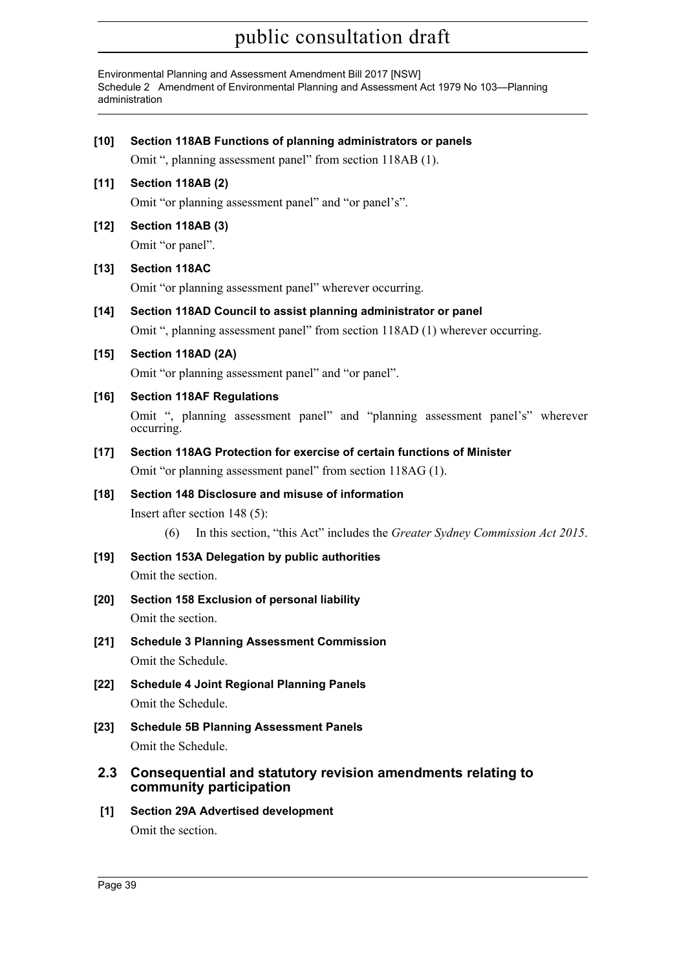Environmental Planning and Assessment Amendment Bill 2017 [NSW] Schedule 2 Amendment of Environmental Planning and Assessment Act 1979 No 103—Planning administration

| $[10]$ | Section 118AB Functions of planning administrators or panels                                |
|--------|---------------------------------------------------------------------------------------------|
|        | Omit ", planning assessment panel" from section 118AB (1).                                  |
| $[11]$ | Section 118AB (2)                                                                           |
|        | Omit "or planning assessment panel" and "or panel's".                                       |
| $[12]$ | <b>Section 118AB (3)</b>                                                                    |
|        | Omit "or panel".                                                                            |
| $[13]$ | <b>Section 118AC</b>                                                                        |
|        | Omit "or planning assessment panel" wherever occurring.                                     |
| $[14]$ | Section 118AD Council to assist planning administrator or panel                             |
|        | Omit ", planning assessment panel" from section 118AD (1) wherever occurring.               |
| $[15]$ | Section 118AD (2A)                                                                          |
|        | Omit "or planning assessment panel" and "or panel".                                         |
| [16]   | <b>Section 118AF Regulations</b>                                                            |
|        | Omit ", planning assessment panel" and "planning assessment panel's" wherever<br>occurring. |
| $[17]$ | Section 118AG Protection for exercise of certain functions of Minister                      |
|        | Omit "or planning assessment panel" from section 118AG (1).                                 |
| $[18]$ | Section 148 Disclosure and misuse of information                                            |
|        | Insert after section $148(5)$ :                                                             |
|        | In this section, "this Act" includes the Greater Sydney Commission Act 2015.<br>(6)         |
| $[19]$ | Section 153A Delegation by public authorities                                               |
|        | Omit the section.                                                                           |
| $[20]$ | Section 158 Exclusion of personal liability                                                 |
|        | Omit the section.                                                                           |
| $[21]$ | <b>Schedule 3 Planning Assessment Commission</b><br>Omit the Schedule.                      |
| $[22]$ | <b>Schedule 4 Joint Regional Planning Panels</b>                                            |
|        | Omit the Schedule.                                                                          |
| $[23]$ | <b>Schedule 5B Planning Assessment Panels</b>                                               |
|        | Omit the Schedule.                                                                          |
| 2.3    | Consequential and statutory revision amendments relating to<br>community participation      |
| [1]    | <b>Section 29A Advertised development</b>                                                   |
|        |                                                                                             |

Omit the section.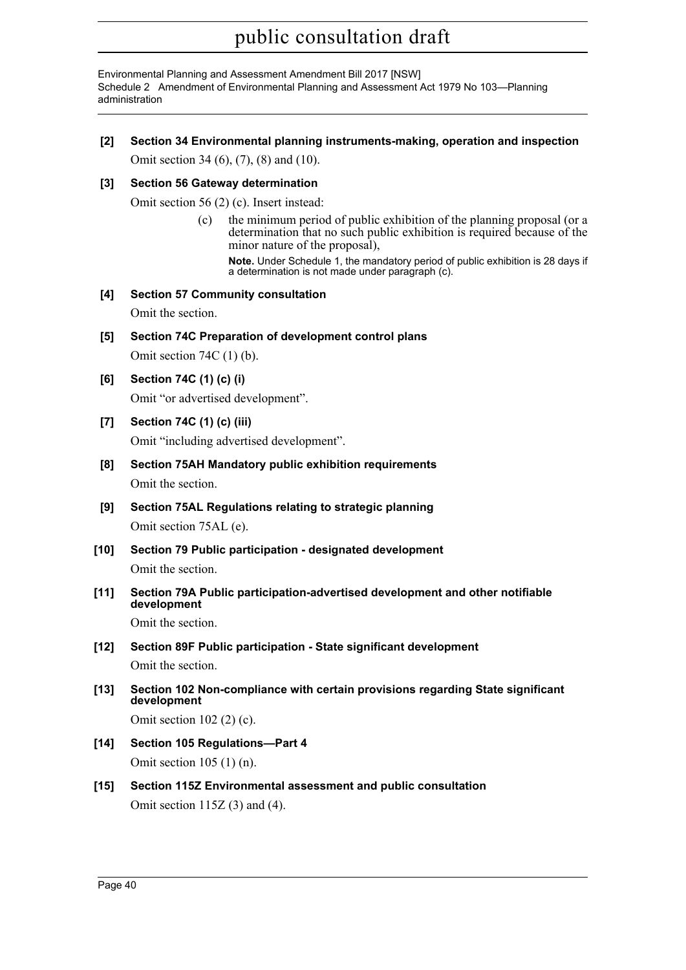Environmental Planning and Assessment Amendment Bill 2017 [NSW] Schedule 2 Amendment of Environmental Planning and Assessment Act 1979 No 103—Planning administration

**[2] Section 34 Environmental planning instruments-making, operation and inspection** Omit section 34 (6), (7), (8) and (10).

#### **[3] Section 56 Gateway determination**

Omit section 56 (2) (c). Insert instead:

(c) the minimum period of public exhibition of the planning proposal (or a determination that no such public exhibition is required because of the minor nature of the proposal),

**Note.** Under Schedule 1, the mandatory period of public exhibition is 28 days if a determination is not made under paragraph (c).

#### **[4] Section 57 Community consultation**

Omit the section.

**[5] Section 74C Preparation of development control plans**

Omit section 74C (1) (b).

**[6] Section 74C (1) (c) (i)**

Omit "or advertised development".

**[7] Section 74C (1) (c) (iii)**

Omit "including advertised development".

**[8] Section 75AH Mandatory public exhibition requirements**

Omit the section.

- **[9] Section 75AL Regulations relating to strategic planning** Omit section 75AL (e).
- **[10] Section 79 Public participation designated development** Omit the section.
- **[11] Section 79A Public participation-advertised development and other notifiable development**

Omit the section.

- **[12] Section 89F Public participation State significant development** Omit the section.
- **[13] Section 102 Non-compliance with certain provisions regarding State significant development**

Omit section 102 (2) (c).

- **[14] Section 105 Regulations—Part 4** Omit section 105 (1) (n).
- **[15] Section 115Z Environmental assessment and public consultation** Omit section 115Z (3) and (4).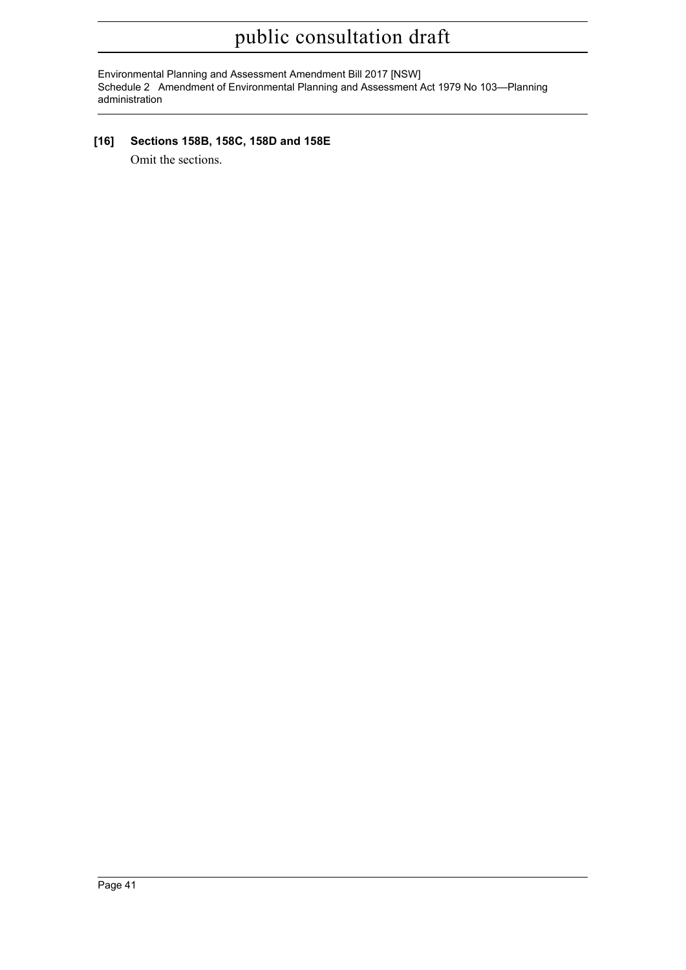Environmental Planning and Assessment Amendment Bill 2017 [NSW] Schedule 2 Amendment of Environmental Planning and Assessment Act 1979 No 103—Planning administration

**[16] Sections 158B, 158C, 158D and 158E**

Omit the sections.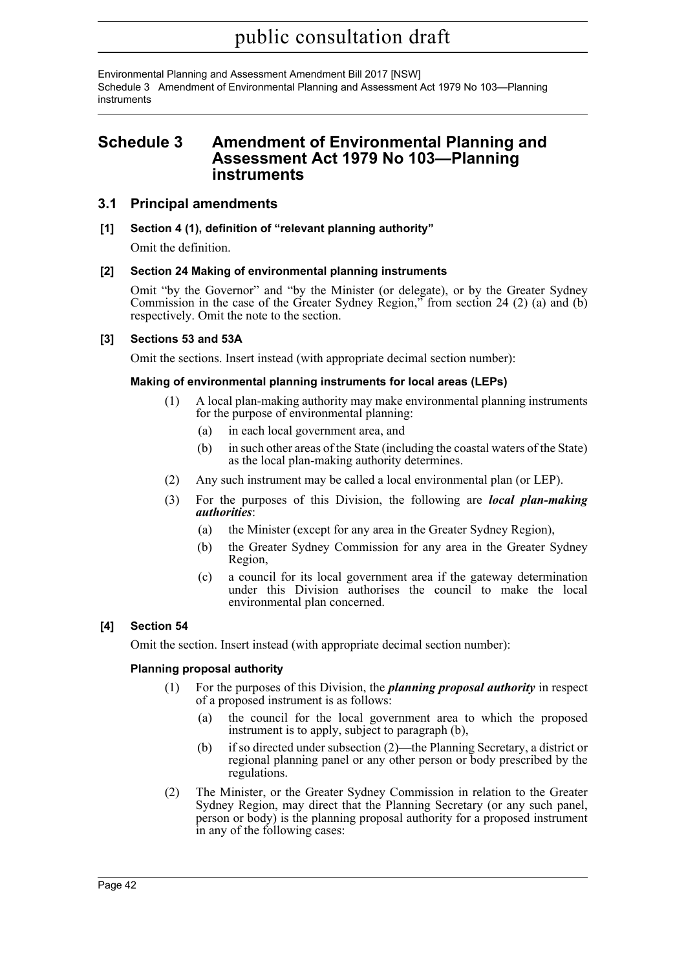Environmental Planning and Assessment Amendment Bill 2017 [NSW] Schedule 3 Amendment of Environmental Planning and Assessment Act 1979 No 103—Planning instruments

## **Schedule 3 Amendment of Environmental Planning and Assessment Act 1979 No 103—Planning instruments**

### **3.1 Principal amendments**

### **[1] Section 4 (1), definition of "relevant planning authority"**

Omit the definition.

### **[2] Section 24 Making of environmental planning instruments**

Omit "by the Governor" and "by the Minister (or delegate), or by the Greater Sydney Commission in the case of the Greater Sydney Region," from section 24 (2) (a) and (b) respectively. Omit the note to the section.

### **[3] Sections 53 and 53A**

Omit the sections. Insert instead (with appropriate decimal section number):

#### **Making of environmental planning instruments for local areas (LEPs)**

- (1) A local plan-making authority may make environmental planning instruments for the purpose of environmental planning:
	- (a) in each local government area, and
	- (b) in such other areas of the State (including the coastal waters of the State) as the local plan-making authority determines.
- (2) Any such instrument may be called a local environmental plan (or LEP).
- (3) For the purposes of this Division, the following are *local plan-making authorities*:
	- (a) the Minister (except for any area in the Greater Sydney Region),
	- (b) the Greater Sydney Commission for any area in the Greater Sydney Region,
	- (c) a council for its local government area if the gateway determination under this Division authorises the council to make the local environmental plan concerned.

### **[4] Section 54**

Omit the section. Insert instead (with appropriate decimal section number):

#### **Planning proposal authority**

- (1) For the purposes of this Division, the *planning proposal authority* in respect of a proposed instrument is as follows:
	- (a) the council for the local government area to which the proposed instrument is to apply, subject to paragraph (b),
	- (b) if so directed under subsection (2)—the Planning Secretary, a district or regional planning panel or any other person or body prescribed by the regulations.
- (2) The Minister, or the Greater Sydney Commission in relation to the Greater Sydney Region, may direct that the Planning Secretary (or any such panel, person or body) is the planning proposal authority for a proposed instrument in any of the following cases: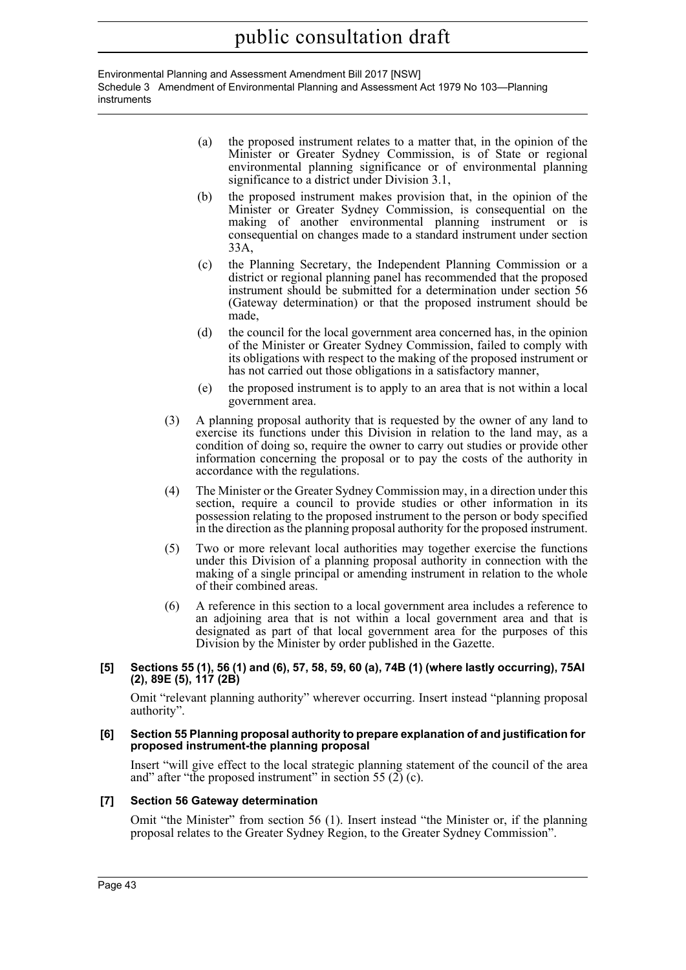Environmental Planning and Assessment Amendment Bill 2017 [NSW] Schedule 3 Amendment of Environmental Planning and Assessment Act 1979 No 103—Planning instruments

- (a) the proposed instrument relates to a matter that, in the opinion of the Minister or Greater Sydney Commission, is of State or regional environmental planning significance or of environmental planning significance to a district under Division 3.1,
- (b) the proposed instrument makes provision that, in the opinion of the Minister or Greater Sydney Commission, is consequential on the making of another environmental planning instrument or is consequential on changes made to a standard instrument under section 33A,
- (c) the Planning Secretary, the Independent Planning Commission or a district or regional planning panel has recommended that the proposed instrument should be submitted for a determination under section 56 (Gateway determination) or that the proposed instrument should be made,
- (d) the council for the local government area concerned has, in the opinion of the Minister or Greater Sydney Commission, failed to comply with its obligations with respect to the making of the proposed instrument or has not carried out those obligations in a satisfactory manner,
- (e) the proposed instrument is to apply to an area that is not within a local government area.
- (3) A planning proposal authority that is requested by the owner of any land to exercise its functions under this Division in relation to the land may, as a condition of doing so, require the owner to carry out studies or provide other information concerning the proposal or to pay the costs of the authority in accordance with the regulations.
- (4) The Minister or the Greater Sydney Commission may, in a direction under this section, require a council to provide studies or other information in its possession relating to the proposed instrument to the person or body specified in the direction as the planning proposal authority for the proposed instrument.
- (5) Two or more relevant local authorities may together exercise the functions under this Division of a planning proposal authority in connection with the making of a single principal or amending instrument in relation to the whole of their combined areas.
- (6) A reference in this section to a local government area includes a reference to an adjoining area that is not within a local government area and that is designated as part of that local government area for the purposes of this Division by the Minister by order published in the Gazette.

#### **[5] Sections 55 (1), 56 (1) and (6), 57, 58, 59, 60 (a), 74B (1) (where lastly occurring), 75AI (2), 89E (5), 117 (2B)**

Omit "relevant planning authority" wherever occurring. Insert instead "planning proposal authority".

#### **[6] Section 55 Planning proposal authority to prepare explanation of and justification for proposed instrument-the planning proposal**

Insert "will give effect to the local strategic planning statement of the council of the area and" after "the proposed instrument" in section 55 (2) (c).

### **[7] Section 56 Gateway determination**

Omit "the Minister" from section 56 (1). Insert instead "the Minister or, if the planning proposal relates to the Greater Sydney Region, to the Greater Sydney Commission".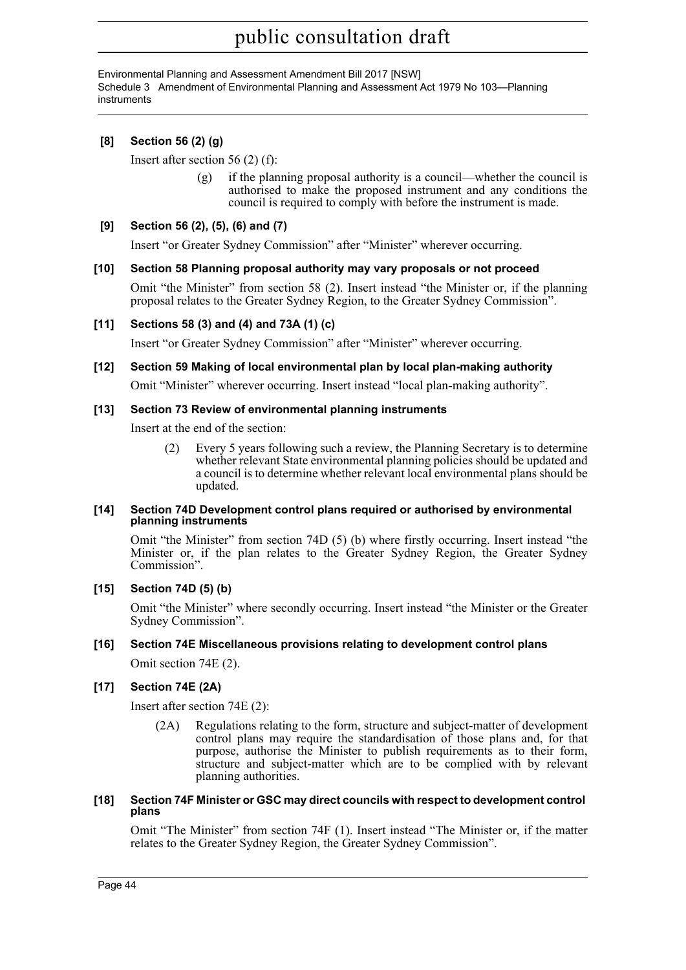Environmental Planning and Assessment Amendment Bill 2017 [NSW] Schedule 3 Amendment of Environmental Planning and Assessment Act 1979 No 103—Planning instruments

### **[8] Section 56 (2) (g)**

Insert after section 56 (2) (f):

(g) if the planning proposal authority is a council—whether the council is authorised to make the proposed instrument and any conditions the council is required to comply with before the instrument is made.

#### **[9] Section 56 (2), (5), (6) and (7)**

Insert "or Greater Sydney Commission" after "Minister" wherever occurring.

#### **[10] Section 58 Planning proposal authority may vary proposals or not proceed**

Omit "the Minister" from section 58 (2). Insert instead "the Minister or, if the planning proposal relates to the Greater Sydney Region, to the Greater Sydney Commission".

#### **[11] Sections 58 (3) and (4) and 73A (1) (c)**

Insert "or Greater Sydney Commission" after "Minister" wherever occurring.

#### **[12] Section 59 Making of local environmental plan by local plan-making authority**

Omit "Minister" wherever occurring. Insert instead "local plan-making authority".

#### **[13] Section 73 Review of environmental planning instruments**

Insert at the end of the section:

(2) Every 5 years following such a review, the Planning Secretary is to determine whether relevant State environmental planning policies should be updated and a council is to determine whether relevant local environmental plans should be updated.

#### **[14] Section 74D Development control plans required or authorised by environmental planning instruments**

Omit "the Minister" from section 74D (5) (b) where firstly occurring. Insert instead "the Minister or, if the plan relates to the Greater Sydney Region, the Greater Sydney Commission".

#### **[15] Section 74D (5) (b)**

Omit "the Minister" where secondly occurring. Insert instead "the Minister or the Greater Sydney Commission".

#### **[16] Section 74E Miscellaneous provisions relating to development control plans**

Omit section 74E (2).

#### **[17] Section 74E (2A)**

Insert after section 74E (2):

(2A) Regulations relating to the form, structure and subject-matter of development control plans may require the standardisation of those plans and, for that purpose, authorise the Minister to publish requirements as to their form, structure and subject-matter which are to be complied with by relevant planning authorities.

#### **[18] Section 74F Minister or GSC may direct councils with respect to development control plans**

Omit "The Minister" from section 74F (1). Insert instead "The Minister or, if the matter relates to the Greater Sydney Region, the Greater Sydney Commission".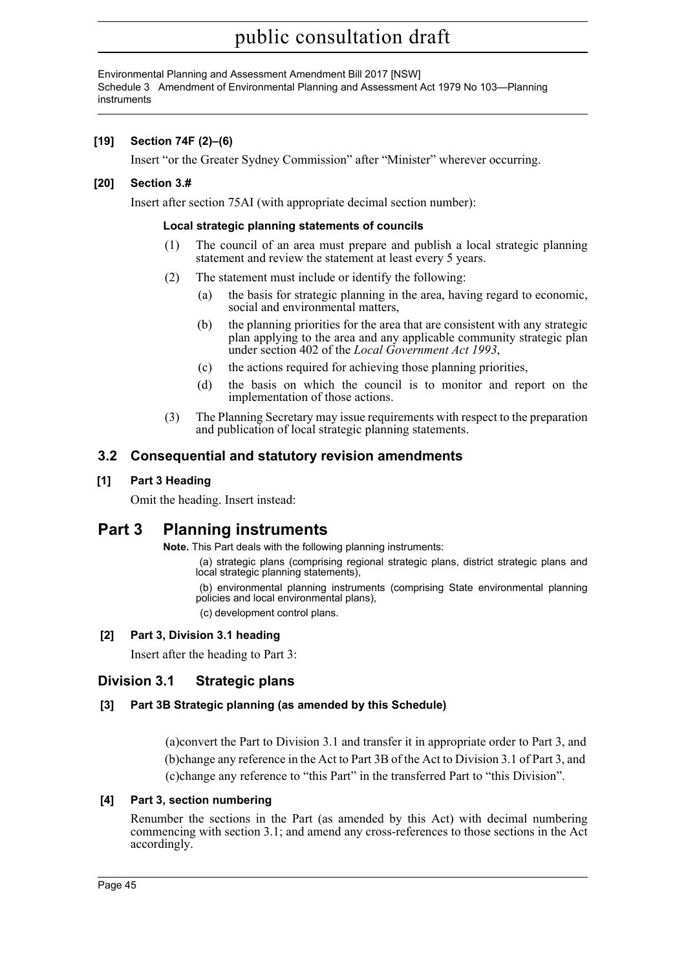Environmental Planning and Assessment Amendment Bill 2017 [NSW] Schedule 3 Amendment of Environmental Planning and Assessment Act 1979 No 103—Planning instruments

### **[19] Section 74F (2)–(6)**

Insert "or the Greater Sydney Commission" after "Minister" wherever occurring.

### **[20] Section 3.#**

Insert after section 75AI (with appropriate decimal section number):

#### **Local strategic planning statements of councils**

- (1) The council of an area must prepare and publish a local strategic planning statement and review the statement at least every 5 years.
- (2) The statement must include or identify the following:
	- (a) the basis for strategic planning in the area, having regard to economic, social and environmental matters,
	- (b) the planning priorities for the area that are consistent with any strategic plan applying to the area and any applicable community strategic plan under section 402 of the *Local Government Act 1993*,
	- (c) the actions required for achieving those planning priorities,
	- (d) the basis on which the council is to monitor and report on the implementation of those actions.
- (3) The Planning Secretary may issue requirements with respect to the preparation and publication of local strategic planning statements.

## **3.2 Consequential and statutory revision amendments**

#### **[1] Part 3 Heading**

Omit the heading. Insert instead:

## **Part 3 Planning instruments**

**Note.** This Part deals with the following planning instruments:

(a) strategic plans (comprising regional strategic plans, district strategic plans and local strategic planning statements),

(b) environmental planning instruments (comprising State environmental planning policies and local environmental plans),

(c) development control plans.

### **[2] Part 3, Division 3.1 heading**

Insert after the heading to Part 3:

## **Division 3.1 Strategic plans**

### **[3] Part 3B Strategic planning (as amended by this Schedule)**

(a)convert the Part to Division 3.1 and transfer it in appropriate order to Part 3, and (b)change any reference in the Act to Part 3B of the Act to Division 3.1 of Part 3, and (c)change any reference to "this Part" in the transferred Part to "this Division".

#### **[4] Part 3, section numbering**

Renumber the sections in the Part (as amended by this Act) with decimal numbering commencing with section 3.1; and amend any cross-references to those sections in the Act accordingly.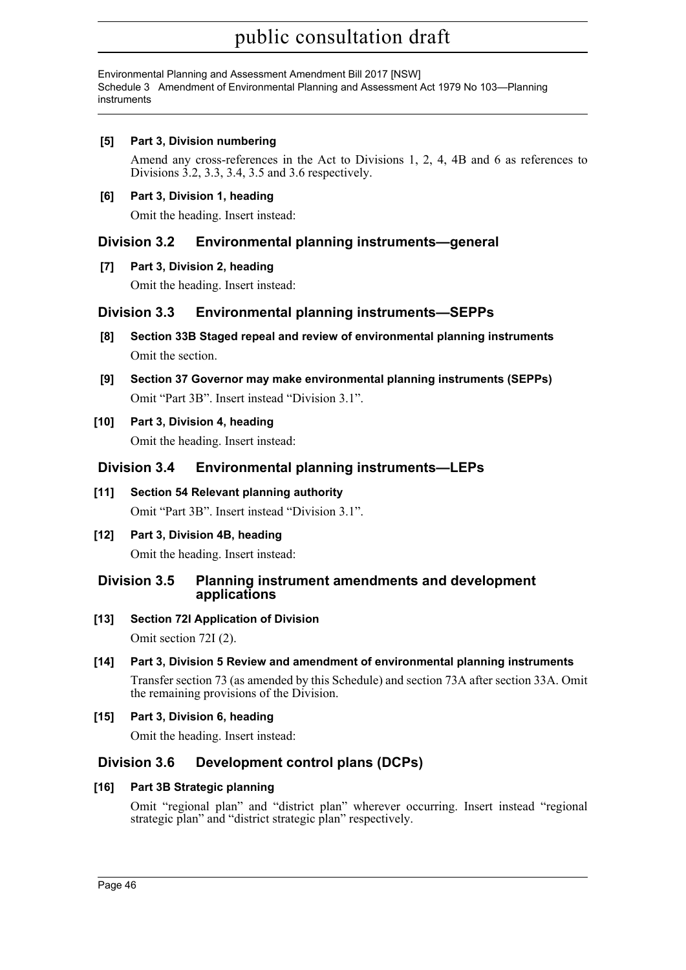Environmental Planning and Assessment Amendment Bill 2017 [NSW] Schedule 3 Amendment of Environmental Planning and Assessment Act 1979 No 103—Planning instruments

**[5] Part 3, Division numbering**

Amend any cross-references in the Act to Divisions 1, 2, 4, 4B and 6 as references to Divisions 3.2, 3.3, 3.4, 3.5 and 3.6 respectively.

**[6] Part 3, Division 1, heading**

Omit the heading. Insert instead:

## **Division 3.2 Environmental planning instruments—general**

### **[7] Part 3, Division 2, heading**

Omit the heading. Insert instead:

## **Division 3.3 Environmental planning instruments—SEPPs**

- **[8] Section 33B Staged repeal and review of environmental planning instruments** Omit the section.
- **[9] Section 37 Governor may make environmental planning instruments (SEPPs)** Omit "Part 3B". Insert instead "Division 3.1".

**[10] Part 3, Division 4, heading** Omit the heading. Insert instead:

## **Division 3.4 Environmental planning instruments—LEPs**

- **[11] Section 54 Relevant planning authority** Omit "Part 3B". Insert instead "Division 3.1".
- **[12] Part 3, Division 4B, heading** Omit the heading. Insert instead:

### **Division 3.5 Planning instrument amendments and development applications**

**[13] Section 72I Application of Division**

Omit section 72I (2).

**[14] Part 3, Division 5 Review and amendment of environmental planning instruments**

Transfer section 73 (as amended by this Schedule) and section 73A after section 33A. Omit the remaining provisions of the Division.

**[15] Part 3, Division 6, heading**

Omit the heading. Insert instead:

## **Division 3.6 Development control plans (DCPs)**

## **[16] Part 3B Strategic planning**

Omit "regional plan" and "district plan" wherever occurring. Insert instead "regional strategic plan" and "district strategic plan" respectively.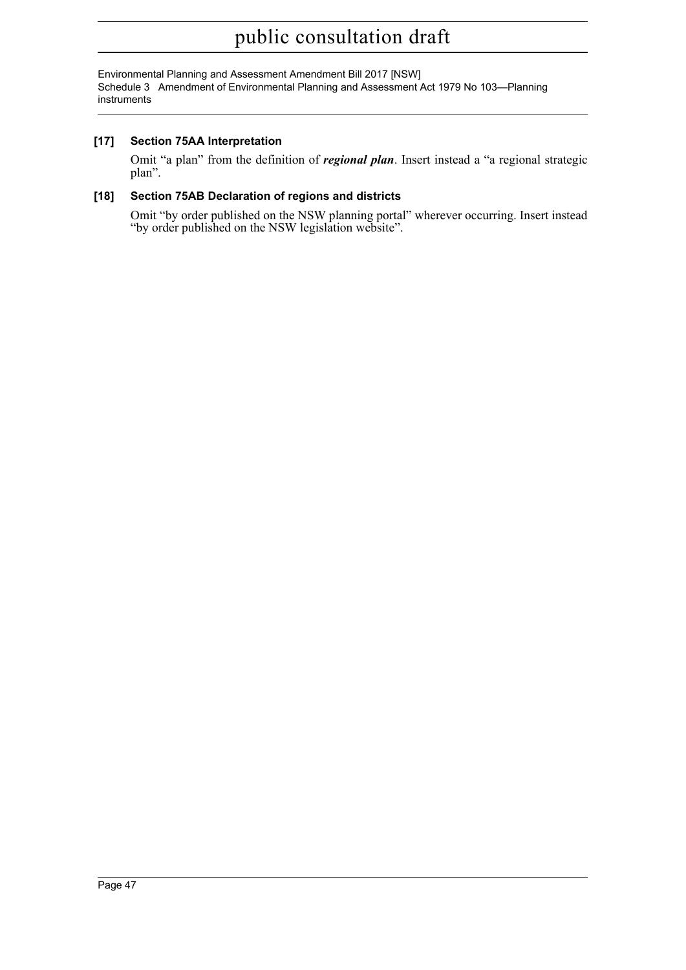Environmental Planning and Assessment Amendment Bill 2017 [NSW] Schedule 3 Amendment of Environmental Planning and Assessment Act 1979 No 103—Planning instruments

### **[17] Section 75AA Interpretation**

Omit "a plan" from the definition of *regional plan*. Insert instead a "a regional strategic plan".

#### **[18] Section 75AB Declaration of regions and districts**

Omit "by order published on the NSW planning portal" wherever occurring. Insert instead "by order published on the NSW legislation website".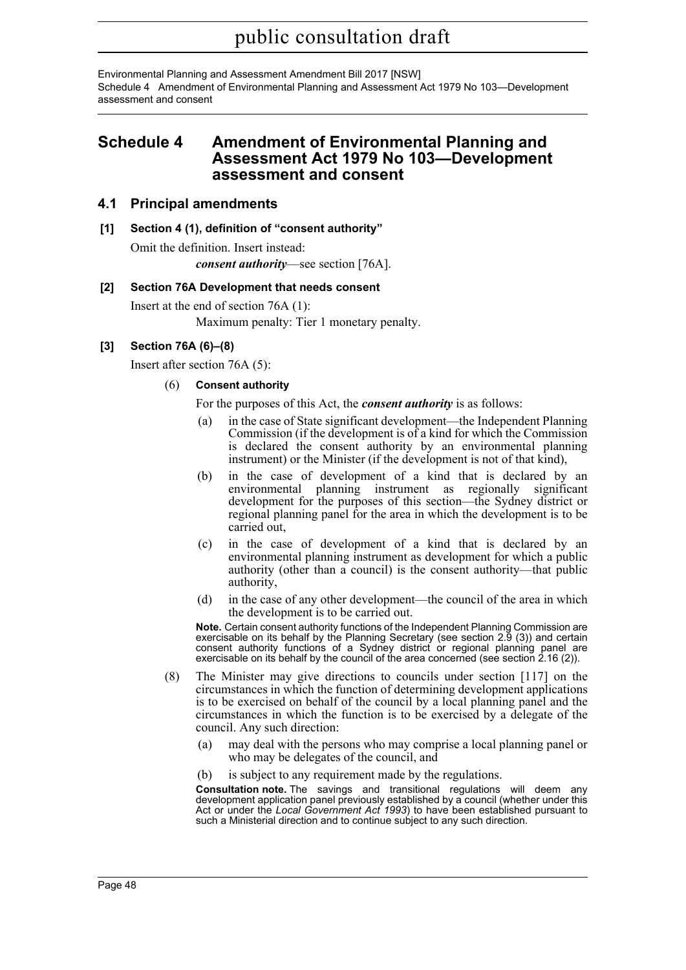Environmental Planning and Assessment Amendment Bill 2017 [NSW] Schedule 4 Amendment of Environmental Planning and Assessment Act 1979 No 103—Development assessment and consent

## **Schedule 4 Amendment of Environmental Planning and Assessment Act 1979 No 103—Development assessment and consent**

### **4.1 Principal amendments**

## **[1] Section 4 (1), definition of "consent authority"**

Omit the definition. Insert instead: *consent authority*—see section [76A].

#### **[2] Section 76A Development that needs consent**

Insert at the end of section 76A (1):

Maximum penalty: Tier 1 monetary penalty.

### **[3] Section 76A (6)–(8)**

Insert after section 76A (5):

#### (6) **Consent authority**

For the purposes of this Act, the *consent authority* is as follows:

- (a) in the case of State significant development—the Independent Planning Commission (if the development is of a kind for which the Commission is declared the consent authority by an environmental planning instrument) or the Minister (if the development is not of that kind),
- (b) in the case of development of a kind that is declared by an environmental planning instrument as regionally significant development for the purposes of this section—the Sydney district or regional planning panel for the area in which the development is to be carried out,
- (c) in the case of development of a kind that is declared by an environmental planning instrument as development for which a public authority (other than a council) is the consent authority—that public authority,
- (d) in the case of any other development—the council of the area in which the development is to be carried out.

**Note.** Certain consent authority functions of the Independent Planning Commission are exercisable on its behalf by the Planning Secretary (see section 2.9 (3)) and certain consent authority functions of a Sydney district or regional planning panel are exercisable on its behalf by the council of the area concerned (see section 2.16 (2)).

- (8) The Minister may give directions to councils under section [117] on the circumstances in which the function of determining development applications is to be exercised on behalf of the council by a local planning panel and the circumstances in which the function is to be exercised by a delegate of the council. Any such direction:
	- (a) may deal with the persons who may comprise a local planning panel or who may be delegates of the council, and
	- (b) is subject to any requirement made by the regulations.

**Consultation note.** The savings and transitional regulations will deem any development application panel previously established by a council (whether under this Act or under the *Local Government Act 1993*) to have been established pursuant to such a Ministerial direction and to continue subject to any such direction.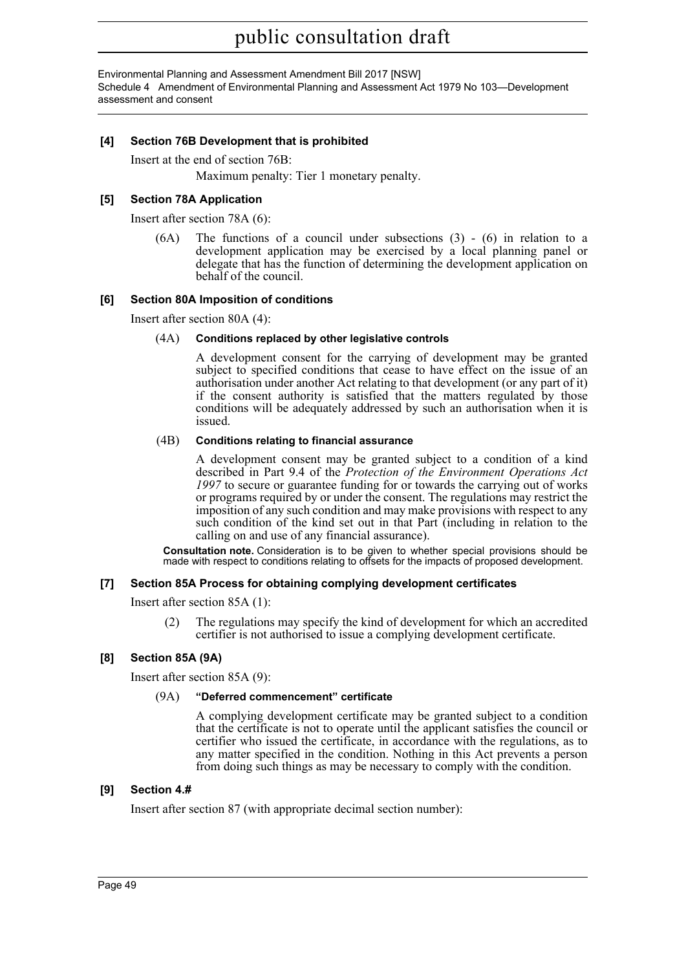Environmental Planning and Assessment Amendment Bill 2017 [NSW] Schedule 4 Amendment of Environmental Planning and Assessment Act 1979 No 103—Development assessment and consent

#### **[4] Section 76B Development that is prohibited**

Insert at the end of section 76B:

Maximum penalty: Tier 1 monetary penalty.

#### **[5] Section 78A Application**

Insert after section 78A (6):

 $(6A)$  The functions of a council under subsections  $(3)$  -  $(6)$  in relation to a development application may be exercised by a local planning panel or delegate that has the function of determining the development application on behalf of the council.

#### **[6] Section 80A Imposition of conditions**

Insert after section 80A (4):

#### (4A) **Conditions replaced by other legislative controls**

A development consent for the carrying of development may be granted subject to specified conditions that cease to have effect on the issue of an authorisation under another Act relating to that development (or any part of it) if the consent authority is satisfied that the matters regulated by those conditions will be adequately addressed by such an authorisation when it is issued.

#### (4B) **Conditions relating to financial assurance**

A development consent may be granted subject to a condition of a kind described in Part 9.4 of the *Protection of the Environment Operations Act 1997* to secure or guarantee funding for or towards the carrying out of works or programs required by or under the consent. The regulations may restrict the imposition of any such condition and may make provisions with respect to any such condition of the kind set out in that Part (including in relation to the calling on and use of any financial assurance).

**Consultation note.** Consideration is to be given to whether special provisions should be made with respect to conditions relating to offsets for the impacts of proposed development.

#### **[7] Section 85A Process for obtaining complying development certificates**

Insert after section 85A (1):

(2) The regulations may specify the kind of development for which an accredited certifier is not authorised to issue a complying development certificate.

### **[8] Section 85A (9A)**

Insert after section 85A (9):

#### (9A) **"Deferred commencement" certificate**

A complying development certificate may be granted subject to a condition that the certificate is not to operate until the applicant satisfies the council or certifier who issued the certificate, in accordance with the regulations, as to any matter specified in the condition. Nothing in this Act prevents a person from doing such things as may be necessary to comply with the condition.

#### **[9] Section 4.#**

Insert after section 87 (with appropriate decimal section number):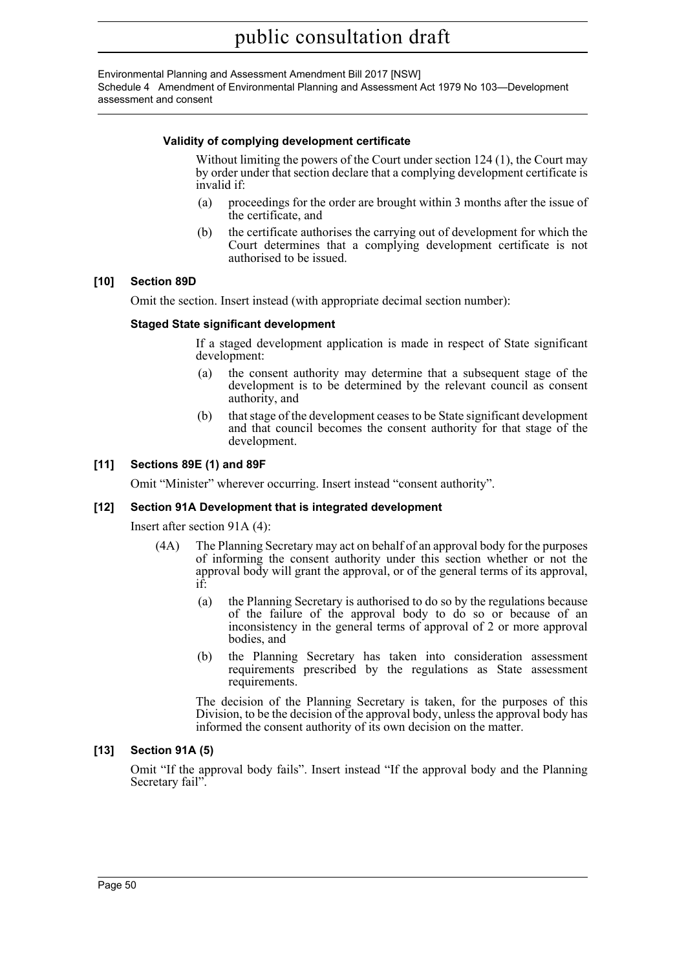Environmental Planning and Assessment Amendment Bill 2017 [NSW] Schedule 4 Amendment of Environmental Planning and Assessment Act 1979 No 103—Development assessment and consent

#### **Validity of complying development certificate**

Without limiting the powers of the Court under section 124 (1), the Court may by order under that section declare that a complying development certificate is invalid if:

- (a) proceedings for the order are brought within 3 months after the issue of the certificate, and
- (b) the certificate authorises the carrying out of development for which the Court determines that a complying development certificate is not authorised to be issued.

#### **[10] Section 89D**

Omit the section. Insert instead (with appropriate decimal section number):

#### **Staged State significant development**

If a staged development application is made in respect of State significant development:

- (a) the consent authority may determine that a subsequent stage of the development is to be determined by the relevant council as consent authority, and
- (b) that stage of the development ceases to be State significant development and that council becomes the consent authority for that stage of the development.

#### **[11] Sections 89E (1) and 89F**

Omit "Minister" wherever occurring. Insert instead "consent authority".

#### **[12] Section 91A Development that is integrated development**

Insert after section 91A (4):

- (4A) The Planning Secretary may act on behalf of an approval body for the purposes of informing the consent authority under this section whether or not the approval body will grant the approval, or of the general terms of its approval, if:
	- (a) the Planning Secretary is authorised to do so by the regulations because of the failure of the approval body to do so or because of an inconsistency in the general terms of approval of 2 or more approval bodies, and
	- (b) the Planning Secretary has taken into consideration assessment requirements prescribed by the regulations as State assessment requirements.

The decision of the Planning Secretary is taken, for the purposes of this Division, to be the decision of the approval body, unless the approval body has informed the consent authority of its own decision on the matter.

#### **[13] Section 91A (5)**

Omit "If the approval body fails". Insert instead "If the approval body and the Planning Secretary fail".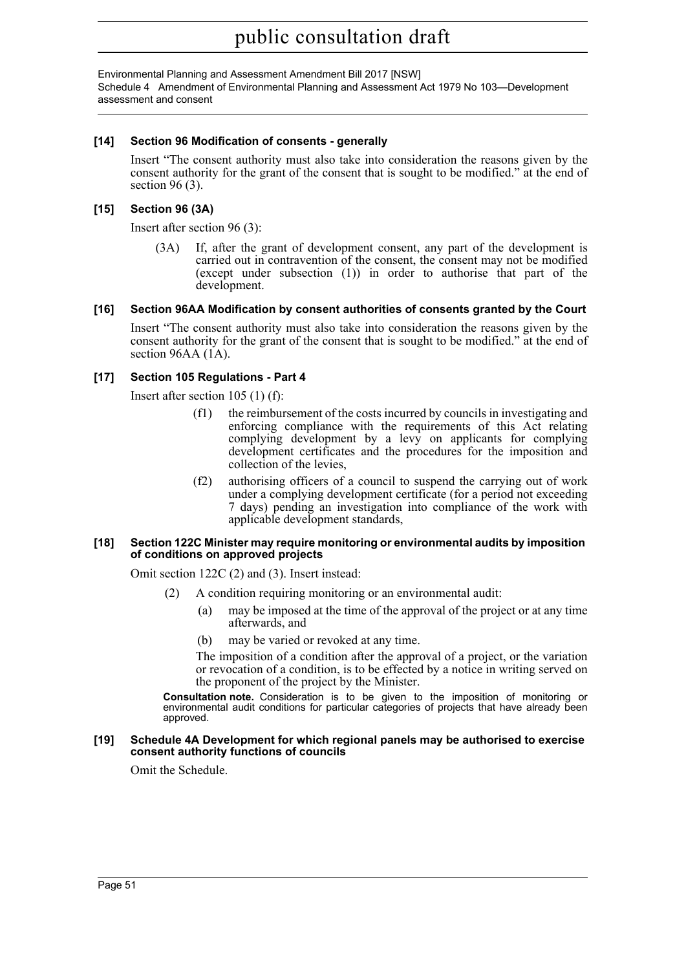Environmental Planning and Assessment Amendment Bill 2017 [NSW] Schedule 4 Amendment of Environmental Planning and Assessment Act 1979 No 103—Development assessment and consent

#### **[14] Section 96 Modification of consents - generally**

Insert "The consent authority must also take into consideration the reasons given by the consent authority for the grant of the consent that is sought to be modified." at the end of section 96 (3).

### **[15] Section 96 (3A)**

Insert after section 96 (3):

(3A) If, after the grant of development consent, any part of the development is carried out in contravention of the consent, the consent may not be modified (except under subsection (1)) in order to authorise that part of the development.

#### **[16] Section 96AA Modification by consent authorities of consents granted by the Court**

Insert "The consent authority must also take into consideration the reasons given by the consent authority for the grant of the consent that is sought to be modified." at the end of section 96AA (1A).

#### **[17] Section 105 Regulations - Part 4**

Insert after section 105 (1) (f):

- (f1) the reimbursement of the costs incurred by councils in investigating and enforcing compliance with the requirements of this Act relating complying development by a levy on applicants for complying development certificates and the procedures for the imposition and collection of the levies,
- (f2) authorising officers of a council to suspend the carrying out of work under a complying development certificate (for a period not exceeding 7 days) pending an investigation into compliance of the work with applicable development standards,

#### **[18] Section 122C Minister may require monitoring or environmental audits by imposition of conditions on approved projects**

Omit section 122C (2) and (3). Insert instead:

- (2) A condition requiring monitoring or an environmental audit:
	- (a) may be imposed at the time of the approval of the project or at any time afterwards, and
	- (b) may be varied or revoked at any time.

The imposition of a condition after the approval of a project, or the variation or revocation of a condition, is to be effected by a notice in writing served on the proponent of the project by the Minister.

**Consultation note.** Consideration is to be given to the imposition of monitoring or environmental audit conditions for particular categories of projects that have already been approved.

#### **[19] Schedule 4A Development for which regional panels may be authorised to exercise consent authority functions of councils**

Omit the Schedule.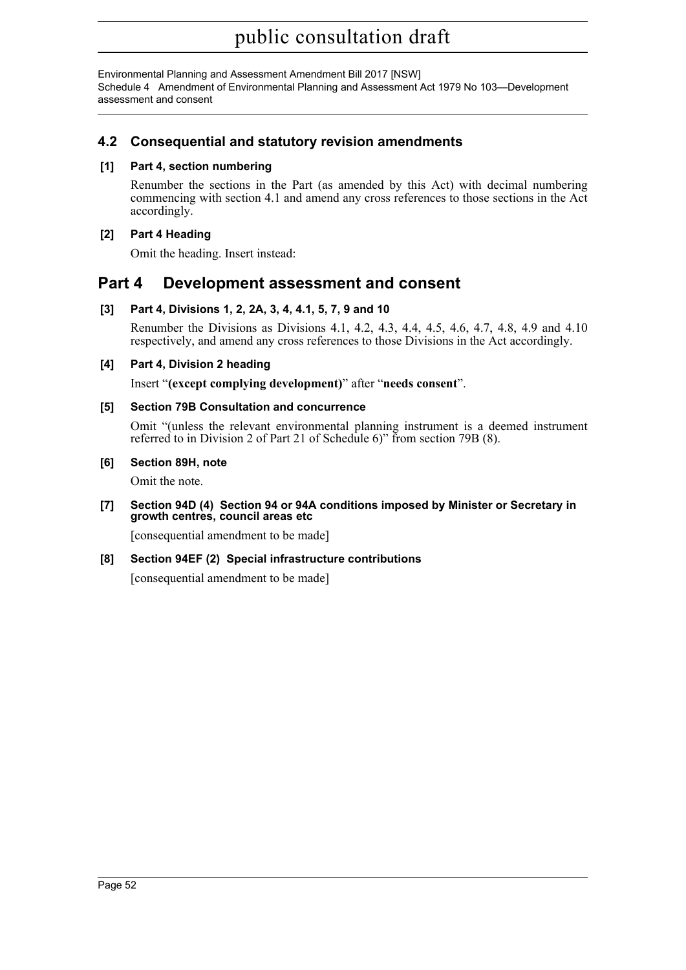Environmental Planning and Assessment Amendment Bill 2017 [NSW] Schedule 4 Amendment of Environmental Planning and Assessment Act 1979 No 103—Development assessment and consent

## **4.2 Consequential and statutory revision amendments**

### **[1] Part 4, section numbering**

Renumber the sections in the Part (as amended by this Act) with decimal numbering commencing with section 4.1 and amend any cross references to those sections in the Act accordingly.

#### **[2] Part 4 Heading**

Omit the heading. Insert instead:

## **Part 4 Development assessment and consent**

### **[3] Part 4, Divisions 1, 2, 2A, 3, 4, 4.1, 5, 7, 9 and 10**

Renumber the Divisions as Divisions 4.1, 4.2, 4.3, 4.4, 4.5, 4.6, 4.7, 4.8, 4.9 and 4.10 respectively, and amend any cross references to those Divisions in the Act accordingly.

#### **[4] Part 4, Division 2 heading**

Insert "**(except complying development)**" after "**needs consent**".

#### **[5] Section 79B Consultation and concurrence**

Omit "(unless the relevant environmental planning instrument is a deemed instrument referred to in Division 2 of Part 21 of Schedule 6)" from section 79B (8).

#### **[6] Section 89H, note**

Omit the note.

#### **[7] Section 94D (4) Section 94 or 94A conditions imposed by Minister or Secretary in growth centres, council areas etc**

[consequential amendment to be made]

### **[8] Section 94EF (2) Special infrastructure contributions**

[consequential amendment to be made]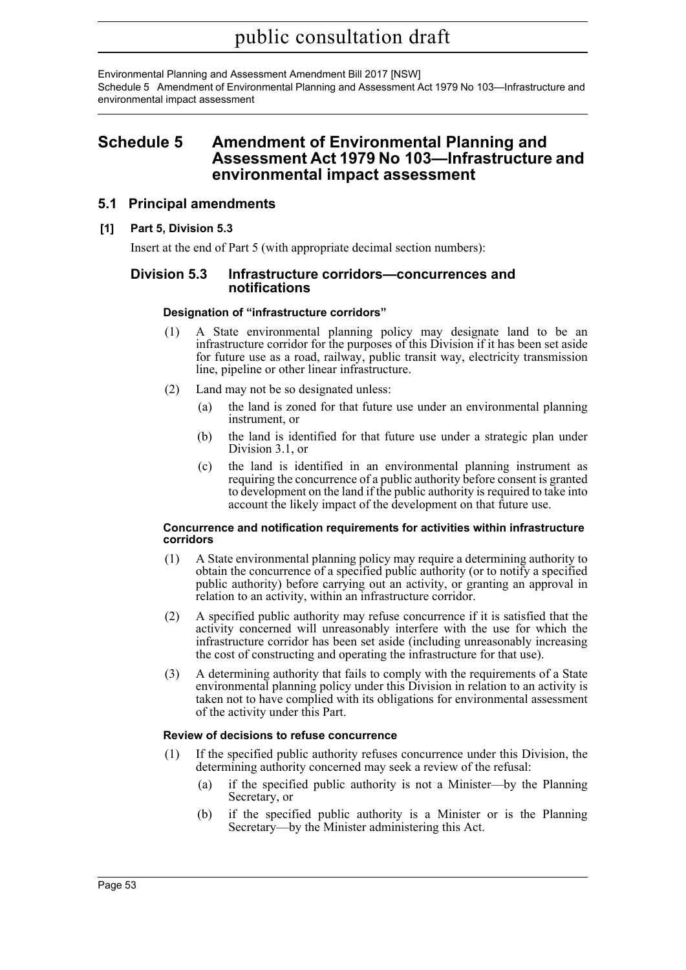Environmental Planning and Assessment Amendment Bill 2017 [NSW] Schedule 5 Amendment of Environmental Planning and Assessment Act 1979 No 103—Infrastructure and environmental impact assessment

## **Schedule 5 Amendment of Environmental Planning and Assessment Act 1979 No 103—Infrastructure and environmental impact assessment**

### **5.1 Principal amendments**

#### **[1] Part 5, Division 5.3**

Insert at the end of Part 5 (with appropriate decimal section numbers):

#### **Division 5.3 Infrastructure corridors—concurrences and notifications**

#### **Designation of "infrastructure corridors"**

- (1) A State environmental planning policy may designate land to be an infrastructure corridor for the purposes of this Division if it has been set aside for future use as a road, railway, public transit way, electricity transmission line, pipeline or other linear infrastructure.
- (2) Land may not be so designated unless:
	- (a) the land is zoned for that future use under an environmental planning instrument, or
	- (b) the land is identified for that future use under a strategic plan under Division 3.1, or
	- (c) the land is identified in an environmental planning instrument as requiring the concurrence of a public authority before consent is granted to development on the land if the public authority is required to take into account the likely impact of the development on that future use.

#### **Concurrence and notification requirements for activities within infrastructure corridors**

- (1) A State environmental planning policy may require a determining authority to obtain the concurrence of a specified public authority (or to notify a specified public authority) before carrying out an activity, or granting an approval in relation to an activity, within an infrastructure corridor.
- (2) A specified public authority may refuse concurrence if it is satisfied that the activity concerned will unreasonably interfere with the use for which the infrastructure corridor has been set aside (including unreasonably increasing the cost of constructing and operating the infrastructure for that use).
- (3) A determining authority that fails to comply with the requirements of a State environmental planning policy under this Division in relation to an activity is taken not to have complied with its obligations for environmental assessment of the activity under this Part.

#### **Review of decisions to refuse concurrence**

- (1) If the specified public authority refuses concurrence under this Division, the determining authority concerned may seek a review of the refusal:
	- (a) if the specified public authority is not a Minister—by the Planning Secretary, or
	- (b) if the specified public authority is a Minister or is the Planning Secretary—by the Minister administering this Act.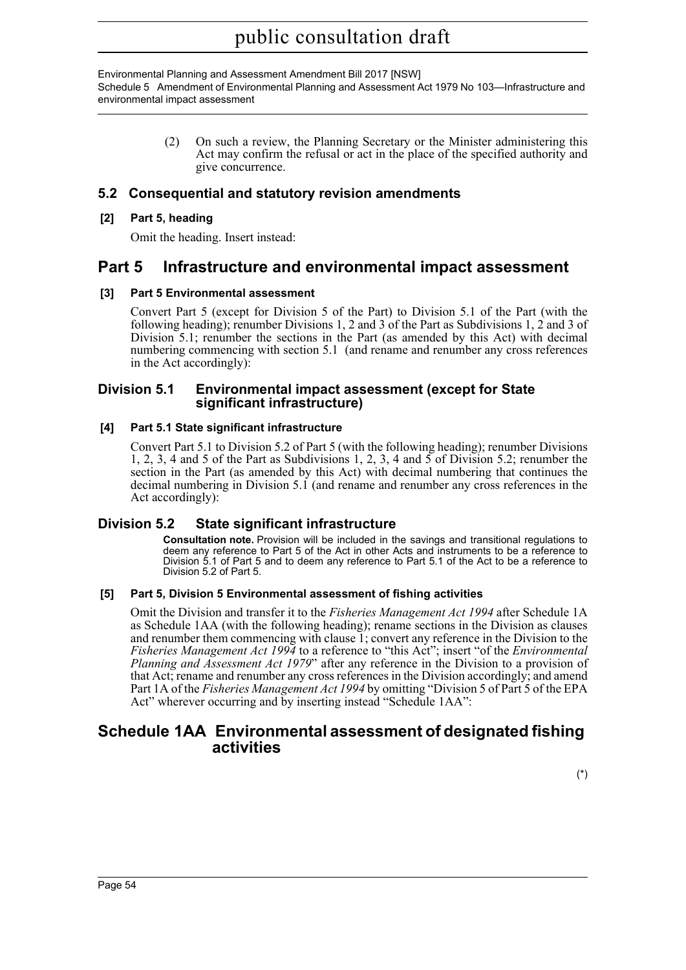Environmental Planning and Assessment Amendment Bill 2017 [NSW] Schedule 5 Amendment of Environmental Planning and Assessment Act 1979 No 103—Infrastructure and environmental impact assessment

> (2) On such a review, the Planning Secretary or the Minister administering this Act may confirm the refusal or act in the place of the specified authority and give concurrence.

### **5.2 Consequential and statutory revision amendments**

#### **[2] Part 5, heading**

Omit the heading. Insert instead:

## **Part 5 Infrastructure and environmental impact assessment**

#### **[3] Part 5 Environmental assessment**

Convert Part 5 (except for Division 5 of the Part) to Division 5.1 of the Part (with the following heading); renumber Divisions 1, 2 and 3 of the Part as Subdivisions 1, 2 and 3 of Division 5.1; renumber the sections in the Part (as amended by this Act) with decimal numbering commencing with section 5.1 (and rename and renumber any cross references in the Act accordingly):

#### **Division 5.1 Environmental impact assessment (except for State significant infrastructure)**

#### **[4] Part 5.1 State significant infrastructure**

Convert Part 5.1 to Division 5.2 of Part 5 (with the following heading); renumber Divisions 1, 2, 3, 4 and 5 of the Part as Subdivisions 1, 2, 3, 4 and 5 of Division 5.2; renumber the section in the Part (as amended by this Act) with decimal numbering that continues the decimal numbering in Division 5.1 (and rename and renumber any cross references in the Act accordingly):

### **Division 5.2 State significant infrastructure**

**Consultation note.** Provision will be included in the savings and transitional regulations to deem any reference to Part 5 of the Act in other Acts and instruments to be a reference to Division 5.1 of Part 5 and to deem any reference to Part 5.1 of the Act to be a reference to Division 5.2 of Part 5.

#### **[5] Part 5, Division 5 Environmental assessment of fishing activities**

Omit the Division and transfer it to the *Fisheries Management Act 1994* after Schedule 1A as Schedule 1AA (with the following heading); rename sections in the Division as clauses and renumber them commencing with clause 1; convert any reference in the Division to the *Fisheries Management Act 1994* to a reference to "this Act"; insert "of the *Environmental Planning and Assessment Act 1979*" after any reference in the Division to a provision of that Act; rename and renumber any cross references in the Division accordingly; and amend Part 1A of the *Fisheries Management Act 1994* by omitting "Division 5 of Part 5 of the EPA Act" wherever occurring and by inserting instead "Schedule 1AA":

## **Schedule 1AA Environmental assessment of designated fishing activities**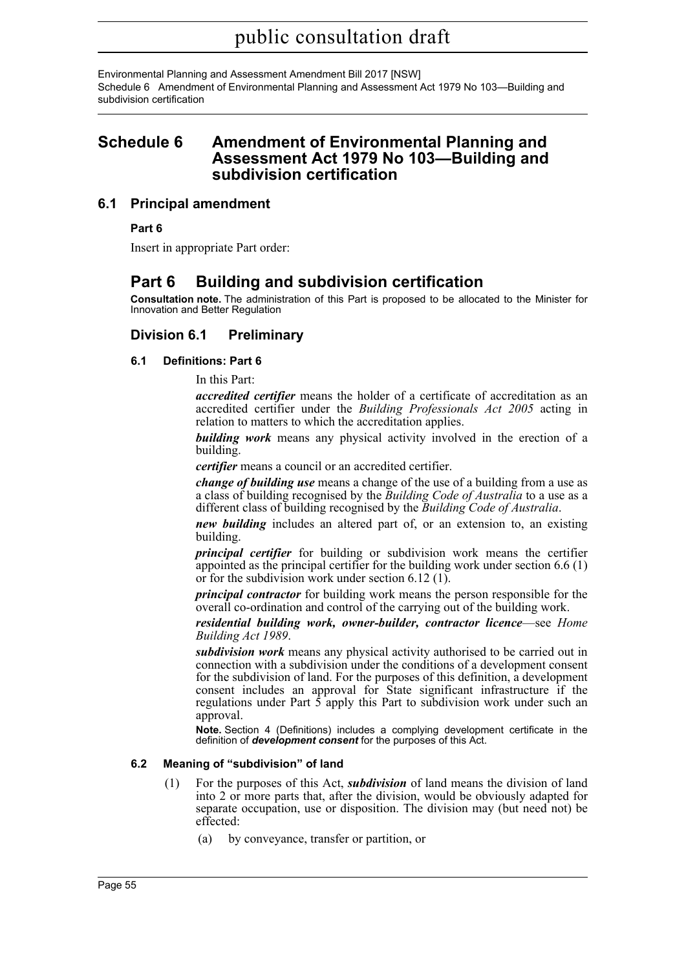Environmental Planning and Assessment Amendment Bill 2017 [NSW] Schedule 6 Amendment of Environmental Planning and Assessment Act 1979 No 103—Building and subdivision certification

## **Schedule 6 Amendment of Environmental Planning and Assessment Act 1979 No 103—Building and subdivision certification**

### **6.1 Principal amendment**

**Part 6**

Insert in appropriate Part order:

## **Part 6 Building and subdivision certification**

**Consultation note.** The administration of this Part is proposed to be allocated to the Minister for Innovation and Better Regulation

### **Division 6.1 Preliminary**

#### **6.1 Definitions: Part 6**

In this Part:

*accredited certifier* means the holder of a certificate of accreditation as an accredited certifier under the *Building Professionals Act 2005* acting in relation to matters to which the accreditation applies.

*building work* means any physical activity involved in the erection of a building.

*certifier* means a council or an accredited certifier.

*change of building use* means a change of the use of a building from a use as a class of building recognised by the *Building Code of Australia* to a use as a different class of building recognised by the *Building Code of Australia*.

*new building* includes an altered part of, or an extension to, an existing building.

*principal certifier* for building or subdivision work means the certifier appointed as the principal certifier for the building work under section 6.6 (1) or for the subdivision work under section 6.12 (1).

*principal contractor* for building work means the person responsible for the overall co-ordination and control of the carrying out of the building work.

*residential building work, owner-builder, contractor licence*—see *Home Building Act 1989*.

*subdivision work* means any physical activity authorised to be carried out in connection with a subdivision under the conditions of a development consent for the subdivision of land. For the purposes of this definition, a development consent includes an approval for State significant infrastructure if the regulations under Part  $\hat{5}$  apply this Part to subdivision work under such an approval.

**Note.** Section 4 (Definitions) includes a complying development certificate in the definition of *development consent* for the purposes of this Act.

#### **6.2 Meaning of "subdivision" of land**

- (1) For the purposes of this Act, *subdivision* of land means the division of land into 2 or more parts that, after the division, would be obviously adapted for separate occupation, use or disposition. The division may (but need not) be effected:
	- (a) by conveyance, transfer or partition, or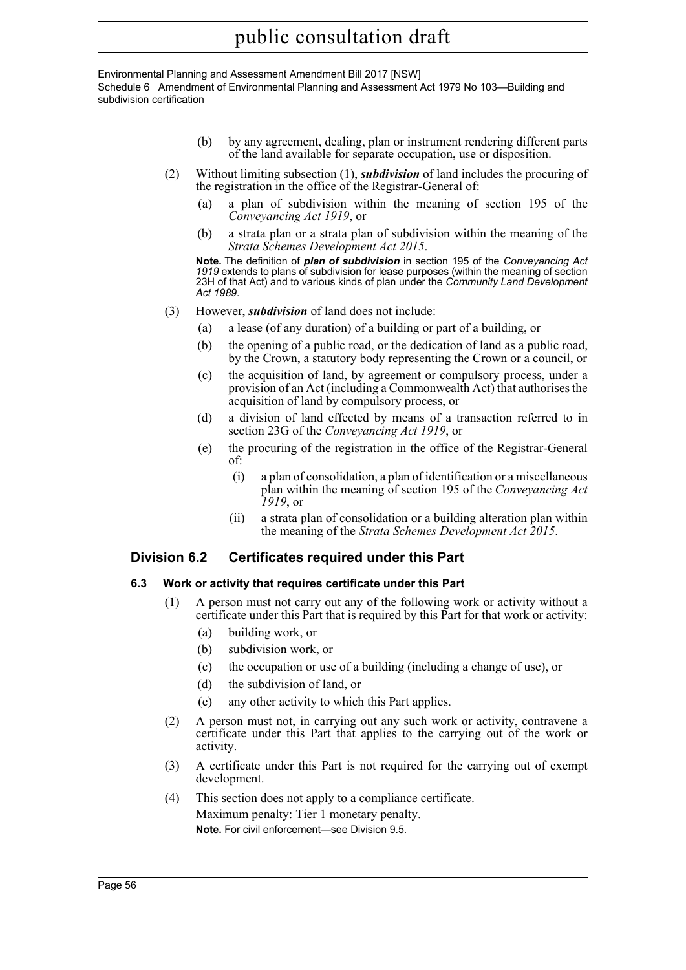Environmental Planning and Assessment Amendment Bill 2017 [NSW] Schedule 6 Amendment of Environmental Planning and Assessment Act 1979 No 103—Building and subdivision certification

- (b) by any agreement, dealing, plan or instrument rendering different parts of the land available for separate occupation, use or disposition.
- (2) Without limiting subsection (1), *subdivision* of land includes the procuring of the registration in the office of the Registrar-General of:
	- (a) a plan of subdivision within the meaning of section 195 of the *Conveyancing Act 1919*, or
	- (b) a strata plan or a strata plan of subdivision within the meaning of the *Strata Schemes Development Act 2015*.

**Note.** The definition of *plan of subdivision* in section 195 of the *Conveyancing Act 1919* extends to plans of subdivision for lease purposes (within the meaning of section 23H of that Act) and to various kinds of plan under the *Community Land Development Act 1989*.

- (3) However, *subdivision* of land does not include:
	- (a) a lease (of any duration) of a building or part of a building, or
	- (b) the opening of a public road, or the dedication of land as a public road, by the Crown, a statutory body representing the Crown or a council, or
	- (c) the acquisition of land, by agreement or compulsory process, under a provision of an Act (including a Commonwealth Act) that authorises the acquisition of land by compulsory process, or
	- (d) a division of land effected by means of a transaction referred to in section 23G of the *Conveyancing Act 1919*, or
	- (e) the procuring of the registration in the office of the Registrar-General of:
		- (i) a plan of consolidation, a plan of identification or a miscellaneous plan within the meaning of section 195 of the *Conveyancing Act 1919*, or
		- (ii) a strata plan of consolidation or a building alteration plan within the meaning of the *Strata Schemes Development Act 2015*.

### **Division 6.2 Certificates required under this Part**

#### **6.3 Work or activity that requires certificate under this Part**

- (1) A person must not carry out any of the following work or activity without a certificate under this Part that is required by this Part for that work or activity:
	- (a) building work, or
	- (b) subdivision work, or
	- (c) the occupation or use of a building (including a change of use), or
	- (d) the subdivision of land, or
	- (e) any other activity to which this Part applies.
- (2) A person must not, in carrying out any such work or activity, contravene a certificate under this Part that applies to the carrying out of the work or activity.
- (3) A certificate under this Part is not required for the carrying out of exempt development.
- (4) This section does not apply to a compliance certificate. Maximum penalty: Tier 1 monetary penalty. **Note.** For civil enforcement—see Division 9.5.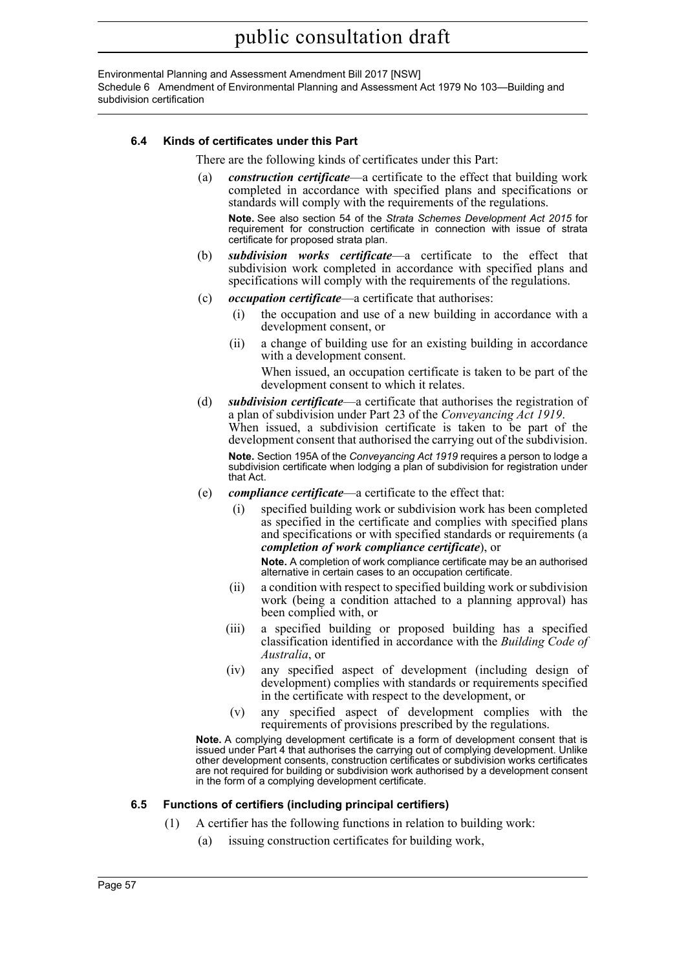Environmental Planning and Assessment Amendment Bill 2017 [NSW] Schedule 6 Amendment of Environmental Planning and Assessment Act 1979 No 103—Building and subdivision certification

#### **6.4 Kinds of certificates under this Part**

There are the following kinds of certificates under this Part:

(a) *construction certificate*—a certificate to the effect that building work completed in accordance with specified plans and specifications or standards will comply with the requirements of the regulations.

**Note.** See also section 54 of the *Strata Schemes Development Act 2015* for requirement for construction certificate in connection with issue of strata certificate for proposed strata plan.

- (b) *subdivision works certificate*—a certificate to the effect that subdivision work completed in accordance with specified plans and specifications will comply with the requirements of the regulations.
- (c) *occupation certificate*—a certificate that authorises:
	- (i) the occupation and use of a new building in accordance with a development consent, or
	- (ii) a change of building use for an existing building in accordance with a development consent.

When issued, an occupation certificate is taken to be part of the development consent to which it relates.

(d) *subdivision certificate*—a certificate that authorises the registration of a plan of subdivision under Part 23 of the *Conveyancing Act 1919*. When issued, a subdivision certificate is taken to be part of the development consent that authorised the carrying out of the subdivision.

**Note.** Section 195A of the *Conveyancing Act 1919* requires a person to lodge a subdivision certificate when lodging a plan of subdivision for registration under that Act.

- (e) *compliance certificate*—a certificate to the effect that:
	- (i) specified building work or subdivision work has been completed as specified in the certificate and complies with specified plans and specifications or with specified standards or requirements (a *completion of work compliance certificate*), or

**Note.** A completion of work compliance certificate may be an authorised alternative in certain cases to an occupation certificate.

- (ii) a condition with respect to specified building work or subdivision work (being a condition attached to a planning approval) has been complied with, or
- (iii) a specified building or proposed building has a specified classification identified in accordance with the *Building Code of Australia*, or
- (iv) any specified aspect of development (including design of development) complies with standards or requirements specified in the certificate with respect to the development, or
- (v) any specified aspect of development complies with the requirements of provisions prescribed by the regulations.

**Note.** A complying development certificate is a form of development consent that is issued under Part 4 that authorises the carrying out of complying development. Unlike other development consents, construction certificates or subdivision works certificates are not required for building or subdivision work authorised by a development consent in the form of a complying development certificate.

#### **6.5 Functions of certifiers (including principal certifiers)**

- (1) A certifier has the following functions in relation to building work:
	- (a) issuing construction certificates for building work,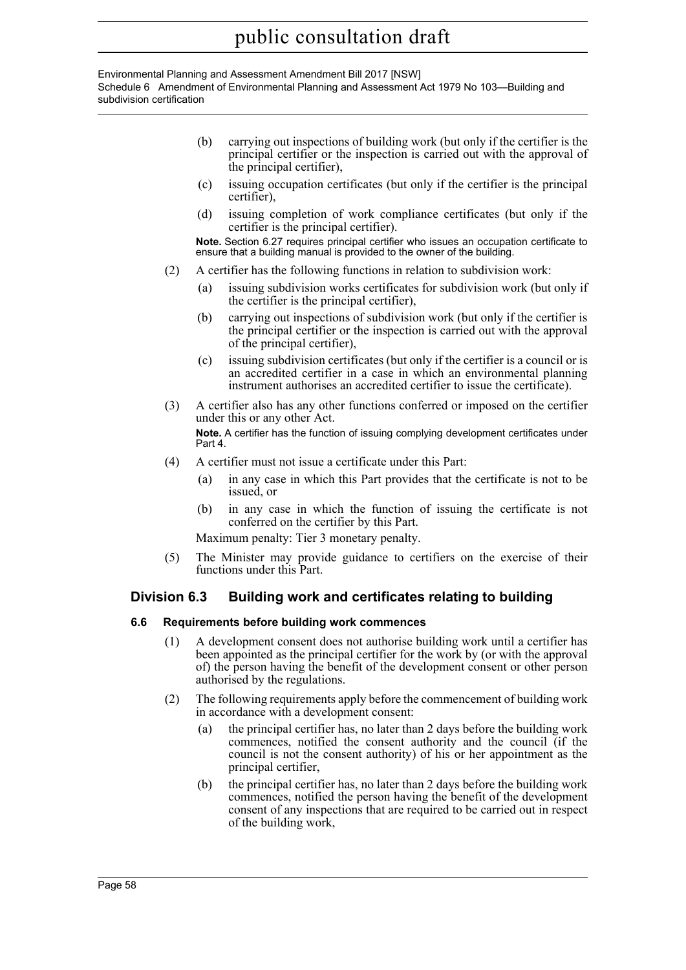#### Environmental Planning and Assessment Amendment Bill 2017 [NSW] Schedule 6 Amendment of Environmental Planning and Assessment Act 1979 No 103—Building and subdivision certification

- (b) carrying out inspections of building work (but only if the certifier is the principal certifier or the inspection is carried out with the approval of the principal certifier),
- (c) issuing occupation certificates (but only if the certifier is the principal certifier),
- (d) issuing completion of work compliance certificates (but only if the certifier is the principal certifier).

**Note.** Section 6.27 requires principal certifier who issues an occupation certificate to ensure that a building manual is provided to the owner of the building.

- (2) A certifier has the following functions in relation to subdivision work:
	- (a) issuing subdivision works certificates for subdivision work (but only if the certifier is the principal certifier),
	- (b) carrying out inspections of subdivision work (but only if the certifier is the principal certifier or the inspection is carried out with the approval of the principal certifier),
	- (c) issuing subdivision certificates (but only if the certifier is a council or is an accredited certifier in a case in which an environmental planning instrument authorises an accredited certifier to issue the certificate).
- (3) A certifier also has any other functions conferred or imposed on the certifier under this or any other Act.

**Note.** A certifier has the function of issuing complying development certificates under Part 4.

- (4) A certifier must not issue a certificate under this Part:
	- (a) in any case in which this Part provides that the certificate is not to be issued, or
	- (b) in any case in which the function of issuing the certificate is not conferred on the certifier by this Part.

Maximum penalty: Tier 3 monetary penalty.

(5) The Minister may provide guidance to certifiers on the exercise of their functions under this Part.

## **Division 6.3 Building work and certificates relating to building**

#### **6.6 Requirements before building work commences**

- (1) A development consent does not authorise building work until a certifier has been appointed as the principal certifier for the work by (or with the approval of) the person having the benefit of the development consent or other person authorised by the regulations.
- (2) The following requirements apply before the commencement of building work in accordance with a development consent:
	- (a) the principal certifier has, no later than 2 days before the building work commences, notified the consent authority and the council (if the council is not the consent authority) of his or her appointment as the principal certifier,
	- (b) the principal certifier has, no later than 2 days before the building work commences, notified the person having the benefit of the development consent of any inspections that are required to be carried out in respect of the building work,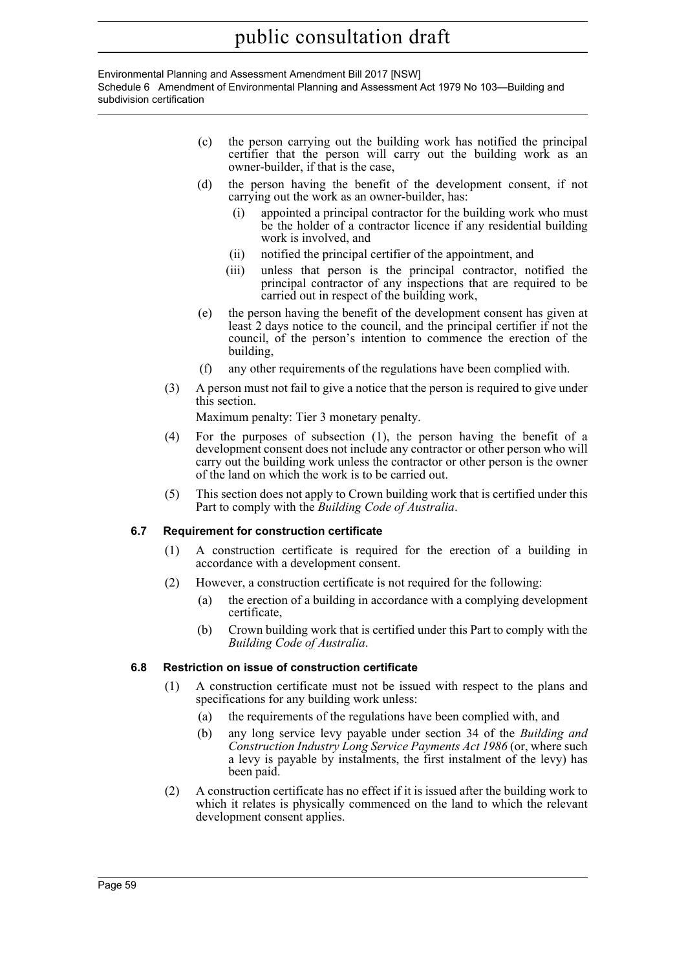Environmental Planning and Assessment Amendment Bill 2017 [NSW] Schedule 6 Amendment of Environmental Planning and Assessment Act 1979 No 103—Building and subdivision certification

- (c) the person carrying out the building work has notified the principal certifier that the person will carry out the building work as an owner-builder, if that is the case,
- (d) the person having the benefit of the development consent, if not carrying out the work as an owner-builder, has:
	- (i) appointed a principal contractor for the building work who must be the holder of a contractor licence if any residential building work is involved, and
	- (ii) notified the principal certifier of the appointment, and
	- (iii) unless that person is the principal contractor, notified the principal contractor of any inspections that are required to be carried out in respect of the building work,
- (e) the person having the benefit of the development consent has given at least 2 days notice to the council, and the principal certifier if not the council, of the person's intention to commence the erection of the building,
- (f) any other requirements of the regulations have been complied with.
- (3) A person must not fail to give a notice that the person is required to give under this section.

Maximum penalty: Tier 3 monetary penalty.

- (4) For the purposes of subsection (1), the person having the benefit of a development consent does not include any contractor or other person who will carry out the building work unless the contractor or other person is the owner of the land on which the work is to be carried out.
- (5) This section does not apply to Crown building work that is certified under this Part to comply with the *Building Code of Australia*.

### **6.7 Requirement for construction certificate**

- (1) A construction certificate is required for the erection of a building in accordance with a development consent.
- (2) However, a construction certificate is not required for the following:
	- (a) the erection of a building in accordance with a complying development certificate,
	- (b) Crown building work that is certified under this Part to comply with the *Building Code of Australia*.

### **6.8 Restriction on issue of construction certificate**

- (1) A construction certificate must not be issued with respect to the plans and specifications for any building work unless:
	- (a) the requirements of the regulations have been complied with, and
	- (b) any long service levy payable under section 34 of the *Building and Construction Industry Long Service Payments Act 1986* (or, where such a levy is payable by instalments, the first instalment of the levy) has been paid.
- (2) A construction certificate has no effect if it is issued after the building work to which it relates is physically commenced on the land to which the relevant development consent applies.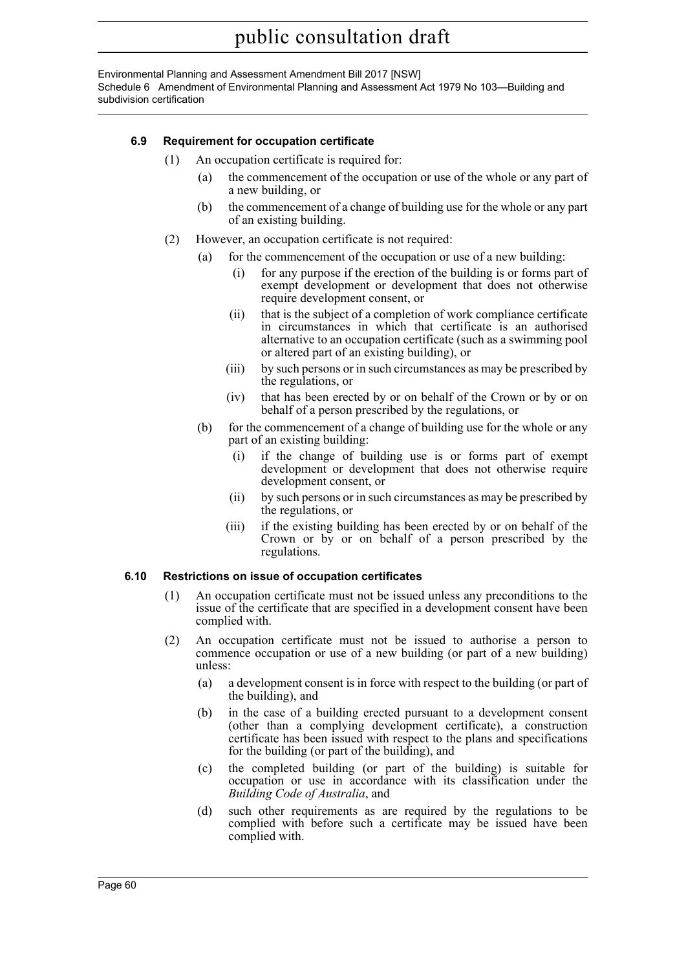Environmental Planning and Assessment Amendment Bill 2017 [NSW] Schedule 6 Amendment of Environmental Planning and Assessment Act 1979 No 103—Building and subdivision certification

#### **6.9 Requirement for occupation certificate**

- (1) An occupation certificate is required for:
	- (a) the commencement of the occupation or use of the whole or any part of a new building, or
	- (b) the commencement of a change of building use for the whole or any part of an existing building.
- (2) However, an occupation certificate is not required:
	- (a) for the commencement of the occupation or use of a new building:
		- for any purpose if the erection of the building is or forms part of exempt development or development that does not otherwise require development consent, or
		- (ii) that is the subject of a completion of work compliance certificate in circumstances in which that certificate is an authorised alternative to an occupation certificate (such as a swimming pool or altered part of an existing building), or
		- (iii) by such persons or in such circumstances as may be prescribed by the regulations, or
		- (iv) that has been erected by or on behalf of the Crown or by or on behalf of a person prescribed by the regulations, or
	- (b) for the commencement of a change of building use for the whole or any part of an existing building:
		- (i) if the change of building use is or forms part of exempt development or development that does not otherwise require development consent, or
		- (ii) by such persons or in such circumstances as may be prescribed by the regulations, or
		- (iii) if the existing building has been erected by or on behalf of the Crown or by or on behalf of a person prescribed by the regulations.

#### **6.10 Restrictions on issue of occupation certificates**

- (1) An occupation certificate must not be issued unless any preconditions to the issue of the certificate that are specified in a development consent have been complied with.
- (2) An occupation certificate must not be issued to authorise a person to commence occupation or use of a new building (or part of a new building) unless:
	- (a) a development consent is in force with respect to the building (or part of the building), and
	- (b) in the case of a building erected pursuant to a development consent (other than a complying development certificate), a construction certificate has been issued with respect to the plans and specifications for the building (or part of the building), and
	- (c) the completed building (or part of the building) is suitable for occupation or use in accordance with its classification under the *Building Code of Australia*, and
	- (d) such other requirements as are required by the regulations to be complied with before such a certificate may be issued have been complied with.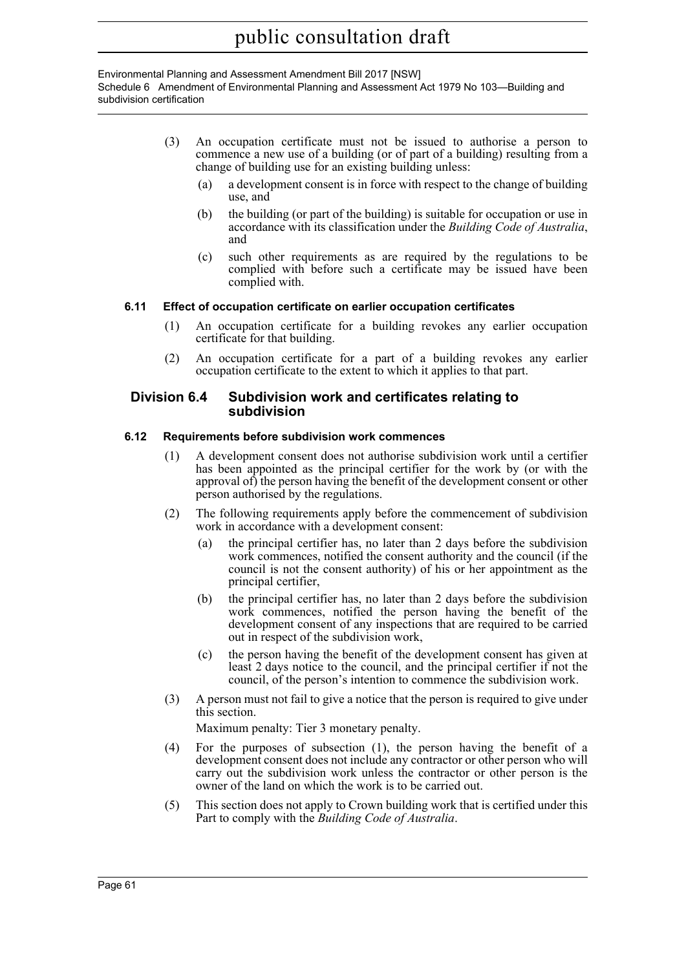Environmental Planning and Assessment Amendment Bill 2017 [NSW] Schedule 6 Amendment of Environmental Planning and Assessment Act 1979 No 103—Building and subdivision certification

- (3) An occupation certificate must not be issued to authorise a person to commence a new use of a building (or of part of a building) resulting from a change of building use for an existing building unless:
	- (a) a development consent is in force with respect to the change of building use, and
	- (b) the building (or part of the building) is suitable for occupation or use in accordance with its classification under the *Building Code of Australia*, and
	- (c) such other requirements as are required by the regulations to be complied with before such a certificate may be issued have been complied with.

#### **6.11 Effect of occupation certificate on earlier occupation certificates**

- (1) An occupation certificate for a building revokes any earlier occupation certificate for that building.
- (2) An occupation certificate for a part of a building revokes any earlier occupation certificate to the extent to which it applies to that part.

#### **Division 6.4 Subdivision work and certificates relating to subdivision**

#### **6.12 Requirements before subdivision work commences**

- (1) A development consent does not authorise subdivision work until a certifier has been appointed as the principal certifier for the work by (or with the approval of) the person having the benefit of the development consent or other person authorised by the regulations.
- (2) The following requirements apply before the commencement of subdivision work in accordance with a development consent:
	- (a) the principal certifier has, no later than 2 days before the subdivision work commences, notified the consent authority and the council (if the council is not the consent authority) of his or her appointment as the principal certifier,
	- (b) the principal certifier has, no later than 2 days before the subdivision work commences, notified the person having the benefit of the development consent of any inspections that are required to be carried out in respect of the subdivision work,
	- (c) the person having the benefit of the development consent has given at least 2 days notice to the council, and the principal certifier if not the council, of the person's intention to commence the subdivision work.
- (3) A person must not fail to give a notice that the person is required to give under this section.

Maximum penalty: Tier 3 monetary penalty.

- (4) For the purposes of subsection (1), the person having the benefit of a development consent does not include any contractor or other person who will carry out the subdivision work unless the contractor or other person is the owner of the land on which the work is to be carried out.
- (5) This section does not apply to Crown building work that is certified under this Part to comply with the *Building Code of Australia*.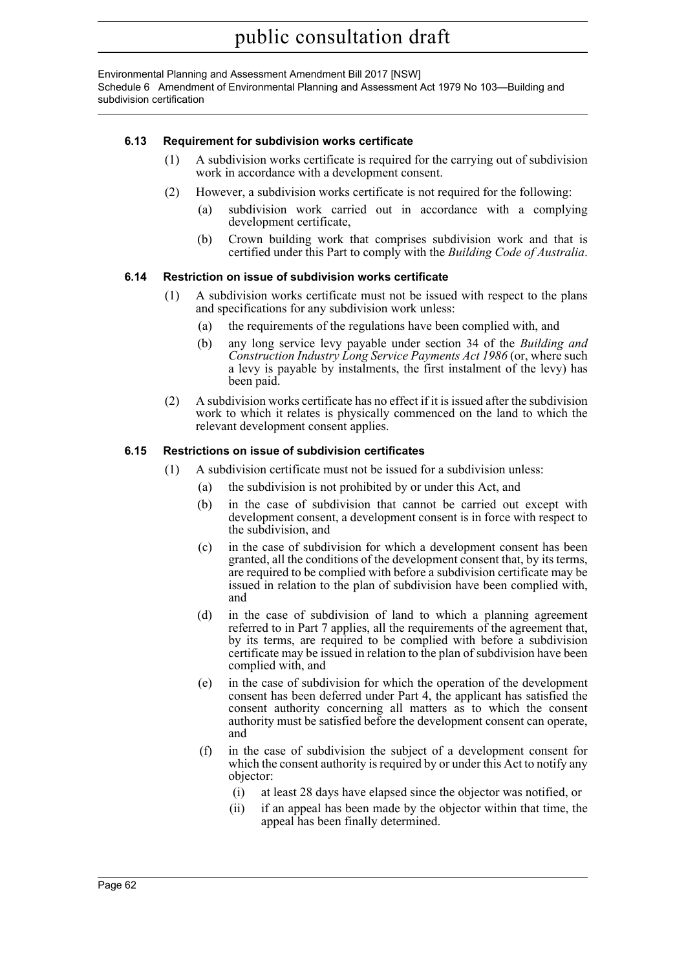Environmental Planning and Assessment Amendment Bill 2017 [NSW] Schedule 6 Amendment of Environmental Planning and Assessment Act 1979 No 103—Building and subdivision certification

#### **6.13 Requirement for subdivision works certificate**

- (1) A subdivision works certificate is required for the carrying out of subdivision work in accordance with a development consent.
- (2) However, a subdivision works certificate is not required for the following:
	- (a) subdivision work carried out in accordance with a complying development certificate,
	- (b) Crown building work that comprises subdivision work and that is certified under this Part to comply with the *Building Code of Australia*.

#### **6.14 Restriction on issue of subdivision works certificate**

- (1) A subdivision works certificate must not be issued with respect to the plans and specifications for any subdivision work unless:
	- (a) the requirements of the regulations have been complied with, and
	- (b) any long service levy payable under section 34 of the *Building and Construction Industry Long Service Payments Act 1986* (or, where such a levy is payable by instalments, the first instalment of the levy) has been paid.
- (2) A subdivision works certificate has no effect if it is issued after the subdivision work to which it relates is physically commenced on the land to which the relevant development consent applies.

#### **6.15 Restrictions on issue of subdivision certificates**

- (1) A subdivision certificate must not be issued for a subdivision unless:
	- (a) the subdivision is not prohibited by or under this Act, and
	- (b) in the case of subdivision that cannot be carried out except with development consent, a development consent is in force with respect to the subdivision, and
	- (c) in the case of subdivision for which a development consent has been granted, all the conditions of the development consent that, by its terms, are required to be complied with before a subdivision certificate may be issued in relation to the plan of subdivision have been complied with, and
	- (d) in the case of subdivision of land to which a planning agreement referred to in Part 7 applies, all the requirements of the agreement that, by its terms, are required to be complied with before a subdivision certificate may be issued in relation to the plan of subdivision have been complied with, and
	- (e) in the case of subdivision for which the operation of the development consent has been deferred under Part 4, the applicant has satisfied the consent authority concerning all matters as to which the consent authority must be satisfied before the development consent can operate, and
	- (f) in the case of subdivision the subject of a development consent for which the consent authority is required by or under this Act to notify any objector:
		- (i) at least 28 days have elapsed since the objector was notified, or
		- (ii) if an appeal has been made by the objector within that time, the appeal has been finally determined.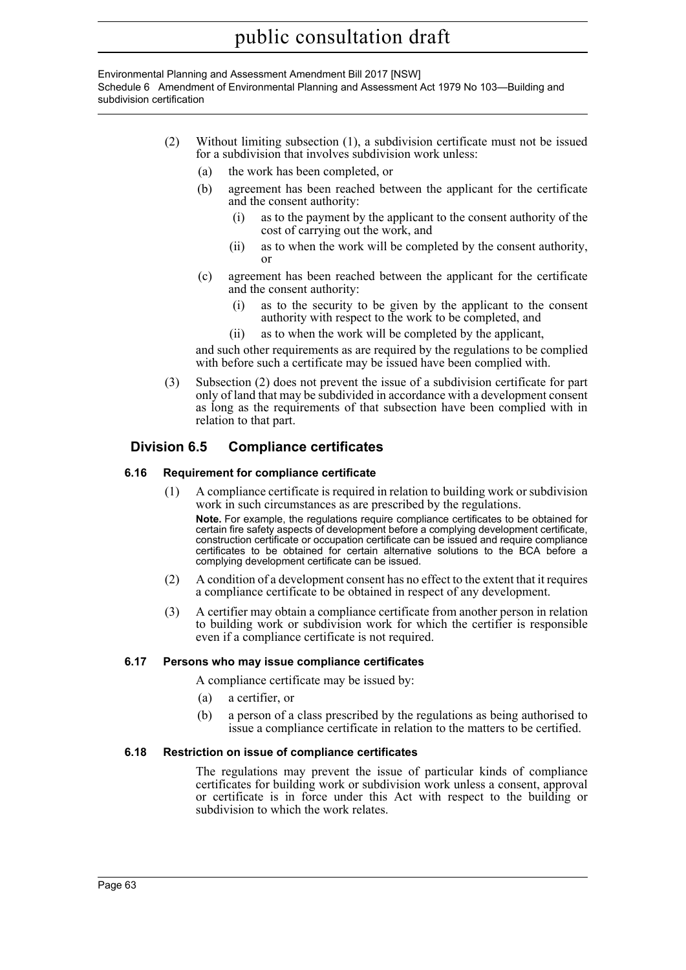Environmental Planning and Assessment Amendment Bill 2017 [NSW] Schedule 6 Amendment of Environmental Planning and Assessment Act 1979 No 103—Building and subdivision certification

- (2) Without limiting subsection (1), a subdivision certificate must not be issued for a subdivision that involves subdivision work unless:
	- (a) the work has been completed, or
	- (b) agreement has been reached between the applicant for the certificate and the consent authority:
		- (i) as to the payment by the applicant to the consent authority of the cost of carrying out the work, and
		- (ii) as to when the work will be completed by the consent authority, or
	- (c) agreement has been reached between the applicant for the certificate and the consent authority:
		- (i) as to the security to be given by the applicant to the consent authority with respect to the work to be completed, and
		- (ii) as to when the work will be completed by the applicant,

and such other requirements as are required by the regulations to be complied with before such a certificate may be issued have been complied with.

(3) Subsection (2) does not prevent the issue of a subdivision certificate for part only of land that may be subdivided in accordance with a development consent as long as the requirements of that subsection have been complied with in relation to that part.

### **Division 6.5 Compliance certificates**

#### **6.16 Requirement for compliance certificate**

(1) A compliance certificate is required in relation to building work or subdivision work in such circumstances as are prescribed by the regulations.

**Note.** For example, the regulations require compliance certificates to be obtained for certain fire safety aspects of development before a complying development certificate, construction certificate or occupation certificate can be issued and require compliance certificates to be obtained for certain alternative solutions to the BCA before a complying development certificate can be issued.

- (2) A condition of a development consent has no effect to the extent that it requires a compliance certificate to be obtained in respect of any development.
- (3) A certifier may obtain a compliance certificate from another person in relation to building work or subdivision work for which the certifier is responsible even if a compliance certificate is not required.

#### **6.17 Persons who may issue compliance certificates**

A compliance certificate may be issued by:

- (a) a certifier, or
- (b) a person of a class prescribed by the regulations as being authorised to issue a compliance certificate in relation to the matters to be certified.

#### **6.18 Restriction on issue of compliance certificates**

The regulations may prevent the issue of particular kinds of compliance certificates for building work or subdivision work unless a consent, approval or certificate is in force under this Act with respect to the building or subdivision to which the work relates.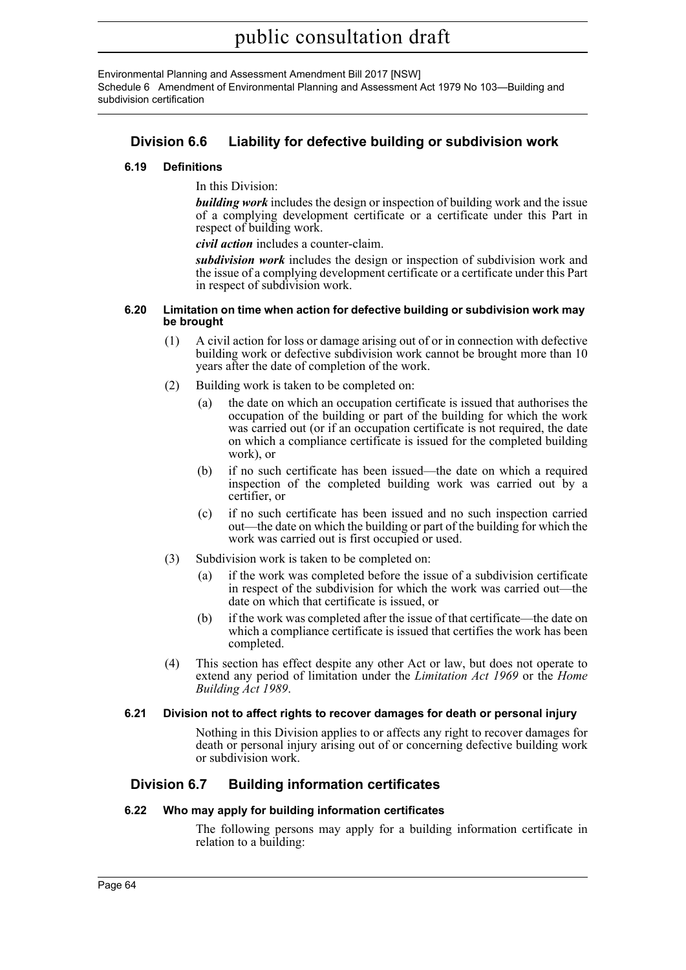Environmental Planning and Assessment Amendment Bill 2017 [NSW] Schedule 6 Amendment of Environmental Planning and Assessment Act 1979 No 103—Building and subdivision certification

## **Division 6.6 Liability for defective building or subdivision work**

#### **6.19 Definitions**

In this Division:

*building work* includes the design or inspection of building work and the issue of a complying development certificate or a certificate under this Part in respect of building work.

*civil action* includes a counter-claim.

*subdivision work* includes the design or inspection of subdivision work and the issue of a complying development certificate or a certificate under this Part in respect of subdivision work.

#### **6.20 Limitation on time when action for defective building or subdivision work may be brought**

- (1) A civil action for loss or damage arising out of or in connection with defective building work or defective subdivision work cannot be brought more than 10 years after the date of completion of the work.
- (2) Building work is taken to be completed on:
	- (a) the date on which an occupation certificate is issued that authorises the occupation of the building or part of the building for which the work was carried out (or if an occupation certificate is not required, the date on which a compliance certificate is issued for the completed building work), or
	- (b) if no such certificate has been issued—the date on which a required inspection of the completed building work was carried out by a certifier, or
	- (c) if no such certificate has been issued and no such inspection carried out—the date on which the building or part of the building for which the work was carried out is first occupied or used.
- (3) Subdivision work is taken to be completed on:
	- (a) if the work was completed before the issue of a subdivision certificate in respect of the subdivision for which the work was carried out—the date on which that certificate is issued, or
	- (b) if the work was completed after the issue of that certificate—the date on which a compliance certificate is issued that certifies the work has been completed.
- (4) This section has effect despite any other Act or law, but does not operate to extend any period of limitation under the *Limitation Act 1969* or the *Home Building Act 1989*.

#### **6.21 Division not to affect rights to recover damages for death or personal injury**

Nothing in this Division applies to or affects any right to recover damages for death or personal injury arising out of or concerning defective building work or subdivision work.

## **Division 6.7 Building information certificates**

#### **6.22 Who may apply for building information certificates**

The following persons may apply for a building information certificate in relation to a building: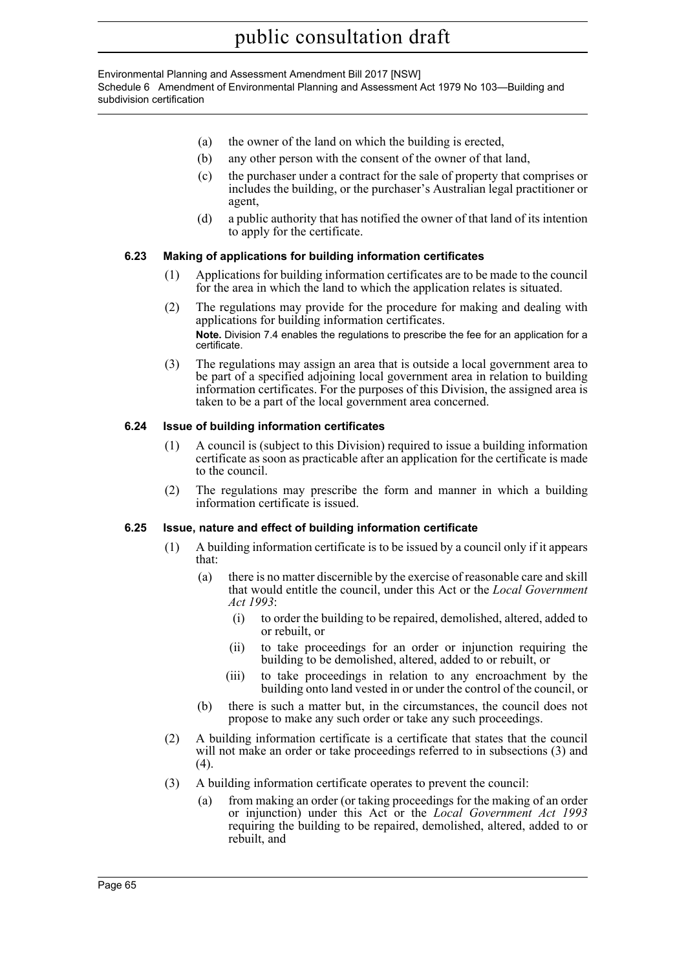Environmental Planning and Assessment Amendment Bill 2017 [NSW] Schedule 6 Amendment of Environmental Planning and Assessment Act 1979 No 103—Building and subdivision certification

- (a) the owner of the land on which the building is erected,
- (b) any other person with the consent of the owner of that land,
- (c) the purchaser under a contract for the sale of property that comprises or includes the building, or the purchaser's Australian legal practitioner or agent,
- (d) a public authority that has notified the owner of that land of its intention to apply for the certificate.

#### **6.23 Making of applications for building information certificates**

- (1) Applications for building information certificates are to be made to the council for the area in which the land to which the application relates is situated.
- (2) The regulations may provide for the procedure for making and dealing with applications for building information certificates. **Note.** Division 7.4 enables the regulations to prescribe the fee for an application for a certificate.
- (3) The regulations may assign an area that is outside a local government area to be part of a specified adjoining local government area in relation to building information certificates. For the purposes of this Division, the assigned area is taken to be a part of the local government area concerned.

#### **6.24 Issue of building information certificates**

- (1) A council is (subject to this Division) required to issue a building information certificate as soon as practicable after an application for the certificate is made to the council.
- (2) The regulations may prescribe the form and manner in which a building information certificate is issued.

#### **6.25 Issue, nature and effect of building information certificate**

- (1) A building information certificate is to be issued by a council only if it appears that:
	- (a) there is no matter discernible by the exercise of reasonable care and skill that would entitle the council, under this Act or the *Local Government Act 1993*:
		- (i) to order the building to be repaired, demolished, altered, added to or rebuilt, or
		- (ii) to take proceedings for an order or injunction requiring the building to be demolished, altered, added to or rebuilt, or
		- (iii) to take proceedings in relation to any encroachment by the building onto land vested in or under the control of the council, or
	- (b) there is such a matter but, in the circumstances, the council does not propose to make any such order or take any such proceedings.
- (2) A building information certificate is a certificate that states that the council will not make an order or take proceedings referred to in subsections (3) and (4).
- (3) A building information certificate operates to prevent the council:
	- (a) from making an order (or taking proceedings for the making of an order or injunction) under this Act or the *Local Government Act 1993* requiring the building to be repaired, demolished, altered, added to or rebuilt, and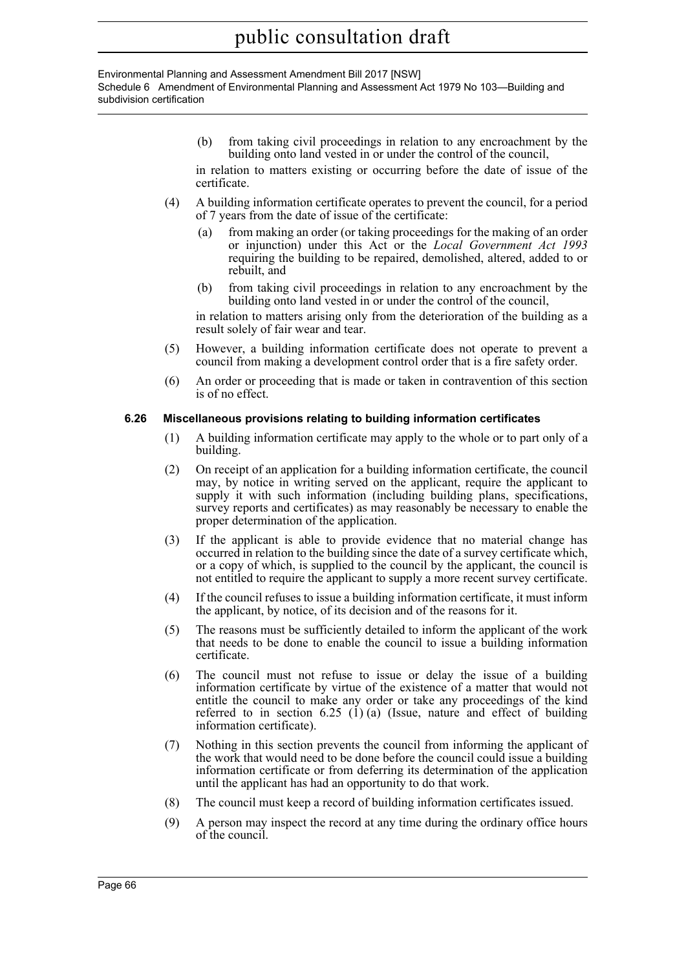Environmental Planning and Assessment Amendment Bill 2017 [NSW] Schedule 6 Amendment of Environmental Planning and Assessment Act 1979 No 103—Building and subdivision certification

> (b) from taking civil proceedings in relation to any encroachment by the building onto land vested in or under the control of the council,

> in relation to matters existing or occurring before the date of issue of the certificate.

- (4) A building information certificate operates to prevent the council, for a period of 7 years from the date of issue of the certificate:
	- (a) from making an order (or taking proceedings for the making of an order or injunction) under this Act or the *Local Government Act 1993* requiring the building to be repaired, demolished, altered, added to or rebuilt, and
	- (b) from taking civil proceedings in relation to any encroachment by the building onto land vested in or under the control of the council,

in relation to matters arising only from the deterioration of the building as a result solely of fair wear and tear.

- (5) However, a building information certificate does not operate to prevent a council from making a development control order that is a fire safety order.
- (6) An order or proceeding that is made or taken in contravention of this section is of no effect.

#### **6.26 Miscellaneous provisions relating to building information certificates**

- (1) A building information certificate may apply to the whole or to part only of a building.
- (2) On receipt of an application for a building information certificate, the council may, by notice in writing served on the applicant, require the applicant to supply it with such information (including building plans, specifications, survey reports and certificates) as may reasonably be necessary to enable the proper determination of the application.
- (3) If the applicant is able to provide evidence that no material change has occurred in relation to the building since the date of a survey certificate which, or a copy of which, is supplied to the council by the applicant, the council is not entitled to require the applicant to supply a more recent survey certificate.
- (4) If the council refuses to issue a building information certificate, it must inform the applicant, by notice, of its decision and of the reasons for it.
- (5) The reasons must be sufficiently detailed to inform the applicant of the work that needs to be done to enable the council to issue a building information certificate.
- (6) The council must not refuse to issue or delay the issue of a building information certificate by virtue of the existence of a matter that would not entitle the council to make any order or take any proceedings of the kind referred to in section  $6.25$  (1) (a) (Issue, nature and effect of building information certificate).
- (7) Nothing in this section prevents the council from informing the applicant of the work that would need to be done before the council could issue a building information certificate or from deferring its determination of the application until the applicant has had an opportunity to do that work.
- (8) The council must keep a record of building information certificates issued.
- (9) A person may inspect the record at any time during the ordinary office hours of the council.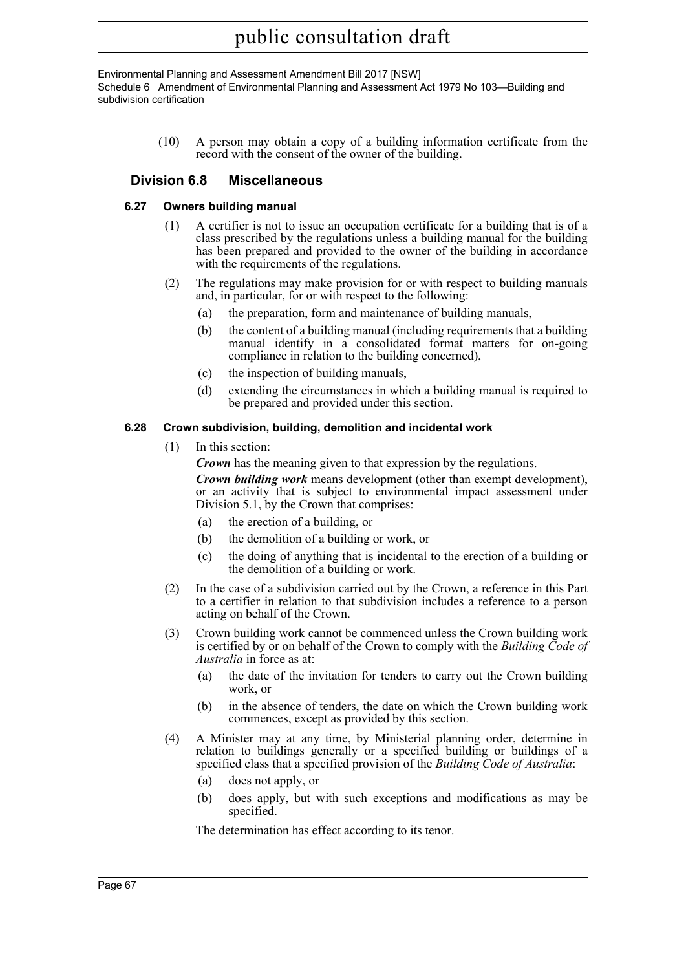Environmental Planning and Assessment Amendment Bill 2017 [NSW] Schedule 6 Amendment of Environmental Planning and Assessment Act 1979 No 103—Building and subdivision certification

> (10) A person may obtain a copy of a building information certificate from the record with the consent of the owner of the building.

## **Division 6.8 Miscellaneous**

#### **6.27 Owners building manual**

- (1) A certifier is not to issue an occupation certificate for a building that is of a class prescribed by the regulations unless a building manual for the building has been prepared and provided to the owner of the building in accordance with the requirements of the regulations.
- (2) The regulations may make provision for or with respect to building manuals and, in particular, for or with respect to the following:
	- (a) the preparation, form and maintenance of building manuals,
	- (b) the content of a building manual (including requirements that a building manual identify in a consolidated format matters for on-going compliance in relation to the building concerned),
	- (c) the inspection of building manuals,
	- (d) extending the circumstances in which a building manual is required to be prepared and provided under this section.

#### **6.28 Crown subdivision, building, demolition and incidental work**

(1) In this section:

*Crown* has the meaning given to that expression by the regulations.

*Crown building work* means development (other than exempt development), or an activity that is subject to environmental impact assessment under Division 5.1, by the Crown that comprises:

- (a) the erection of a building, or
- (b) the demolition of a building or work, or
- (c) the doing of anything that is incidental to the erection of a building or the demolition of a building or work.
- (2) In the case of a subdivision carried out by the Crown, a reference in this Part to a certifier in relation to that subdivision includes a reference to a person acting on behalf of the Crown.
- (3) Crown building work cannot be commenced unless the Crown building work is certified by or on behalf of the Crown to comply with the *Building Code of Australia* in force as at:
	- (a) the date of the invitation for tenders to carry out the Crown building work, or
	- (b) in the absence of tenders, the date on which the Crown building work commences, except as provided by this section.
- (4) A Minister may at any time, by Ministerial planning order, determine in relation to buildings generally or a specified building or buildings of a specified class that a specified provision of the *Building Code of Australia*:
	- (a) does not apply, or
	- (b) does apply, but with such exceptions and modifications as may be specified.

The determination has effect according to its tenor.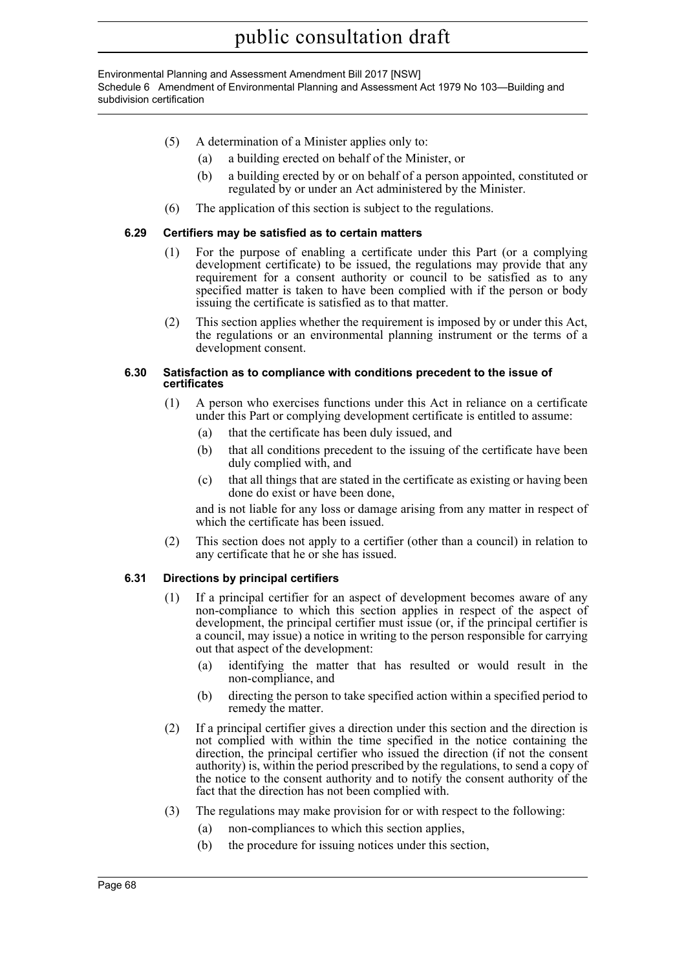#### Environmental Planning and Assessment Amendment Bill 2017 [NSW] Schedule 6 Amendment of Environmental Planning and Assessment Act 1979 No 103—Building and subdivision certification

- (5) A determination of a Minister applies only to:
	- (a) a building erected on behalf of the Minister, or
	- (b) a building erected by or on behalf of a person appointed, constituted or regulated by or under an Act administered by the Minister.
- (6) The application of this section is subject to the regulations.

#### **6.29 Certifiers may be satisfied as to certain matters**

- (1) For the purpose of enabling a certificate under this Part (or a complying development certificate) to be issued, the regulations may provide that any requirement for a consent authority or council to be satisfied as to any specified matter is taken to have been complied with if the person or body issuing the certificate is satisfied as to that matter.
- (2) This section applies whether the requirement is imposed by or under this Act, the regulations or an environmental planning instrument or the terms of a development consent.

#### **6.30 Satisfaction as to compliance with conditions precedent to the issue of certificates**

- (1) A person who exercises functions under this Act in reliance on a certificate under this Part or complying development certificate is entitled to assume:
	- (a) that the certificate has been duly issued, and
	- (b) that all conditions precedent to the issuing of the certificate have been duly complied with, and
	- (c) that all things that are stated in the certificate as existing or having been done do exist or have been done,

and is not liable for any loss or damage arising from any matter in respect of which the certificate has been issued.

(2) This section does not apply to a certifier (other than a council) in relation to any certificate that he or she has issued.

#### **6.31 Directions by principal certifiers**

- (1) If a principal certifier for an aspect of development becomes aware of any non-compliance to which this section applies in respect of the aspect of development, the principal certifier must issue (or, if the principal certifier is a council, may issue) a notice in writing to the person responsible for carrying out that aspect of the development:
	- (a) identifying the matter that has resulted or would result in the non-compliance, and
	- (b) directing the person to take specified action within a specified period to remedy the matter.
- (2) If a principal certifier gives a direction under this section and the direction is not complied with within the time specified in the notice containing the direction, the principal certifier who issued the direction (if not the consent authority) is, within the period prescribed by the regulations, to send a copy of the notice to the consent authority and to notify the consent authority of the fact that the direction has not been complied with.
- (3) The regulations may make provision for or with respect to the following:
	- (a) non-compliances to which this section applies,
	- (b) the procedure for issuing notices under this section,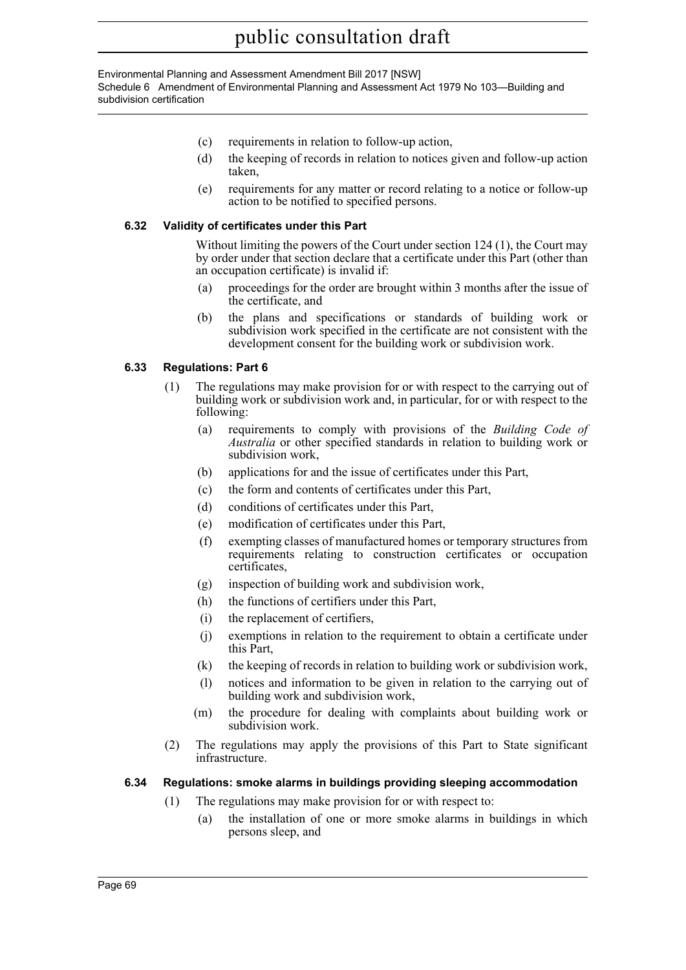#### Environmental Planning and Assessment Amendment Bill 2017 [NSW] Schedule 6 Amendment of Environmental Planning and Assessment Act 1979 No 103—Building and subdivision certification

- (c) requirements in relation to follow-up action,
- (d) the keeping of records in relation to notices given and follow-up action taken,
- (e) requirements for any matter or record relating to a notice or follow-up action to be notified to specified persons.

#### **6.32 Validity of certificates under this Part**

Without limiting the powers of the Court under section 124 (1), the Court may by order under that section declare that a certificate under this Part (other than an occupation certificate) is invalid if:

- (a) proceedings for the order are brought within 3 months after the issue of the certificate, and
- (b) the plans and specifications or standards of building work or subdivision work specified in the certificate are not consistent with the development consent for the building work or subdivision work.

#### **6.33 Regulations: Part 6**

- (1) The regulations may make provision for or with respect to the carrying out of building work or subdivision work and, in particular, for or with respect to the following:
	- (a) requirements to comply with provisions of the *Building Code of Australia* or other specified standards in relation to building work or subdivision work,
	- (b) applications for and the issue of certificates under this Part,
	- (c) the form and contents of certificates under this Part,
	- (d) conditions of certificates under this Part,
	- (e) modification of certificates under this Part,
	- (f) exempting classes of manufactured homes or temporary structures from requirements relating to construction certificates or occupation certificates,
	- (g) inspection of building work and subdivision work,
	- (h) the functions of certifiers under this Part,
	- (i) the replacement of certifiers,
	- (j) exemptions in relation to the requirement to obtain a certificate under this Part,
	- (k) the keeping of records in relation to building work or subdivision work,
	- (l) notices and information to be given in relation to the carrying out of building work and subdivision work,
	- (m) the procedure for dealing with complaints about building work or subdivision work.
- (2) The regulations may apply the provisions of this Part to State significant infrastructure.

#### **6.34 Regulations: smoke alarms in buildings providing sleeping accommodation**

- (1) The regulations may make provision for or with respect to:
	- (a) the installation of one or more smoke alarms in buildings in which persons sleep, and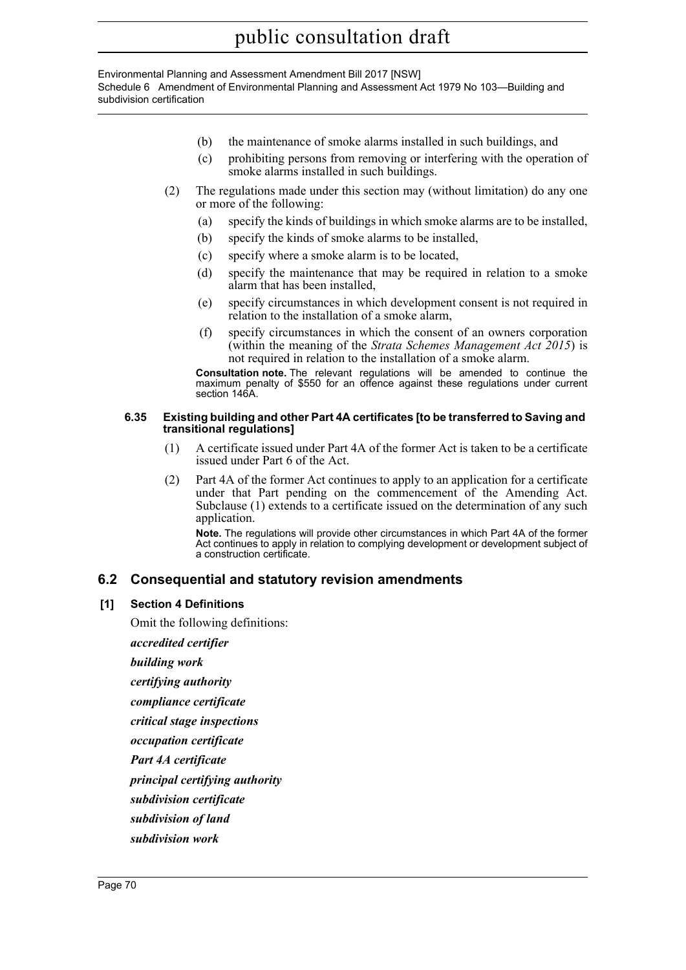Environmental Planning and Assessment Amendment Bill 2017 [NSW] Schedule 6 Amendment of Environmental Planning and Assessment Act 1979 No 103—Building and subdivision certification

- (b) the maintenance of smoke alarms installed in such buildings, and
- (c) prohibiting persons from removing or interfering with the operation of smoke alarms installed in such buildings.
- (2) The regulations made under this section may (without limitation) do any one or more of the following:
	- (a) specify the kinds of buildings in which smoke alarms are to be installed,
	- (b) specify the kinds of smoke alarms to be installed,
	- (c) specify where a smoke alarm is to be located,
	- (d) specify the maintenance that may be required in relation to a smoke alarm that has been installed,
	- (e) specify circumstances in which development consent is not required in relation to the installation of a smoke alarm,
	- (f) specify circumstances in which the consent of an owners corporation (within the meaning of the *Strata Schemes Management Act 2015*) is not required in relation to the installation of a smoke alarm.

**Consultation note.** The relevant regulations will be amended to continue the maximum penalty of \$550 for an offence against these regulations under current section 146A.

#### **6.35 Existing building and other Part 4A certificates [to be transferred to Saving and transitional regulations]**

- (1) A certificate issued under Part 4A of the former Act is taken to be a certificate issued under Part 6 of the Act.
- (2) Part 4A of the former Act continues to apply to an application for a certificate under that Part pending on the commencement of the Amending Act. Subclause (1) extends to a certificate issued on the determination of any such application.

**Note.** The regulations will provide other circumstances in which Part 4A of the former Act continues to apply in relation to complying development or development subject of a construction certificate.

### **6.2 Consequential and statutory revision amendments**

#### **[1] Section 4 Definitions**

Omit the following definitions:

*accredited certifier*

*building work*

*certifying authority*

*compliance certificate*

*critical stage inspections*

*occupation certificate*

*Part 4A certificate*

*principal certifying authority*

- *subdivision certificate*
- *subdivision of land*
- *subdivision work*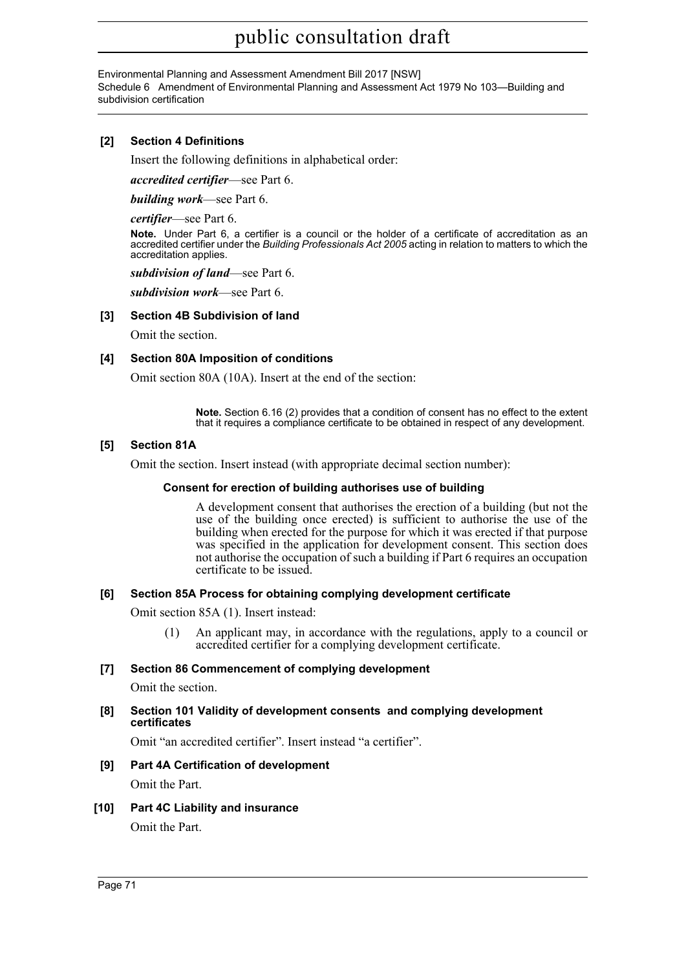Environmental Planning and Assessment Amendment Bill 2017 [NSW] Schedule 6 Amendment of Environmental Planning and Assessment Act 1979 No 103—Building and subdivision certification

#### **[2] Section 4 Definitions**

Insert the following definitions in alphabetical order:

*accredited certifier*—see Part 6.

*building work*—see Part 6.

*certifier*—see Part 6.

**Note.** Under Part 6, a certifier is a council or the holder of a certificate of accreditation as an accredited certifier under the *Building Professionals Act 2005* acting in relation to matters to which the accreditation applies.

*subdivision of land*—see Part 6.

*subdivision work*—see Part 6.

#### **[3] Section 4B Subdivision of land**

Omit the section.

#### **[4] Section 80A Imposition of conditions**

Omit section 80A (10A). Insert at the end of the section:

**Note.** Section 6.16 (2) provides that a condition of consent has no effect to the extent that it requires a compliance certificate to be obtained in respect of any development.

#### **[5] Section 81A**

Omit the section. Insert instead (with appropriate decimal section number):

#### **Consent for erection of building authorises use of building**

A development consent that authorises the erection of a building (but not the use of the building once erected) is sufficient to authorise the use of the building when erected for the purpose for which it was erected if that purpose was specified in the application for development consent. This section does not authorise the occupation of such a building if Part 6 requires an occupation certificate to be issued.

#### **[6] Section 85A Process for obtaining complying development certificate**

Omit section 85A (1). Insert instead:

(1) An applicant may, in accordance with the regulations, apply to a council or accredited certifier for a complying development certificate.

#### **[7] Section 86 Commencement of complying development**

Omit the section.

#### **[8] Section 101 Validity of development consents and complying development certificates**

Omit "an accredited certifier". Insert instead "a certifier".

## **[9] Part 4A Certification of development**

Omit the Part.

**[10] Part 4C Liability and insurance** Omit the Part.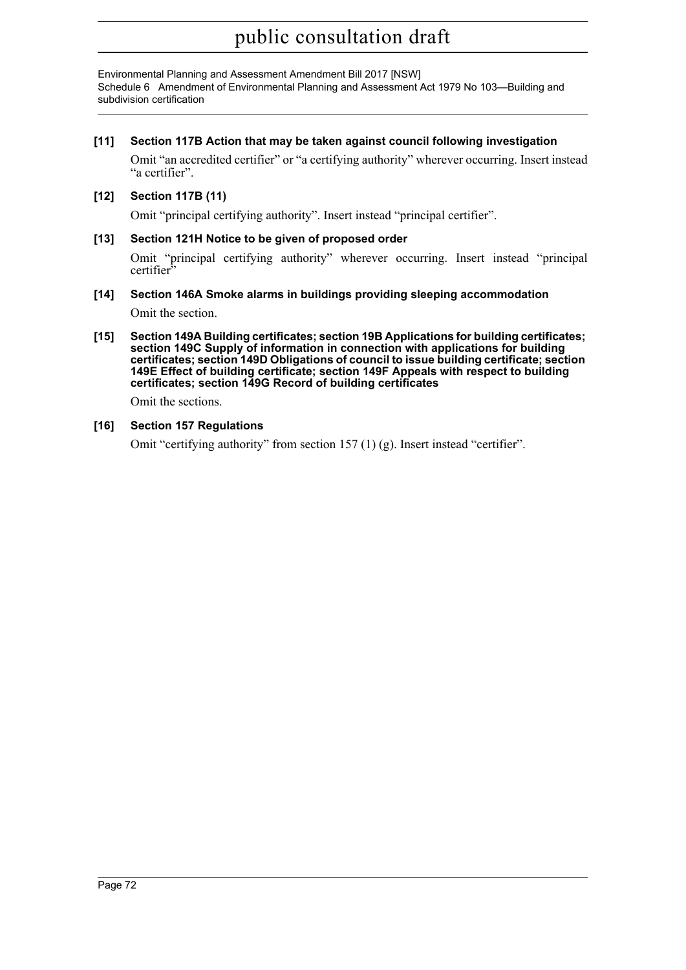Environmental Planning and Assessment Amendment Bill 2017 [NSW] Schedule 6 Amendment of Environmental Planning and Assessment Act 1979 No 103—Building and subdivision certification

#### **[11] Section 117B Action that may be taken against council following investigation**

Omit "an accredited certifier" or "a certifying authority" wherever occurring. Insert instead "a certifier".

#### **[12] Section 117B (11)**

Omit "principal certifying authority". Insert instead "principal certifier".

#### **[13] Section 121H Notice to be given of proposed order**

Omit "principal certifying authority" wherever occurring. Insert instead "principal certifier<sup>3</sup>

#### **[14] Section 146A Smoke alarms in buildings providing sleeping accommodation**

Omit the section.

**[15] Section 149A Building certificates; section 19B Applications for building certificates; section 149C Supply of information in connection with applications for building certificates; section 149D Obligations of council to issue building certificate; section 149E Effect of building certificate; section 149F Appeals with respect to building certificates; section 149G Record of building certificates** 

Omit the sections.

#### **[16] Section 157 Regulations**

Omit "certifying authority" from section 157 (1) (g). Insert instead "certifier".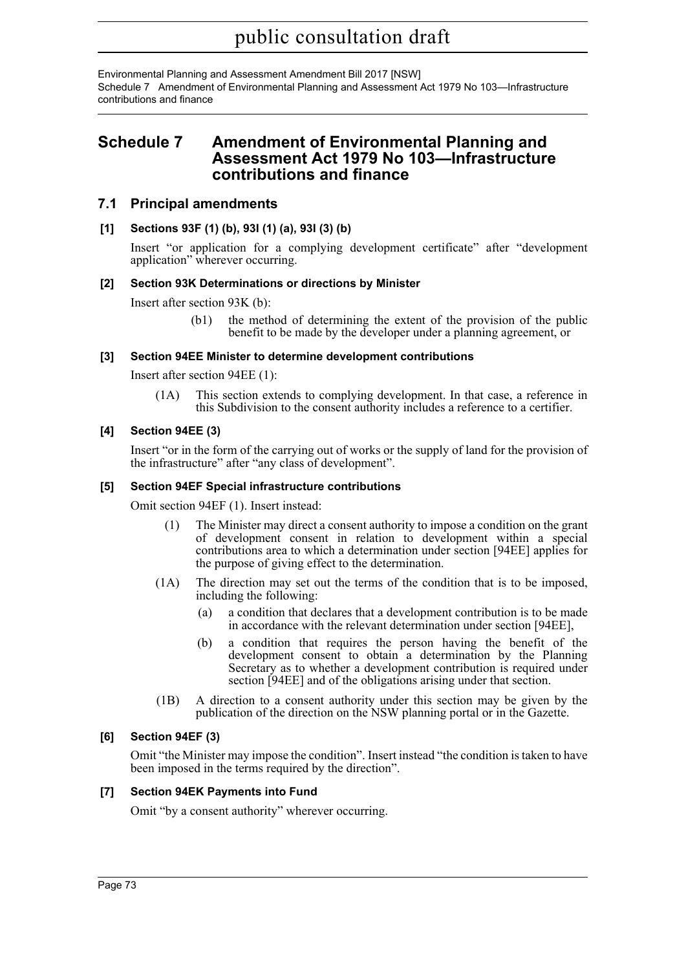Environmental Planning and Assessment Amendment Bill 2017 [NSW] Schedule 7 Amendment of Environmental Planning and Assessment Act 1979 No 103—Infrastructure contributions and finance

## **Schedule 7 Amendment of Environmental Planning and Assessment Act 1979 No 103—Infrastructure contributions and finance**

### **7.1 Principal amendments**

### **[1] Sections 93F (1) (b), 93I (1) (a), 93I (3) (b)**

Insert "or application for a complying development certificate" after "development application" wherever occurring.

### **[2] Section 93K Determinations or directions by Minister**

Insert after section 93K (b):

(b1) the method of determining the extent of the provision of the public benefit to be made by the developer under a planning agreement, or

#### **[3] Section 94EE Minister to determine development contributions**

Insert after section 94EE (1):

(1A) This section extends to complying development. In that case, a reference in this Subdivision to the consent authority includes a reference to a certifier.

### **[4] Section 94EE (3)**

Insert "or in the form of the carrying out of works or the supply of land for the provision of the infrastructure" after "any class of development".

#### **[5] Section 94EF Special infrastructure contributions**

Omit section 94EF (1). Insert instead:

- (1) The Minister may direct a consent authority to impose a condition on the grant of development consent in relation to development within a special contributions area to which a determination under section [94EE] applies for the purpose of giving effect to the determination.
- (1A) The direction may set out the terms of the condition that is to be imposed, including the following:
	- (a) a condition that declares that a development contribution is to be made in accordance with the relevant determination under section [94EE],
	- (b) a condition that requires the person having the benefit of the development consent to obtain a determination by the Planning Secretary as to whether a development contribution is required under section [94EE] and of the obligations arising under that section.
- (1B) A direction to a consent authority under this section may be given by the publication of the direction on the NSW planning portal or in the Gazette.

#### **[6] Section 94EF (3)**

Omit "the Minister may impose the condition". Insert instead "the condition is taken to have been imposed in the terms required by the direction".

#### **[7] Section 94EK Payments into Fund**

Omit "by a consent authority" wherever occurring.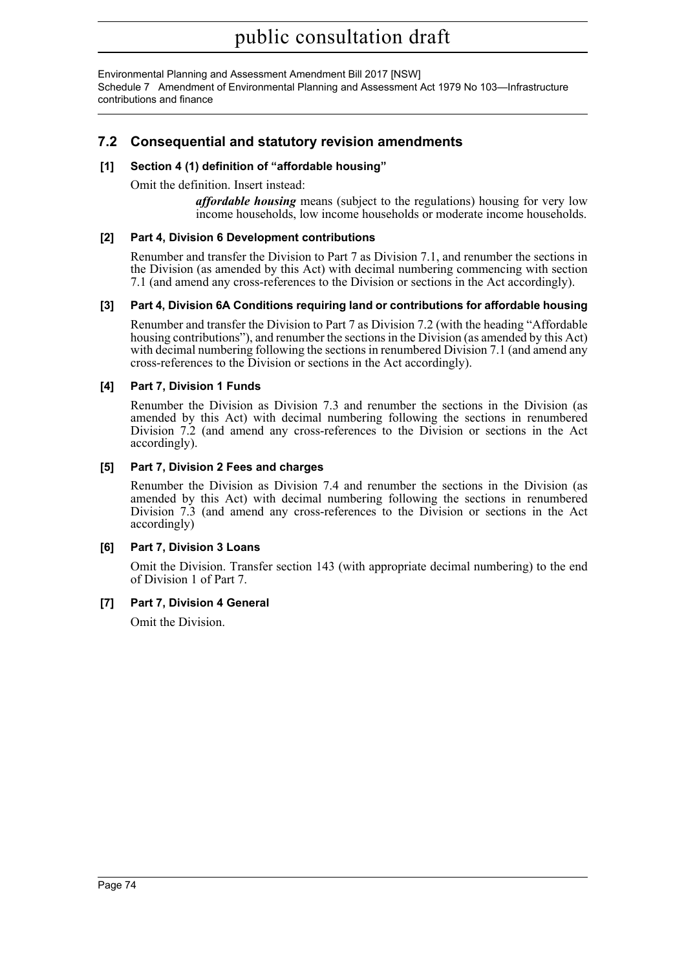Environmental Planning and Assessment Amendment Bill 2017 [NSW] Schedule 7 Amendment of Environmental Planning and Assessment Act 1979 No 103—Infrastructure contributions and finance

## **7.2 Consequential and statutory revision amendments**

### **[1] Section 4 (1) definition of "affordable housing"**

Omit the definition. Insert instead:

*affordable housing* means (subject to the regulations) housing for very low income households, low income households or moderate income households.

#### **[2] Part 4, Division 6 Development contributions**

Renumber and transfer the Division to Part 7 as Division 7.1, and renumber the sections in the Division (as amended by this Act) with decimal numbering commencing with section 7.1 (and amend any cross-references to the Division or sections in the Act accordingly).

#### **[3] Part 4, Division 6A Conditions requiring land or contributions for affordable housing**

Renumber and transfer the Division to Part 7 as Division 7.2 (with the heading "Affordable housing contributions"), and renumber the sections in the Division (as amended by this Act) with decimal numbering following the sections in renumbered Division 7.1 (and amend any cross-references to the Division or sections in the Act accordingly).

#### **[4] Part 7, Division 1 Funds**

Renumber the Division as Division 7.3 and renumber the sections in the Division (as amended by this Act) with decimal numbering following the sections in renumbered Division 7.2 (and amend any cross-references to the Division or sections in the Act accordingly).

#### **[5] Part 7, Division 2 Fees and charges**

Renumber the Division as Division 7.4 and renumber the sections in the Division (as amended by this Act) with decimal numbering following the sections in renumbered Division 7.3 (and amend any cross-references to the Division or sections in the Act accordingly)

### **[6] Part 7, Division 3 Loans**

Omit the Division. Transfer section 143 (with appropriate decimal numbering) to the end of Division 1 of Part 7.

### **[7] Part 7, Division 4 General**

Omit the Division.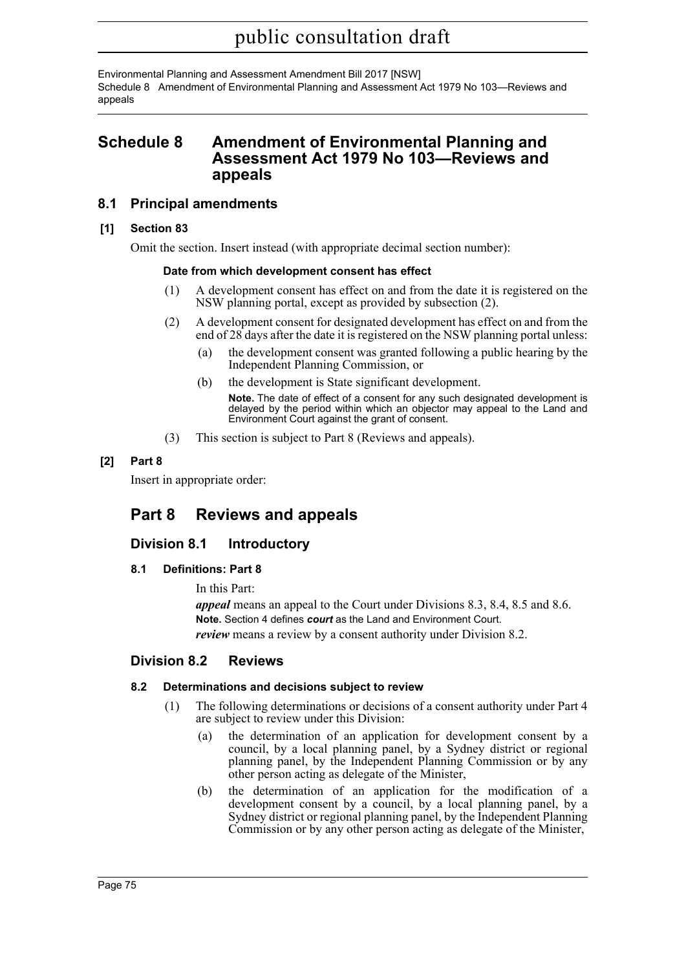Environmental Planning and Assessment Amendment Bill 2017 [NSW] Schedule 8 Amendment of Environmental Planning and Assessment Act 1979 No 103—Reviews and appeals

## **Schedule 8 Amendment of Environmental Planning and Assessment Act 1979 No 103—Reviews and appeals**

### **8.1 Principal amendments**

#### **[1] Section 83**

Omit the section. Insert instead (with appropriate decimal section number):

#### **Date from which development consent has effect**

- (1) A development consent has effect on and from the date it is registered on the NSW planning portal, except as provided by subsection (2).
- (2) A development consent for designated development has effect on and from the end of 28 days after the date it is registered on the NSW planning portal unless:
	- (a) the development consent was granted following a public hearing by the Independent Planning Commission, or
	- (b) the development is State significant development.
		- **Note.** The date of effect of a consent for any such designated development is delayed by the period within which an objector may appeal to the Land and Environment Court against the grant of consent.
- (3) This section is subject to Part 8 (Reviews and appeals).

### **[2] Part 8**

Insert in appropriate order:

# **Part 8 Reviews and appeals**

### **Division 8.1 Introductory**

#### **8.1 Definitions: Part 8**

In this Part:

*appeal* means an appeal to the Court under Divisions 8.3, 8.4, 8.5 and 8.6. **Note.** Section 4 defines *court* as the Land and Environment Court. *review* means a review by a consent authority under Division 8.2.

### **Division 8.2 Reviews**

#### **8.2 Determinations and decisions subject to review**

- (1) The following determinations or decisions of a consent authority under Part 4 are subject to review under this Division:
	- (a) the determination of an application for development consent by a council, by a local planning panel, by a Sydney district or regional planning panel, by the Independent Planning Commission or by any other person acting as delegate of the Minister,
	- (b) the determination of an application for the modification of a development consent by a council, by a local planning panel, by a Sydney district or regional planning panel, by the Independent Planning Commission or by any other person acting as delegate of the Minister,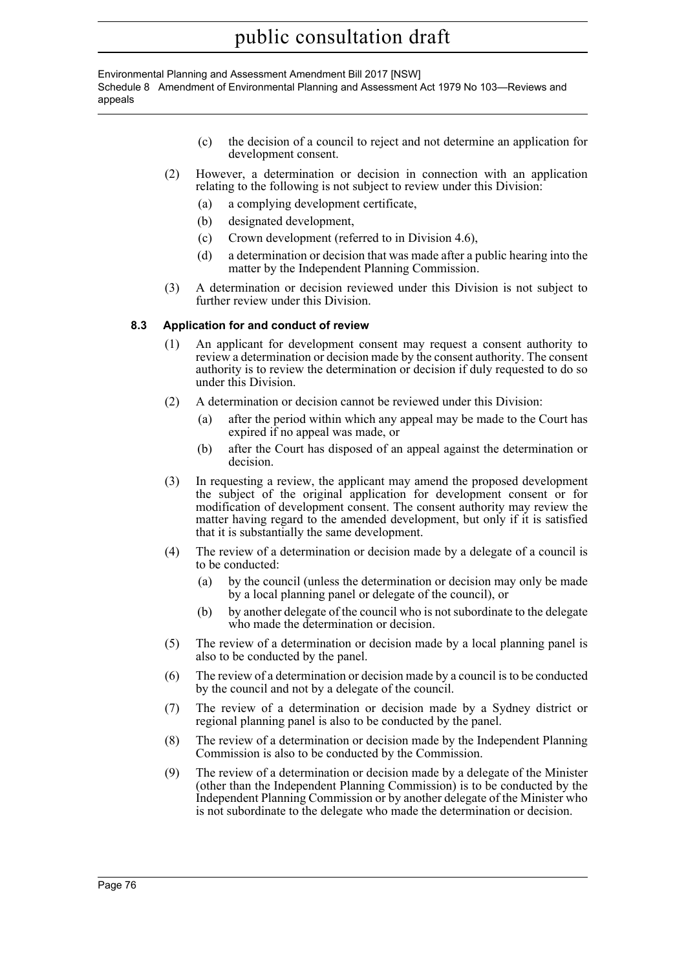Environmental Planning and Assessment Amendment Bill 2017 [NSW] Schedule 8 Amendment of Environmental Planning and Assessment Act 1979 No 103—Reviews and appeals

- (c) the decision of a council to reject and not determine an application for development consent.
- (2) However, a determination or decision in connection with an application relating to the following is not subject to review under this Division:
	- (a) a complying development certificate,
	- (b) designated development,
	- (c) Crown development (referred to in Division 4.6),
	- (d) a determination or decision that was made after a public hearing into the matter by the Independent Planning Commission.
- (3) A determination or decision reviewed under this Division is not subject to further review under this Division.

#### **8.3 Application for and conduct of review**

- (1) An applicant for development consent may request a consent authority to review a determination or decision made by the consent authority. The consent authority is to review the determination or decision if duly requested to do so under this Division.
- (2) A determination or decision cannot be reviewed under this Division:
	- (a) after the period within which any appeal may be made to the Court has expired if no appeal was made, or
	- (b) after the Court has disposed of an appeal against the determination or decision.
- (3) In requesting a review, the applicant may amend the proposed development the subject of the original application for development consent or for modification of development consent. The consent authority may review the matter having regard to the amended development, but only if it is satisfied that it is substantially the same development.
- (4) The review of a determination or decision made by a delegate of a council is to be conducted:
	- (a) by the council (unless the determination or decision may only be made by a local planning panel or delegate of the council), or
	- (b) by another delegate of the council who is not subordinate to the delegate who made the determination or decision.
- (5) The review of a determination or decision made by a local planning panel is also to be conducted by the panel.
- (6) The review of a determination or decision made by a council is to be conducted by the council and not by a delegate of the council.
- (7) The review of a determination or decision made by a Sydney district or regional planning panel is also to be conducted by the panel.
- (8) The review of a determination or decision made by the Independent Planning Commission is also to be conducted by the Commission.
- (9) The review of a determination or decision made by a delegate of the Minister (other than the Independent Planning Commission) is to be conducted by the Independent Planning Commission or by another delegate of the Minister who is not subordinate to the delegate who made the determination or decision.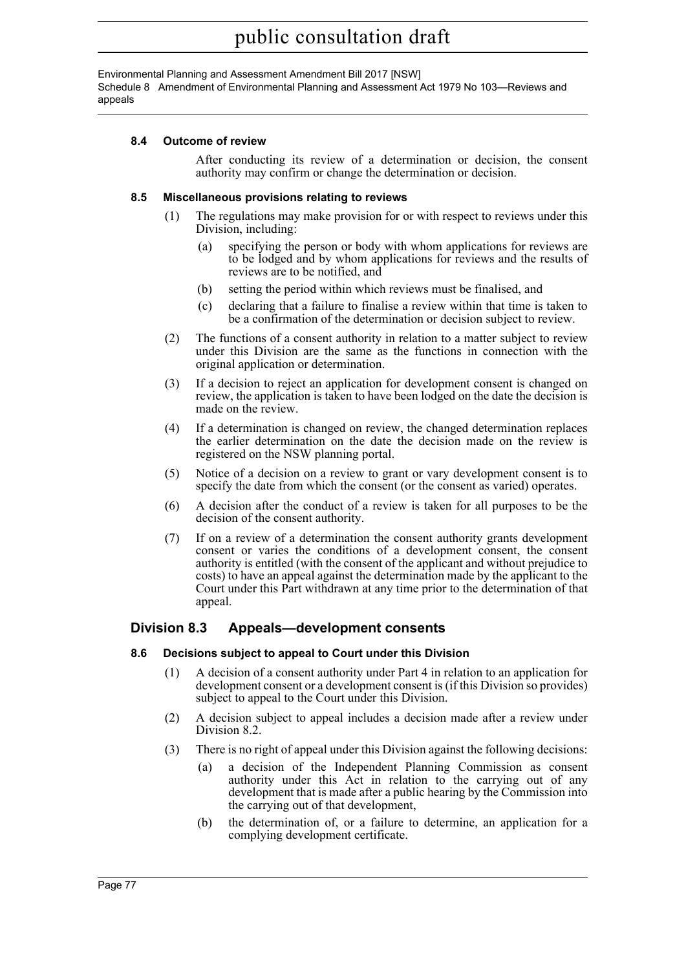Environmental Planning and Assessment Amendment Bill 2017 [NSW] Schedule 8 Amendment of Environmental Planning and Assessment Act 1979 No 103—Reviews and appeals

#### **8.4 Outcome of review**

After conducting its review of a determination or decision, the consent authority may confirm or change the determination or decision.

#### **8.5 Miscellaneous provisions relating to reviews**

- (1) The regulations may make provision for or with respect to reviews under this Division, including:
	- (a) specifying the person or body with whom applications for reviews are to be lodged and by whom applications for reviews and the results of reviews are to be notified, and
	- (b) setting the period within which reviews must be finalised, and
	- (c) declaring that a failure to finalise a review within that time is taken to be a confirmation of the determination or decision subject to review.
- (2) The functions of a consent authority in relation to a matter subject to review under this Division are the same as the functions in connection with the original application or determination.
- (3) If a decision to reject an application for development consent is changed on review, the application is taken to have been lodged on the date the decision is made on the review.
- (4) If a determination is changed on review, the changed determination replaces the earlier determination on the date the decision made on the review is registered on the NSW planning portal.
- (5) Notice of a decision on a review to grant or vary development consent is to specify the date from which the consent (or the consent as varied) operates.
- (6) A decision after the conduct of a review is taken for all purposes to be the decision of the consent authority.
- (7) If on a review of a determination the consent authority grants development consent or varies the conditions of a development consent, the consent authority is entitled (with the consent of the applicant and without prejudice to costs) to have an appeal against the determination made by the applicant to the Court under this Part withdrawn at any time prior to the determination of that appeal.

## **Division 8.3 Appeals—development consents**

#### **8.6 Decisions subject to appeal to Court under this Division**

- (1) A decision of a consent authority under Part 4 in relation to an application for development consent or a development consent is (if this Division so provides) subject to appeal to the Court under this Division.
- (2) A decision subject to appeal includes a decision made after a review under Division 8.2.
- (3) There is no right of appeal under this Division against the following decisions:
	- (a) a decision of the Independent Planning Commission as consent authority under this Act in relation to the carrying out of any development that is made after a public hearing by the Commission into the carrying out of that development,
	- (b) the determination of, or a failure to determine, an application for a complying development certificate.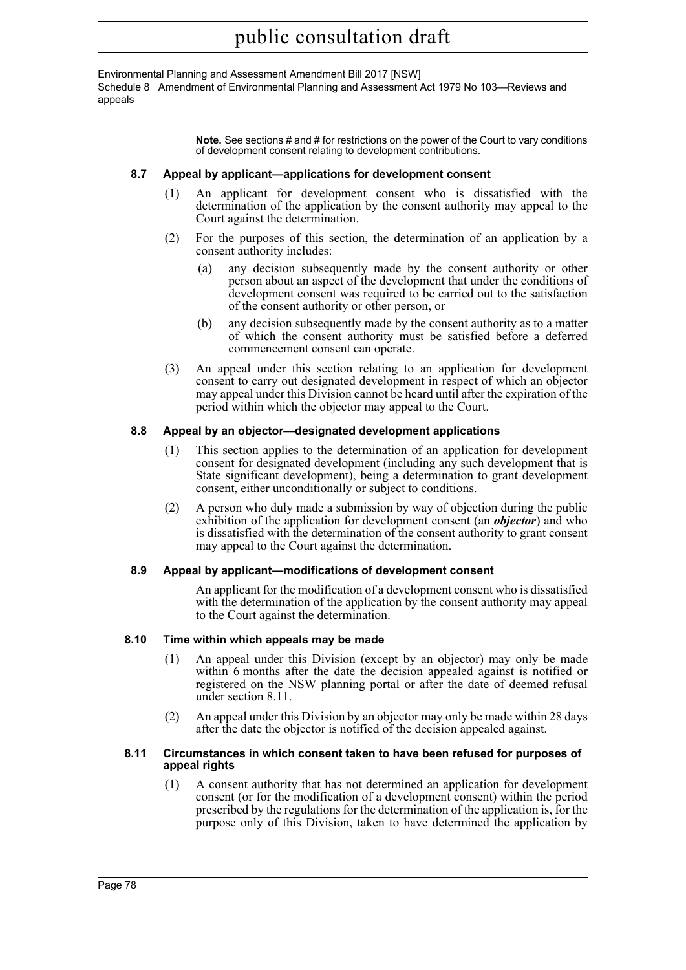Environmental Planning and Assessment Amendment Bill 2017 [NSW] Schedule 8 Amendment of Environmental Planning and Assessment Act 1979 No 103—Reviews and appeals

> **Note.** See sections # and # for restrictions on the power of the Court to vary conditions of development consent relating to development contributions.

#### **8.7 Appeal by applicant—applications for development consent**

- (1) An applicant for development consent who is dissatisfied with the determination of the application by the consent authority may appeal to the Court against the determination.
- (2) For the purposes of this section, the determination of an application by a consent authority includes:
	- (a) any decision subsequently made by the consent authority or other person about an aspect of the development that under the conditions of development consent was required to be carried out to the satisfaction of the consent authority or other person, or
	- (b) any decision subsequently made by the consent authority as to a matter of which the consent authority must be satisfied before a deferred commencement consent can operate.
- (3) An appeal under this section relating to an application for development consent to carry out designated development in respect of which an objector may appeal under this Division cannot be heard until after the expiration of the period within which the objector may appeal to the Court.

#### **8.8 Appeal by an objector—designated development applications**

- (1) This section applies to the determination of an application for development consent for designated development (including any such development that is State significant development), being a determination to grant development consent, either unconditionally or subject to conditions.
- (2) A person who duly made a submission by way of objection during the public exhibition of the application for development consent (an *objector*) and who is dissatisfied with the determination of the consent authority to grant consent may appeal to the Court against the determination.

#### **8.9 Appeal by applicant—modifications of development consent**

An applicant for the modification of a development consent who is dissatisfied with the determination of the application by the consent authority may appeal to the Court against the determination.

#### **8.10 Time within which appeals may be made**

- (1) An appeal under this Division (except by an objector) may only be made within 6 months after the date the decision appealed against is notified or registered on the NSW planning portal or after the date of deemed refusal under section 8.11.
- (2) An appeal under this Division by an objector may only be made within 28 days after the date the objector is notified of the decision appealed against.

#### **8.11 Circumstances in which consent taken to have been refused for purposes of appeal rights**

(1) A consent authority that has not determined an application for development consent (or for the modification of a development consent) within the period prescribed by the regulations for the determination of the application is, for the purpose only of this Division, taken to have determined the application by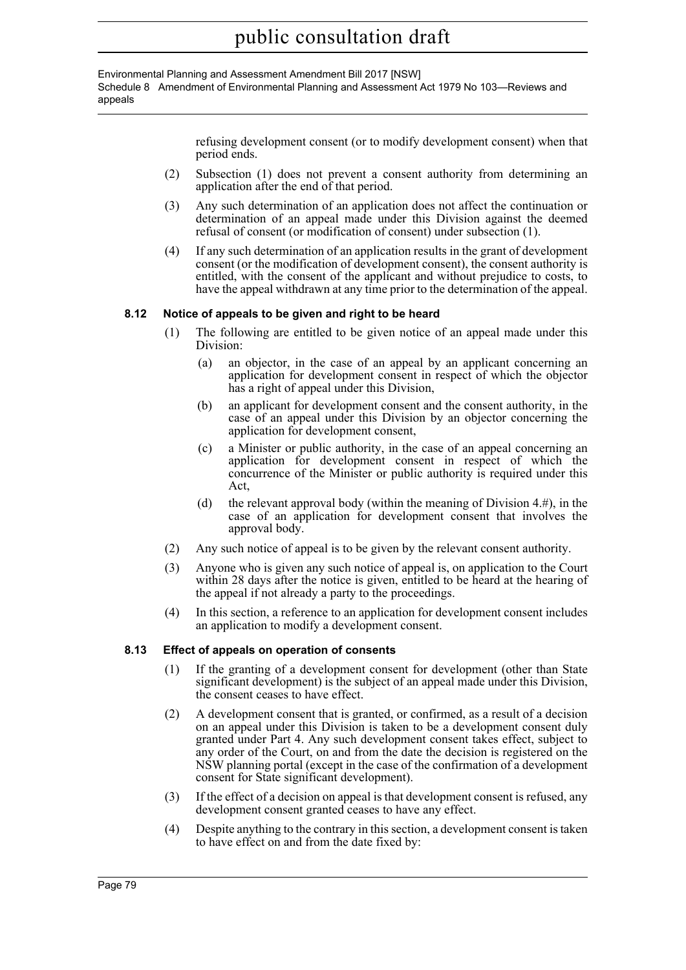#### Environmental Planning and Assessment Amendment Bill 2017 [NSW] Schedule 8 Amendment of Environmental Planning and Assessment Act 1979 No 103—Reviews and appeals

refusing development consent (or to modify development consent) when that period ends.

- (2) Subsection (1) does not prevent a consent authority from determining an application after the end of that period.
- (3) Any such determination of an application does not affect the continuation or determination of an appeal made under this Division against the deemed refusal of consent (or modification of consent) under subsection (1).
- (4) If any such determination of an application results in the grant of development consent (or the modification of development consent), the consent authority is entitled, with the consent of the applicant and without prejudice to costs, to have the appeal withdrawn at any time prior to the determination of the appeal.

#### **8.12 Notice of appeals to be given and right to be heard**

- (1) The following are entitled to be given notice of an appeal made under this Division:
	- (a) an objector, in the case of an appeal by an applicant concerning an application for development consent in respect of which the objector has a right of appeal under this Division,
	- (b) an applicant for development consent and the consent authority, in the case of an appeal under this Division by an objector concerning the application for development consent,
	- (c) a Minister or public authority, in the case of an appeal concerning an application for development consent in respect of which the concurrence of the Minister or public authority is required under this Act,
	- (d) the relevant approval body (within the meaning of Division  $4.4^{\circ}$ ), in the case of an application for development consent that involves the approval body.
- (2) Any such notice of appeal is to be given by the relevant consent authority.
- (3) Anyone who is given any such notice of appeal is, on application to the Court within 28 days after the notice is given, entitled to be heard at the hearing of the appeal if not already a party to the proceedings.
- (4) In this section, a reference to an application for development consent includes an application to modify a development consent.

#### **8.13 Effect of appeals on operation of consents**

- (1) If the granting of a development consent for development (other than State significant development) is the subject of an appeal made under this Division, the consent ceases to have effect.
- (2) A development consent that is granted, or confirmed, as a result of a decision on an appeal under this Division is taken to be a development consent duly granted under Part 4. Any such development consent takes effect, subject to any order of the Court, on and from the date the decision is registered on the NSW planning portal (except in the case of the confirmation of a development consent for State significant development).
- (3) If the effect of a decision on appeal is that development consent is refused, any development consent granted ceases to have any effect.
- (4) Despite anything to the contrary in this section, a development consent is taken to have effect on and from the date fixed by: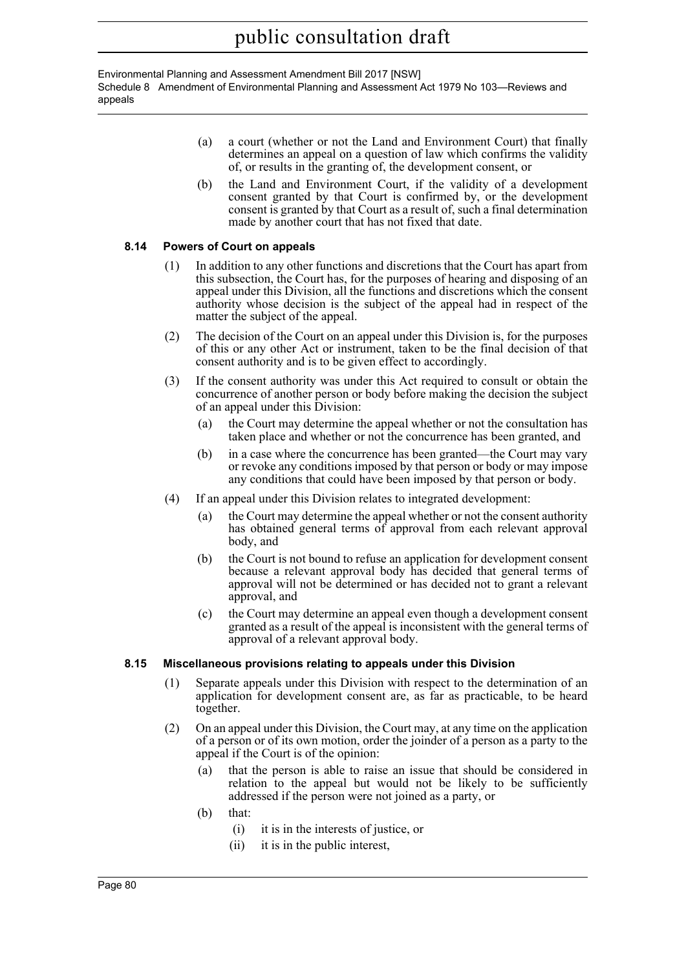Environmental Planning and Assessment Amendment Bill 2017 [NSW] Schedule 8 Amendment of Environmental Planning and Assessment Act 1979 No 103—Reviews and appeals

- (a) a court (whether or not the Land and Environment Court) that finally determines an appeal on a question of law which confirms the validity of, or results in the granting of, the development consent, or
- (b) the Land and Environment Court, if the validity of a development consent granted by that Court is confirmed by, or the development consent is granted by that Court as a result of, such a final determination made by another court that has not fixed that date.

#### **8.14 Powers of Court on appeals**

- (1) In addition to any other functions and discretions that the Court has apart from this subsection, the Court has, for the purposes of hearing and disposing of an appeal under this Division, all the functions and discretions which the consent authority whose decision is the subject of the appeal had in respect of the matter the subject of the appeal.
- (2) The decision of the Court on an appeal under this Division is, for the purposes of this or any other Act or instrument, taken to be the final decision of that consent authority and is to be given effect to accordingly.
- (3) If the consent authority was under this Act required to consult or obtain the concurrence of another person or body before making the decision the subject of an appeal under this Division:
	- (a) the Court may determine the appeal whether or not the consultation has taken place and whether or not the concurrence has been granted, and
	- (b) in a case where the concurrence has been granted—the Court may vary or revoke any conditions imposed by that person or body or may impose any conditions that could have been imposed by that person or body.
- (4) If an appeal under this Division relates to integrated development:
	- (a) the Court may determine the appeal whether or not the consent authority has obtained general terms of approval from each relevant approval body, and
	- (b) the Court is not bound to refuse an application for development consent because a relevant approval body has decided that general terms of approval will not be determined or has decided not to grant a relevant approval, and
	- (c) the Court may determine an appeal even though a development consent granted as a result of the appeal is inconsistent with the general terms of approval of a relevant approval body.

#### **8.15 Miscellaneous provisions relating to appeals under this Division**

- (1) Separate appeals under this Division with respect to the determination of an application for development consent are, as far as practicable, to be heard together.
- (2) On an appeal under this Division, the Court may, at any time on the application of a person or of its own motion, order the joinder of a person as a party to the appeal if the Court is of the opinion:
	- (a) that the person is able to raise an issue that should be considered in relation to the appeal but would not be likely to be sufficiently addressed if the person were not joined as a party, or
	- (b) that:
		- (i) it is in the interests of justice, or
		- (ii) it is in the public interest,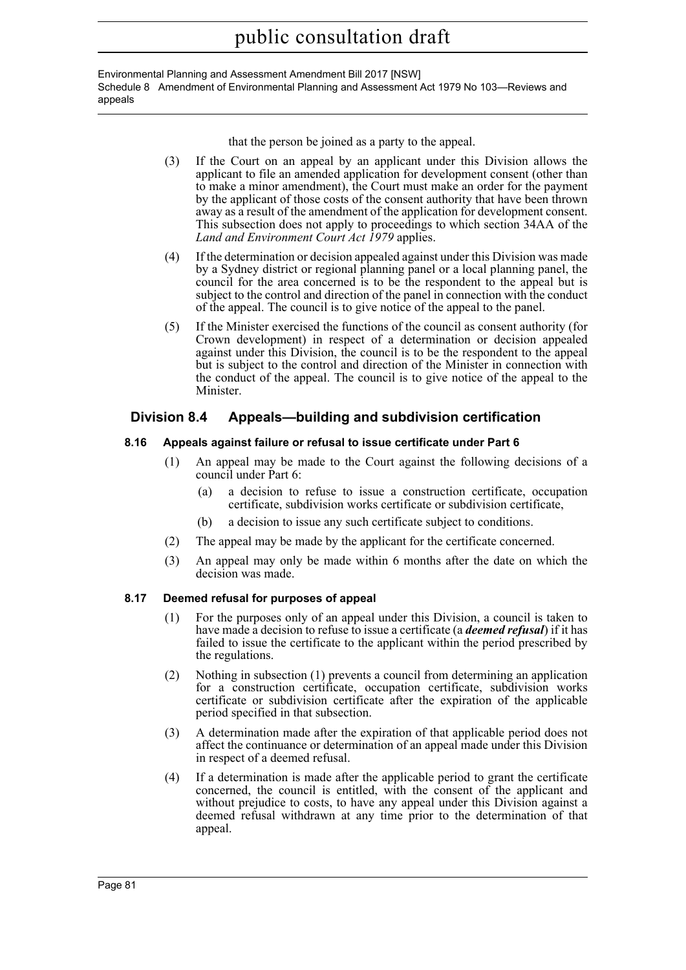Environmental Planning and Assessment Amendment Bill 2017 [NSW] Schedule 8 Amendment of Environmental Planning and Assessment Act 1979 No 103—Reviews and appeals

that the person be joined as a party to the appeal.

- (3) If the Court on an appeal by an applicant under this Division allows the applicant to file an amended application for development consent (other than to make a minor amendment), the Court must make an order for the payment by the applicant of those costs of the consent authority that have been thrown away as a result of the amendment of the application for development consent. This subsection does not apply to proceedings to which section 34AA of the *Land and Environment Court Act 1979* applies.
- (4) If the determination or decision appealed against under this Division was made by a Sydney district or regional planning panel or a local planning panel, the council for the area concerned is to be the respondent to the appeal but is subject to the control and direction of the panel in connection with the conduct of the appeal. The council is to give notice of the appeal to the panel.
- (5) If the Minister exercised the functions of the council as consent authority (for Crown development) in respect of a determination or decision appealed against under this Division, the council is to be the respondent to the appeal but is subject to the control and direction of the Minister in connection with the conduct of the appeal. The council is to give notice of the appeal to the Minister.

## **Division 8.4 Appeals—building and subdivision certification**

#### **8.16 Appeals against failure or refusal to issue certificate under Part 6**

- (1) An appeal may be made to the Court against the following decisions of a council under Part 6:
	- (a) a decision to refuse to issue a construction certificate, occupation certificate, subdivision works certificate or subdivision certificate,
	- (b) a decision to issue any such certificate subject to conditions.
- (2) The appeal may be made by the applicant for the certificate concerned.
- (3) An appeal may only be made within 6 months after the date on which the decision was made.

#### **8.17 Deemed refusal for purposes of appeal**

- (1) For the purposes only of an appeal under this Division, a council is taken to have made a decision to refuse to issue a certificate (a *deemed refusal*) if it has failed to issue the certificate to the applicant within the period prescribed by the regulations.
- (2) Nothing in subsection (1) prevents a council from determining an application for a construction certificate, occupation certificate, subdivision works certificate or subdivision certificate after the expiration of the applicable period specified in that subsection.
- (3) A determination made after the expiration of that applicable period does not affect the continuance or determination of an appeal made under this Division in respect of a deemed refusal.
- (4) If a determination is made after the applicable period to grant the certificate concerned, the council is entitled, with the consent of the applicant and without prejudice to costs, to have any appeal under this Division against a deemed refusal withdrawn at any time prior to the determination of that appeal.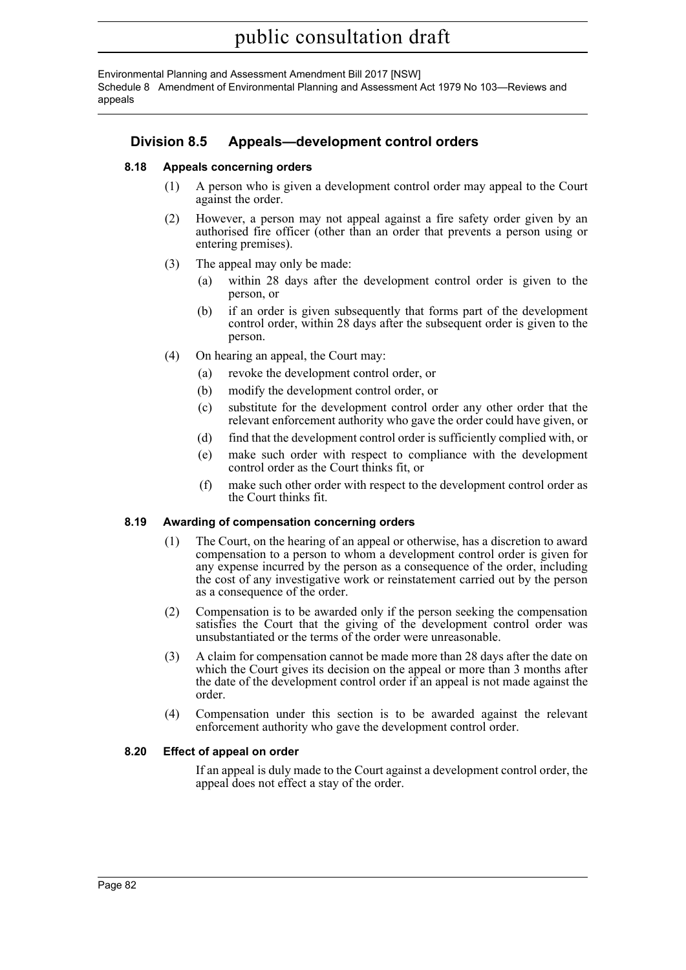Environmental Planning and Assessment Amendment Bill 2017 [NSW] Schedule 8 Amendment of Environmental Planning and Assessment Act 1979 No 103—Reviews and appeals

## **Division 8.5 Appeals—development control orders**

#### **8.18 Appeals concerning orders**

- (1) A person who is given a development control order may appeal to the Court against the order.
- (2) However, a person may not appeal against a fire safety order given by an authorised fire officer (other than an order that prevents a person using or entering premises).
- (3) The appeal may only be made:
	- (a) within 28 days after the development control order is given to the person, or
	- (b) if an order is given subsequently that forms part of the development control order, within 28 days after the subsequent order is given to the person.
- (4) On hearing an appeal, the Court may:
	- (a) revoke the development control order, or
	- (b) modify the development control order, or
	- (c) substitute for the development control order any other order that the relevant enforcement authority who gave the order could have given, or
	- (d) find that the development control order is sufficiently complied with, or
	- (e) make such order with respect to compliance with the development control order as the Court thinks fit, or
	- (f) make such other order with respect to the development control order as the Court thinks fit.

#### **8.19 Awarding of compensation concerning orders**

- (1) The Court, on the hearing of an appeal or otherwise, has a discretion to award compensation to a person to whom a development control order is given for any expense incurred by the person as a consequence of the order, including the cost of any investigative work or reinstatement carried out by the person as a consequence of the order.
- (2) Compensation is to be awarded only if the person seeking the compensation satisfies the Court that the giving of the development control order was unsubstantiated or the terms of the order were unreasonable.
- (3) A claim for compensation cannot be made more than 28 days after the date on which the Court gives its decision on the appeal or more than 3 months after the date of the development control order if an appeal is not made against the order.
- (4) Compensation under this section is to be awarded against the relevant enforcement authority who gave the development control order.

#### **8.20 Effect of appeal on order**

If an appeal is duly made to the Court against a development control order, the appeal does not effect a stay of the order.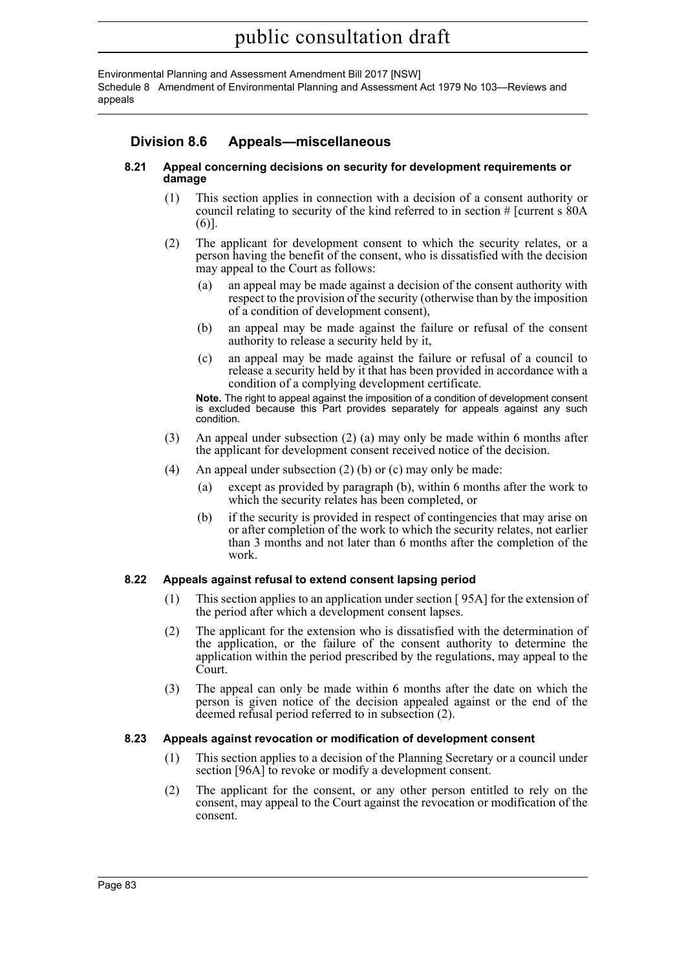Environmental Planning and Assessment Amendment Bill 2017 [NSW] Schedule 8 Amendment of Environmental Planning and Assessment Act 1979 No 103—Reviews and appeals

## **Division 8.6 Appeals—miscellaneous**

#### **8.21 Appeal concerning decisions on security for development requirements or damage**

- (1) This section applies in connection with a decision of a consent authority or council relating to security of the kind referred to in section # [current s 80A (6)].
- (2) The applicant for development consent to which the security relates, or a person having the benefit of the consent, who is dissatisfied with the decision may appeal to the Court as follows:
	- (a) an appeal may be made against a decision of the consent authority with respect to the provision of the security (otherwise than by the imposition of a condition of development consent),
	- (b) an appeal may be made against the failure or refusal of the consent authority to release a security held by it,
	- (c) an appeal may be made against the failure or refusal of a council to release a security held by it that has been provided in accordance with a condition of a complying development certificate.

**Note.** The right to appeal against the imposition of a condition of development consent is excluded because this Part provides separately for appeals against any such condition.

- (3) An appeal under subsection (2) (a) may only be made within 6 months after the applicant for development consent received notice of the decision.
- (4) An appeal under subsection (2) (b) or (c) may only be made:
	- (a) except as provided by paragraph (b), within 6 months after the work to which the security relates has been completed, or
	- (b) if the security is provided in respect of contingencies that may arise on or after completion of the work to which the security relates, not earlier than 3 months and not later than 6 months after the completion of the work.

#### **8.22 Appeals against refusal to extend consent lapsing period**

- (1) This section applies to an application under section [ 95A] for the extension of the period after which a development consent lapses.
- (2) The applicant for the extension who is dissatisfied with the determination of the application, or the failure of the consent authority to determine the application within the period prescribed by the regulations, may appeal to the Court.
- (3) The appeal can only be made within 6 months after the date on which the person is given notice of the decision appealed against or the end of the deemed refusal period referred to in subsection  $(2)$ .

#### **8.23 Appeals against revocation or modification of development consent**

- (1) This section applies to a decision of the Planning Secretary or a council under section [96A] to revoke or modify a development consent.
- (2) The applicant for the consent, or any other person entitled to rely on the consent, may appeal to the Court against the revocation or modification of the consent.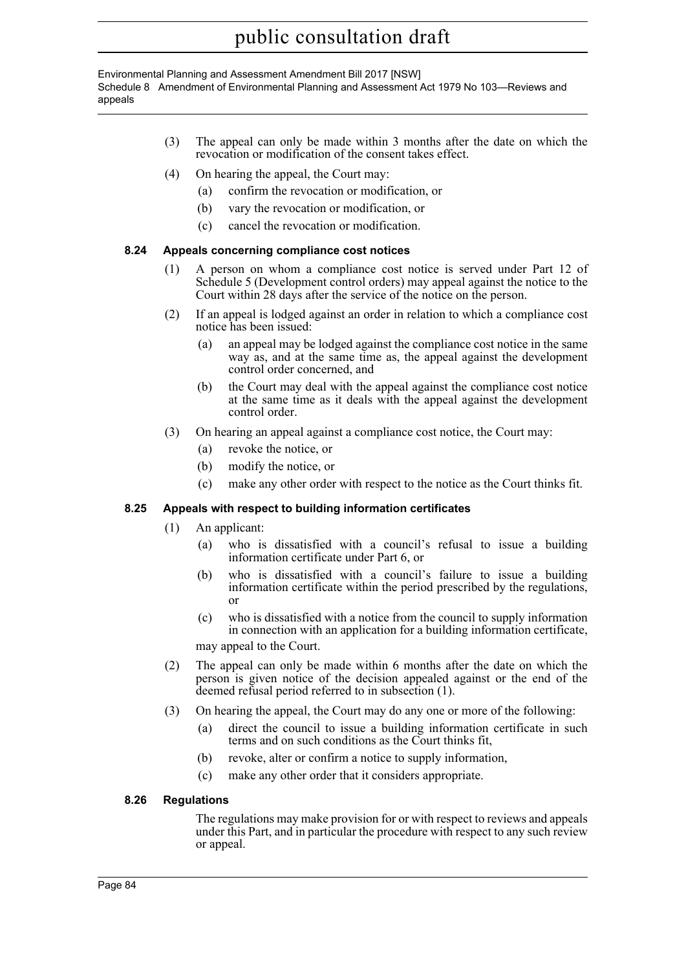Environmental Planning and Assessment Amendment Bill 2017 [NSW] Schedule 8 Amendment of Environmental Planning and Assessment Act 1979 No 103—Reviews and appeals

- (3) The appeal can only be made within 3 months after the date on which the revocation or modification of the consent takes effect.
- (4) On hearing the appeal, the Court may:
	- (a) confirm the revocation or modification, or
	- (b) vary the revocation or modification, or
	- (c) cancel the revocation or modification.

#### **8.24 Appeals concerning compliance cost notices**

- (1) A person on whom a compliance cost notice is served under Part 12 of Schedule 5 (Development control orders) may appeal against the notice to the Court within 28 days after the service of the notice on the person.
- (2) If an appeal is lodged against an order in relation to which a compliance cost notice has been issued:
	- (a) an appeal may be lodged against the compliance cost notice in the same way as, and at the same time as, the appeal against the development control order concerned, and
	- (b) the Court may deal with the appeal against the compliance cost notice at the same time as it deals with the appeal against the development control order.
- (3) On hearing an appeal against a compliance cost notice, the Court may:
	- (a) revoke the notice, or
	- (b) modify the notice, or
	- (c) make any other order with respect to the notice as the Court thinks fit.

#### **8.25 Appeals with respect to building information certificates**

- (1) An applicant:
	- (a) who is dissatisfied with a council's refusal to issue a building information certificate under Part 6, or
	- (b) who is dissatisfied with a council's failure to issue a building information certificate within the period prescribed by the regulations, or
	- (c) who is dissatisfied with a notice from the council to supply information in connection with an application for a building information certificate,

may appeal to the Court.

- (2) The appeal can only be made within 6 months after the date on which the person is given notice of the decision appealed against or the end of the deemed refusal period referred to in subsection (1).
- (3) On hearing the appeal, the Court may do any one or more of the following:
	- (a) direct the council to issue a building information certificate in such terms and on such conditions as the Court thinks fit,
	- (b) revoke, alter or confirm a notice to supply information,
	- (c) make any other order that it considers appropriate.

#### **8.26 Regulations**

The regulations may make provision for or with respect to reviews and appeals under this Part, and in particular the procedure with respect to any such review or appeal.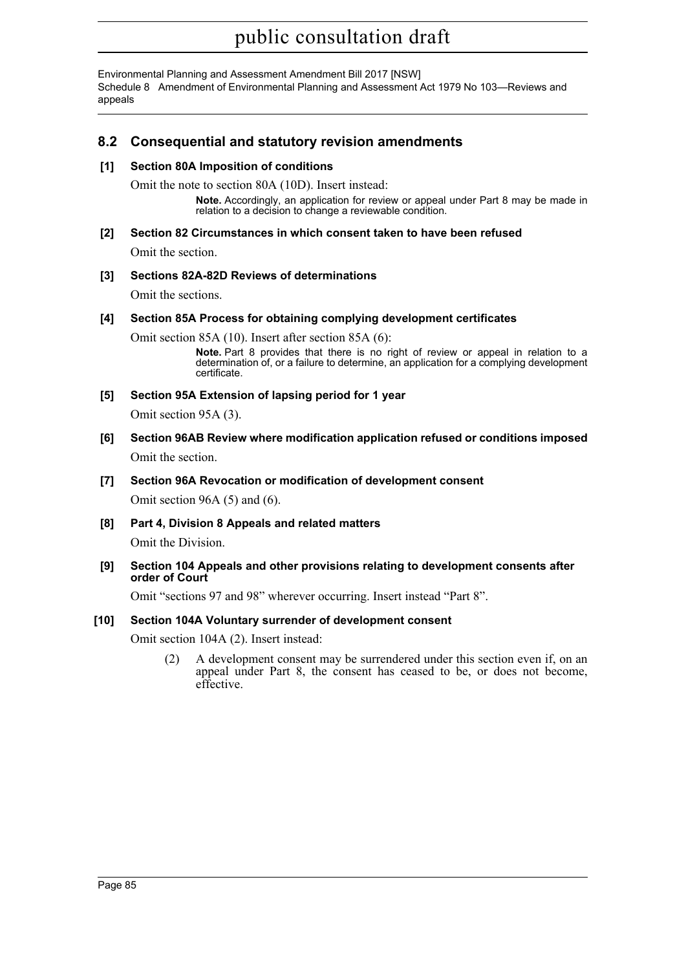Environmental Planning and Assessment Amendment Bill 2017 [NSW] Schedule 8 Amendment of Environmental Planning and Assessment Act 1979 No 103—Reviews and appeals

## **8.2 Consequential and statutory revision amendments**

#### **[1] Section 80A Imposition of conditions**

Omit the note to section 80A (10D). Insert instead:

**Note.** Accordingly, an application for review or appeal under Part 8 may be made in relation to a decision to change a reviewable condition.

#### **[2] Section 82 Circumstances in which consent taken to have been refused**

Omit the section.

#### **[3] Sections 82A-82D Reviews of determinations**

Omit the sections.

#### **[4] Section 85A Process for obtaining complying development certificates**

Omit section 85A (10). Insert after section 85A (6):

**Note.** Part 8 provides that there is no right of review or appeal in relation to a determination of, or a failure to determine, an application for a complying development certificate.

### **[5] Section 95A Extension of lapsing period for 1 year**

Omit section 95A (3).

- **[6] Section 96AB Review where modification application refused or conditions imposed** Omit the section.
- **[7] Section 96A Revocation or modification of development consent** Omit section 96A (5) and (6).
- **[8] Part 4, Division 8 Appeals and related matters**

Omit the Division.

**[9] Section 104 Appeals and other provisions relating to development consents after order of Court**

Omit "sections 97 and 98" wherever occurring. Insert instead "Part 8".

### **[10] Section 104A Voluntary surrender of development consent**

Omit section 104A (2). Insert instead:

(2) A development consent may be surrendered under this section even if, on an appeal under Part 8, the consent has ceased to be, or does not become, effective.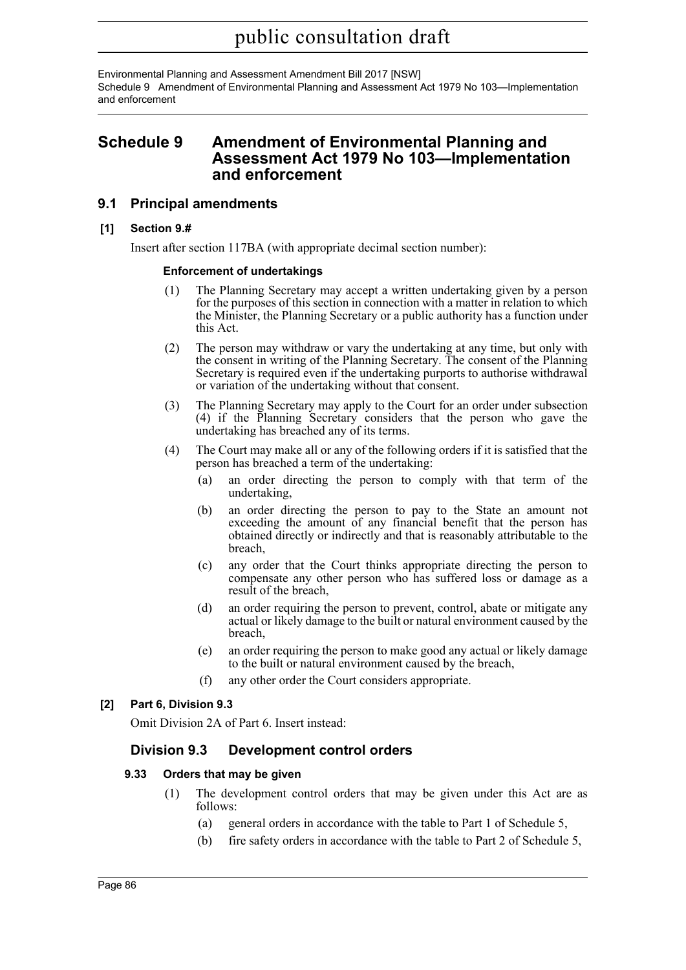Environmental Planning and Assessment Amendment Bill 2017 [NSW] Schedule 9 Amendment of Environmental Planning and Assessment Act 1979 No 103—Implementation and enforcement

## **Schedule 9 Amendment of Environmental Planning and Assessment Act 1979 No 103—Implementation and enforcement**

### **9.1 Principal amendments**

#### **[1] Section 9.#**

Insert after section 117BA (with appropriate decimal section number):

#### **Enforcement of undertakings**

- (1) The Planning Secretary may accept a written undertaking given by a person for the purposes of this section in connection with a matter in relation to which the Minister, the Planning Secretary or a public authority has a function under this Act.
- (2) The person may withdraw or vary the undertaking at any time, but only with the consent in writing of the Planning Secretary. The consent of the Planning Secretary is required even if the undertaking purports to authorise withdrawal or variation of the undertaking without that consent.
- (3) The Planning Secretary may apply to the Court for an order under subsection (4) if the Planning Secretary considers that the person who gave the undertaking has breached any of its terms.
- (4) The Court may make all or any of the following orders if it is satisfied that the person has breached a term of the undertaking:
	- (a) an order directing the person to comply with that term of the undertaking,
	- (b) an order directing the person to pay to the State an amount not exceeding the amount of any financial benefit that the person has obtained directly or indirectly and that is reasonably attributable to the breach,
	- (c) any order that the Court thinks appropriate directing the person to compensate any other person who has suffered loss or damage as a result of the breach,
	- (d) an order requiring the person to prevent, control, abate or mitigate any actual or likely damage to the built or natural environment caused by the breach,
	- (e) an order requiring the person to make good any actual or likely damage to the built or natural environment caused by the breach,
	- (f) any other order the Court considers appropriate.

### **[2] Part 6, Division 9.3**

Omit Division 2A of Part 6. Insert instead:

## **Division 9.3 Development control orders**

### **9.33 Orders that may be given**

- (1) The development control orders that may be given under this Act are as follows:
	- (a) general orders in accordance with the table to Part 1 of Schedule 5,
	- (b) fire safety orders in accordance with the table to Part 2 of Schedule 5,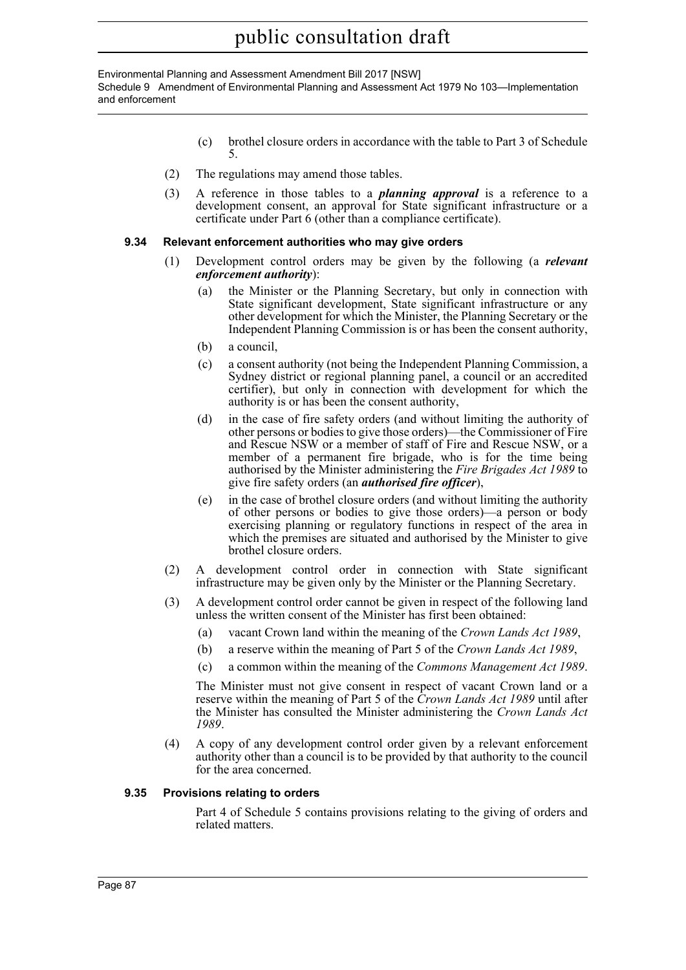Environmental Planning and Assessment Amendment Bill 2017 [NSW] Schedule 9 Amendment of Environmental Planning and Assessment Act 1979 No 103—Implementation and enforcement

- (c) brothel closure orders in accordance with the table to Part 3 of Schedule 5.
- (2) The regulations may amend those tables.
- (3) A reference in those tables to a *planning approval* is a reference to a development consent, an approval for State significant infrastructure or a certificate under Part 6 (other than a compliance certificate).

#### **9.34 Relevant enforcement authorities who may give orders**

- (1) Development control orders may be given by the following (a *relevant enforcement authority*):
	- (a) the Minister or the Planning Secretary, but only in connection with State significant development, State significant infrastructure or any other development for which the Minister, the Planning Secretary or the Independent Planning Commission is or has been the consent authority,
	- (b) a council,
	- (c) a consent authority (not being the Independent Planning Commission, a Sydney district or regional planning panel, a council or an accredited certifier), but only in connection with development for which the authority is or has been the consent authority,
	- (d) in the case of fire safety orders (and without limiting the authority of other persons or bodies to give those orders)—the Commissioner of Fire and Rescue NSW or a member of staff of Fire and Rescue NSW, or a member of a permanent fire brigade, who is for the time being authorised by the Minister administering the *Fire Brigades Act 1989* to give fire safety orders (an *authorised fire officer*),
	- (e) in the case of brothel closure orders (and without limiting the authority of other persons or bodies to give those orders)—a person or body exercising planning or regulatory functions in respect of the area in which the premises are situated and authorised by the Minister to give brothel closure orders.
- (2) A development control order in connection with State significant infrastructure may be given only by the Minister or the Planning Secretary.
- (3) A development control order cannot be given in respect of the following land unless the written consent of the Minister has first been obtained:
	- (a) vacant Crown land within the meaning of the *Crown Lands Act 1989*,
	- (b) a reserve within the meaning of Part 5 of the *Crown Lands Act 1989*,
	- (c) a common within the meaning of the *Commons Management Act 1989*.

The Minister must not give consent in respect of vacant Crown land or a reserve within the meaning of Part 5 of the *Crown Lands Act 1989* until after the Minister has consulted the Minister administering the *Crown Lands Act 1989*.

(4) A copy of any development control order given by a relevant enforcement authority other than a council is to be provided by that authority to the council for the area concerned.

#### **9.35 Provisions relating to orders**

Part 4 of Schedule 5 contains provisions relating to the giving of orders and related matters.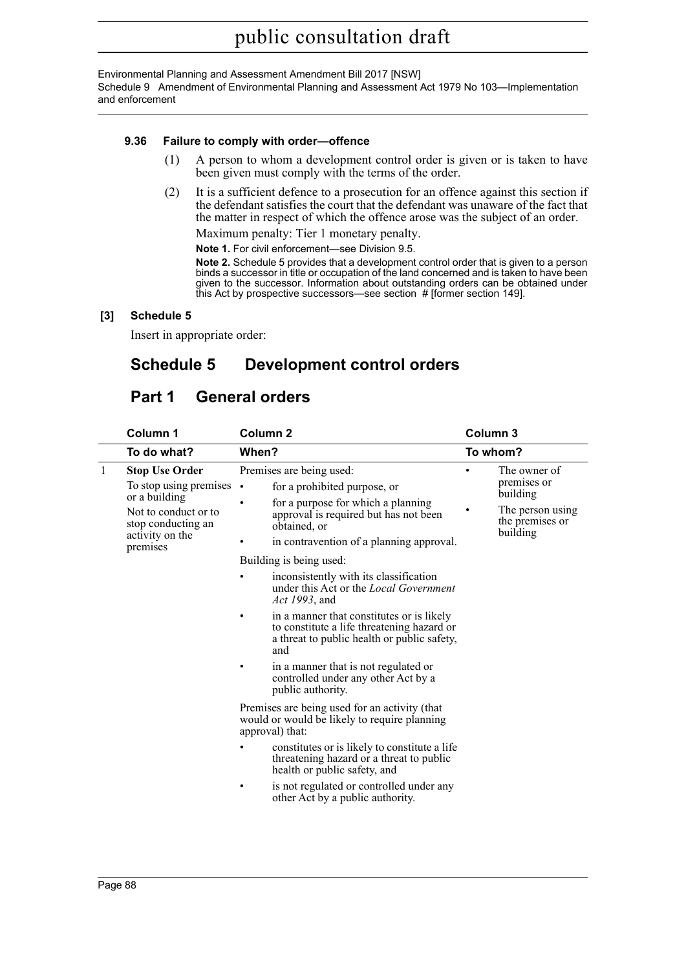Environmental Planning and Assessment Amendment Bill 2017 [NSW] Schedule 9 Amendment of Environmental Planning and Assessment Act 1979 No 103—Implementation and enforcement

#### **9.36 Failure to comply with order—offence**

- (1) A person to whom a development control order is given or is taken to have been given must comply with the terms of the order.
- (2) It is a sufficient defence to a prosecution for an offence against this section if the defendant satisfies the court that the defendant was unaware of the fact that the matter in respect of which the offence arose was the subject of an order.

Maximum penalty: Tier 1 monetary penalty.

**Note 1.** For civil enforcement—see Division 9.5.

**Note 2.** Schedule 5 provides that a development control order that is given to a person binds a successor in title or occupation of the land concerned and is taken to have been given to the successor. Information about outstanding orders can be obtained under this Act by prospective successors—see section # [former section 149].

#### **[3] Schedule 5**

Insert in appropriate order:

# **Schedule 5 Development control orders**

# **Part 1 General orders**

|              | Column 1                                                                                                                                              | Column <sub>2</sub>                                                                                                                                                                                                                                                                                                                                                                                                                                  | Column 3 |                                                                                            |
|--------------|-------------------------------------------------------------------------------------------------------------------------------------------------------|------------------------------------------------------------------------------------------------------------------------------------------------------------------------------------------------------------------------------------------------------------------------------------------------------------------------------------------------------------------------------------------------------------------------------------------------------|----------|--------------------------------------------------------------------------------------------|
|              | To do what?                                                                                                                                           | When?                                                                                                                                                                                                                                                                                                                                                                                                                                                |          | To whom?                                                                                   |
| $\mathbf{1}$ | <b>Stop Use Order</b><br>To stop using premises $\cdot$<br>or a building<br>Not to conduct or to<br>stop conducting an<br>activity on the<br>premises | Premises are being used:<br>for a prohibited purpose, or<br>for a purpose for which a planning<br>٠<br>approval is required but has not been<br>obtained, or<br>in contravention of a planning approval.<br>Building is being used:<br>inconsistently with its classification<br>٠<br>under this Act or the <i>Local Government</i><br>Act 1993, and<br>in a manner that constitutes or is likely<br>٠<br>to constitute a life threatening hazard or |          | The owner of<br>premises or<br>building<br>The person using<br>the premises or<br>building |
|              |                                                                                                                                                       | a threat to public health or public safety,<br>and<br>in a manner that is not regulated or<br>controlled under any other Act by a<br>public authority.                                                                                                                                                                                                                                                                                               |          |                                                                                            |
|              |                                                                                                                                                       | Premises are being used for an activity (that<br>would or would be likely to require planning<br>approval) that:                                                                                                                                                                                                                                                                                                                                     |          |                                                                                            |
|              |                                                                                                                                                       | constitutes or is likely to constitute a life<br>threatening hazard or a threat to public<br>health or public safety, and                                                                                                                                                                                                                                                                                                                            |          |                                                                                            |
|              |                                                                                                                                                       | is not regulated or controlled under any<br>٠<br>other Act by a public authority.                                                                                                                                                                                                                                                                                                                                                                    |          |                                                                                            |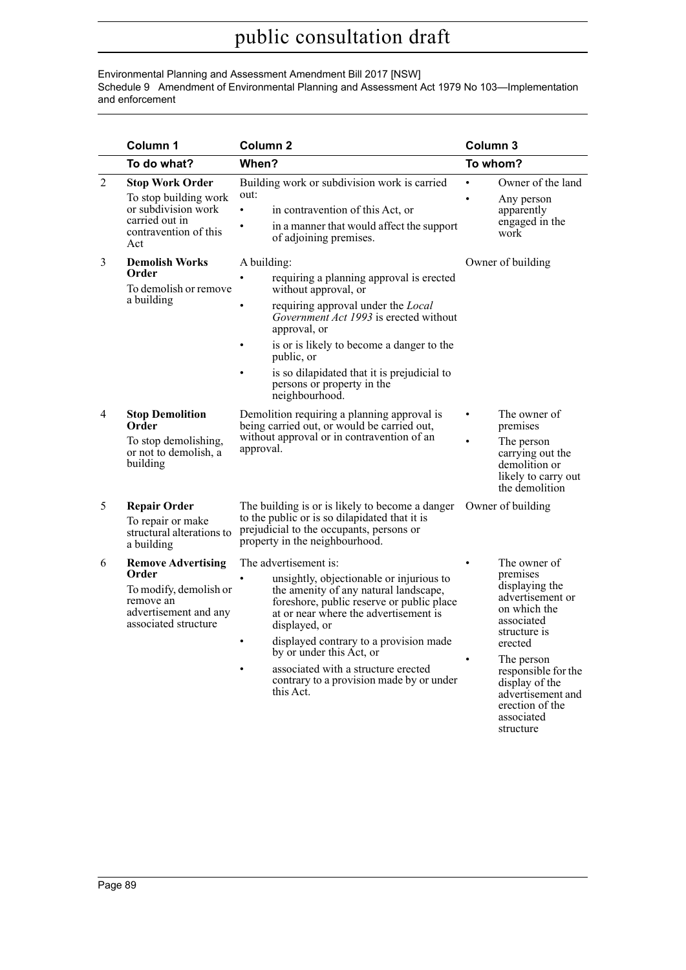#### Environmental Planning and Assessment Amendment Bill 2017 [NSW] Schedule 9 Amendment of Environmental Planning and Assessment Act 1979 No 103—Implementation and enforcement

|                | Column 1                                                                                                                   | Column <sub>2</sub>                                                                                                                                                                                                                                                                                                                                                                     | Column 3                                                                                                                                                                                                                                          |
|----------------|----------------------------------------------------------------------------------------------------------------------------|-----------------------------------------------------------------------------------------------------------------------------------------------------------------------------------------------------------------------------------------------------------------------------------------------------------------------------------------------------------------------------------------|---------------------------------------------------------------------------------------------------------------------------------------------------------------------------------------------------------------------------------------------------|
|                | To do what?                                                                                                                | When?                                                                                                                                                                                                                                                                                                                                                                                   | To whom?                                                                                                                                                                                                                                          |
| $\overline{2}$ | <b>Stop Work Order</b><br>To stop building work<br>or subdivision work<br>carried out in<br>contravention of this<br>Act   | Building work or subdivision work is carried<br>out:<br>$\bullet$<br>in contravention of this Act, or<br>in a manner that would affect the support<br>of adjoining premises.                                                                                                                                                                                                            | Owner of the land<br>Any person<br>apparently<br>engaged in the<br>work                                                                                                                                                                           |
| 3              | <b>Demolish Works</b><br>Order<br>To demolish or remove<br>a building                                                      | A building:<br>requiring a planning approval is erected<br>without approval, or<br>requiring approval under the Local<br>Government Act 1993 is erected without<br>approval, or<br>is or is likely to become a danger to the<br>public, or<br>is so dilapidated that it is prejudicial to<br>persons or property in the<br>neighbourhood.                                               | Owner of building                                                                                                                                                                                                                                 |
| 4              | <b>Stop Demolition</b><br>Order<br>To stop demolishing,<br>or not to demolish, a<br>building                               | Demolition requiring a planning approval is<br>being carried out, or would be carried out,<br>without approval or in contravention of an<br>approval.                                                                                                                                                                                                                                   | The owner of<br>$\bullet$<br>premises<br>The person<br>$\bullet$<br>carrying out the<br>demolition or<br>likely to carry out<br>the demolition                                                                                                    |
| 5              | <b>Repair Order</b><br>To repair or make<br>structural alterations to<br>a building                                        | The building is or is likely to become a danger<br>to the public or is so dilapidated that it is<br>prejudicial to the occupants, persons or<br>property in the neighbourhood.                                                                                                                                                                                                          | Owner of building                                                                                                                                                                                                                                 |
| 6              | <b>Remove Advertising</b><br>Order<br>To modify, demolish or<br>remove an<br>advertisement and any<br>associated structure | The advertisement is:<br>unsightly, objectionable or injurious to<br>the amenity of any natural landscape,<br>foreshore, public reserve or public place<br>at or near where the advertisement is<br>displayed, or<br>displayed contrary to a provision made<br>by or under this Act, or<br>associated with a structure erected<br>contrary to a provision made by or under<br>this Act. | The owner of<br>premises<br>displaying the<br>advertisement or<br>on which the<br>associated<br>structure is<br>erected<br>The person<br>responsible for the<br>display of the<br>advertisement and<br>erection of the<br>associated<br>structure |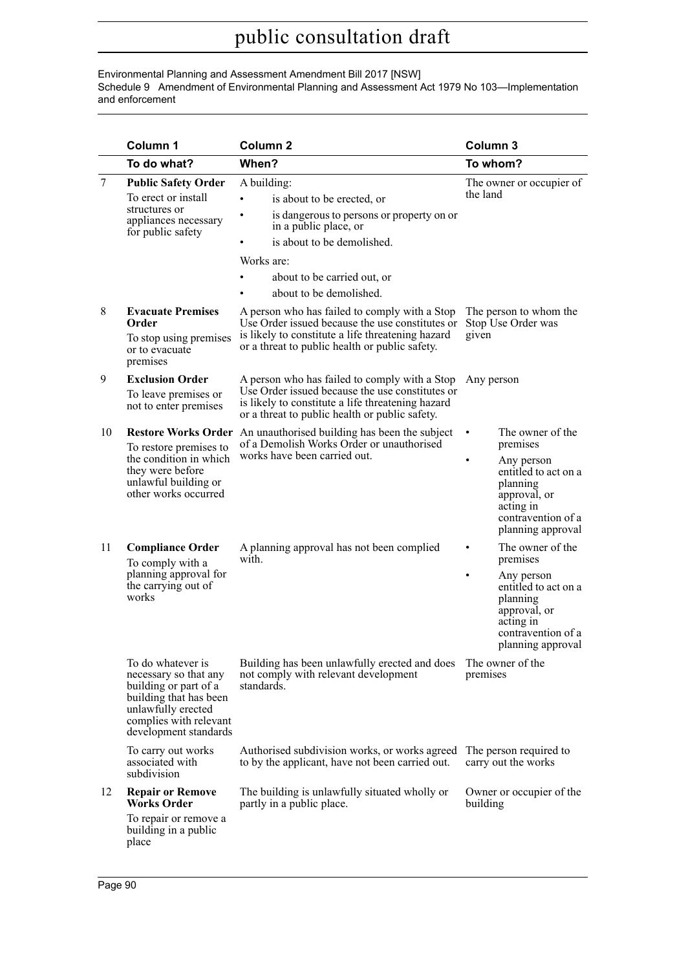Environmental Planning and Assessment Amendment Bill 2017 [NSW] Schedule 9 Amendment of Environmental Planning and Assessment Act 1979 No 103—Implementation and enforcement

|    | Column 1                                                                                                                                                               | Column <sub>2</sub>                                                                                                                                                                                                                                  | Column 3                                                                                                                                                                 |
|----|------------------------------------------------------------------------------------------------------------------------------------------------------------------------|------------------------------------------------------------------------------------------------------------------------------------------------------------------------------------------------------------------------------------------------------|--------------------------------------------------------------------------------------------------------------------------------------------------------------------------|
|    | To do what?                                                                                                                                                            | When?                                                                                                                                                                                                                                                | To whom?                                                                                                                                                                 |
| 7  | <b>Public Safety Order</b><br>To erect or install<br>structures or<br>appliances necessary<br>for public safety                                                        | A building:<br>is about to be erected, or<br>$\bullet$<br>is dangerous to persons or property on or<br>$\bullet$<br>in a public place, or<br>is about to be demolished.<br>٠<br>Works are:<br>about to be carried out, or<br>about to be demolished. | The owner or occupier of<br>the land                                                                                                                                     |
| 8  | <b>Evacuate Premises</b><br>Order<br>To stop using premises<br>or to evacuate<br>premises                                                                              | A person who has failed to comply with a Stop<br>Use Order issued because the use constitutes or<br>is likely to constitute a life threatening hazard<br>or a threat to public health or public safety.                                              | The person to whom the<br>Stop Use Order was<br>given                                                                                                                    |
| 9  | <b>Exclusion Order</b><br>To leave premises or<br>not to enter premises                                                                                                | A person who has failed to comply with a Stop<br>Use Order issued because the use constitutes or<br>is likely to constitute a life threatening hazard<br>or a threat to public health or public safety.                                              | Any person                                                                                                                                                               |
| 10 | <b>Restore Works Order</b><br>To restore premises to<br>the condition in which<br>they were before<br>unlawful building or<br>other works occurred                     | An unauthorised building has been the subject<br>of a Demolish Works Order or unauthorised<br>works have been carried out.                                                                                                                           | The owner of the<br>$\bullet$<br>premises<br>Any person<br>٠<br>entitled to act on a<br>planning<br>approval, or<br>acting in<br>contravention of a<br>planning approval |
| 11 | <b>Compliance Order</b><br>To comply with a<br>planning approval for<br>the carrying out of<br>works                                                                   | A planning approval has not been complied<br>with.                                                                                                                                                                                                   | The owner of the<br>premises<br>Any person<br>٠<br>entitled to act on a<br>planning<br>approval, or<br>acting in<br>contravention of a<br>planning approval              |
|    | To do whatever is<br>necessary so that any<br>building or part of a<br>building that has been<br>unlawfully erected<br>complies with relevant<br>development standards | Building has been unlawfully erected and does<br>not comply with relevant development<br>standards.                                                                                                                                                  | The owner of the<br>premises                                                                                                                                             |
|    | To carry out works<br>associated with<br>subdivision                                                                                                                   | Authorised subdivision works, or works agreed<br>to by the applicant, have not been carried out.                                                                                                                                                     | The person required to<br>carry out the works                                                                                                                            |
| 12 | <b>Repair or Remove</b><br><b>Works Order</b><br>To repair or remove a<br>building in a public<br>place                                                                | The building is unlawfully situated wholly or<br>partly in a public place.                                                                                                                                                                           | Owner or occupier of the<br>building                                                                                                                                     |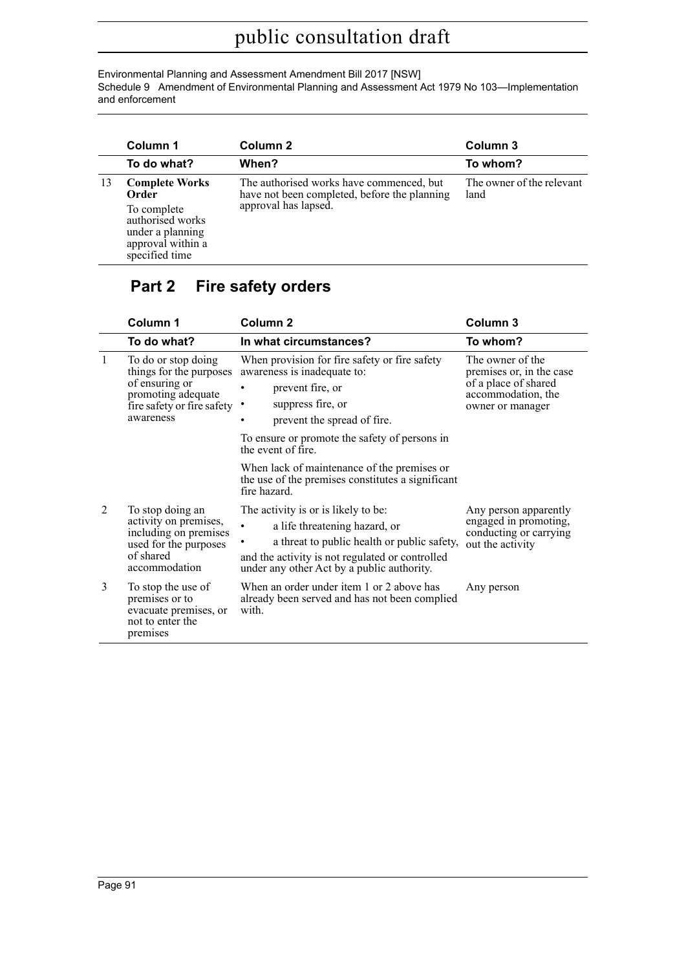Environmental Planning and Assessment Amendment Bill 2017 [NSW] Schedule 9 Amendment of Environmental Planning and Assessment Act 1979 No 103—Implementation and enforcement

|     | Column 1                                                                                   | Column <sub>2</sub>                                                                                              | Column 3                          |
|-----|--------------------------------------------------------------------------------------------|------------------------------------------------------------------------------------------------------------------|-----------------------------------|
|     | To do what?                                                                                | When?                                                                                                            | To whom?                          |
| -13 | <b>Complete Works</b><br>Order                                                             | The authorised works have commenced, but<br>have not been completed, before the planning<br>approval has lapsed. | The owner of the relevant<br>land |
|     | To complete<br>authorised works<br>under a planning<br>approval within a<br>specified time |                                                                                                                  |                                   |

# **Part 2 Fire safety orders**

|              | Column 1                                                                                                                          | Column <sub>2</sub>                                                                                                                                                                                                  | Column <sub>3</sub>                                                                                            |  |
|--------------|-----------------------------------------------------------------------------------------------------------------------------------|----------------------------------------------------------------------------------------------------------------------------------------------------------------------------------------------------------------------|----------------------------------------------------------------------------------------------------------------|--|
|              | To do what?                                                                                                                       | In what circumstances?                                                                                                                                                                                               | To whom?                                                                                                       |  |
| $\mathbf{1}$ | To do or stop doing<br>things for the purposes<br>of ensuring or<br>promoting adequate<br>fire safety or fire safety<br>awareness | When provision for fire safety or fire safety<br>awareness is inadequate to:<br>prevent fire, or<br>suppress fire, or<br>prevent the spread of fire.                                                                 | The owner of the<br>premises or, in the case<br>of a place of shared<br>accommodation, the<br>owner or manager |  |
|              |                                                                                                                                   | To ensure or promote the safety of persons in<br>the event of fire.                                                                                                                                                  |                                                                                                                |  |
|              |                                                                                                                                   | When lack of maintenance of the premises or<br>the use of the premises constitutes a significant<br>fire hazard.                                                                                                     |                                                                                                                |  |
| 2            | To stop doing an<br>activity on premises,<br>including on premises<br>used for the purposes<br>of shared<br>accommodation         | The activity is or is likely to be:<br>a life threatening hazard, or<br>a threat to public health or public safety,<br>and the activity is not regulated or controlled<br>under any other Act by a public authority. | Any person apparently<br>engaged in promoting,<br>conducting or carrying<br>out the activity                   |  |
| 3            | To stop the use of<br>premises or to<br>evacuate premises, or<br>not to enter the<br>premises                                     | When an order under item 1 or 2 above has<br>already been served and has not been complied<br>with.                                                                                                                  | Any person                                                                                                     |  |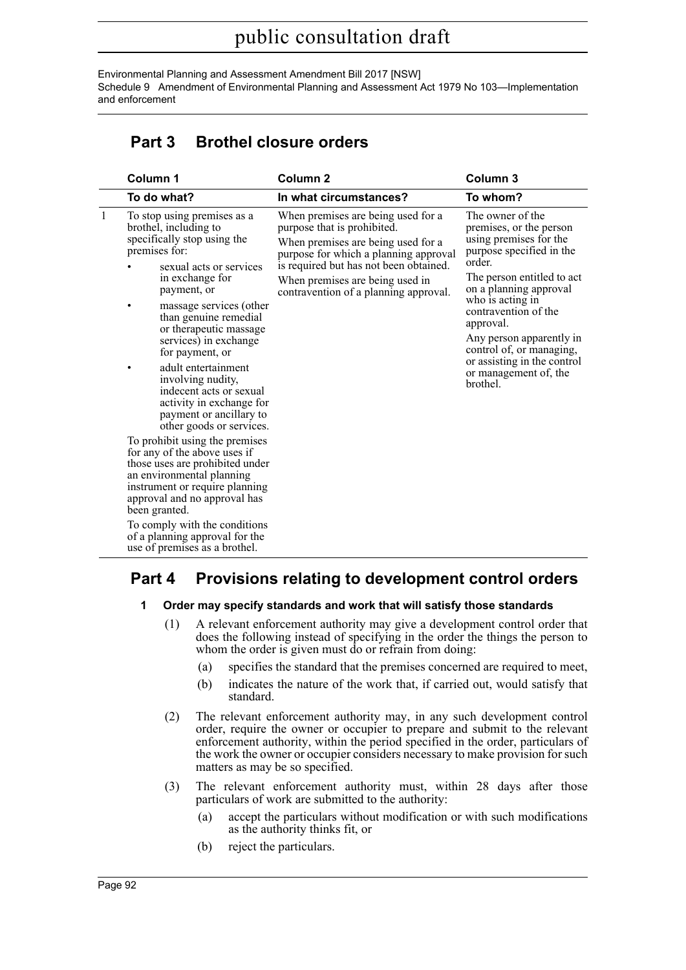Environmental Planning and Assessment Amendment Bill 2017 [NSW] Schedule 9 Amendment of Environmental Planning and Assessment Act 1979 No 103—Implementation and enforcement

# **Part 3 Brothel closure orders**

|  | Column 1                                                                                                                                                                                                          | Column <sub>2</sub>                                                                                                                                                                                                                                                    | Column <sub>3</sub>                                                                                                                                                                                                                                                                                                                                      |  |
|--|-------------------------------------------------------------------------------------------------------------------------------------------------------------------------------------------------------------------|------------------------------------------------------------------------------------------------------------------------------------------------------------------------------------------------------------------------------------------------------------------------|----------------------------------------------------------------------------------------------------------------------------------------------------------------------------------------------------------------------------------------------------------------------------------------------------------------------------------------------------------|--|
|  | To do what?                                                                                                                                                                                                       | In what circumstances?                                                                                                                                                                                                                                                 | To whom?                                                                                                                                                                                                                                                                                                                                                 |  |
|  | To stop using premises as a<br>brothel, including to<br>specifically stop using the<br>premises for:<br>sexual acts or services<br>in exchange for<br>payment, or<br>massage services (other<br>٠                 | When premises are being used for a<br>purpose that is prohibited.<br>When premises are being used for a<br>purpose for which a planning approval<br>is required but has not been obtained.<br>When premises are being used in<br>contravention of a planning approval. | The owner of the<br>premises, or the person<br>using premises for the<br>purpose specified in the<br>order.<br>The person entitled to act<br>on a planning approval<br>who is acting in<br>contravention of the<br>approval.<br>Any person apparently in<br>control of, or managing,<br>or assisting in the control<br>or management of, the<br>brothel. |  |
|  | than genuine remedial<br>or therapeutic massage<br>services) in exchange<br>for payment, or                                                                                                                       |                                                                                                                                                                                                                                                                        |                                                                                                                                                                                                                                                                                                                                                          |  |
|  | adult entertainment<br>involving nudity,<br>indecent acts or sexual<br>activity in exchange for<br>payment or ancillary to<br>other goods or services.                                                            |                                                                                                                                                                                                                                                                        |                                                                                                                                                                                                                                                                                                                                                          |  |
|  | To prohibit using the premises<br>for any of the above uses if<br>those uses are prohibited under<br>an environmental planning<br>instrument or require planning<br>approval and no approval has<br>been granted. |                                                                                                                                                                                                                                                                        |                                                                                                                                                                                                                                                                                                                                                          |  |
|  | To comply with the conditions<br>of a planning approval for the<br>use of premises as a brothel.                                                                                                                  |                                                                                                                                                                                                                                                                        |                                                                                                                                                                                                                                                                                                                                                          |  |

# **Part 4 Provisions relating to development control orders**

- **1 Order may specify standards and work that will satisfy those standards**
	- (1) A relevant enforcement authority may give a development control order that does the following instead of specifying in the order the things the person to whom the order is given must do or refrain from doing:
		- (a) specifies the standard that the premises concerned are required to meet,
		- (b) indicates the nature of the work that, if carried out, would satisfy that standard.
	- (2) The relevant enforcement authority may, in any such development control order, require the owner or occupier to prepare and submit to the relevant enforcement authority, within the period specified in the order, particulars of the work the owner or occupier considers necessary to make provision for such matters as may be so specified.
	- (3) The relevant enforcement authority must, within 28 days after those particulars of work are submitted to the authority:
		- (a) accept the particulars without modification or with such modifications as the authority thinks fit, or
		- (b) reject the particulars.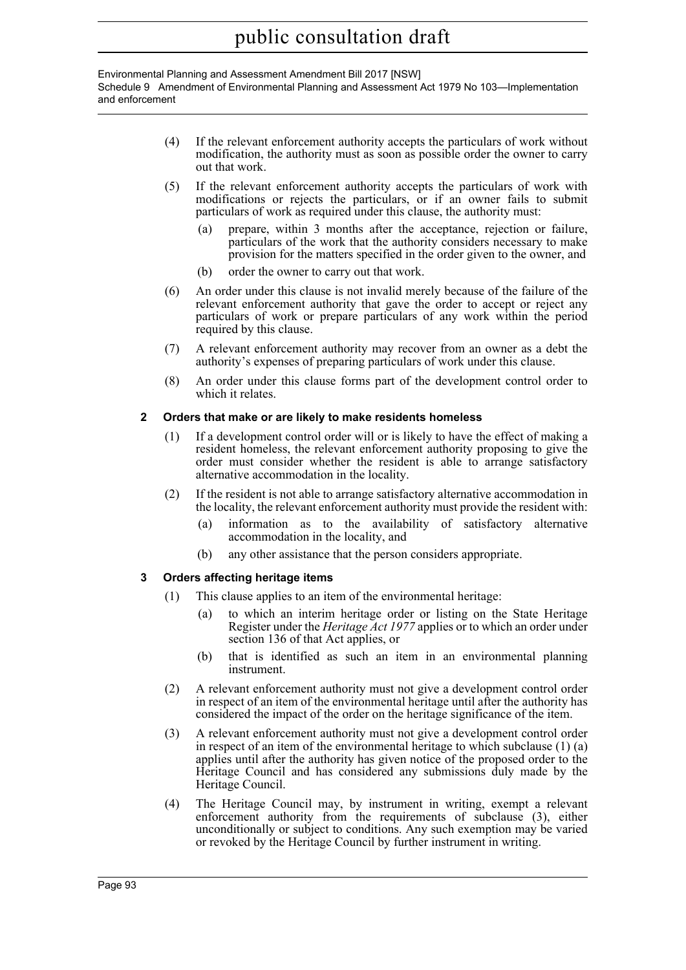#### Environmental Planning and Assessment Amendment Bill 2017 [NSW] Schedule 9 Amendment of Environmental Planning and Assessment Act 1979 No 103—Implementation and enforcement

- (4) If the relevant enforcement authority accepts the particulars of work without modification, the authority must as soon as possible order the owner to carry out that work.
- (5) If the relevant enforcement authority accepts the particulars of work with modifications or rejects the particulars, or if an owner fails to submit particulars of work as required under this clause, the authority must:
	- (a) prepare, within 3 months after the acceptance, rejection or failure, particulars of the work that the authority considers necessary to make provision for the matters specified in the order given to the owner, and
	- (b) order the owner to carry out that work.
- (6) An order under this clause is not invalid merely because of the failure of the relevant enforcement authority that gave the order to accept or reject any particulars of work or prepare particulars of any work within the period required by this clause.
- (7) A relevant enforcement authority may recover from an owner as a debt the authority's expenses of preparing particulars of work under this clause.
- (8) An order under this clause forms part of the development control order to which it relates.

#### **2 Orders that make or are likely to make residents homeless**

- (1) If a development control order will or is likely to have the effect of making a resident homeless, the relevant enforcement authority proposing to give the order must consider whether the resident is able to arrange satisfactory alternative accommodation in the locality.
- (2) If the resident is not able to arrange satisfactory alternative accommodation in the locality, the relevant enforcement authority must provide the resident with:
	- (a) information as to the availability of satisfactory alternative accommodation in the locality, and
	- (b) any other assistance that the person considers appropriate.

#### **3 Orders affecting heritage items**

- (1) This clause applies to an item of the environmental heritage:
	- (a) to which an interim heritage order or listing on the State Heritage Register under the *Heritage Act 1977* applies or to which an order under section 136 of that Act applies, or
	- (b) that is identified as such an item in an environmental planning instrument.
- (2) A relevant enforcement authority must not give a development control order in respect of an item of the environmental heritage until after the authority has considered the impact of the order on the heritage significance of the item.
- (3) A relevant enforcement authority must not give a development control order in respect of an item of the environmental heritage to which subclause (1) (a) applies until after the authority has given notice of the proposed order to the Heritage Council and has considered any submissions duly made by the Heritage Council.
- (4) The Heritage Council may, by instrument in writing, exempt a relevant enforcement authority from the requirements of subclause (3), either unconditionally or subject to conditions. Any such exemption may be varied or revoked by the Heritage Council by further instrument in writing.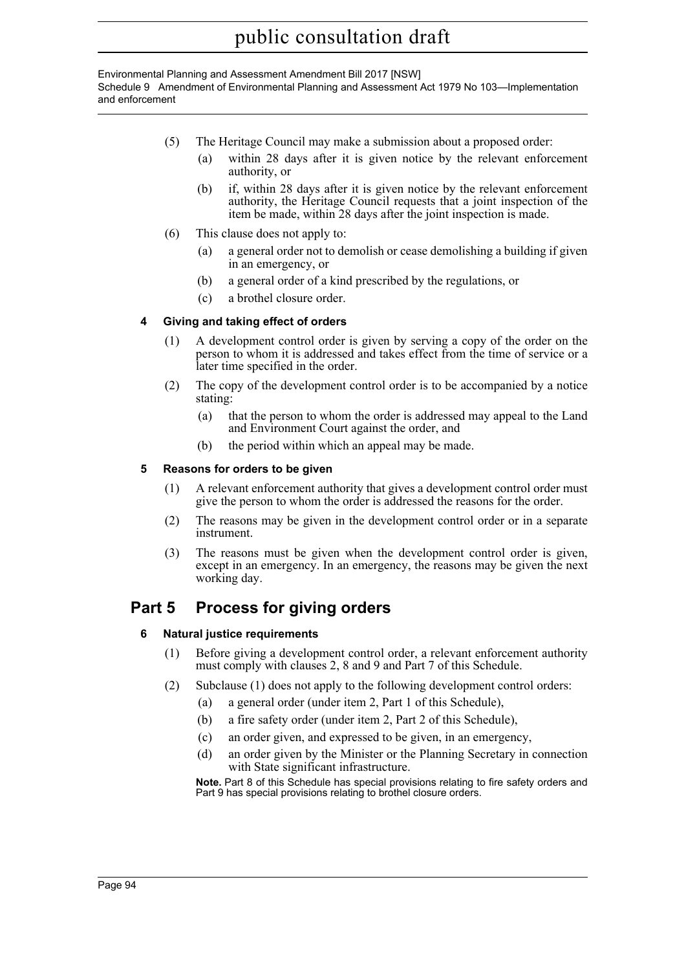#### Environmental Planning and Assessment Amendment Bill 2017 [NSW] Schedule 9 Amendment of Environmental Planning and Assessment Act 1979 No 103—Implementation and enforcement

- (5) The Heritage Council may make a submission about a proposed order:
	- (a) within 28 days after it is given notice by the relevant enforcement authority, or
	- (b) if, within 28 days after it is given notice by the relevant enforcement authority, the Heritage Council requests that a joint inspection of the item be made, within 28 days after the joint inspection is made.
- (6) This clause does not apply to:
	- (a) a general order not to demolish or cease demolishing a building if given in an emergency, or
	- (b) a general order of a kind prescribed by the regulations, or
	- (c) a brothel closure order.

### **4 Giving and taking effect of orders**

- (1) A development control order is given by serving a copy of the order on the person to whom it is addressed and takes effect from the time of service or a later time specified in the order.
- (2) The copy of the development control order is to be accompanied by a notice stating:
	- (a) that the person to whom the order is addressed may appeal to the Land and Environment Court against the order, and
	- (b) the period within which an appeal may be made.

#### **5 Reasons for orders to be given**

- (1) A relevant enforcement authority that gives a development control order must give the person to whom the order is addressed the reasons for the order.
- (2) The reasons may be given in the development control order or in a separate instrument.
- (3) The reasons must be given when the development control order is given, except in an emergency. In an emergency, the reasons may be given the next working day.

# **Part 5 Process for giving orders**

#### **6 Natural justice requirements**

- (1) Before giving a development control order, a relevant enforcement authority must comply with clauses 2, 8 and 9 and Part 7 of this Schedule.
- (2) Subclause (1) does not apply to the following development control orders:
	- (a) a general order (under item 2, Part 1 of this Schedule),
	- (b) a fire safety order (under item 2, Part 2 of this Schedule),
	- (c) an order given, and expressed to be given, in an emergency,
	- (d) an order given by the Minister or the Planning Secretary in connection with State significant infrastructure.

**Note.** Part 8 of this Schedule has special provisions relating to fire safety orders and Part 9 has special provisions relating to brothel closure orders.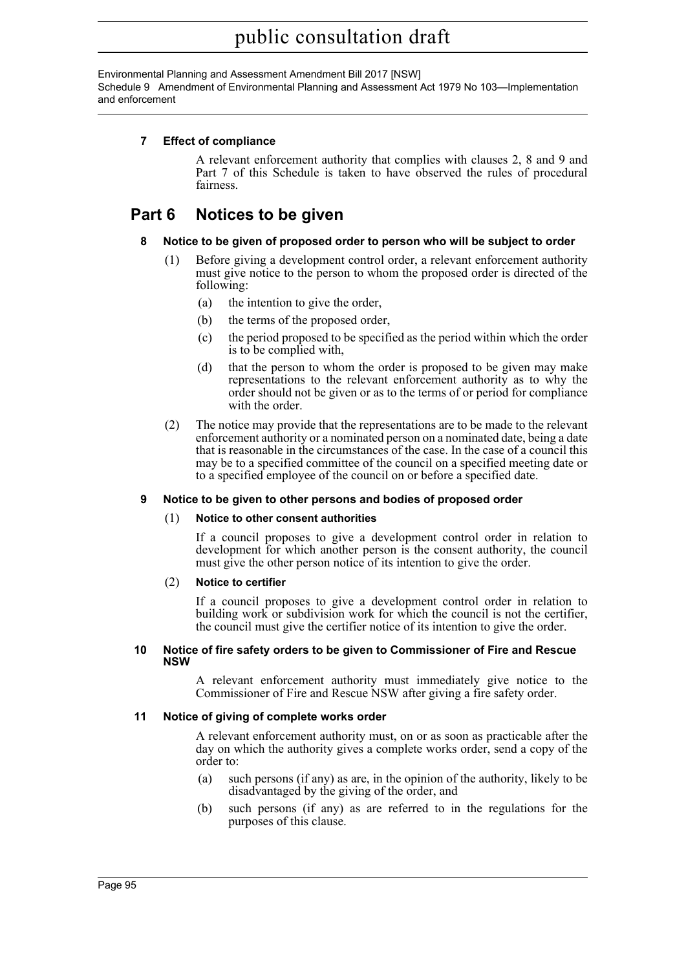Environmental Planning and Assessment Amendment Bill 2017 [NSW] Schedule 9 Amendment of Environmental Planning and Assessment Act 1979 No 103—Implementation and enforcement

#### **7 Effect of compliance**

A relevant enforcement authority that complies with clauses 2, 8 and 9 and Part 7 of this Schedule is taken to have observed the rules of procedural fairness.

# **Part 6 Notices to be given**

#### **8 Notice to be given of proposed order to person who will be subject to order**

- (1) Before giving a development control order, a relevant enforcement authority must give notice to the person to whom the proposed order is directed of the following:
	- (a) the intention to give the order,
	- (b) the terms of the proposed order,
	- (c) the period proposed to be specified as the period within which the order is to be complied with,
	- (d) that the person to whom the order is proposed to be given may make representations to the relevant enforcement authority as to why the order should not be given or as to the terms of or period for compliance with the order.
- (2) The notice may provide that the representations are to be made to the relevant enforcement authority or a nominated person on a nominated date, being a date that is reasonable in the circumstances of the case. In the case of a council this may be to a specified committee of the council on a specified meeting date or to a specified employee of the council on or before a specified date.

#### **9 Notice to be given to other persons and bodies of proposed order**

#### (1) **Notice to other consent authorities**

If a council proposes to give a development control order in relation to development for which another person is the consent authority, the council must give the other person notice of its intention to give the order.

#### (2) **Notice to certifier**

If a council proposes to give a development control order in relation to building work or subdivision work for which the council is not the certifier, the council must give the certifier notice of its intention to give the order.

#### **10 Notice of fire safety orders to be given to Commissioner of Fire and Rescue NSW**

A relevant enforcement authority must immediately give notice to the Commissioner of Fire and Rescue NSW after giving a fire safety order.

#### **11 Notice of giving of complete works order**

A relevant enforcement authority must, on or as soon as practicable after the day on which the authority gives a complete works order, send a copy of the order to:

- (a) such persons (if any) as are, in the opinion of the authority, likely to be disadvantaged by the giving of the order, and
- (b) such persons (if any) as are referred to in the regulations for the purposes of this clause.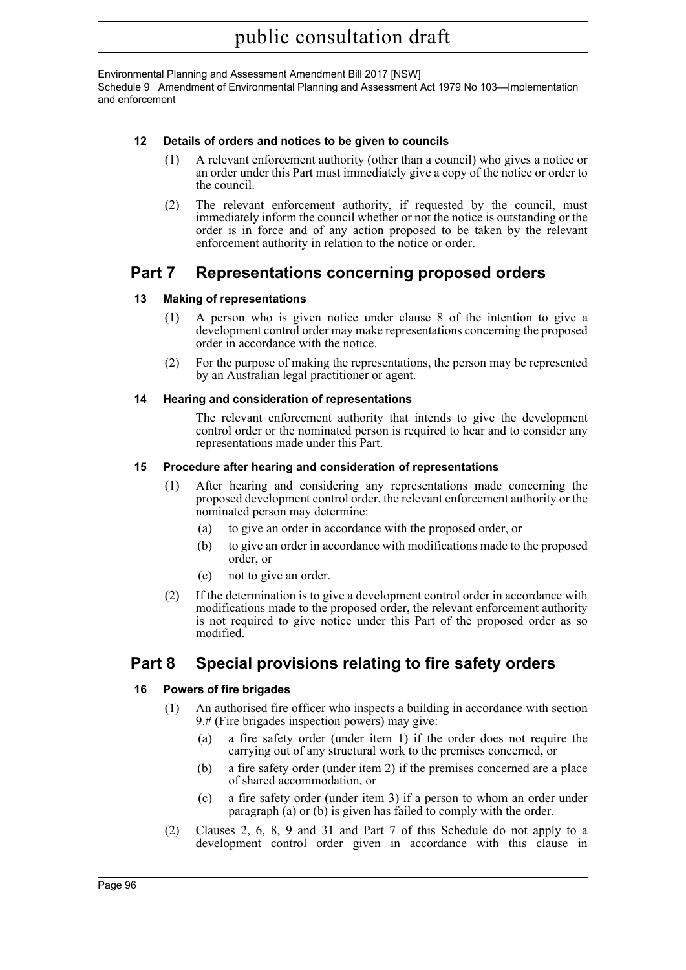Environmental Planning and Assessment Amendment Bill 2017 [NSW] Schedule 9 Amendment of Environmental Planning and Assessment Act 1979 No 103—Implementation and enforcement

#### **12 Details of orders and notices to be given to councils**

- (1) A relevant enforcement authority (other than a council) who gives a notice or an order under this Part must immediately give a copy of the notice or order to the council.
- (2) The relevant enforcement authority, if requested by the council, must immediately inform the council whether or not the notice is outstanding or the order is in force and of any action proposed to be taken by the relevant enforcement authority in relation to the notice or order.

# **Part 7 Representations concerning proposed orders**

#### **13 Making of representations**

- (1) A person who is given notice under clause 8 of the intention to give a development control order may make representations concerning the proposed order in accordance with the notice.
- (2) For the purpose of making the representations, the person may be represented by an Australian legal practitioner or agent.

#### **14 Hearing and consideration of representations**

The relevant enforcement authority that intends to give the development control order or the nominated person is required to hear and to consider any representations made under this Part.

#### **15 Procedure after hearing and consideration of representations**

- (1) After hearing and considering any representations made concerning the proposed development control order, the relevant enforcement authority or the nominated person may determine:
	- (a) to give an order in accordance with the proposed order, or
	- (b) to give an order in accordance with modifications made to the proposed order, or
	- (c) not to give an order.
- (2) If the determination is to give a development control order in accordance with modifications made to the proposed order, the relevant enforcement authority is not required to give notice under this Part of the proposed order as so modified.

# **Part 8 Special provisions relating to fire safety orders**

#### **16 Powers of fire brigades**

- (1) An authorised fire officer who inspects a building in accordance with section 9.# (Fire brigades inspection powers) may give:
	- (a) a fire safety order (under item 1) if the order does not require the carrying out of any structural work to the premises concerned, or
	- (b) a fire safety order (under item 2) if the premises concerned are a place of shared accommodation, or
	- (c) a fire safety order (under item 3) if a person to whom an order under paragraph (a) or (b) is given has failed to comply with the order.
- (2) Clauses 2, 6, 8, 9 and 31 and Part 7 of this Schedule do not apply to a development control order given in accordance with this clause in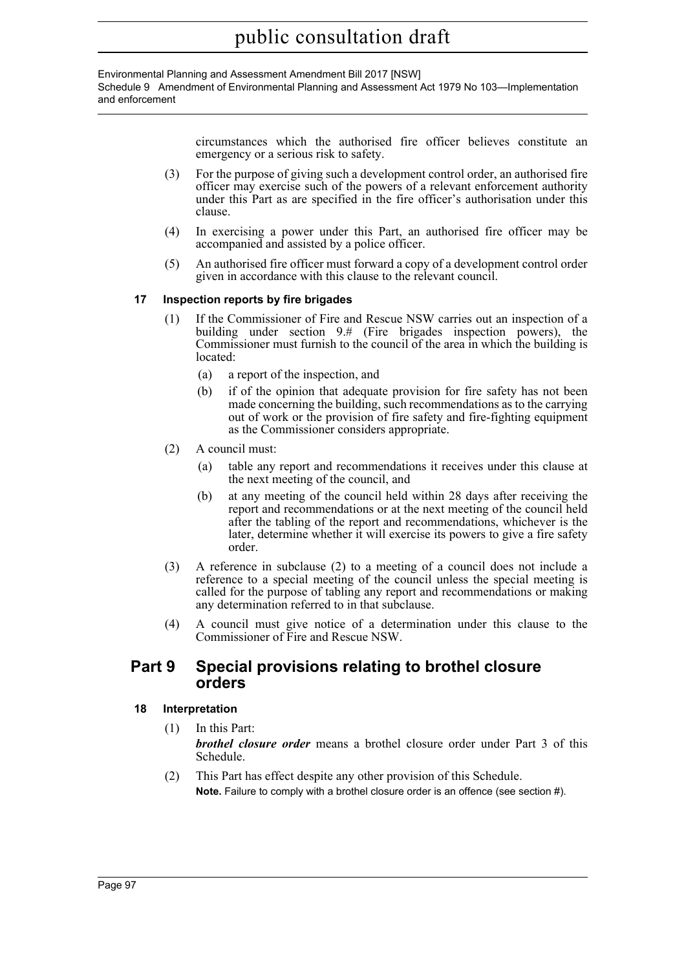#### Environmental Planning and Assessment Amendment Bill 2017 [NSW] Schedule 9 Amendment of Environmental Planning and Assessment Act 1979 No 103—Implementation and enforcement

circumstances which the authorised fire officer believes constitute an emergency or a serious risk to safety.

- (3) For the purpose of giving such a development control order, an authorised fire officer may exercise such of the powers of a relevant enforcement authority under this Part as are specified in the fire officer's authorisation under this clause.
- (4) In exercising a power under this Part, an authorised fire officer may be accompanied and assisted by a police officer.
- (5) An authorised fire officer must forward a copy of a development control order given in accordance with this clause to the relevant council.

#### **17 Inspection reports by fire brigades**

- (1) If the Commissioner of Fire and Rescue NSW carries out an inspection of a building under section 9.# (Fire brigades inspection powers), the Commissioner must furnish to the council of the area in which the building is located:
	- (a) a report of the inspection, and
	- (b) if of the opinion that adequate provision for fire safety has not been made concerning the building, such recommendations as to the carrying out of work or the provision of fire safety and fire-fighting equipment as the Commissioner considers appropriate.
- (2) A council must:
	- (a) table any report and recommendations it receives under this clause at the next meeting of the council, and
	- (b) at any meeting of the council held within 28 days after receiving the report and recommendations or at the next meeting of the council held after the tabling of the report and recommendations, whichever is the later, determine whether it will exercise its powers to give a fire safety order.
- (3) A reference in subclause (2) to a meeting of a council does not include a reference to a special meeting of the council unless the special meeting is called for the purpose of tabling any report and recommendations or making any determination referred to in that subclause.
- (4) A council must give notice of a determination under this clause to the Commissioner of Fire and Rescue NSW.

## **Part 9 Special provisions relating to brothel closure orders**

#### **18 Interpretation**

- (1) In this Part: *brothel closure order* means a brothel closure order under Part 3 of this Schedule.
- (2) This Part has effect despite any other provision of this Schedule. **Note.** Failure to comply with a brothel closure order is an offence (see section #).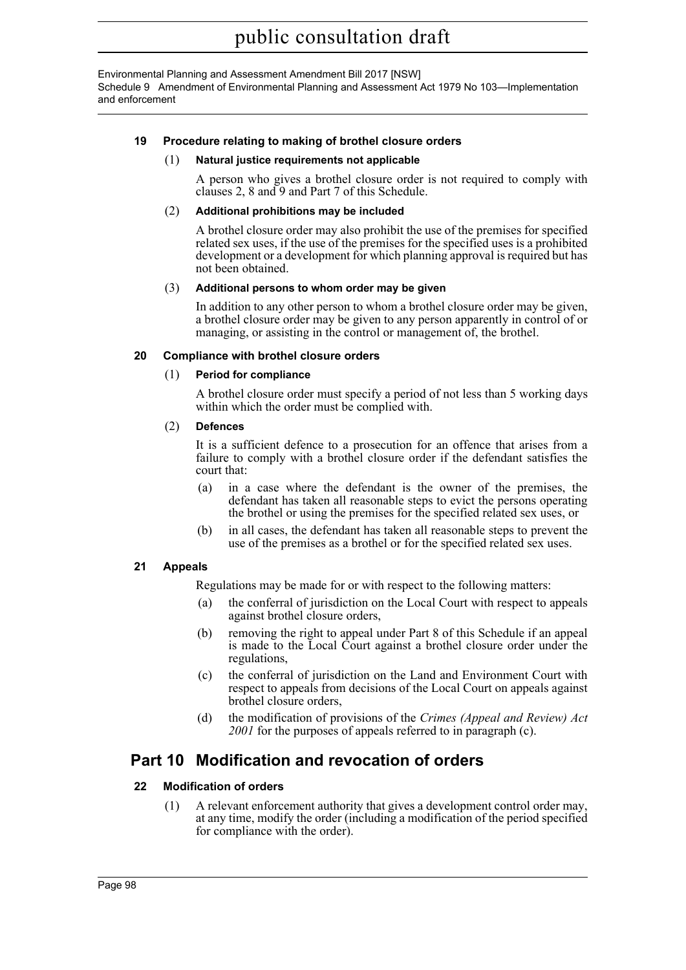Environmental Planning and Assessment Amendment Bill 2017 [NSW] Schedule 9 Amendment of Environmental Planning and Assessment Act 1979 No 103—Implementation and enforcement

#### **19 Procedure relating to making of brothel closure orders**

#### (1) **Natural justice requirements not applicable**

A person who gives a brothel closure order is not required to comply with clauses 2, 8 and 9 and Part 7 of this Schedule.

#### (2) **Additional prohibitions may be included**

A brothel closure order may also prohibit the use of the premises for specified related sex uses, if the use of the premises for the specified uses is a prohibited development or a development for which planning approval is required but has not been obtained.

#### (3) **Additional persons to whom order may be given**

In addition to any other person to whom a brothel closure order may be given, a brothel closure order may be given to any person apparently in control of or managing, or assisting in the control or management of, the brothel.

#### **20 Compliance with brothel closure orders**

#### (1) **Period for compliance**

A brothel closure order must specify a period of not less than 5 working days within which the order must be complied with.

#### (2) **Defences**

It is a sufficient defence to a prosecution for an offence that arises from a failure to comply with a brothel closure order if the defendant satisfies the court that:

- (a) in a case where the defendant is the owner of the premises, the defendant has taken all reasonable steps to evict the persons operating the brothel or using the premises for the specified related sex uses, or
- (b) in all cases, the defendant has taken all reasonable steps to prevent the use of the premises as a brothel or for the specified related sex uses.

#### **21 Appeals**

Regulations may be made for or with respect to the following matters:

- (a) the conferral of jurisdiction on the Local Court with respect to appeals against brothel closure orders,
- (b) removing the right to appeal under Part 8 of this Schedule if an appeal is made to the Local Court against a brothel closure order under the regulations,
- (c) the conferral of jurisdiction on the Land and Environment Court with respect to appeals from decisions of the Local Court on appeals against brothel closure orders,
- (d) the modification of provisions of the *Crimes (Appeal and Review) Act 2001* for the purposes of appeals referred to in paragraph (c).

## **Part 10 Modification and revocation of orders**

#### **22 Modification of orders**

(1) A relevant enforcement authority that gives a development control order may, at any time, modify the order (including a modification of the period specified for compliance with the order).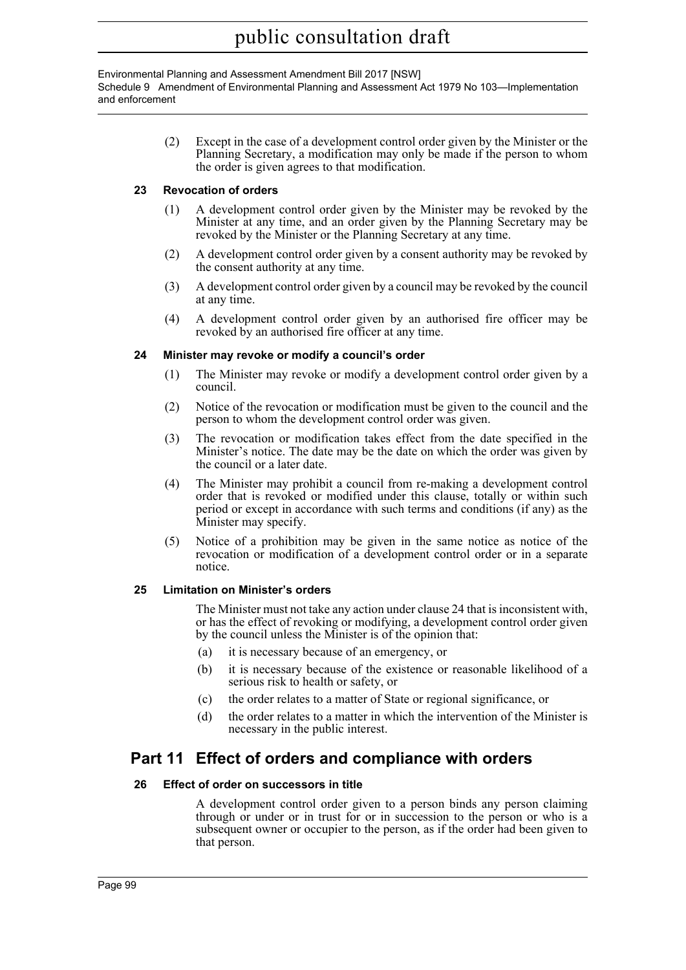#### Environmental Planning and Assessment Amendment Bill 2017 [NSW] Schedule 9 Amendment of Environmental Planning and Assessment Act 1979 No 103—Implementation and enforcement

(2) Except in the case of a development control order given by the Minister or the Planning Secretary, a modification may only be made if the person to whom the order is given agrees to that modification.

#### **23 Revocation of orders**

- (1) A development control order given by the Minister may be revoked by the Minister at any time, and an order given by the Planning Secretary may be revoked by the Minister or the Planning Secretary at any time.
- (2) A development control order given by a consent authority may be revoked by the consent authority at any time.
- (3) A development control order given by a council may be revoked by the council at any time.
- (4) A development control order given by an authorised fire officer may be revoked by an authorised fire officer at any time.

#### **24 Minister may revoke or modify a council's order**

- (1) The Minister may revoke or modify a development control order given by a council.
- (2) Notice of the revocation or modification must be given to the council and the person to whom the development control order was given.
- (3) The revocation or modification takes effect from the date specified in the Minister's notice. The date may be the date on which the order was given by the council or a later date.
- (4) The Minister may prohibit a council from re-making a development control order that is revoked or modified under this clause, totally or within such period or except in accordance with such terms and conditions (if any) as the Minister may specify.
- (5) Notice of a prohibition may be given in the same notice as notice of the revocation or modification of a development control order or in a separate notice.

#### **25 Limitation on Minister's orders**

The Minister must not take any action under clause 24 that is inconsistent with, or has the effect of revoking or modifying, a development control order given by the council unless the Minister is of the opinion that:

- (a) it is necessary because of an emergency, or
- (b) it is necessary because of the existence or reasonable likelihood of a serious risk to health or safety, or
- (c) the order relates to a matter of State or regional significance, or
- (d) the order relates to a matter in which the intervention of the Minister is necessary in the public interest.

# **Part 11 Effect of orders and compliance with orders**

#### **26 Effect of order on successors in title**

A development control order given to a person binds any person claiming through or under or in trust for or in succession to the person or who is a subsequent owner or occupier to the person, as if the order had been given to that person.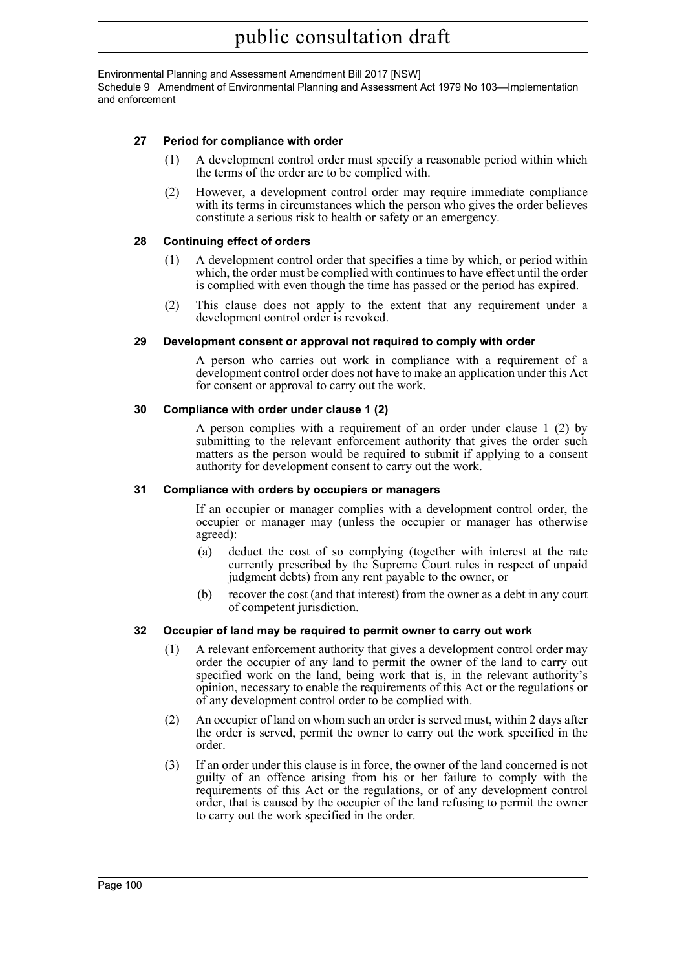Environmental Planning and Assessment Amendment Bill 2017 [NSW] Schedule 9 Amendment of Environmental Planning and Assessment Act 1979 No 103—Implementation and enforcement

#### **27 Period for compliance with order**

- (1) A development control order must specify a reasonable period within which the terms of the order are to be complied with.
- (2) However, a development control order may require immediate compliance with its terms in circumstances which the person who gives the order believes constitute a serious risk to health or safety or an emergency.

#### **28 Continuing effect of orders**

- (1) A development control order that specifies a time by which, or period within which, the order must be complied with continues to have effect until the order is complied with even though the time has passed or the period has expired.
- (2) This clause does not apply to the extent that any requirement under a development control order is revoked.

#### **29 Development consent or approval not required to comply with order**

A person who carries out work in compliance with a requirement of a development control order does not have to make an application under this Act for consent or approval to carry out the work.

#### **30 Compliance with order under clause 1 (2)**

A person complies with a requirement of an order under clause 1 (2) by submitting to the relevant enforcement authority that gives the order such matters as the person would be required to submit if applying to a consent authority for development consent to carry out the work.

#### **31 Compliance with orders by occupiers or managers**

If an occupier or manager complies with a development control order, the occupier or manager may (unless the occupier or manager has otherwise agreed):

- (a) deduct the cost of so complying (together with interest at the rate currently prescribed by the Supreme Court rules in respect of unpaid judgment debts) from any rent payable to the owner, or
- (b) recover the cost (and that interest) from the owner as a debt in any court of competent jurisdiction.

#### **32 Occupier of land may be required to permit owner to carry out work**

- (1) A relevant enforcement authority that gives a development control order may order the occupier of any land to permit the owner of the land to carry out specified work on the land, being work that is, in the relevant authority's opinion, necessary to enable the requirements of this Act or the regulations or of any development control order to be complied with.
- (2) An occupier of land on whom such an order is served must, within 2 days after the order is served, permit the owner to carry out the work specified in the order.
- (3) If an order under this clause is in force, the owner of the land concerned is not guilty of an offence arising from his or her failure to comply with the requirements of this Act or the regulations, or of any development control order, that is caused by the occupier of the land refusing to permit the owner to carry out the work specified in the order.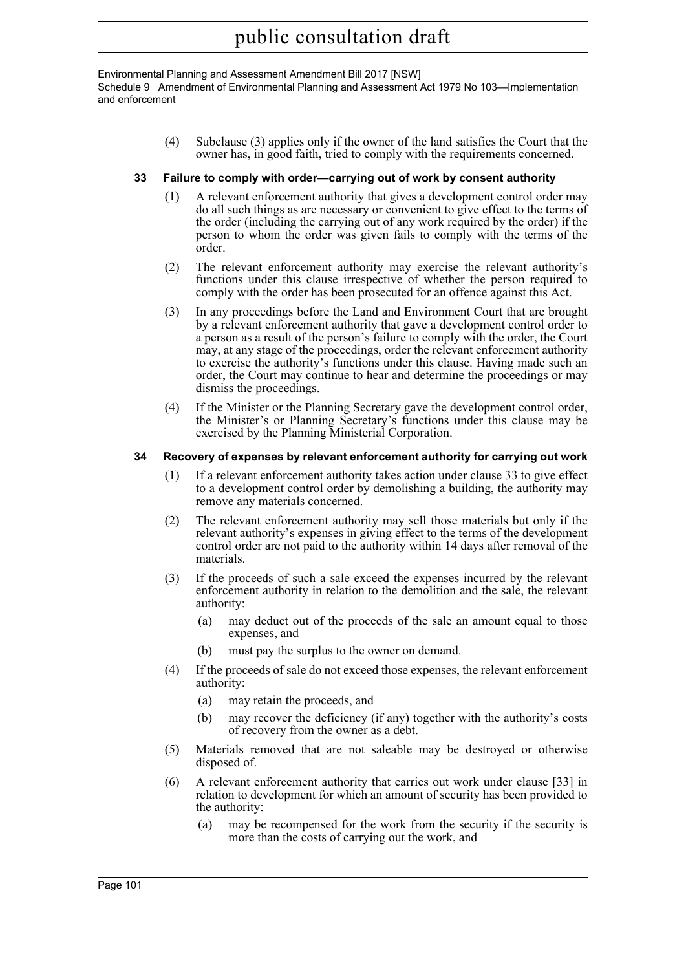Environmental Planning and Assessment Amendment Bill 2017 [NSW] Schedule 9 Amendment of Environmental Planning and Assessment Act 1979 No 103—Implementation and enforcement

> (4) Subclause (3) applies only if the owner of the land satisfies the Court that the owner has, in good faith, tried to comply with the requirements concerned.

#### **33 Failure to comply with order—carrying out of work by consent authority**

- (1) A relevant enforcement authority that gives a development control order may do all such things as are necessary or convenient to give effect to the terms of the order (including the carrying out of any work required by the order) if the person to whom the order was given fails to comply with the terms of the order.
- (2) The relevant enforcement authority may exercise the relevant authority's functions under this clause irrespective of whether the person required to comply with the order has been prosecuted for an offence against this Act.
- (3) In any proceedings before the Land and Environment Court that are brought by a relevant enforcement authority that gave a development control order to a person as a result of the person's failure to comply with the order, the Court may, at any stage of the proceedings, order the relevant enforcement authority to exercise the authority's functions under this clause. Having made such an order, the Court may continue to hear and determine the proceedings or may dismiss the proceedings.
- (4) If the Minister or the Planning Secretary gave the development control order, the Minister's or Planning Secretary's functions under this clause may be exercised by the Planning Ministerial Corporation.

#### **34 Recovery of expenses by relevant enforcement authority for carrying out work**

- (1) If a relevant enforcement authority takes action under clause 33 to give effect to a development control order by demolishing a building, the authority may remove any materials concerned.
- (2) The relevant enforcement authority may sell those materials but only if the relevant authority's expenses in giving effect to the terms of the development control order are not paid to the authority within 14 days after removal of the materials.
- (3) If the proceeds of such a sale exceed the expenses incurred by the relevant enforcement authority in relation to the demolition and the sale, the relevant authority:
	- (a) may deduct out of the proceeds of the sale an amount equal to those expenses, and
	- (b) must pay the surplus to the owner on demand.
- (4) If the proceeds of sale do not exceed those expenses, the relevant enforcement authority:
	- (a) may retain the proceeds, and
	- (b) may recover the deficiency (if any) together with the authority's costs of recovery from the owner as a debt.
- (5) Materials removed that are not saleable may be destroyed or otherwise disposed of.
- (6) A relevant enforcement authority that carries out work under clause [33] in relation to development for which an amount of security has been provided to the authority:
	- (a) may be recompensed for the work from the security if the security is more than the costs of carrying out the work, and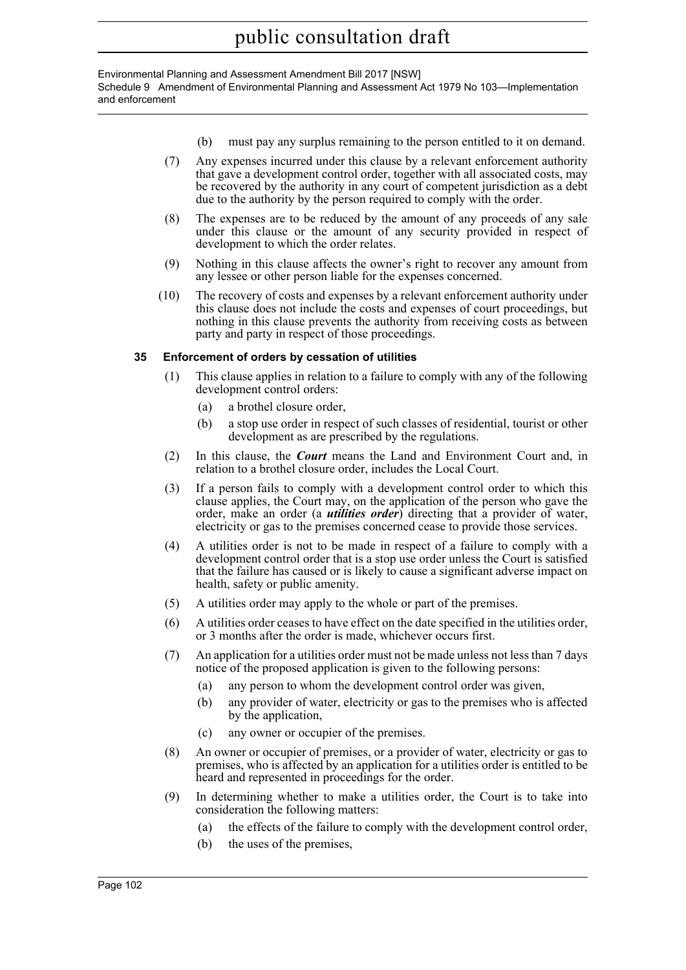#### Environmental Planning and Assessment Amendment Bill 2017 [NSW] Schedule 9 Amendment of Environmental Planning and Assessment Act 1979 No 103—Implementation and enforcement

- (b) must pay any surplus remaining to the person entitled to it on demand.
- (7) Any expenses incurred under this clause by a relevant enforcement authority that gave a development control order, together with all associated costs, may be recovered by the authority in any court of competent jurisdiction as a debt due to the authority by the person required to comply with the order.
- (8) The expenses are to be reduced by the amount of any proceeds of any sale under this clause or the amount of any security provided in respect of development to which the order relates.
- (9) Nothing in this clause affects the owner's right to recover any amount from any lessee or other person liable for the expenses concerned.
- (10) The recovery of costs and expenses by a relevant enforcement authority under this clause does not include the costs and expenses of court proceedings, but nothing in this clause prevents the authority from receiving costs as between party and party in respect of those proceedings.

### **35 Enforcement of orders by cessation of utilities**

- (1) This clause applies in relation to a failure to comply with any of the following development control orders:
	- (a) a brothel closure order,
	- (b) a stop use order in respect of such classes of residential, tourist or other development as are prescribed by the regulations.
- (2) In this clause, the *Court* means the Land and Environment Court and, in relation to a brothel closure order, includes the Local Court.
- (3) If a person fails to comply with a development control order to which this clause applies, the Court may, on the application of the person who gave the order, make an order (a *utilities order*) directing that a provider of water, electricity or gas to the premises concerned cease to provide those services.
- (4) A utilities order is not to be made in respect of a failure to comply with a development control order that is a stop use order unless the Court is satisfied that the failure has caused or is likely to cause a significant adverse impact on health, safety or public amenity.
- (5) A utilities order may apply to the whole or part of the premises.
- (6) A utilities order ceases to have effect on the date specified in the utilities order, or 3 months after the order is made, whichever occurs first.
- (7) An application for a utilities order must not be made unless not less than 7 days notice of the proposed application is given to the following persons:
	- (a) any person to whom the development control order was given,
	- (b) any provider of water, electricity or gas to the premises who is affected by the application,
	- (c) any owner or occupier of the premises.
- (8) An owner or occupier of premises, or a provider of water, electricity or gas to premises, who is affected by an application for a utilities order is entitled to be heard and represented in proceedings for the order.
- (9) In determining whether to make a utilities order, the Court is to take into consideration the following matters:
	- (a) the effects of the failure to comply with the development control order,
	- (b) the uses of the premises,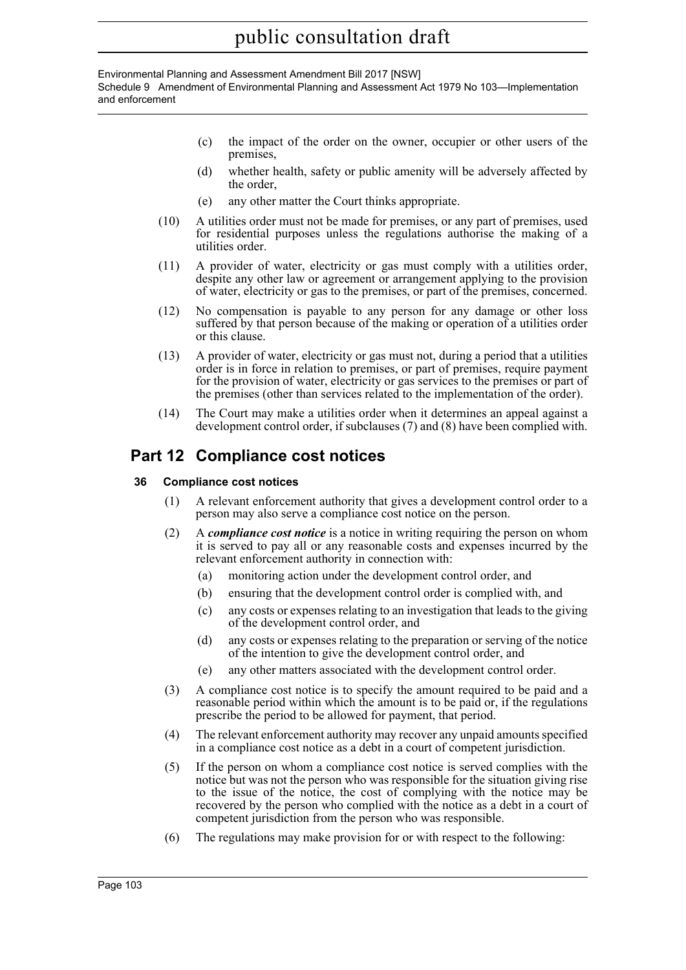#### Environmental Planning and Assessment Amendment Bill 2017 [NSW] Schedule 9 Amendment of Environmental Planning and Assessment Act 1979 No 103—Implementation and enforcement

- (c) the impact of the order on the owner, occupier or other users of the premises,
- (d) whether health, safety or public amenity will be adversely affected by the order,
- (e) any other matter the Court thinks appropriate.
- (10) A utilities order must not be made for premises, or any part of premises, used for residential purposes unless the regulations authorise the making of a utilities order.
- (11) A provider of water, electricity or gas must comply with a utilities order, despite any other law or agreement or arrangement applying to the provision of water, electricity or gas to the premises, or part of the premises, concerned.
- (12) No compensation is payable to any person for any damage or other loss suffered by that person because of the making or operation of a utilities order or this clause.
- (13) A provider of water, electricity or gas must not, during a period that a utilities order is in force in relation to premises, or part of premises, require payment for the provision of water, electricity or gas services to the premises or part of the premises (other than services related to the implementation of the order).
- (14) The Court may make a utilities order when it determines an appeal against a development control order, if subclauses (7) and (8) have been complied with.

# **Part 12 Compliance cost notices**

### **36 Compliance cost notices**

- (1) A relevant enforcement authority that gives a development control order to a person may also serve a compliance cost notice on the person.
- (2) A *compliance cost notice* is a notice in writing requiring the person on whom it is served to pay all or any reasonable costs and expenses incurred by the relevant enforcement authority in connection with:
	- (a) monitoring action under the development control order, and
	- (b) ensuring that the development control order is complied with, and
	- (c) any costs or expenses relating to an investigation that leads to the giving of the development control order, and
	- (d) any costs or expenses relating to the preparation or serving of the notice of the intention to give the development control order, and
	- (e) any other matters associated with the development control order.
- (3) A compliance cost notice is to specify the amount required to be paid and a reasonable period within which the amount is to be paid or, if the regulations prescribe the period to be allowed for payment, that period.
- (4) The relevant enforcement authority may recover any unpaid amounts specified in a compliance cost notice as a debt in a court of competent jurisdiction.
- (5) If the person on whom a compliance cost notice is served complies with the notice but was not the person who was responsible for the situation giving rise to the issue of the notice, the cost of complying with the notice may be recovered by the person who complied with the notice as a debt in a court of competent jurisdiction from the person who was responsible.
- (6) The regulations may make provision for or with respect to the following: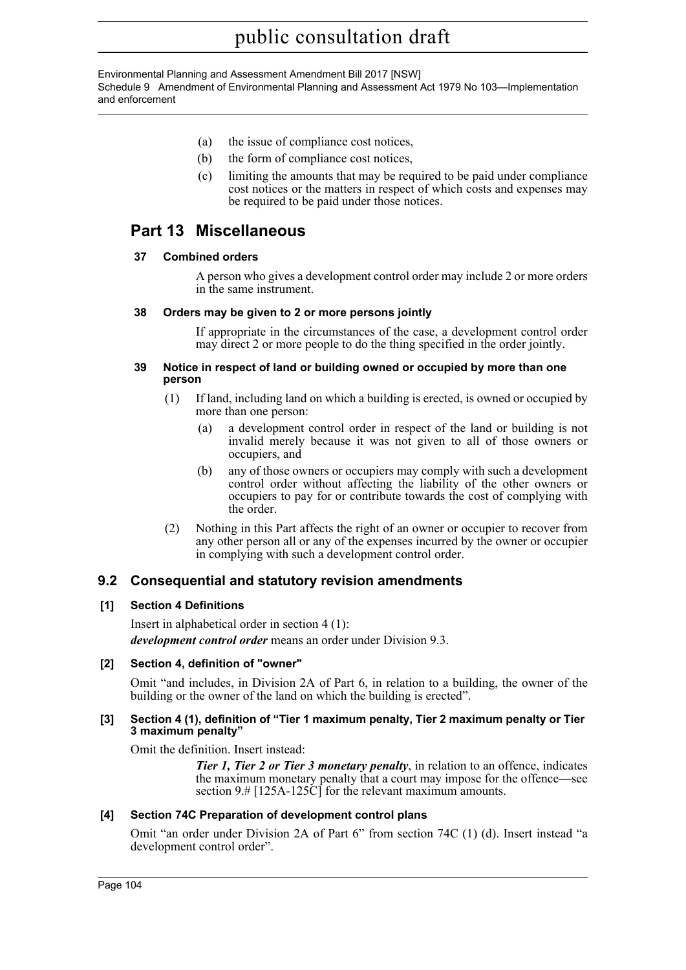Environmental Planning and Assessment Amendment Bill 2017 [NSW] Schedule 9 Amendment of Environmental Planning and Assessment Act 1979 No 103—Implementation and enforcement

- (a) the issue of compliance cost notices,
- (b) the form of compliance cost notices,
- (c) limiting the amounts that may be required to be paid under compliance cost notices or the matters in respect of which costs and expenses may be required to be paid under those notices.

# **Part 13 Miscellaneous**

#### **37 Combined orders**

A person who gives a development control order may include 2 or more orders in the same instrument.

#### **38 Orders may be given to 2 or more persons jointly**

If appropriate in the circumstances of the case, a development control order may direct 2 or more people to do the thing specified in the order jointly.

#### **39 Notice in respect of land or building owned or occupied by more than one person**

- (1) If land, including land on which a building is erected, is owned or occupied by more than one person:
	- (a) a development control order in respect of the land or building is not invalid merely because it was not given to all of those owners or occupiers, and
	- (b) any of those owners or occupiers may comply with such a development control order without affecting the liability of the other owners or occupiers to pay for or contribute towards the cost of complying with the order.
- (2) Nothing in this Part affects the right of an owner or occupier to recover from any other person all or any of the expenses incurred by the owner or occupier in complying with such a development control order.

## **9.2 Consequential and statutory revision amendments**

### **[1] Section 4 Definitions**

Insert in alphabetical order in section 4 (1): *development control order* means an order under Division 9.3.

#### **[2] Section 4, definition of "owner"**

Omit "and includes, in Division 2A of Part 6, in relation to a building, the owner of the building or the owner of the land on which the building is erected".

#### **[3] Section 4 (1), definition of "Tier 1 maximum penalty, Tier 2 maximum penalty or Tier 3 maximum penalty"**

Omit the definition. Insert instead:

*Tier 1, Tier 2 or Tier 3 monetary penalty*, in relation to an offence, indicates the maximum monetary penalty that a court may impose for the offence—see section 9.# [125A-125C] for the relevant maximum amounts.

#### **[4] Section 74C Preparation of development control plans**

Omit "an order under Division 2A of Part 6" from section 74C (1) (d). Insert instead "a development control order".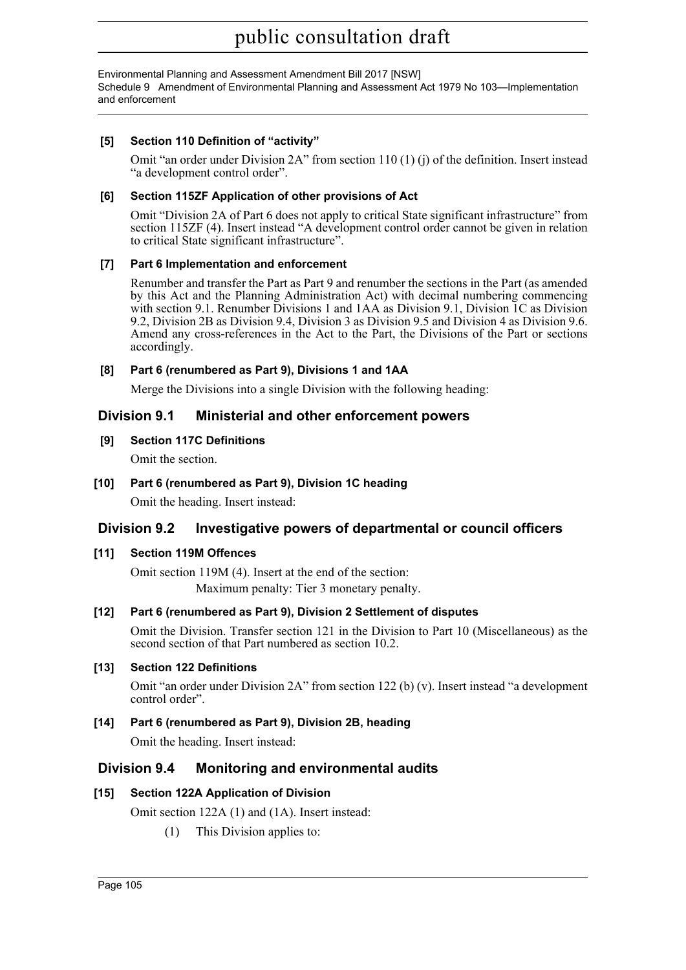Environmental Planning and Assessment Amendment Bill 2017 [NSW] Schedule 9 Amendment of Environmental Planning and Assessment Act 1979 No 103—Implementation and enforcement

### **[5] Section 110 Definition of "activity"**

Omit "an order under Division  $2A$ " from section  $110(1)$  (j) of the definition. Insert instead "a development control order".

#### **[6] Section 115ZF Application of other provisions of Act**

Omit "Division 2A of Part 6 does not apply to critical State significant infrastructure" from section 115ZF (4). Insert instead "A development control order cannot be given in relation to critical State significant infrastructure".

#### **[7] Part 6 Implementation and enforcement**

Renumber and transfer the Part as Part 9 and renumber the sections in the Part (as amended by this Act and the Planning Administration Act) with decimal numbering commencing with section 9.1. Renumber Divisions 1 and 1AA as Division 9.1, Division 1C as Division 9.2, Division 2B as Division 9.4, Division 3 as Division 9.5 and Division 4 as Division 9.6. Amend any cross-references in the Act to the Part, the Divisions of the Part or sections accordingly.

#### **[8] Part 6 (renumbered as Part 9), Divisions 1 and 1AA**

Merge the Divisions into a single Division with the following heading:

### **Division 9.1 Ministerial and other enforcement powers**

#### **[9] Section 117C Definitions**

Omit the section.

### **[10] Part 6 (renumbered as Part 9), Division 1C heading**

Omit the heading. Insert instead:

## **Division 9.2 Investigative powers of departmental or council officers**

### **[11] Section 119M Offences**

Omit section 119M (4). Insert at the end of the section: Maximum penalty: Tier 3 monetary penalty.

### **[12] Part 6 (renumbered as Part 9), Division 2 Settlement of disputes**

Omit the Division. Transfer section 121 in the Division to Part 10 (Miscellaneous) as the second section of that Part numbered as section 10.2.

#### **[13] Section 122 Definitions**

Omit "an order under Division 2A" from section 122 (b) (v). Insert instead "a development control order".

### **[14] Part 6 (renumbered as Part 9), Division 2B, heading**

Omit the heading. Insert instead:

### **Division 9.4 Monitoring and environmental audits**

### **[15] Section 122A Application of Division**

Omit section 122A (1) and (1A). Insert instead:

(1) This Division applies to: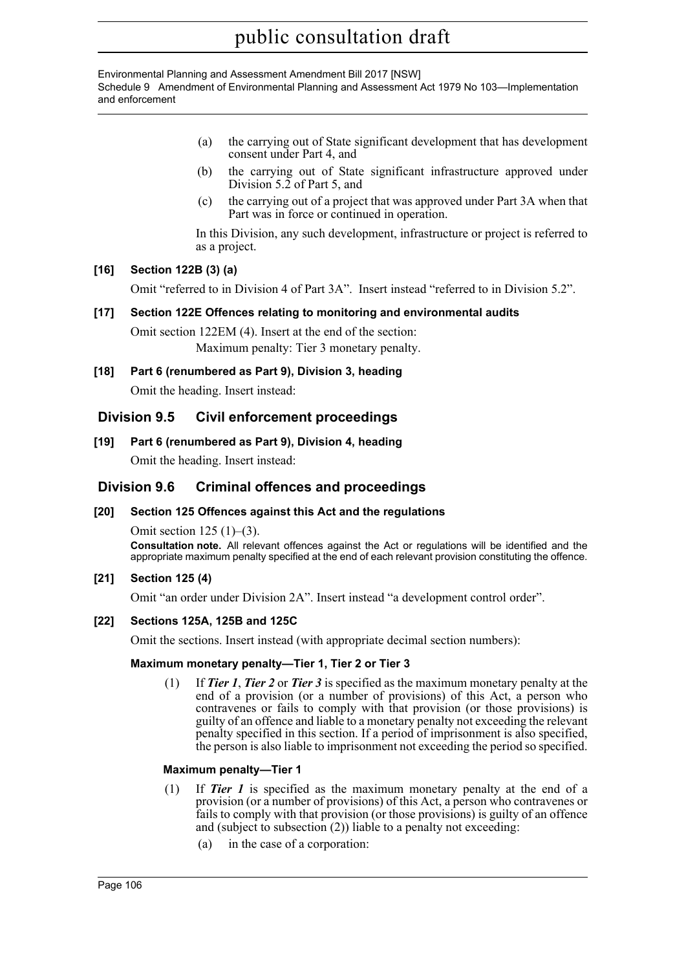Environmental Planning and Assessment Amendment Bill 2017 [NSW] Schedule 9 Amendment of Environmental Planning and Assessment Act 1979 No 103—Implementation and enforcement

- (a) the carrying out of State significant development that has development consent under Part 4, and
- (b) the carrying out of State significant infrastructure approved under Division 5.2 of Part 5, and
- (c) the carrying out of a project that was approved under Part 3A when that Part was in force or continued in operation.

In this Division, any such development, infrastructure or project is referred to as a project.

#### **[16] Section 122B (3) (a)**

Omit "referred to in Division 4 of Part 3A". Insert instead "referred to in Division 5.2".

#### **[17] Section 122E Offences relating to monitoring and environmental audits**

Omit section 122EM (4). Insert at the end of the section: Maximum penalty: Tier 3 monetary penalty.

#### **[18] Part 6 (renumbered as Part 9), Division 3, heading**

Omit the heading. Insert instead:

### **Division 9.5 Civil enforcement proceedings**

#### **[19] Part 6 (renumbered as Part 9), Division 4, heading**

Omit the heading. Insert instead:

### **Division 9.6 Criminal offences and proceedings**

#### **[20] Section 125 Offences against this Act and the regulations**

Omit section 125 (1)–(3).

**Consultation note.** All relevant offences against the Act or regulations will be identified and the appropriate maximum penalty specified at the end of each relevant provision constituting the offence.

#### **[21] Section 125 (4)**

Omit "an order under Division 2A". Insert instead "a development control order".

#### **[22] Sections 125A, 125B and 125C**

Omit the sections. Insert instead (with appropriate decimal section numbers):

#### **Maximum monetary penalty—Tier 1, Tier 2 or Tier 3**

(1) If *Tier 1*, *Tier 2* or *Tier 3* is specified as the maximum monetary penalty at the end of a provision (or a number of provisions) of this Act, a person who contravenes or fails to comply with that provision (or those provisions) is guilty of an offence and liable to a monetary penalty not exceeding the relevant penalty specified in this section. If a period of imprisonment is also specified, the person is also liable to imprisonment not exceeding the period so specified.

#### **Maximum penalty—Tier 1**

- (1) If *Tier 1* is specified as the maximum monetary penalty at the end of a provision (or a number of provisions) of this Act, a person who contravenes or fails to comply with that provision (or those provisions) is guilty of an offence and (subject to subsection (2)) liable to a penalty not exceeding:
	- (a) in the case of a corporation: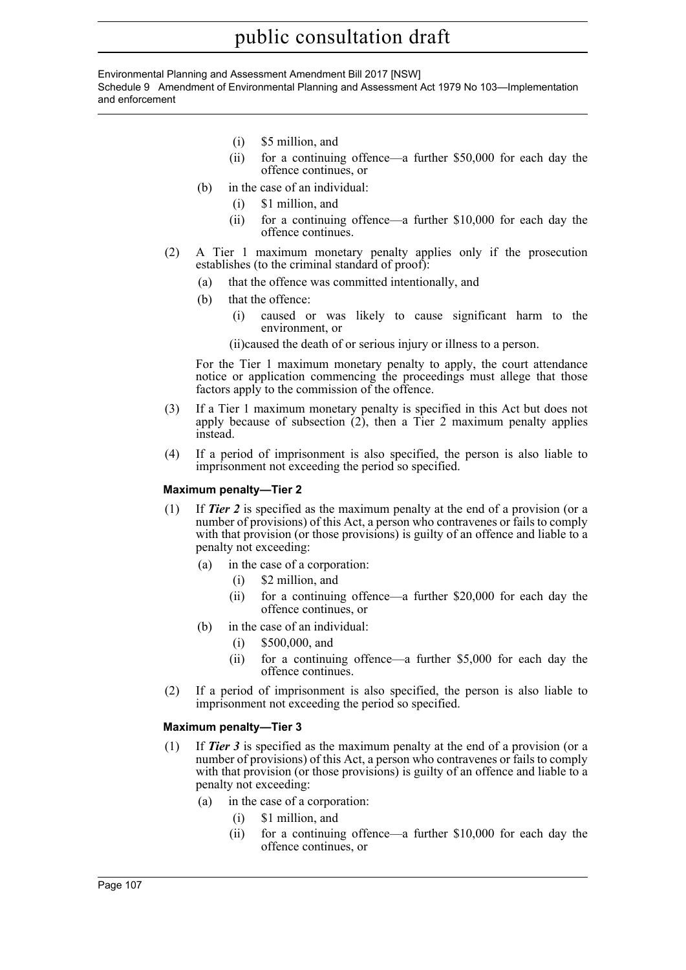Environmental Planning and Assessment Amendment Bill 2017 [NSW] Schedule 9 Amendment of Environmental Planning and Assessment Act 1979 No 103—Implementation and enforcement

- (i) \$5 million, and
- (ii) for a continuing offence—a further \$50,000 for each day the offence continues, or
- (b) in the case of an individual:
	- (i) \$1 million, and
	- (ii) for a continuing offence—a further \$10,000 for each day the offence continues.
- (2) A Tier 1 maximum monetary penalty applies only if the prosecution establishes (to the criminal standard of proof):
	- (a) that the offence was committed intentionally, and
	- (b) that the offence:
		- (i) caused or was likely to cause significant harm to the environment, or
		- (ii)caused the death of or serious injury or illness to a person.

For the Tier 1 maximum monetary penalty to apply, the court attendance notice or application commencing the proceedings must allege that those factors apply to the commission of the offence.

- (3) If a Tier 1 maximum monetary penalty is specified in this Act but does not apply because of subsection  $(2)$ , then a Tier 2 maximum penalty applies instead.
- (4) If a period of imprisonment is also specified, the person is also liable to imprisonment not exceeding the period so specified.

#### **Maximum penalty—Tier 2**

- (1) If *Tier 2* is specified as the maximum penalty at the end of a provision (or a number of provisions) of this Act, a person who contravenes or fails to comply with that provision (or those provisions) is guilty of an offence and liable to a penalty not exceeding:
	- (a) in the case of a corporation:
		- (i) \$2 million, and
		- (ii) for a continuing offence—a further \$20,000 for each day the offence continues, or
	- (b) in the case of an individual:
		- (i) \$500,000, and
		- (ii) for a continuing offence—a further \$5,000 for each day the offence continues.
- (2) If a period of imprisonment is also specified, the person is also liable to imprisonment not exceeding the period so specified.

#### **Maximum penalty—Tier 3**

- (1) If *Tier 3* is specified as the maximum penalty at the end of a provision (or a number of provisions) of this Act, a person who contravenes or fails to comply with that provision (or those provisions) is guilty of an offence and liable to a penalty not exceeding:
	- (a) in the case of a corporation:
		- (i) \$1 million, and
		- (ii) for a continuing offence—a further \$10,000 for each day the offence continues, or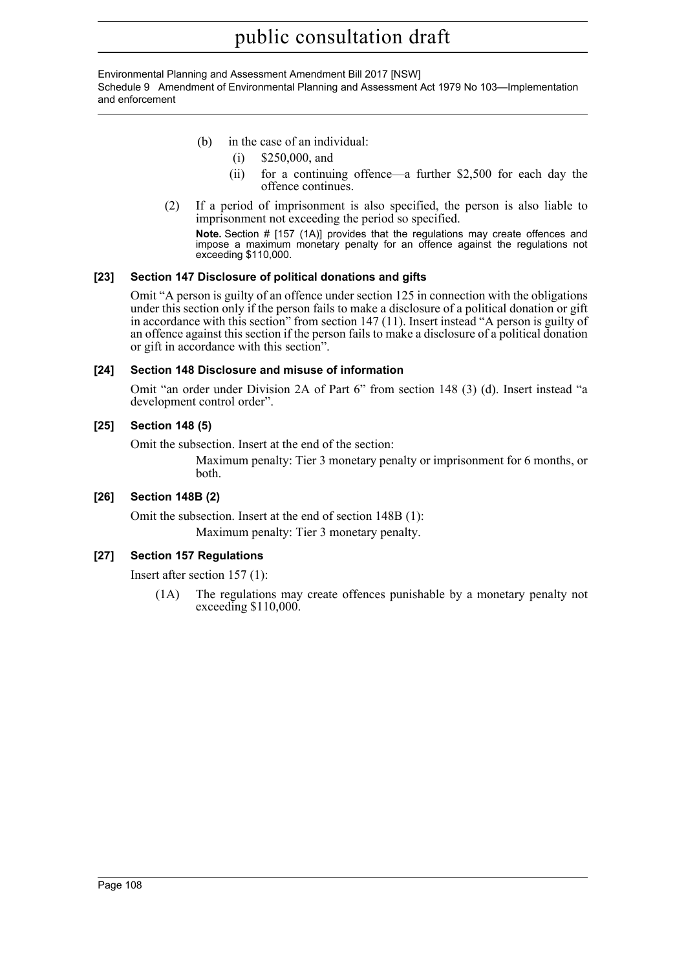Environmental Planning and Assessment Amendment Bill 2017 [NSW] Schedule 9 Amendment of Environmental Planning and Assessment Act 1979 No 103—Implementation and enforcement

- (b) in the case of an individual:
	- (i) \$250,000, and
	- (ii) for a continuing offence—a further \$2,500 for each day the offence continues.
- (2) If a period of imprisonment is also specified, the person is also liable to imprisonment not exceeding the period so specified. **Note.** Section # [157 (1A)] provides that the regulations may create offences and

impose a maximum monetary penalty for an offence against the regulations not exceeding \$110,000.

## **[23] Section 147 Disclosure of political donations and gifts**

Omit "A person is guilty of an offence under section 125 in connection with the obligations under this section only if the person fails to make a disclosure of a political donation or gift in accordance with this section" from section 147 (11). Insert instead "A person is guilty of an offence against this section if the person fails to make a disclosure of a political donation or gift in accordance with this section".

## **[24] Section 148 Disclosure and misuse of information**

Omit "an order under Division 2A of Part 6" from section 148 (3) (d). Insert instead "a development control order".

## **[25] Section 148 (5)**

Omit the subsection. Insert at the end of the section:

Maximum penalty: Tier 3 monetary penalty or imprisonment for 6 months, or both.

## **[26] Section 148B (2)**

Omit the subsection. Insert at the end of section 148B (1): Maximum penalty: Tier 3 monetary penalty.

## **[27] Section 157 Regulations**

Insert after section 157 (1):

(1A) The regulations may create offences punishable by a monetary penalty not exceeding \$110,000.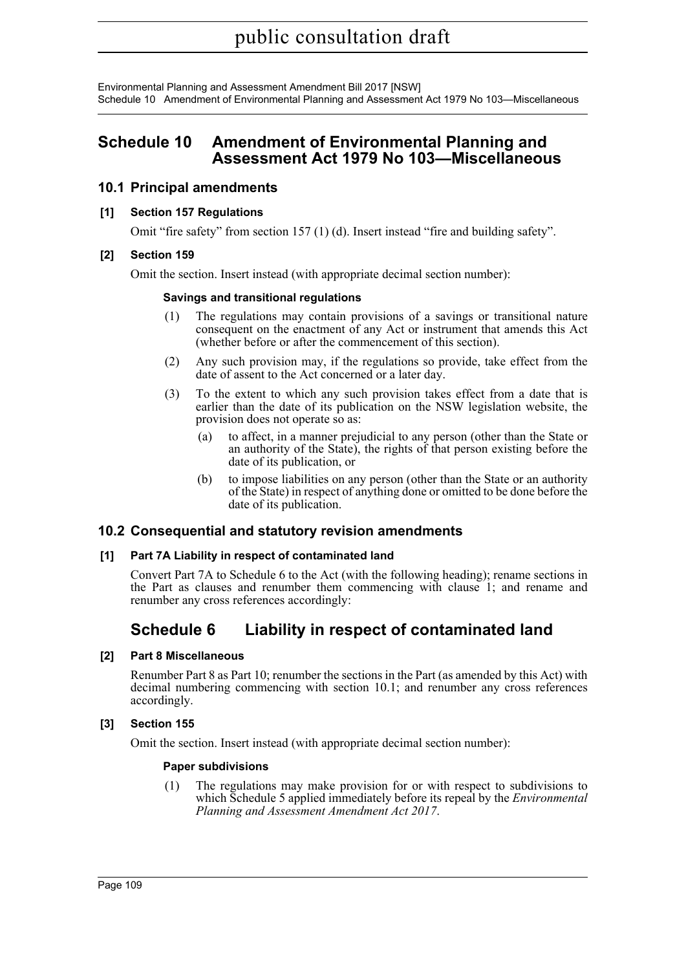Environmental Planning and Assessment Amendment Bill 2017 [NSW] Schedule 10 Amendment of Environmental Planning and Assessment Act 1979 No 103—Miscellaneous

## **Schedule 10 Amendment of Environmental Planning and Assessment Act 1979 No 103—Miscellaneous**

## **10.1 Principal amendments**

#### **[1] Section 157 Regulations**

Omit "fire safety" from section 157 (1) (d). Insert instead "fire and building safety".

#### **[2] Section 159**

Omit the section. Insert instead (with appropriate decimal section number):

#### **Savings and transitional regulations**

- (1) The regulations may contain provisions of a savings or transitional nature consequent on the enactment of any Act or instrument that amends this Act (whether before or after the commencement of this section).
- (2) Any such provision may, if the regulations so provide, take effect from the date of assent to the Act concerned or a later day.
- (3) To the extent to which any such provision takes effect from a date that is earlier than the date of its publication on the NSW legislation website, the provision does not operate so as:
	- (a) to affect, in a manner prejudicial to any person (other than the State or an authority of the State), the rights of that person existing before the date of its publication, or
	- (b) to impose liabilities on any person (other than the State or an authority of the State) in respect of anything done or omitted to be done before the date of its publication.

## **10.2 Consequential and statutory revision amendments**

#### **[1] Part 7A Liability in respect of contaminated land**

Convert Part 7A to Schedule 6 to the Act (with the following heading); rename sections in the Part as clauses and renumber them commencing with clause 1; and rename and renumber any cross references accordingly:

## **Schedule 6 Liability in respect of contaminated land**

#### **[2] Part 8 Miscellaneous**

Renumber Part 8 as Part 10; renumber the sections in the Part (as amended by this Act) with decimal numbering commencing with section 10.1; and renumber any cross references accordingly.

## **[3] Section 155**

Omit the section. Insert instead (with appropriate decimal section number):

#### **Paper subdivisions**

(1) The regulations may make provision for or with respect to subdivisions to which Schedule 5 applied immediately before its repeal by the *Environmental Planning and Assessment Amendment Act 2017*.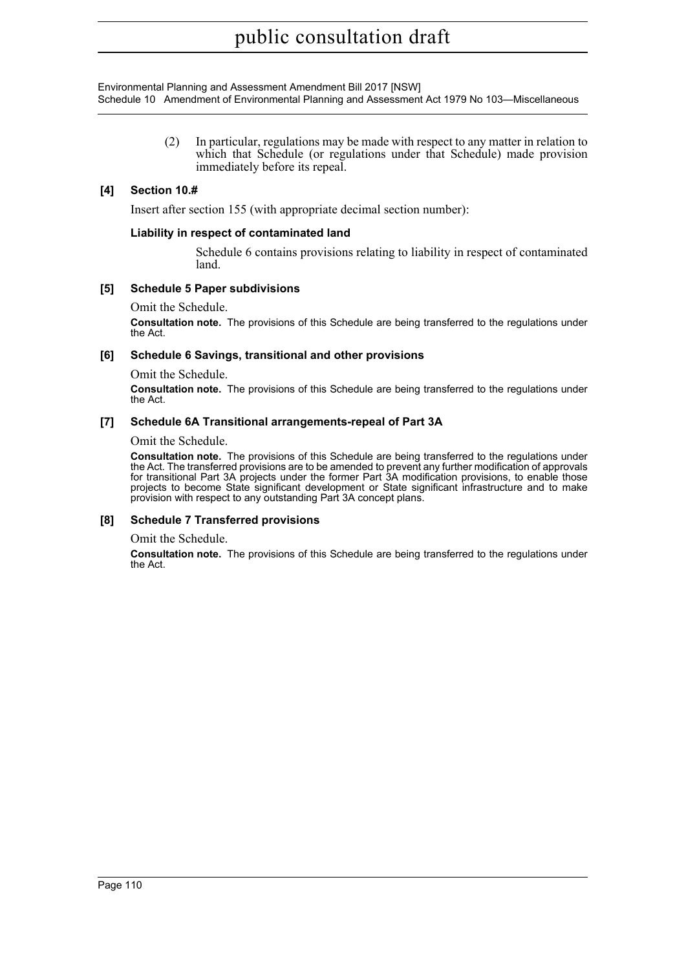Environmental Planning and Assessment Amendment Bill 2017 [NSW] Schedule 10 Amendment of Environmental Planning and Assessment Act 1979 No 103—Miscellaneous

> (2) In particular, regulations may be made with respect to any matter in relation to which that Schedule (or regulations under that Schedule) made provision immediately before its repeal.

#### **[4] Section 10.#**

Insert after section 155 (with appropriate decimal section number):

#### **Liability in respect of contaminated land**

Schedule 6 contains provisions relating to liability in respect of contaminated land.

#### **[5] Schedule 5 Paper subdivisions**

Omit the Schedule.

**Consultation note.** The provisions of this Schedule are being transferred to the regulations under the Act.

#### **[6] Schedule 6 Savings, transitional and other provisions**

Omit the Schedule.

**Consultation note.** The provisions of this Schedule are being transferred to the regulations under the Act.

#### **[7] Schedule 6A Transitional arrangements-repeal of Part 3A**

Omit the Schedule.

**Consultation note.** The provisions of this Schedule are being transferred to the regulations under the Act. The transferred provisions are to be amended to prevent any further modification of approvals for transitional Part 3A projects under the former Part 3A modification provisions, to enable those projects to become State significant development or State significant infrastructure and to make provision with respect to any outstanding Part 3A concept plans.

#### **[8] Schedule 7 Transferred provisions**

Omit the Schedule.

**Consultation note.** The provisions of this Schedule are being transferred to the regulations under the Act.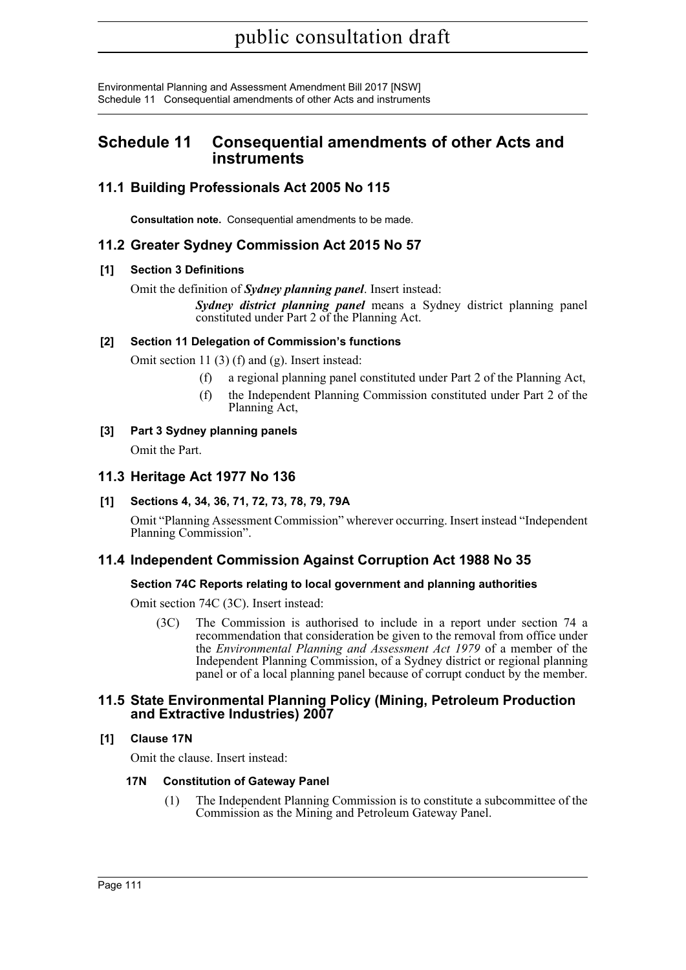Environmental Planning and Assessment Amendment Bill 2017 [NSW] Schedule 11 Consequential amendments of other Acts and instruments

## **Schedule 11 Consequential amendments of other Acts and instruments**

## **11.1 Building Professionals Act 2005 No 115**

**Consultation note.** Consequential amendments to be made.

## **11.2 Greater Sydney Commission Act 2015 No 57**

## **[1] Section 3 Definitions**

Omit the definition of *Sydney planning panel*. Insert instead:

*Sydney district planning panel* means a Sydney district planning panel constituted under Part 2 of the Planning Act.

## **[2] Section 11 Delegation of Commission's functions**

Omit section 11 (3) (f) and (g). Insert instead:

- (f) a regional planning panel constituted under Part 2 of the Planning Act,
- (f) the Independent Planning Commission constituted under Part 2 of the Planning Act,

## **[3] Part 3 Sydney planning panels**

Omit the Part.

## **11.3 Heritage Act 1977 No 136**

## **[1] Sections 4, 34, 36, 71, 72, 73, 78, 79, 79A**

Omit "Planning Assessment Commission" wherever occurring. Insert instead "Independent Planning Commission".

## **11.4 Independent Commission Against Corruption Act 1988 No 35**

## **Section 74C Reports relating to local government and planning authorities**

Omit section 74C (3C). Insert instead:

(3C) The Commission is authorised to include in a report under section 74 a recommendation that consideration be given to the removal from office under the *Environmental Planning and Assessment Act 1979* of a member of the Independent Planning Commission, of a Sydney district or regional planning panel or of a local planning panel because of corrupt conduct by the member.

## **11.5 State Environmental Planning Policy (Mining, Petroleum Production and Extractive Industries) 2007**

## **[1] Clause 17N**

Omit the clause. Insert instead:

## **17N Constitution of Gateway Panel**

(1) The Independent Planning Commission is to constitute a subcommittee of the Commission as the Mining and Petroleum Gateway Panel.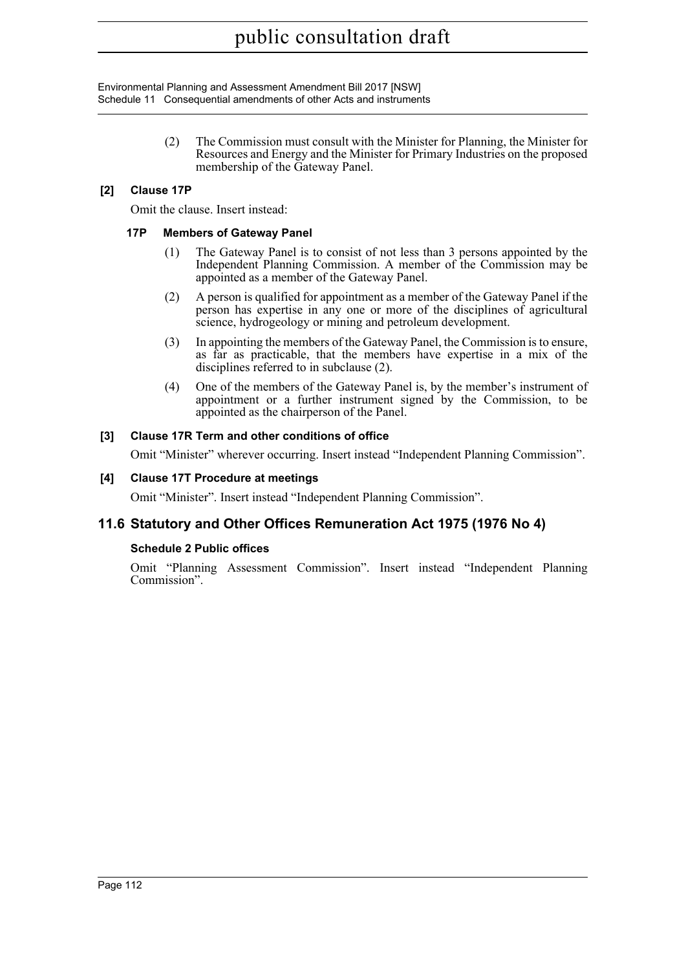Environmental Planning and Assessment Amendment Bill 2017 [NSW] Schedule 11 Consequential amendments of other Acts and instruments

> (2) The Commission must consult with the Minister for Planning, the Minister for Resources and Energy and the Minister for Primary Industries on the proposed membership of the Gateway Panel.

### **[2] Clause 17P**

Omit the clause. Insert instead:

#### **17P Members of Gateway Panel**

- (1) The Gateway Panel is to consist of not less than 3 persons appointed by the Independent Planning Commission. A member of the Commission may be appointed as a member of the Gateway Panel.
- (2) A person is qualified for appointment as a member of the Gateway Panel if the person has expertise in any one or more of the disciplines of agricultural science, hydrogeology or mining and petroleum development.
- (3) In appointing the members of the Gateway Panel, the Commission is to ensure, as far as practicable, that the members have expertise in a mix of the disciplines referred to in subclause (2).
- (4) One of the members of the Gateway Panel is, by the member's instrument of appointment or a further instrument signed by the Commission, to be appointed as the chairperson of the Panel.

#### **[3] Clause 17R Term and other conditions of office**

Omit "Minister" wherever occurring. Insert instead "Independent Planning Commission".

#### **[4] Clause 17T Procedure at meetings**

Omit "Minister". Insert instead "Independent Planning Commission".

## **11.6 Statutory and Other Offices Remuneration Act 1975 (1976 No 4)**

#### **Schedule 2 Public offices**

Omit "Planning Assessment Commission". Insert instead "Independent Planning Commission".